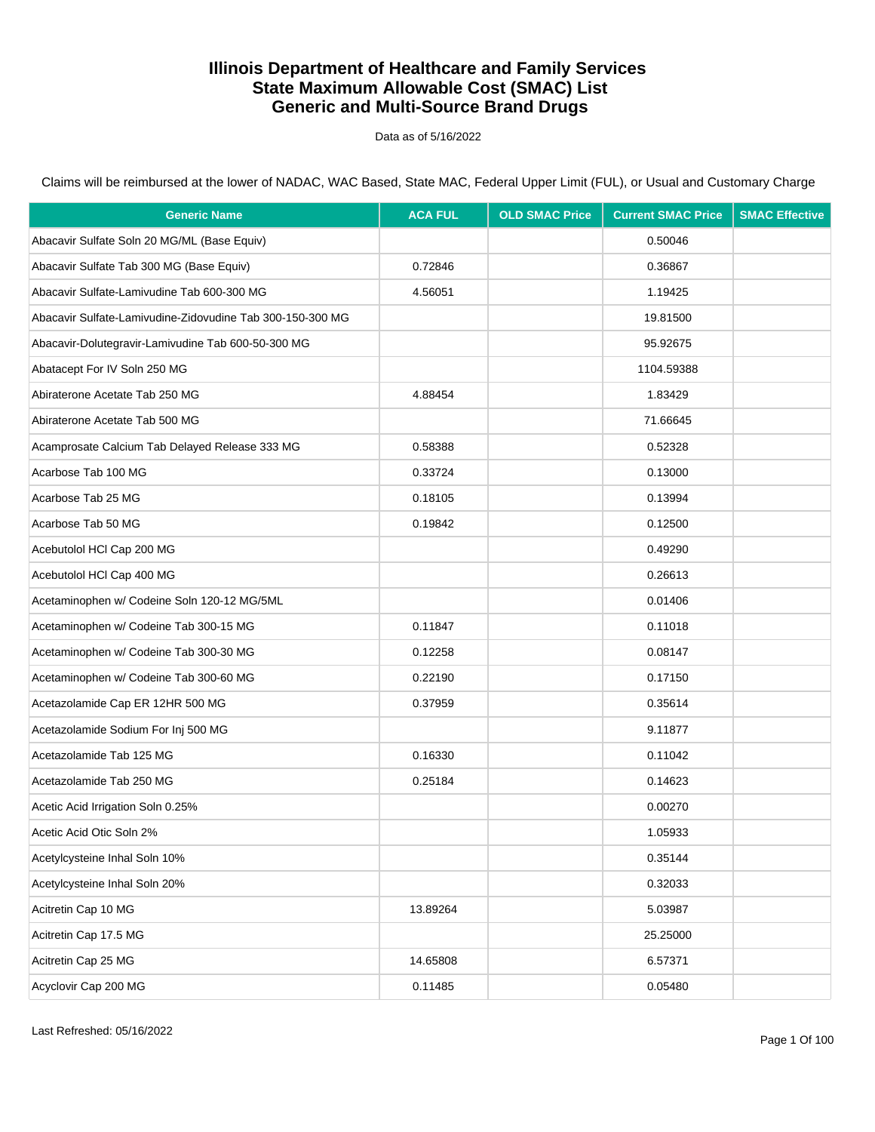Data as of 5/16/2022

| <b>Generic Name</b>                                       | <b>ACA FUL</b> | <b>OLD SMAC Price</b> | <b>Current SMAC Price</b> | <b>SMAC Effective</b> |
|-----------------------------------------------------------|----------------|-----------------------|---------------------------|-----------------------|
| Abacavir Sulfate Soln 20 MG/ML (Base Equiv)               |                |                       | 0.50046                   |                       |
| Abacavir Sulfate Tab 300 MG (Base Equiv)                  | 0.72846        |                       | 0.36867                   |                       |
| Abacavir Sulfate-Lamivudine Tab 600-300 MG                | 4.56051        |                       | 1.19425                   |                       |
| Abacavir Sulfate-Lamivudine-Zidovudine Tab 300-150-300 MG |                |                       | 19.81500                  |                       |
| Abacavir-Dolutegravir-Lamivudine Tab 600-50-300 MG        |                |                       | 95.92675                  |                       |
| Abatacept For IV Soln 250 MG                              |                |                       | 1104.59388                |                       |
| Abiraterone Acetate Tab 250 MG                            | 4.88454        |                       | 1.83429                   |                       |
| Abiraterone Acetate Tab 500 MG                            |                |                       | 71.66645                  |                       |
| Acamprosate Calcium Tab Delayed Release 333 MG            | 0.58388        |                       | 0.52328                   |                       |
| Acarbose Tab 100 MG                                       | 0.33724        |                       | 0.13000                   |                       |
| Acarbose Tab 25 MG                                        | 0.18105        |                       | 0.13994                   |                       |
| Acarbose Tab 50 MG                                        | 0.19842        |                       | 0.12500                   |                       |
| Acebutolol HCl Cap 200 MG                                 |                |                       | 0.49290                   |                       |
| Acebutolol HCl Cap 400 MG                                 |                |                       | 0.26613                   |                       |
| Acetaminophen w/ Codeine Soln 120-12 MG/5ML               |                |                       | 0.01406                   |                       |
| Acetaminophen w/ Codeine Tab 300-15 MG                    | 0.11847        |                       | 0.11018                   |                       |
| Acetaminophen w/ Codeine Tab 300-30 MG                    | 0.12258        |                       | 0.08147                   |                       |
| Acetaminophen w/ Codeine Tab 300-60 MG                    | 0.22190        |                       | 0.17150                   |                       |
| Acetazolamide Cap ER 12HR 500 MG                          | 0.37959        |                       | 0.35614                   |                       |
| Acetazolamide Sodium For Inj 500 MG                       |                |                       | 9.11877                   |                       |
| Acetazolamide Tab 125 MG                                  | 0.16330        |                       | 0.11042                   |                       |
| Acetazolamide Tab 250 MG                                  | 0.25184        |                       | 0.14623                   |                       |
| Acetic Acid Irrigation Soln 0.25%                         |                |                       | 0.00270                   |                       |
| Acetic Acid Otic Soln 2%                                  |                |                       | 1.05933                   |                       |
| Acetylcysteine Inhal Soln 10%                             |                |                       | 0.35144                   |                       |
| Acetylcysteine Inhal Soln 20%                             |                |                       | 0.32033                   |                       |
| Acitretin Cap 10 MG                                       | 13.89264       |                       | 5.03987                   |                       |
| Acitretin Cap 17.5 MG                                     |                |                       | 25.25000                  |                       |
| Acitretin Cap 25 MG                                       | 14.65808       |                       | 6.57371                   |                       |
| Acyclovir Cap 200 MG                                      | 0.11485        |                       | 0.05480                   |                       |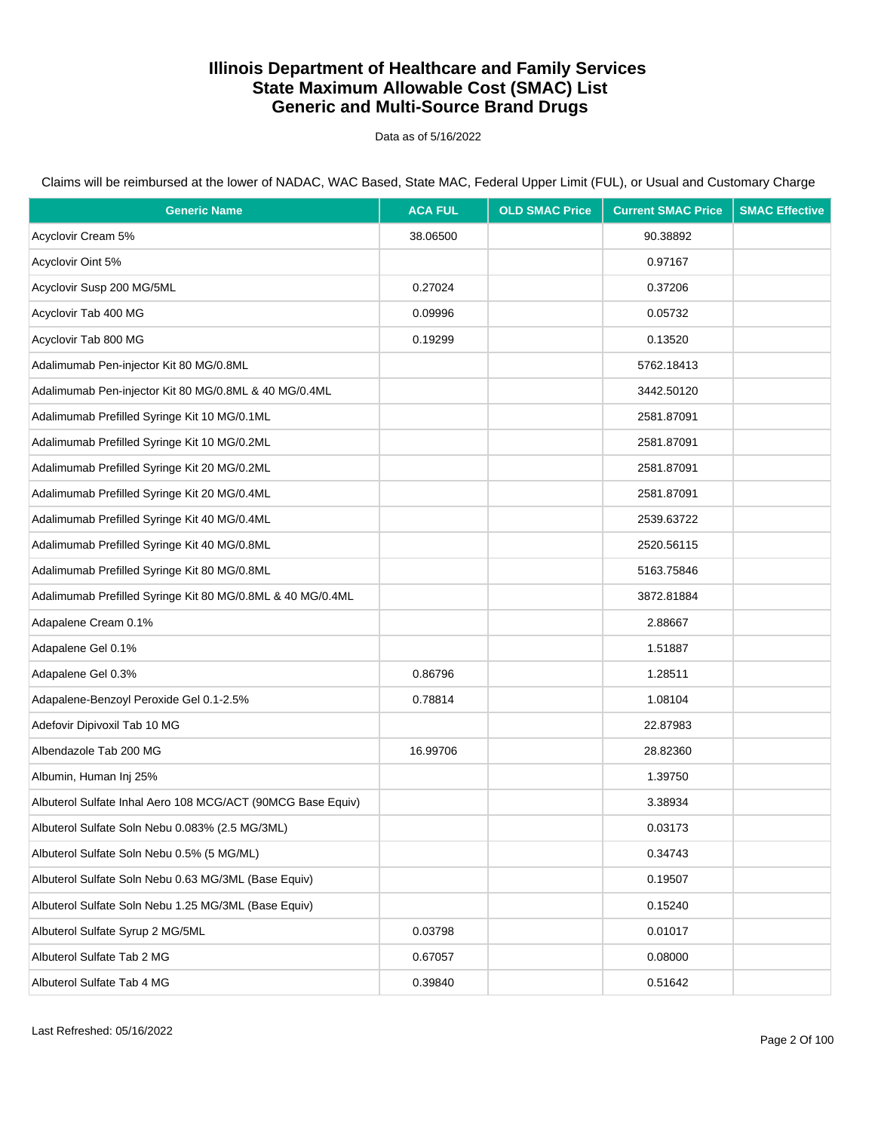Data as of 5/16/2022

| <b>Generic Name</b>                                         | <b>ACA FUL</b> | <b>OLD SMAC Price</b> | <b>Current SMAC Price</b> | <b>SMAC Effective</b> |
|-------------------------------------------------------------|----------------|-----------------------|---------------------------|-----------------------|
| Acyclovir Cream 5%                                          | 38.06500       |                       | 90.38892                  |                       |
| Acyclovir Oint 5%                                           |                |                       | 0.97167                   |                       |
| Acyclovir Susp 200 MG/5ML                                   | 0.27024        |                       | 0.37206                   |                       |
| Acyclovir Tab 400 MG                                        | 0.09996        |                       | 0.05732                   |                       |
| Acyclovir Tab 800 MG                                        | 0.19299        |                       | 0.13520                   |                       |
| Adalimumab Pen-injector Kit 80 MG/0.8ML                     |                |                       | 5762.18413                |                       |
| Adalimumab Pen-injector Kit 80 MG/0.8ML & 40 MG/0.4ML       |                |                       | 3442.50120                |                       |
| Adalimumab Prefilled Syringe Kit 10 MG/0.1ML                |                |                       | 2581.87091                |                       |
| Adalimumab Prefilled Syringe Kit 10 MG/0.2ML                |                |                       | 2581.87091                |                       |
| Adalimumab Prefilled Syringe Kit 20 MG/0.2ML                |                |                       | 2581.87091                |                       |
| Adalimumab Prefilled Syringe Kit 20 MG/0.4ML                |                |                       | 2581.87091                |                       |
| Adalimumab Prefilled Syringe Kit 40 MG/0.4ML                |                |                       | 2539.63722                |                       |
| Adalimumab Prefilled Syringe Kit 40 MG/0.8ML                |                |                       | 2520.56115                |                       |
| Adalimumab Prefilled Syringe Kit 80 MG/0.8ML                |                |                       | 5163.75846                |                       |
| Adalimumab Prefilled Syringe Kit 80 MG/0.8ML & 40 MG/0.4ML  |                |                       | 3872.81884                |                       |
| Adapalene Cream 0.1%                                        |                |                       | 2.88667                   |                       |
| Adapalene Gel 0.1%                                          |                |                       | 1.51887                   |                       |
| Adapalene Gel 0.3%                                          | 0.86796        |                       | 1.28511                   |                       |
| Adapalene-Benzoyl Peroxide Gel 0.1-2.5%                     | 0.78814        |                       | 1.08104                   |                       |
| Adefovir Dipivoxil Tab 10 MG                                |                |                       | 22.87983                  |                       |
| Albendazole Tab 200 MG                                      | 16.99706       |                       | 28.82360                  |                       |
| Albumin, Human Inj 25%                                      |                |                       | 1.39750                   |                       |
| Albuterol Sulfate Inhal Aero 108 MCG/ACT (90MCG Base Equiv) |                |                       | 3.38934                   |                       |
| Albuterol Sulfate Soln Nebu 0.083% (2.5 MG/3ML)             |                |                       | 0.03173                   |                       |
| Albuterol Sulfate Soln Nebu 0.5% (5 MG/ML)                  |                |                       | 0.34743                   |                       |
| Albuterol Sulfate Soln Nebu 0.63 MG/3ML (Base Equiv)        |                |                       | 0.19507                   |                       |
| Albuterol Sulfate Soln Nebu 1.25 MG/3ML (Base Equiv)        |                |                       | 0.15240                   |                       |
| Albuterol Sulfate Syrup 2 MG/5ML                            | 0.03798        |                       | 0.01017                   |                       |
| Albuterol Sulfate Tab 2 MG                                  | 0.67057        |                       | 0.08000                   |                       |
| Albuterol Sulfate Tab 4 MG                                  | 0.39840        |                       | 0.51642                   |                       |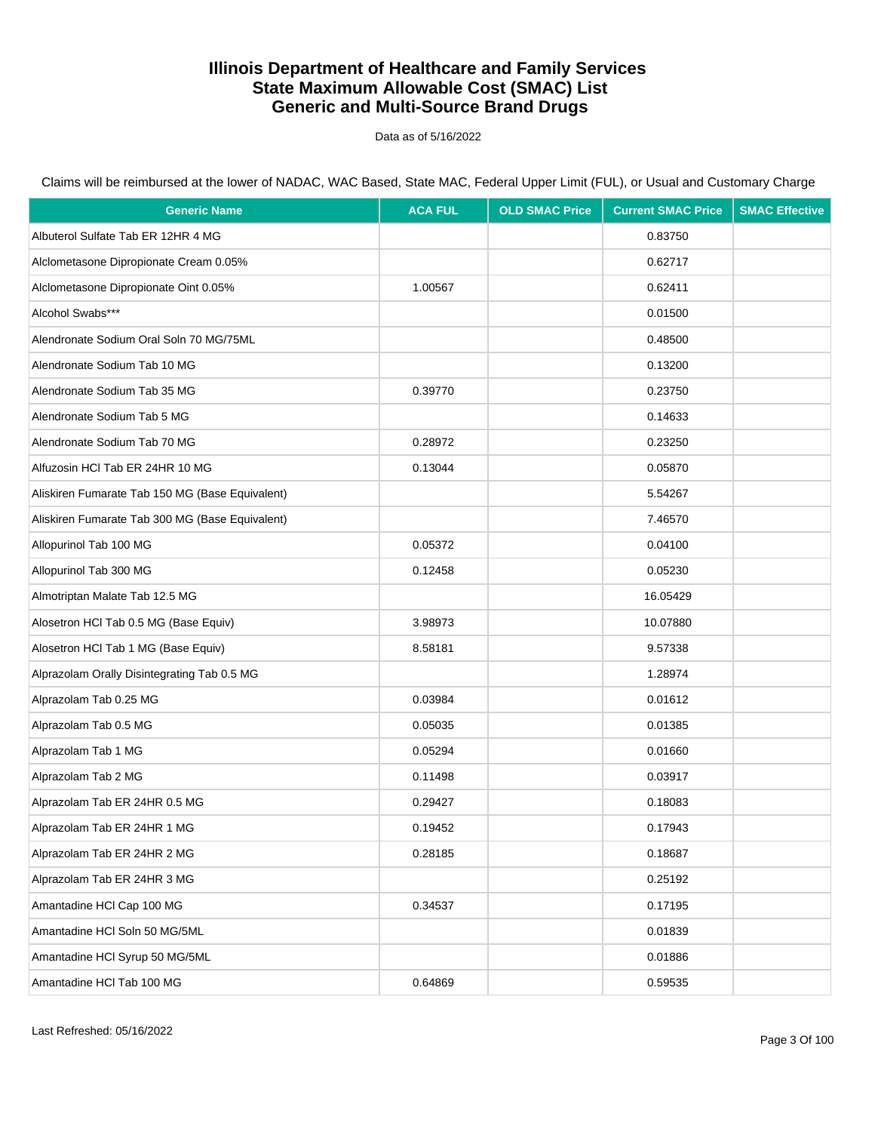Data as of 5/16/2022

| <b>Generic Name</b>                             | <b>ACA FUL</b> | <b>OLD SMAC Price</b> | <b>Current SMAC Price</b> | <b>SMAC Effective</b> |
|-------------------------------------------------|----------------|-----------------------|---------------------------|-----------------------|
| Albuterol Sulfate Tab ER 12HR 4 MG              |                |                       | 0.83750                   |                       |
| Alclometasone Dipropionate Cream 0.05%          |                |                       | 0.62717                   |                       |
| Alclometasone Dipropionate Oint 0.05%           | 1.00567        |                       | 0.62411                   |                       |
| Alcohol Swabs***                                |                |                       | 0.01500                   |                       |
| Alendronate Sodium Oral Soln 70 MG/75ML         |                |                       | 0.48500                   |                       |
| Alendronate Sodium Tab 10 MG                    |                |                       | 0.13200                   |                       |
| Alendronate Sodium Tab 35 MG                    | 0.39770        |                       | 0.23750                   |                       |
| Alendronate Sodium Tab 5 MG                     |                |                       | 0.14633                   |                       |
| Alendronate Sodium Tab 70 MG                    | 0.28972        |                       | 0.23250                   |                       |
| Alfuzosin HCI Tab ER 24HR 10 MG                 | 0.13044        |                       | 0.05870                   |                       |
| Aliskiren Fumarate Tab 150 MG (Base Equivalent) |                |                       | 5.54267                   |                       |
| Aliskiren Fumarate Tab 300 MG (Base Equivalent) |                |                       | 7.46570                   |                       |
| Allopurinol Tab 100 MG                          | 0.05372        |                       | 0.04100                   |                       |
| Allopurinol Tab 300 MG                          | 0.12458        |                       | 0.05230                   |                       |
| Almotriptan Malate Tab 12.5 MG                  |                |                       | 16.05429                  |                       |
| Alosetron HCl Tab 0.5 MG (Base Equiv)           | 3.98973        |                       | 10.07880                  |                       |
| Alosetron HCl Tab 1 MG (Base Equiv)             | 8.58181        |                       | 9.57338                   |                       |
| Alprazolam Orally Disintegrating Tab 0.5 MG     |                |                       | 1.28974                   |                       |
| Alprazolam Tab 0.25 MG                          | 0.03984        |                       | 0.01612                   |                       |
| Alprazolam Tab 0.5 MG                           | 0.05035        |                       | 0.01385                   |                       |
| Alprazolam Tab 1 MG                             | 0.05294        |                       | 0.01660                   |                       |
| Alprazolam Tab 2 MG                             | 0.11498        |                       | 0.03917                   |                       |
| Alprazolam Tab ER 24HR 0.5 MG                   | 0.29427        |                       | 0.18083                   |                       |
| Alprazolam Tab ER 24HR 1 MG                     | 0.19452        |                       | 0.17943                   |                       |
| Alprazolam Tab ER 24HR 2 MG                     | 0.28185        |                       | 0.18687                   |                       |
| Alprazolam Tab ER 24HR 3 MG                     |                |                       | 0.25192                   |                       |
| Amantadine HCl Cap 100 MG                       | 0.34537        |                       | 0.17195                   |                       |
| Amantadine HCl Soln 50 MG/5ML                   |                |                       | 0.01839                   |                       |
| Amantadine HCl Syrup 50 MG/5ML                  |                |                       | 0.01886                   |                       |
| Amantadine HCl Tab 100 MG                       | 0.64869        |                       | 0.59535                   |                       |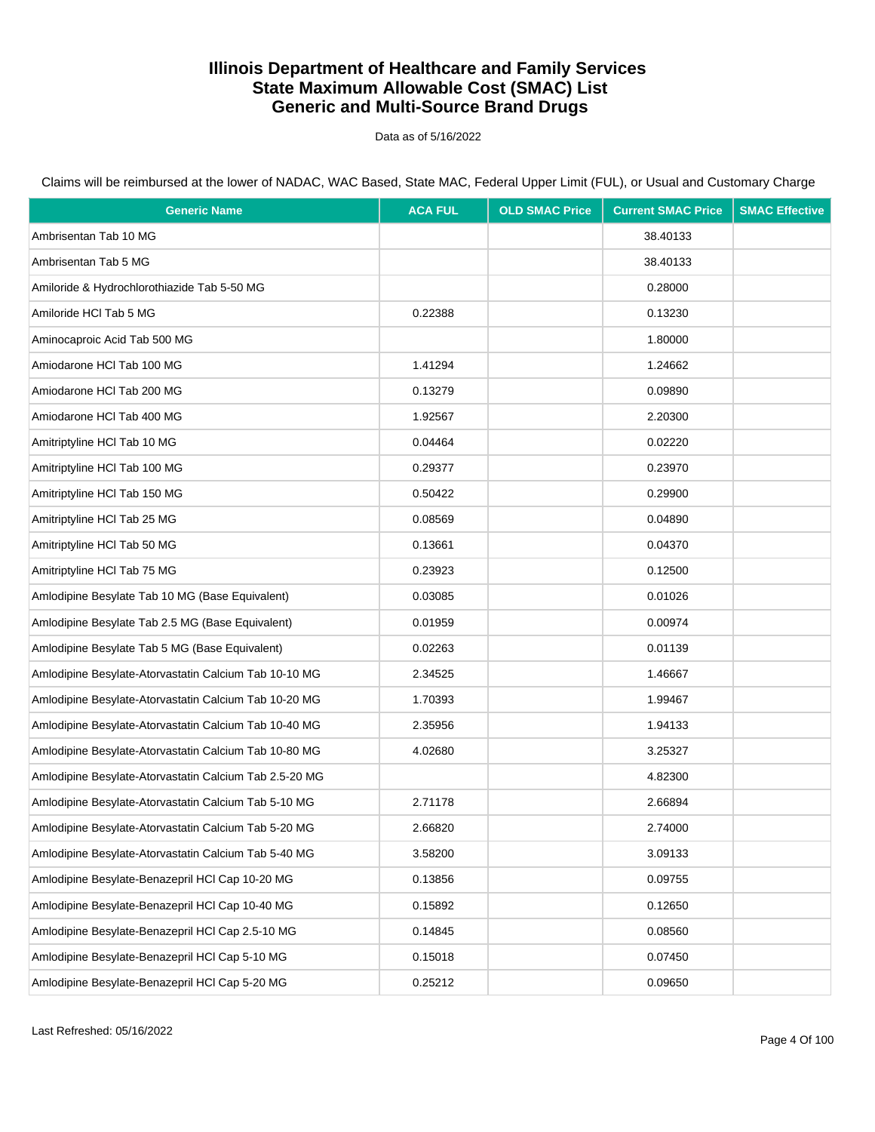Data as of 5/16/2022

Claims will be reimbursed at the lower of NADAC, WAC Based, State MAC, Federal Upper Limit (FUL), or Usual and Customary Charge

| <b>Generic Name</b>                                    | <b>ACA FUL</b> | <b>OLD SMAC Price</b> | <b>Current SMAC Price</b> | <b>SMAC Effective</b> |
|--------------------------------------------------------|----------------|-----------------------|---------------------------|-----------------------|
| Ambrisentan Tab 10 MG                                  |                |                       | 38.40133                  |                       |
| Ambrisentan Tab 5 MG                                   |                |                       | 38.40133                  |                       |
| Amiloride & Hydrochlorothiazide Tab 5-50 MG            |                |                       | 0.28000                   |                       |
| Amiloride HCl Tab 5 MG                                 | 0.22388        |                       | 0.13230                   |                       |
| Aminocaproic Acid Tab 500 MG                           |                |                       | 1.80000                   |                       |
| Amiodarone HCI Tab 100 MG                              | 1.41294        |                       | 1.24662                   |                       |
| Amiodarone HCI Tab 200 MG                              | 0.13279        |                       | 0.09890                   |                       |
| Amiodarone HCI Tab 400 MG                              | 1.92567        |                       | 2.20300                   |                       |
| Amitriptyline HCI Tab 10 MG                            | 0.04464        |                       | 0.02220                   |                       |
| Amitriptyline HCI Tab 100 MG                           | 0.29377        |                       | 0.23970                   |                       |
| Amitriptyline HCI Tab 150 MG                           | 0.50422        |                       | 0.29900                   |                       |
| Amitriptyline HCI Tab 25 MG                            | 0.08569        |                       | 0.04890                   |                       |
| Amitriptyline HCI Tab 50 MG                            | 0.13661        |                       | 0.04370                   |                       |
| Amitriptyline HCl Tab 75 MG                            | 0.23923        |                       | 0.12500                   |                       |
| Amlodipine Besylate Tab 10 MG (Base Equivalent)        | 0.03085        |                       | 0.01026                   |                       |
| Amlodipine Besylate Tab 2.5 MG (Base Equivalent)       | 0.01959        |                       | 0.00974                   |                       |
| Amlodipine Besylate Tab 5 MG (Base Equivalent)         | 0.02263        |                       | 0.01139                   |                       |
| Amlodipine Besylate-Atorvastatin Calcium Tab 10-10 MG  | 2.34525        |                       | 1.46667                   |                       |
| Amlodipine Besylate-Atorvastatin Calcium Tab 10-20 MG  | 1.70393        |                       | 1.99467                   |                       |
| Amlodipine Besylate-Atorvastatin Calcium Tab 10-40 MG  | 2.35956        |                       | 1.94133                   |                       |
| Amlodipine Besylate-Atorvastatin Calcium Tab 10-80 MG  | 4.02680        |                       | 3.25327                   |                       |
| Amlodipine Besylate-Atorvastatin Calcium Tab 2.5-20 MG |                |                       | 4.82300                   |                       |
| Amlodipine Besylate-Atorvastatin Calcium Tab 5-10 MG   | 2.71178        |                       | 2.66894                   |                       |
| Amlodipine Besylate-Atorvastatin Calcium Tab 5-20 MG   | 2.66820        |                       | 2.74000                   |                       |
| Amlodipine Besylate-Atorvastatin Calcium Tab 5-40 MG   | 3.58200        |                       | 3.09133                   |                       |
| Amlodipine Besylate-Benazepril HCl Cap 10-20 MG        | 0.13856        |                       | 0.09755                   |                       |
| Amlodipine Besylate-Benazepril HCl Cap 10-40 MG        | 0.15892        |                       | 0.12650                   |                       |
| Amlodipine Besylate-Benazepril HCl Cap 2.5-10 MG       | 0.14845        |                       | 0.08560                   |                       |
| Amlodipine Besylate-Benazepril HCl Cap 5-10 MG         | 0.15018        |                       | 0.07450                   |                       |
| Amlodipine Besylate-Benazepril HCl Cap 5-20 MG         | 0.25212        |                       | 0.09650                   |                       |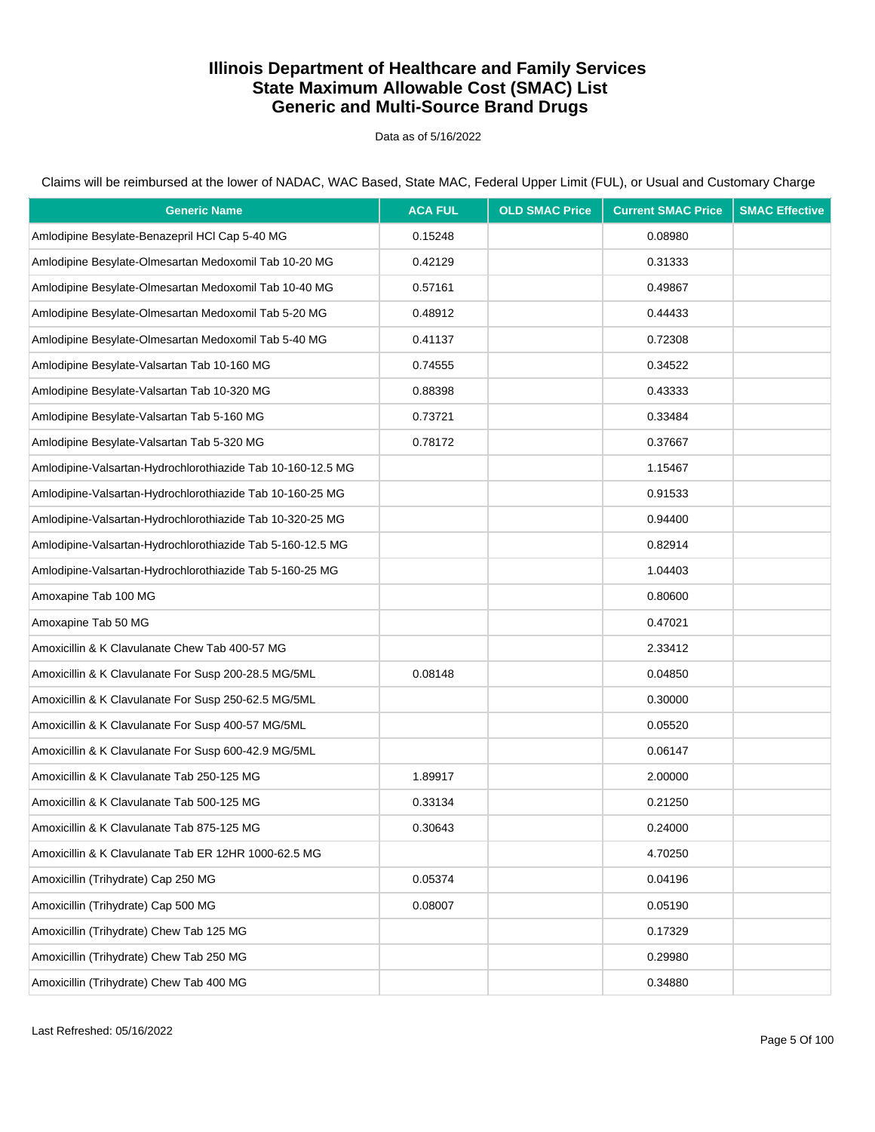Data as of 5/16/2022

Claims will be reimbursed at the lower of NADAC, WAC Based, State MAC, Federal Upper Limit (FUL), or Usual and Customary Charge

| <b>Generic Name</b>                                         | <b>ACA FUL</b> | <b>OLD SMAC Price</b> | <b>Current SMAC Price</b> | <b>SMAC Effective</b> |
|-------------------------------------------------------------|----------------|-----------------------|---------------------------|-----------------------|
| Amlodipine Besylate-Benazepril HCl Cap 5-40 MG              | 0.15248        |                       | 0.08980                   |                       |
| Amlodipine Besylate-Olmesartan Medoxomil Tab 10-20 MG       | 0.42129        |                       | 0.31333                   |                       |
| Amlodipine Besylate-Olmesartan Medoxomil Tab 10-40 MG       | 0.57161        |                       | 0.49867                   |                       |
| Amlodipine Besylate-Olmesartan Medoxomil Tab 5-20 MG        | 0.48912        |                       | 0.44433                   |                       |
| Amlodipine Besylate-Olmesartan Medoxomil Tab 5-40 MG        | 0.41137        |                       | 0.72308                   |                       |
| Amlodipine Besylate-Valsartan Tab 10-160 MG                 | 0.74555        |                       | 0.34522                   |                       |
| Amlodipine Besylate-Valsartan Tab 10-320 MG                 | 0.88398        |                       | 0.43333                   |                       |
| Amlodipine Besylate-Valsartan Tab 5-160 MG                  | 0.73721        |                       | 0.33484                   |                       |
| Amlodipine Besylate-Valsartan Tab 5-320 MG                  | 0.78172        |                       | 0.37667                   |                       |
| Amlodipine-Valsartan-Hydrochlorothiazide Tab 10-160-12.5 MG |                |                       | 1.15467                   |                       |
| Amlodipine-Valsartan-Hydrochlorothiazide Tab 10-160-25 MG   |                |                       | 0.91533                   |                       |
| Amlodipine-Valsartan-Hydrochlorothiazide Tab 10-320-25 MG   |                |                       | 0.94400                   |                       |
| Amlodipine-Valsartan-Hydrochlorothiazide Tab 5-160-12.5 MG  |                |                       | 0.82914                   |                       |
| Amlodipine-Valsartan-Hydrochlorothiazide Tab 5-160-25 MG    |                |                       | 1.04403                   |                       |
| Amoxapine Tab 100 MG                                        |                |                       | 0.80600                   |                       |
| Amoxapine Tab 50 MG                                         |                |                       | 0.47021                   |                       |
| Amoxicillin & K Clavulanate Chew Tab 400-57 MG              |                |                       | 2.33412                   |                       |
| Amoxicillin & K Clavulanate For Susp 200-28.5 MG/5ML        | 0.08148        |                       | 0.04850                   |                       |
| Amoxicillin & K Clavulanate For Susp 250-62.5 MG/5ML        |                |                       | 0.30000                   |                       |
| Amoxicillin & K Clavulanate For Susp 400-57 MG/5ML          |                |                       | 0.05520                   |                       |
| Amoxicillin & K Clavulanate For Susp 600-42.9 MG/5ML        |                |                       | 0.06147                   |                       |
| Amoxicillin & K Clavulanate Tab 250-125 MG                  | 1.89917        |                       | 2.00000                   |                       |
| Amoxicillin & K Clavulanate Tab 500-125 MG                  | 0.33134        |                       | 0.21250                   |                       |
| Amoxicillin & K Clavulanate Tab 875-125 MG                  | 0.30643        |                       | 0.24000                   |                       |
| Amoxicillin & K Clavulanate Tab ER 12HR 1000-62.5 MG        |                |                       | 4.70250                   |                       |
| Amoxicillin (Trihydrate) Cap 250 MG                         | 0.05374        |                       | 0.04196                   |                       |
| Amoxicillin (Trihydrate) Cap 500 MG                         | 0.08007        |                       | 0.05190                   |                       |
| Amoxicillin (Trihydrate) Chew Tab 125 MG                    |                |                       | 0.17329                   |                       |
| Amoxicillin (Trihydrate) Chew Tab 250 MG                    |                |                       | 0.29980                   |                       |
| Amoxicillin (Trihydrate) Chew Tab 400 MG                    |                |                       | 0.34880                   |                       |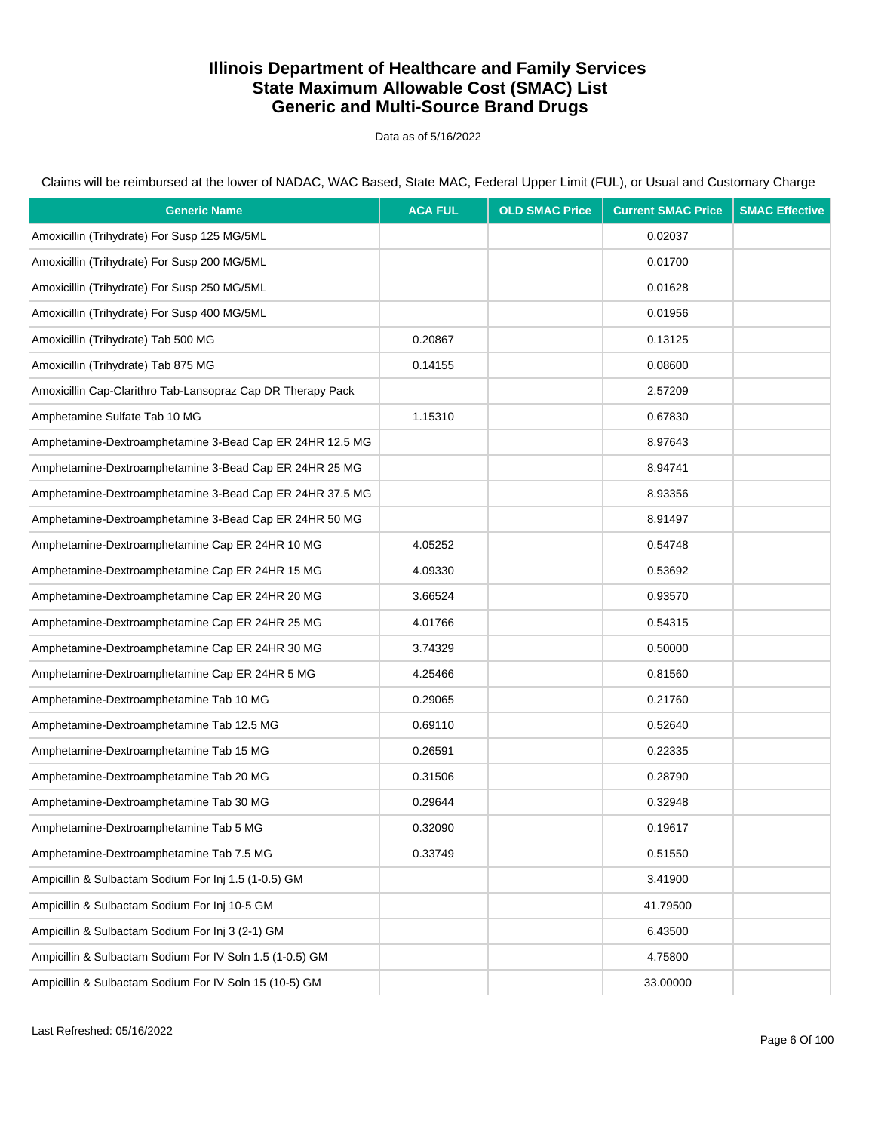Data as of 5/16/2022

Claims will be reimbursed at the lower of NADAC, WAC Based, State MAC, Federal Upper Limit (FUL), or Usual and Customary Charge

| <b>Generic Name</b>                                         | <b>ACA FUL</b> | <b>OLD SMAC Price</b> | <b>Current SMAC Price</b> | <b>SMAC Effective</b> |
|-------------------------------------------------------------|----------------|-----------------------|---------------------------|-----------------------|
| Amoxicillin (Trihydrate) For Susp 125 MG/5ML                |                |                       | 0.02037                   |                       |
| Amoxicillin (Trihydrate) For Susp 200 MG/5ML                |                |                       | 0.01700                   |                       |
| Amoxicillin (Trihydrate) For Susp 250 MG/5ML                |                |                       | 0.01628                   |                       |
| Amoxicillin (Trihydrate) For Susp 400 MG/5ML                |                |                       | 0.01956                   |                       |
| Amoxicillin (Trihydrate) Tab 500 MG                         | 0.20867        |                       | 0.13125                   |                       |
| Amoxicillin (Trihydrate) Tab 875 MG                         | 0.14155        |                       | 0.08600                   |                       |
| Amoxicillin Cap-Clarithro Tab-Lansopraz Cap DR Therapy Pack |                |                       | 2.57209                   |                       |
| Amphetamine Sulfate Tab 10 MG                               | 1.15310        |                       | 0.67830                   |                       |
| Amphetamine-Dextroamphetamine 3-Bead Cap ER 24HR 12.5 MG    |                |                       | 8.97643                   |                       |
| Amphetamine-Dextroamphetamine 3-Bead Cap ER 24HR 25 MG      |                |                       | 8.94741                   |                       |
| Amphetamine-Dextroamphetamine 3-Bead Cap ER 24HR 37.5 MG    |                |                       | 8.93356                   |                       |
| Amphetamine-Dextroamphetamine 3-Bead Cap ER 24HR 50 MG      |                |                       | 8.91497                   |                       |
| Amphetamine-Dextroamphetamine Cap ER 24HR 10 MG             | 4.05252        |                       | 0.54748                   |                       |
| Amphetamine-Dextroamphetamine Cap ER 24HR 15 MG             | 4.09330        |                       | 0.53692                   |                       |
| Amphetamine-Dextroamphetamine Cap ER 24HR 20 MG             | 3.66524        |                       | 0.93570                   |                       |
| Amphetamine-Dextroamphetamine Cap ER 24HR 25 MG             | 4.01766        |                       | 0.54315                   |                       |
| Amphetamine-Dextroamphetamine Cap ER 24HR 30 MG             | 3.74329        |                       | 0.50000                   |                       |
| Amphetamine-Dextroamphetamine Cap ER 24HR 5 MG              | 4.25466        |                       | 0.81560                   |                       |
| Amphetamine-Dextroamphetamine Tab 10 MG                     | 0.29065        |                       | 0.21760                   |                       |
| Amphetamine-Dextroamphetamine Tab 12.5 MG                   | 0.69110        |                       | 0.52640                   |                       |
| Amphetamine-Dextroamphetamine Tab 15 MG                     | 0.26591        |                       | 0.22335                   |                       |
| Amphetamine-Dextroamphetamine Tab 20 MG                     | 0.31506        |                       | 0.28790                   |                       |
| Amphetamine-Dextroamphetamine Tab 30 MG                     | 0.29644        |                       | 0.32948                   |                       |
| Amphetamine-Dextroamphetamine Tab 5 MG                      | 0.32090        |                       | 0.19617                   |                       |
| Amphetamine-Dextroamphetamine Tab 7.5 MG                    | 0.33749        |                       | 0.51550                   |                       |
| Ampicillin & Sulbactam Sodium For Inj 1.5 (1-0.5) GM        |                |                       | 3.41900                   |                       |
| Ampicillin & Sulbactam Sodium For Inj 10-5 GM               |                |                       | 41.79500                  |                       |
| Ampicillin & Sulbactam Sodium For Inj 3 (2-1) GM            |                |                       | 6.43500                   |                       |
| Ampicillin & Sulbactam Sodium For IV Soln 1.5 (1-0.5) GM    |                |                       | 4.75800                   |                       |
| Ampicillin & Sulbactam Sodium For IV Soln 15 (10-5) GM      |                |                       | 33.00000                  |                       |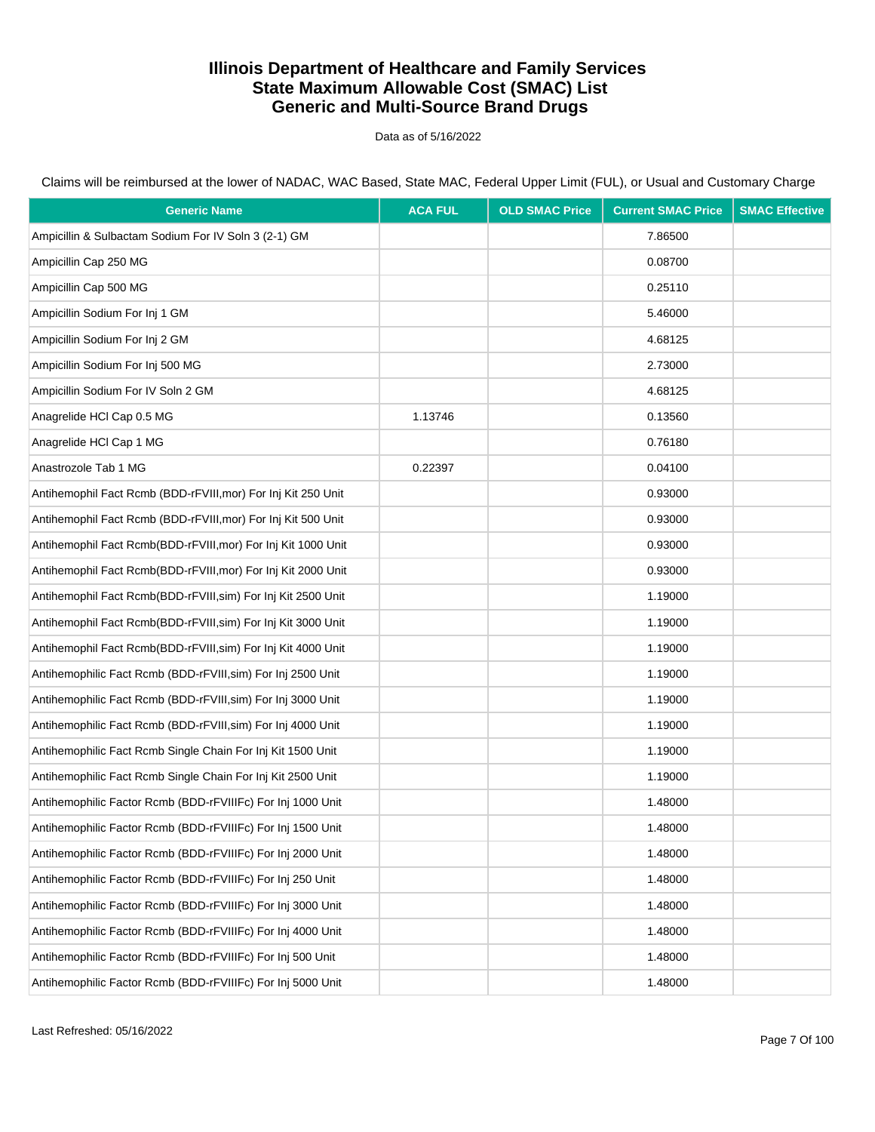Data as of 5/16/2022

Claims will be reimbursed at the lower of NADAC, WAC Based, State MAC, Federal Upper Limit (FUL), or Usual and Customary Charge

| <b>Generic Name</b>                                           | <b>ACA FUL</b> | <b>OLD SMAC Price</b> | <b>Current SMAC Price</b> | <b>SMAC Effective</b> |
|---------------------------------------------------------------|----------------|-----------------------|---------------------------|-----------------------|
| Ampicillin & Sulbactam Sodium For IV Soln 3 (2-1) GM          |                |                       | 7.86500                   |                       |
| Ampicillin Cap 250 MG                                         |                |                       | 0.08700                   |                       |
| Ampicillin Cap 500 MG                                         |                |                       | 0.25110                   |                       |
| Ampicillin Sodium For Inj 1 GM                                |                |                       | 5.46000                   |                       |
| Ampicillin Sodium For Inj 2 GM                                |                |                       | 4.68125                   |                       |
| Ampicillin Sodium For Inj 500 MG                              |                |                       | 2.73000                   |                       |
| Ampicillin Sodium For IV Soln 2 GM                            |                |                       | 4.68125                   |                       |
| Anagrelide HCI Cap 0.5 MG                                     | 1.13746        |                       | 0.13560                   |                       |
| Anagrelide HCl Cap 1 MG                                       |                |                       | 0.76180                   |                       |
| Anastrozole Tab 1 MG                                          | 0.22397        |                       | 0.04100                   |                       |
| Antihemophil Fact Rcmb (BDD-rFVIII, mor) For Inj Kit 250 Unit |                |                       | 0.93000                   |                       |
| Antihemophil Fact Rcmb (BDD-rFVIII, mor) For Inj Kit 500 Unit |                |                       | 0.93000                   |                       |
| Antihemophil Fact Rcmb(BDD-rFVIII, mor) For Inj Kit 1000 Unit |                |                       | 0.93000                   |                       |
| Antihemophil Fact Rcmb(BDD-rFVIII, mor) For Inj Kit 2000 Unit |                |                       | 0.93000                   |                       |
| Antihemophil Fact Rcmb(BDD-rFVIII, sim) For Inj Kit 2500 Unit |                |                       | 1.19000                   |                       |
| Antihemophil Fact Rcmb(BDD-rFVIII, sim) For Inj Kit 3000 Unit |                |                       | 1.19000                   |                       |
| Antihemophil Fact Rcmb(BDD-rFVIII, sim) For Inj Kit 4000 Unit |                |                       | 1.19000                   |                       |
| Antihemophilic Fact Rcmb (BDD-rFVIII, sim) For Inj 2500 Unit  |                |                       | 1.19000                   |                       |
| Antihemophilic Fact Rcmb (BDD-rFVIII, sim) For Inj 3000 Unit  |                |                       | 1.19000                   |                       |
| Antihemophilic Fact Rcmb (BDD-rFVIII, sim) For Inj 4000 Unit  |                |                       | 1.19000                   |                       |
| Antihemophilic Fact Rcmb Single Chain For Inj Kit 1500 Unit   |                |                       | 1.19000                   |                       |
| Antihemophilic Fact Rcmb Single Chain For Inj Kit 2500 Unit   |                |                       | 1.19000                   |                       |
| Antihemophilic Factor Rcmb (BDD-rFVIIIFc) For Inj 1000 Unit   |                |                       | 1.48000                   |                       |
| Antihemophilic Factor Rcmb (BDD-rFVIIIFc) For Inj 1500 Unit   |                |                       | 1.48000                   |                       |
| Antihemophilic Factor Rcmb (BDD-rFVIIIFc) For Inj 2000 Unit   |                |                       | 1.48000                   |                       |
| Antihemophilic Factor Rcmb (BDD-rFVIIIFc) For Inj 250 Unit    |                |                       | 1.48000                   |                       |
| Antihemophilic Factor Rcmb (BDD-rFVIIIFc) For Inj 3000 Unit   |                |                       | 1.48000                   |                       |
| Antihemophilic Factor Rcmb (BDD-rFVIIIFc) For Inj 4000 Unit   |                |                       | 1.48000                   |                       |
| Antihemophilic Factor Rcmb (BDD-rFVIIIFc) For Inj 500 Unit    |                |                       | 1.48000                   |                       |
| Antihemophilic Factor Rcmb (BDD-rFVIIIFc) For Inj 5000 Unit   |                |                       | 1.48000                   |                       |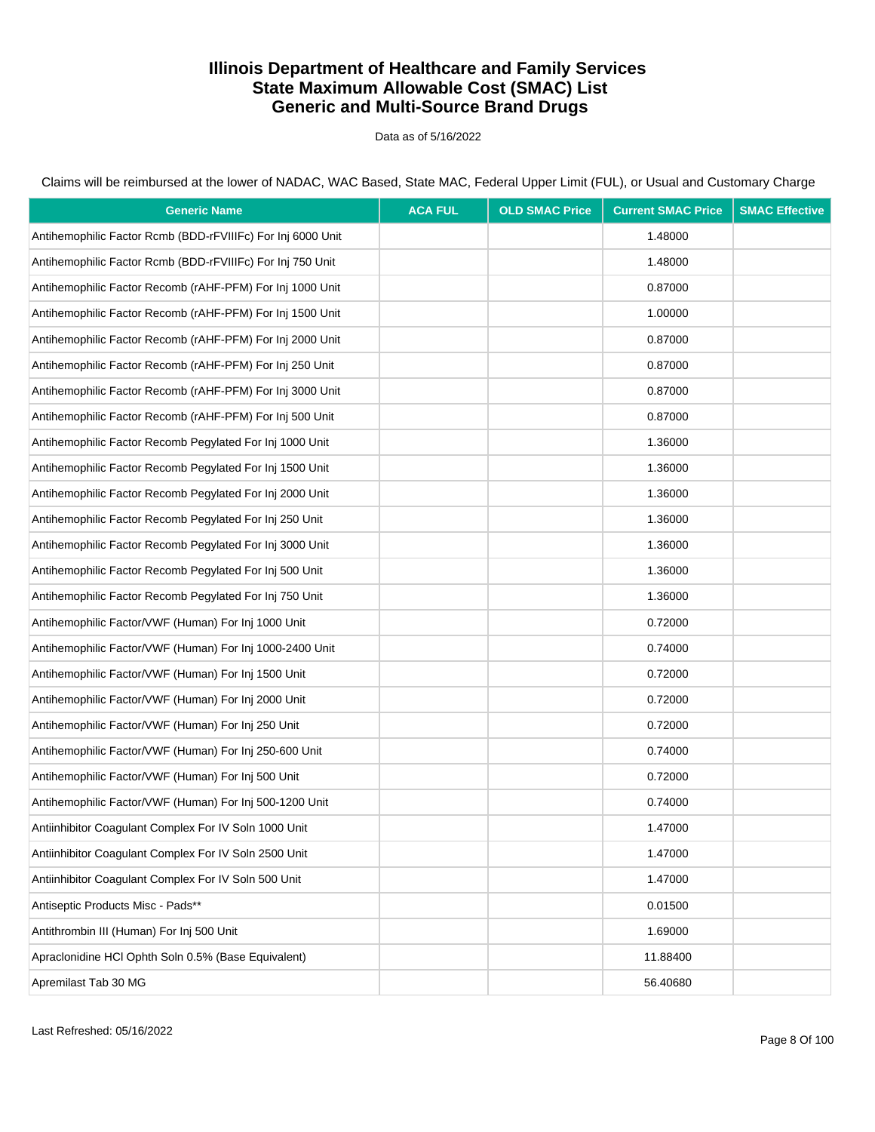Data as of 5/16/2022

Claims will be reimbursed at the lower of NADAC, WAC Based, State MAC, Federal Upper Limit (FUL), or Usual and Customary Charge

| <b>Generic Name</b>                                         | <b>ACA FUL</b> | <b>OLD SMAC Price</b> | <b>Current SMAC Price</b> | <b>SMAC Effective</b> |
|-------------------------------------------------------------|----------------|-----------------------|---------------------------|-----------------------|
| Antihemophilic Factor Rcmb (BDD-rFVIIIFc) For Inj 6000 Unit |                |                       | 1.48000                   |                       |
| Antihemophilic Factor Rcmb (BDD-rFVIIIFc) For Inj 750 Unit  |                |                       | 1.48000                   |                       |
| Antihemophilic Factor Recomb (rAHF-PFM) For Inj 1000 Unit   |                |                       | 0.87000                   |                       |
| Antihemophilic Factor Recomb (rAHF-PFM) For Inj 1500 Unit   |                |                       | 1.00000                   |                       |
| Antihemophilic Factor Recomb (rAHF-PFM) For Inj 2000 Unit   |                |                       | 0.87000                   |                       |
| Antihemophilic Factor Recomb (rAHF-PFM) For Inj 250 Unit    |                |                       | 0.87000                   |                       |
| Antihemophilic Factor Recomb (rAHF-PFM) For Inj 3000 Unit   |                |                       | 0.87000                   |                       |
| Antihemophilic Factor Recomb (rAHF-PFM) For Inj 500 Unit    |                |                       | 0.87000                   |                       |
| Antihemophilic Factor Recomb Pegylated For Inj 1000 Unit    |                |                       | 1.36000                   |                       |
| Antihemophilic Factor Recomb Pegylated For Inj 1500 Unit    |                |                       | 1.36000                   |                       |
| Antihemophilic Factor Recomb Pegylated For Inj 2000 Unit    |                |                       | 1.36000                   |                       |
| Antihemophilic Factor Recomb Peqylated For Inj 250 Unit     |                |                       | 1.36000                   |                       |
| Antihemophilic Factor Recomb Pegylated For Inj 3000 Unit    |                |                       | 1.36000                   |                       |
| Antihemophilic Factor Recomb Pegylated For Inj 500 Unit     |                |                       | 1.36000                   |                       |
| Antihemophilic Factor Recomb Pegylated For Inj 750 Unit     |                |                       | 1.36000                   |                       |
| Antihemophilic Factor/VWF (Human) For Inj 1000 Unit         |                |                       | 0.72000                   |                       |
| Antihemophilic Factor/VWF (Human) For Inj 1000-2400 Unit    |                |                       | 0.74000                   |                       |
| Antihemophilic Factor/VWF (Human) For Inj 1500 Unit         |                |                       | 0.72000                   |                       |
| Antihemophilic Factor/VWF (Human) For Inj 2000 Unit         |                |                       | 0.72000                   |                       |
| Antihemophilic Factor/VWF (Human) For Inj 250 Unit          |                |                       | 0.72000                   |                       |
| Antihemophilic Factor/VWF (Human) For Inj 250-600 Unit      |                |                       | 0.74000                   |                       |
| Antihemophilic Factor/VWF (Human) For Inj 500 Unit          |                |                       | 0.72000                   |                       |
| Antihemophilic Factor/VWF (Human) For Inj 500-1200 Unit     |                |                       | 0.74000                   |                       |
| Antiinhibitor Coagulant Complex For IV Soln 1000 Unit       |                |                       | 1.47000                   |                       |
| Antiinhibitor Coaqulant Complex For IV Soln 2500 Unit       |                |                       | 1.47000                   |                       |
| Antiinhibitor Coagulant Complex For IV Soln 500 Unit        |                |                       | 1.47000                   |                       |
| Antiseptic Products Misc - Pads**                           |                |                       | 0.01500                   |                       |
| Antithrombin III (Human) For Inj 500 Unit                   |                |                       | 1.69000                   |                       |
| Apraclonidine HCl Ophth Soln 0.5% (Base Equivalent)         |                |                       | 11.88400                  |                       |
| Apremilast Tab 30 MG                                        |                |                       | 56.40680                  |                       |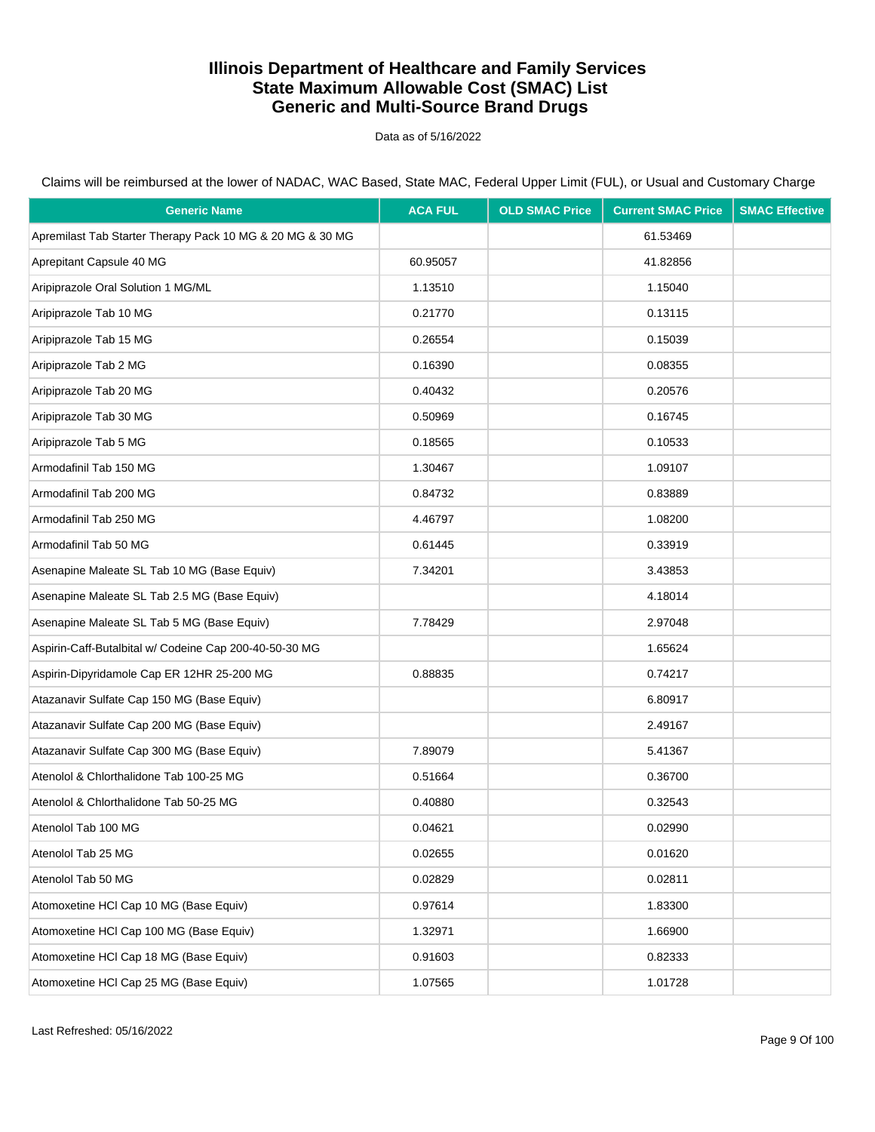Data as of 5/16/2022

| <b>Generic Name</b>                                       | <b>ACA FUL</b> | <b>OLD SMAC Price</b> | <b>Current SMAC Price</b> | <b>SMAC Effective</b> |
|-----------------------------------------------------------|----------------|-----------------------|---------------------------|-----------------------|
| Apremilast Tab Starter Therapy Pack 10 MG & 20 MG & 30 MG |                |                       | 61.53469                  |                       |
| Aprepitant Capsule 40 MG                                  | 60.95057       |                       | 41.82856                  |                       |
| Aripiprazole Oral Solution 1 MG/ML                        | 1.13510        |                       | 1.15040                   |                       |
| Aripiprazole Tab 10 MG                                    | 0.21770        |                       | 0.13115                   |                       |
| Aripiprazole Tab 15 MG                                    | 0.26554        |                       | 0.15039                   |                       |
| Aripiprazole Tab 2 MG                                     | 0.16390        |                       | 0.08355                   |                       |
| Aripiprazole Tab 20 MG                                    | 0.40432        |                       | 0.20576                   |                       |
| Aripiprazole Tab 30 MG                                    | 0.50969        |                       | 0.16745                   |                       |
| Aripiprazole Tab 5 MG                                     | 0.18565        |                       | 0.10533                   |                       |
| Armodafinil Tab 150 MG                                    | 1.30467        |                       | 1.09107                   |                       |
| Armodafinil Tab 200 MG                                    | 0.84732        |                       | 0.83889                   |                       |
| Armodafinil Tab 250 MG                                    | 4.46797        |                       | 1.08200                   |                       |
| Armodafinil Tab 50 MG                                     | 0.61445        |                       | 0.33919                   |                       |
| Asenapine Maleate SL Tab 10 MG (Base Equiv)               | 7.34201        |                       | 3.43853                   |                       |
| Asenapine Maleate SL Tab 2.5 MG (Base Equiv)              |                |                       | 4.18014                   |                       |
| Asenapine Maleate SL Tab 5 MG (Base Equiv)                | 7.78429        |                       | 2.97048                   |                       |
| Aspirin-Caff-Butalbital w/ Codeine Cap 200-40-50-30 MG    |                |                       | 1.65624                   |                       |
| Aspirin-Dipyridamole Cap ER 12HR 25-200 MG                | 0.88835        |                       | 0.74217                   |                       |
| Atazanavir Sulfate Cap 150 MG (Base Equiv)                |                |                       | 6.80917                   |                       |
| Atazanavir Sulfate Cap 200 MG (Base Equiv)                |                |                       | 2.49167                   |                       |
| Atazanavir Sulfate Cap 300 MG (Base Equiv)                | 7.89079        |                       | 5.41367                   |                       |
| Atenolol & Chlorthalidone Tab 100-25 MG                   | 0.51664        |                       | 0.36700                   |                       |
| Atenolol & Chlorthalidone Tab 50-25 MG                    | 0.40880        |                       | 0.32543                   |                       |
| Atenolol Tab 100 MG                                       | 0.04621        |                       | 0.02990                   |                       |
| Atenolol Tab 25 MG                                        | 0.02655        |                       | 0.01620                   |                       |
| Atenolol Tab 50 MG                                        | 0.02829        |                       | 0.02811                   |                       |
| Atomoxetine HCI Cap 10 MG (Base Equiv)                    | 0.97614        |                       | 1.83300                   |                       |
| Atomoxetine HCI Cap 100 MG (Base Equiv)                   | 1.32971        |                       | 1.66900                   |                       |
| Atomoxetine HCI Cap 18 MG (Base Equiv)                    | 0.91603        |                       | 0.82333                   |                       |
| Atomoxetine HCI Cap 25 MG (Base Equiv)                    | 1.07565        |                       | 1.01728                   |                       |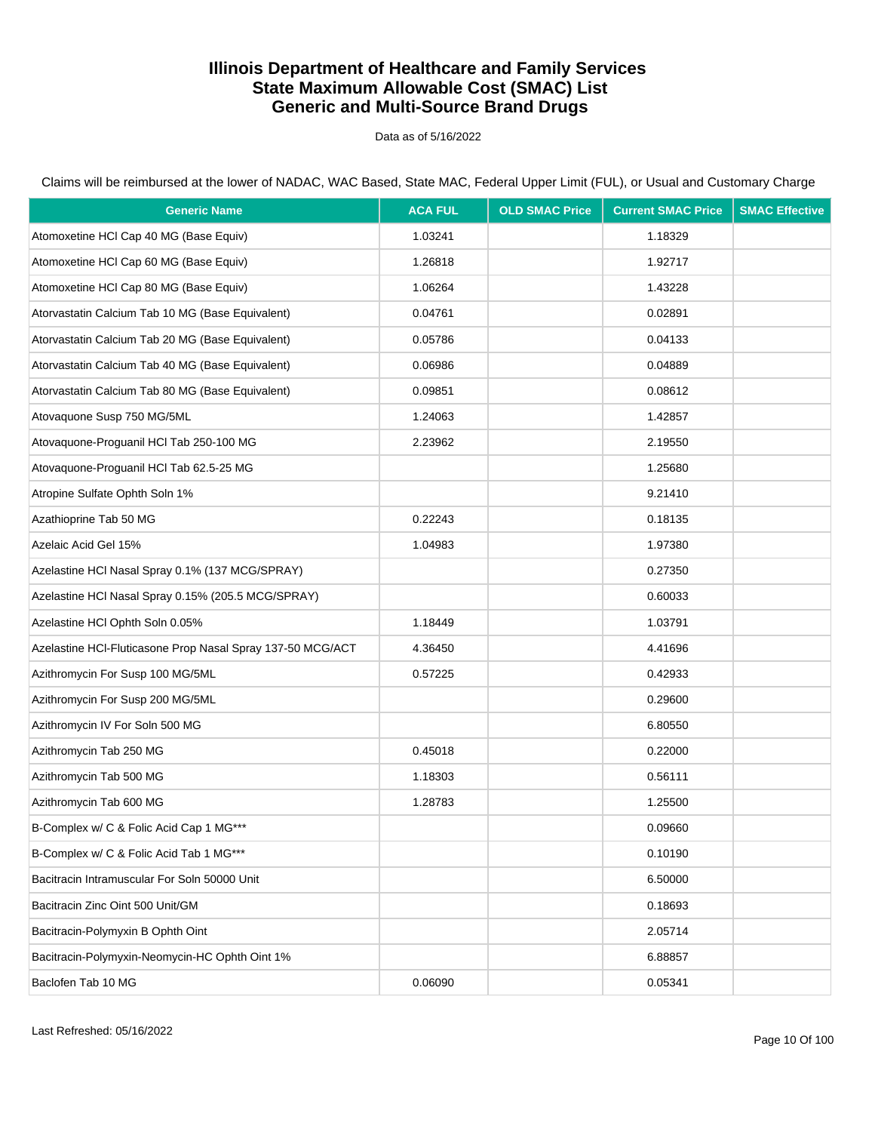Data as of 5/16/2022

| <b>Generic Name</b>                                        | <b>ACA FUL</b> | <b>OLD SMAC Price</b> | <b>Current SMAC Price</b> | <b>SMAC Effective</b> |
|------------------------------------------------------------|----------------|-----------------------|---------------------------|-----------------------|
| Atomoxetine HCl Cap 40 MG (Base Equiv)                     | 1.03241        |                       | 1.18329                   |                       |
| Atomoxetine HCI Cap 60 MG (Base Equiv)                     | 1.26818        |                       | 1.92717                   |                       |
| Atomoxetine HCI Cap 80 MG (Base Equiv)                     | 1.06264        |                       | 1.43228                   |                       |
| Atorvastatin Calcium Tab 10 MG (Base Equivalent)           | 0.04761        |                       | 0.02891                   |                       |
| Atorvastatin Calcium Tab 20 MG (Base Equivalent)           | 0.05786        |                       | 0.04133                   |                       |
| Atorvastatin Calcium Tab 40 MG (Base Equivalent)           | 0.06986        |                       | 0.04889                   |                       |
| Atorvastatin Calcium Tab 80 MG (Base Equivalent)           | 0.09851        |                       | 0.08612                   |                       |
| Atovaquone Susp 750 MG/5ML                                 | 1.24063        |                       | 1.42857                   |                       |
| Atovaquone-Proguanil HCl Tab 250-100 MG                    | 2.23962        |                       | 2.19550                   |                       |
| Atovaquone-Proguanil HCI Tab 62.5-25 MG                    |                |                       | 1.25680                   |                       |
| Atropine Sulfate Ophth Soln 1%                             |                |                       | 9.21410                   |                       |
| Azathioprine Tab 50 MG                                     | 0.22243        |                       | 0.18135                   |                       |
| Azelaic Acid Gel 15%                                       | 1.04983        |                       | 1.97380                   |                       |
| Azelastine HCl Nasal Spray 0.1% (137 MCG/SPRAY)            |                |                       | 0.27350                   |                       |
| Azelastine HCl Nasal Spray 0.15% (205.5 MCG/SPRAY)         |                |                       | 0.60033                   |                       |
| Azelastine HCI Ophth Soln 0.05%                            | 1.18449        |                       | 1.03791                   |                       |
| Azelastine HCI-Fluticasone Prop Nasal Spray 137-50 MCG/ACT | 4.36450        |                       | 4.41696                   |                       |
| Azithromycin For Susp 100 MG/5ML                           | 0.57225        |                       | 0.42933                   |                       |
| Azithromycin For Susp 200 MG/5ML                           |                |                       | 0.29600                   |                       |
| Azithromycin IV For Soln 500 MG                            |                |                       | 6.80550                   |                       |
| Azithromycin Tab 250 MG                                    | 0.45018        |                       | 0.22000                   |                       |
| Azithromycin Tab 500 MG                                    | 1.18303        |                       | 0.56111                   |                       |
| Azithromycin Tab 600 MG                                    | 1.28783        |                       | 1.25500                   |                       |
| B-Complex w/ C & Folic Acid Cap 1 MG***                    |                |                       | 0.09660                   |                       |
| B-Complex w/ C & Folic Acid Tab 1 MG***                    |                |                       | 0.10190                   |                       |
| Bacitracin Intramuscular For Soln 50000 Unit               |                |                       | 6.50000                   |                       |
| Bacitracin Zinc Oint 500 Unit/GM                           |                |                       | 0.18693                   |                       |
| Bacitracin-Polymyxin B Ophth Oint                          |                |                       | 2.05714                   |                       |
| Bacitracin-Polymyxin-Neomycin-HC Ophth Oint 1%             |                |                       | 6.88857                   |                       |
| Baclofen Tab 10 MG                                         | 0.06090        |                       | 0.05341                   |                       |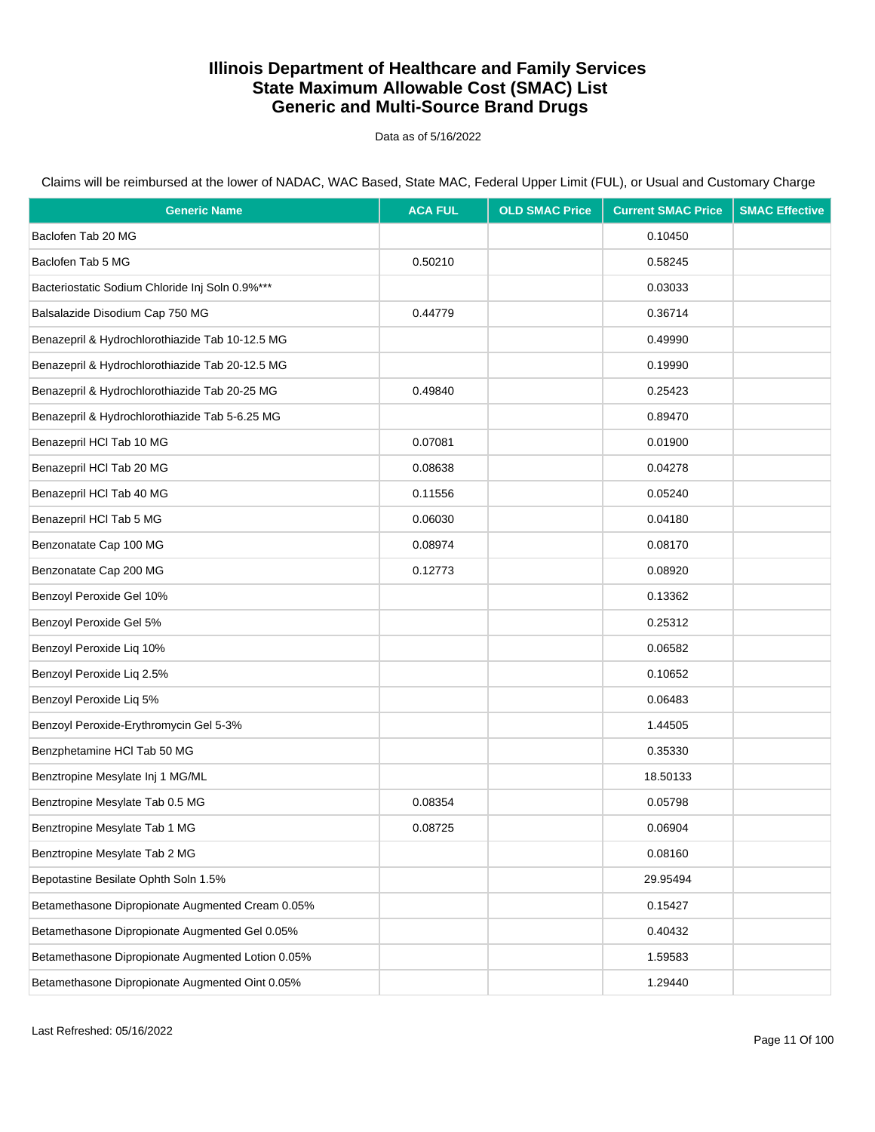Data as of 5/16/2022

Claims will be reimbursed at the lower of NADAC, WAC Based, State MAC, Federal Upper Limit (FUL), or Usual and Customary Charge

| <b>Generic Name</b>                               | <b>ACA FUL</b> | <b>OLD SMAC Price</b> | <b>Current SMAC Price</b> | <b>SMAC Effective</b> |
|---------------------------------------------------|----------------|-----------------------|---------------------------|-----------------------|
| Baclofen Tab 20 MG                                |                |                       | 0.10450                   |                       |
| Baclofen Tab 5 MG                                 | 0.50210        |                       | 0.58245                   |                       |
| Bacteriostatic Sodium Chloride Inj Soln 0.9%***   |                |                       | 0.03033                   |                       |
| Balsalazide Disodium Cap 750 MG                   | 0.44779        |                       | 0.36714                   |                       |
| Benazepril & Hydrochlorothiazide Tab 10-12.5 MG   |                |                       | 0.49990                   |                       |
| Benazepril & Hydrochlorothiazide Tab 20-12.5 MG   |                |                       | 0.19990                   |                       |
| Benazepril & Hydrochlorothiazide Tab 20-25 MG     | 0.49840        |                       | 0.25423                   |                       |
| Benazepril & Hydrochlorothiazide Tab 5-6.25 MG    |                |                       | 0.89470                   |                       |
| Benazepril HCl Tab 10 MG                          | 0.07081        |                       | 0.01900                   |                       |
| Benazepril HCl Tab 20 MG                          | 0.08638        |                       | 0.04278                   |                       |
| Benazepril HCl Tab 40 MG                          | 0.11556        |                       | 0.05240                   |                       |
| Benazepril HCl Tab 5 MG                           | 0.06030        |                       | 0.04180                   |                       |
| Benzonatate Cap 100 MG                            | 0.08974        |                       | 0.08170                   |                       |
| Benzonatate Cap 200 MG                            | 0.12773        |                       | 0.08920                   |                       |
| Benzoyl Peroxide Gel 10%                          |                |                       | 0.13362                   |                       |
| Benzoyl Peroxide Gel 5%                           |                |                       | 0.25312                   |                       |
| Benzoyl Peroxide Liq 10%                          |                |                       | 0.06582                   |                       |
| Benzoyl Peroxide Liq 2.5%                         |                |                       | 0.10652                   |                       |
| Benzoyl Peroxide Liq 5%                           |                |                       | 0.06483                   |                       |
| Benzoyl Peroxide-Erythromycin Gel 5-3%            |                |                       | 1.44505                   |                       |
| Benzphetamine HCl Tab 50 MG                       |                |                       | 0.35330                   |                       |
| Benztropine Mesylate Inj 1 MG/ML                  |                |                       | 18.50133                  |                       |
| Benztropine Mesylate Tab 0.5 MG                   | 0.08354        |                       | 0.05798                   |                       |
| Benztropine Mesylate Tab 1 MG                     | 0.08725        |                       | 0.06904                   |                       |
| Benztropine Mesylate Tab 2 MG                     |                |                       | 0.08160                   |                       |
| Bepotastine Besilate Ophth Soln 1.5%              |                |                       | 29.95494                  |                       |
| Betamethasone Dipropionate Augmented Cream 0.05%  |                |                       | 0.15427                   |                       |
| Betamethasone Dipropionate Augmented Gel 0.05%    |                |                       | 0.40432                   |                       |
| Betamethasone Dipropionate Augmented Lotion 0.05% |                |                       | 1.59583                   |                       |
| Betamethasone Dipropionate Augmented Oint 0.05%   |                |                       | 1.29440                   |                       |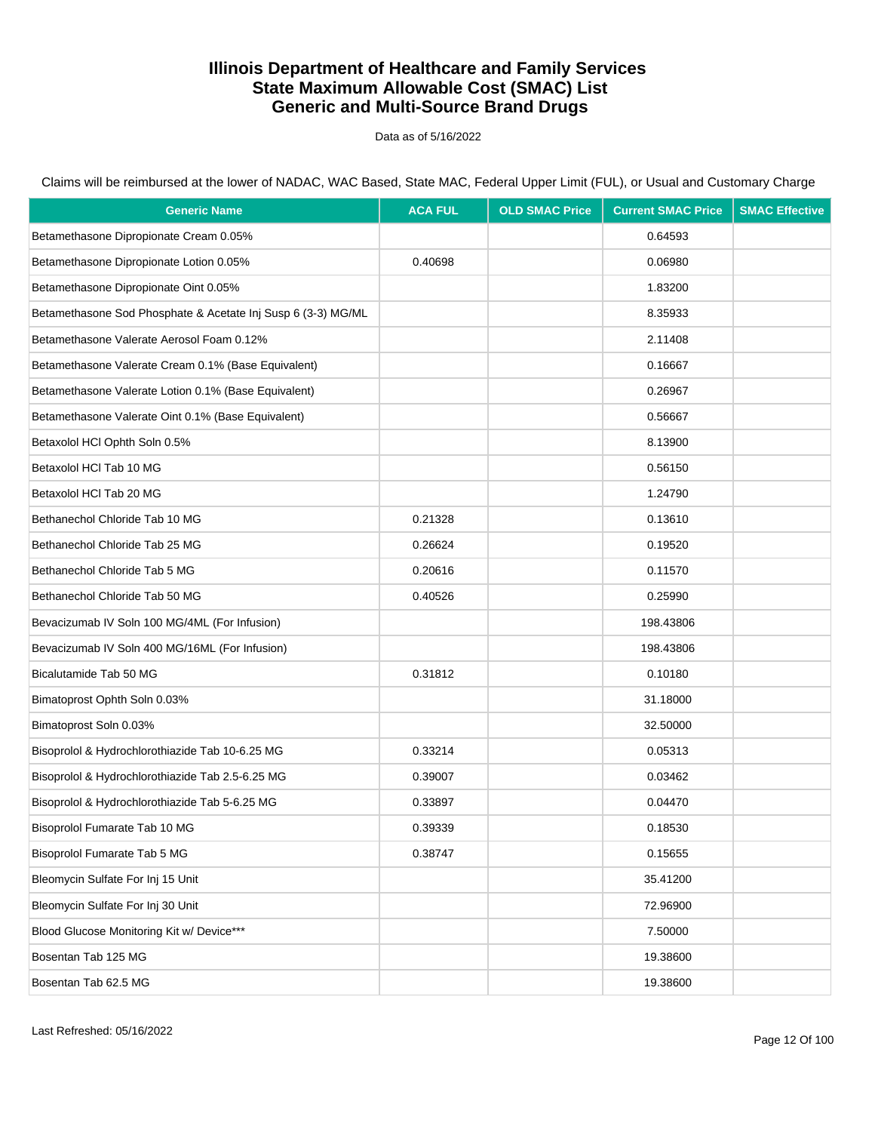Data as of 5/16/2022

Claims will be reimbursed at the lower of NADAC, WAC Based, State MAC, Federal Upper Limit (FUL), or Usual and Customary Charge

| <b>Generic Name</b>                                          | <b>ACA FUL</b> | <b>OLD SMAC Price</b> | <b>Current SMAC Price</b> | <b>SMAC Effective</b> |
|--------------------------------------------------------------|----------------|-----------------------|---------------------------|-----------------------|
| Betamethasone Dipropionate Cream 0.05%                       |                |                       | 0.64593                   |                       |
| Betamethasone Dipropionate Lotion 0.05%                      | 0.40698        |                       | 0.06980                   |                       |
| Betamethasone Dipropionate Oint 0.05%                        |                |                       | 1.83200                   |                       |
| Betamethasone Sod Phosphate & Acetate Inj Susp 6 (3-3) MG/ML |                |                       | 8.35933                   |                       |
| Betamethasone Valerate Aerosol Foam 0.12%                    |                |                       | 2.11408                   |                       |
| Betamethasone Valerate Cream 0.1% (Base Equivalent)          |                |                       | 0.16667                   |                       |
| Betamethasone Valerate Lotion 0.1% (Base Equivalent)         |                |                       | 0.26967                   |                       |
| Betamethasone Valerate Oint 0.1% (Base Equivalent)           |                |                       | 0.56667                   |                       |
| Betaxolol HCl Ophth Soln 0.5%                                |                |                       | 8.13900                   |                       |
| Betaxolol HCl Tab 10 MG                                      |                |                       | 0.56150                   |                       |
| Betaxolol HCl Tab 20 MG                                      |                |                       | 1.24790                   |                       |
| Bethanechol Chloride Tab 10 MG                               | 0.21328        |                       | 0.13610                   |                       |
| Bethanechol Chloride Tab 25 MG                               | 0.26624        |                       | 0.19520                   |                       |
| Bethanechol Chloride Tab 5 MG                                | 0.20616        |                       | 0.11570                   |                       |
| Bethanechol Chloride Tab 50 MG                               | 0.40526        |                       | 0.25990                   |                       |
| Bevacizumab IV Soln 100 MG/4ML (For Infusion)                |                |                       | 198.43806                 |                       |
| Bevacizumab IV Soln 400 MG/16ML (For Infusion)               |                |                       | 198.43806                 |                       |
| Bicalutamide Tab 50 MG                                       | 0.31812        |                       | 0.10180                   |                       |
| Bimatoprost Ophth Soln 0.03%                                 |                |                       | 31.18000                  |                       |
| Bimatoprost Soln 0.03%                                       |                |                       | 32.50000                  |                       |
| Bisoprolol & Hydrochlorothiazide Tab 10-6.25 MG              | 0.33214        |                       | 0.05313                   |                       |
| Bisoprolol & Hydrochlorothiazide Tab 2.5-6.25 MG             | 0.39007        |                       | 0.03462                   |                       |
| Bisoprolol & Hydrochlorothiazide Tab 5-6.25 MG               | 0.33897        |                       | 0.04470                   |                       |
| Bisoprolol Fumarate Tab 10 MG                                | 0.39339        |                       | 0.18530                   |                       |
| Bisoprolol Fumarate Tab 5 MG                                 | 0.38747        |                       | 0.15655                   |                       |
| Bleomycin Sulfate For Inj 15 Unit                            |                |                       | 35.41200                  |                       |
| Bleomycin Sulfate For Inj 30 Unit                            |                |                       | 72.96900                  |                       |
| Blood Glucose Monitoring Kit w/ Device***                    |                |                       | 7.50000                   |                       |
| Bosentan Tab 125 MG                                          |                |                       | 19.38600                  |                       |
| Bosentan Tab 62.5 MG                                         |                |                       | 19.38600                  |                       |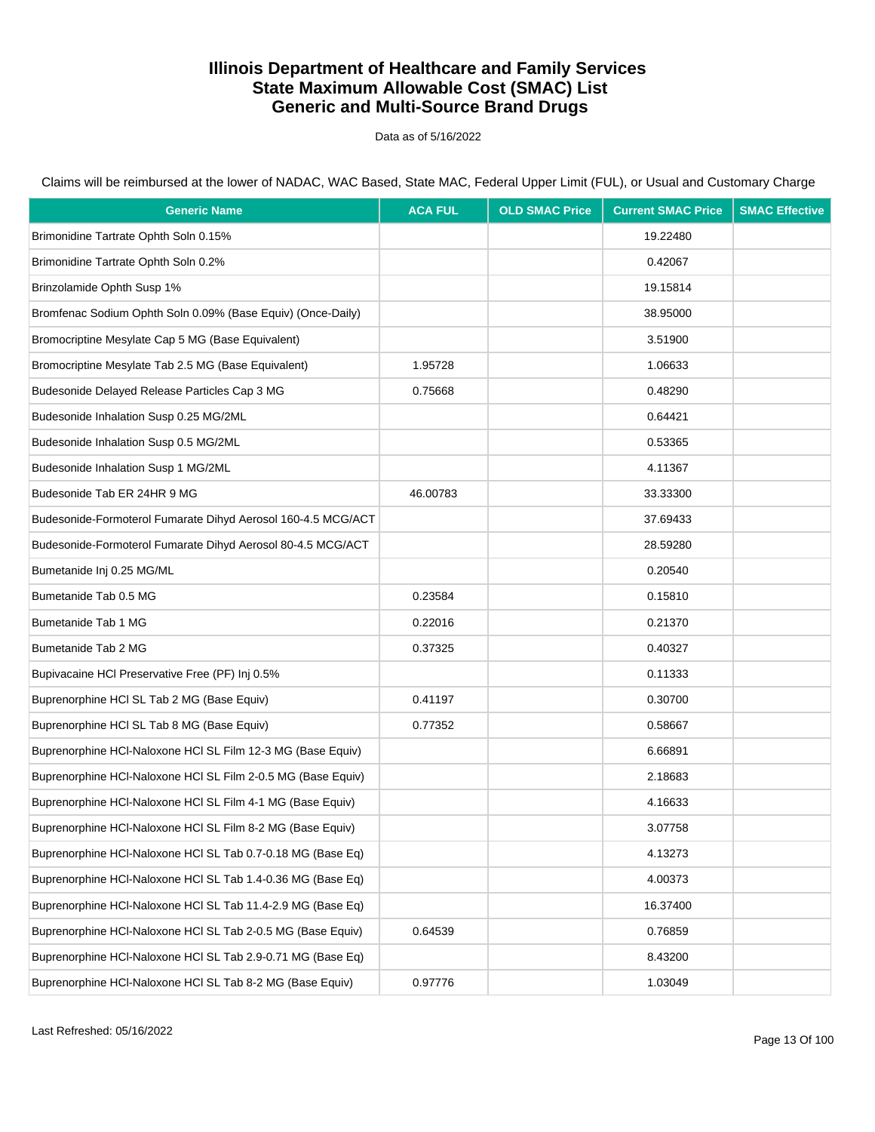Data as of 5/16/2022

Claims will be reimbursed at the lower of NADAC, WAC Based, State MAC, Federal Upper Limit (FUL), or Usual and Customary Charge

| <b>Generic Name</b>                                          | <b>ACA FUL</b> | <b>OLD SMAC Price</b> | <b>Current SMAC Price</b> | <b>SMAC Effective</b> |
|--------------------------------------------------------------|----------------|-----------------------|---------------------------|-----------------------|
| Brimonidine Tartrate Ophth Soln 0.15%                        |                |                       | 19.22480                  |                       |
| Brimonidine Tartrate Ophth Soln 0.2%                         |                |                       | 0.42067                   |                       |
| Brinzolamide Ophth Susp 1%                                   |                |                       | 19.15814                  |                       |
| Bromfenac Sodium Ophth Soln 0.09% (Base Equiv) (Once-Daily)  |                |                       | 38.95000                  |                       |
| Bromocriptine Mesylate Cap 5 MG (Base Equivalent)            |                |                       | 3.51900                   |                       |
| Bromocriptine Mesylate Tab 2.5 MG (Base Equivalent)          | 1.95728        |                       | 1.06633                   |                       |
| Budesonide Delayed Release Particles Cap 3 MG                | 0.75668        |                       | 0.48290                   |                       |
| Budesonide Inhalation Susp 0.25 MG/2ML                       |                |                       | 0.64421                   |                       |
| Budesonide Inhalation Susp 0.5 MG/2ML                        |                |                       | 0.53365                   |                       |
| Budesonide Inhalation Susp 1 MG/2ML                          |                |                       | 4.11367                   |                       |
| Budesonide Tab ER 24HR 9 MG                                  | 46.00783       |                       | 33.33300                  |                       |
| Budesonide-Formoterol Fumarate Dihyd Aerosol 160-4.5 MCG/ACT |                |                       | 37.69433                  |                       |
| Budesonide-Formoterol Fumarate Dihyd Aerosol 80-4.5 MCG/ACT  |                |                       | 28.59280                  |                       |
| Bumetanide Inj 0.25 MG/ML                                    |                |                       | 0.20540                   |                       |
| Bumetanide Tab 0.5 MG                                        | 0.23584        |                       | 0.15810                   |                       |
| Bumetanide Tab 1 MG                                          | 0.22016        |                       | 0.21370                   |                       |
| Bumetanide Tab 2 MG                                          | 0.37325        |                       | 0.40327                   |                       |
| Bupivacaine HCI Preservative Free (PF) Inj 0.5%              |                |                       | 0.11333                   |                       |
| Buprenorphine HCI SL Tab 2 MG (Base Equiv)                   | 0.41197        |                       | 0.30700                   |                       |
| Buprenorphine HCI SL Tab 8 MG (Base Equiv)                   | 0.77352        |                       | 0.58667                   |                       |
| Buprenorphine HCI-Naloxone HCI SL Film 12-3 MG (Base Equiv)  |                |                       | 6.66891                   |                       |
| Buprenorphine HCI-Naloxone HCI SL Film 2-0.5 MG (Base Equiv) |                |                       | 2.18683                   |                       |
| Buprenorphine HCI-Naloxone HCI SL Film 4-1 MG (Base Equiv)   |                |                       | 4.16633                   |                       |
| Buprenorphine HCI-Naloxone HCI SL Film 8-2 MG (Base Equiv)   |                |                       | 3.07758                   |                       |
| Buprenorphine HCI-Naloxone HCI SL Tab 0.7-0.18 MG (Base Eq)  |                |                       | 4.13273                   |                       |
| Buprenorphine HCl-Naloxone HCl SL Tab 1.4-0.36 MG (Base Eq)  |                |                       | 4.00373                   |                       |
| Buprenorphine HCI-Naloxone HCI SL Tab 11.4-2.9 MG (Base Eq)  |                |                       | 16.37400                  |                       |
| Buprenorphine HCI-Naloxone HCI SL Tab 2-0.5 MG (Base Equiv)  | 0.64539        |                       | 0.76859                   |                       |
| Buprenorphine HCI-Naloxone HCI SL Tab 2.9-0.71 MG (Base Eq)  |                |                       | 8.43200                   |                       |
| Buprenorphine HCl-Naloxone HCl SL Tab 8-2 MG (Base Equiv)    | 0.97776        |                       | 1.03049                   |                       |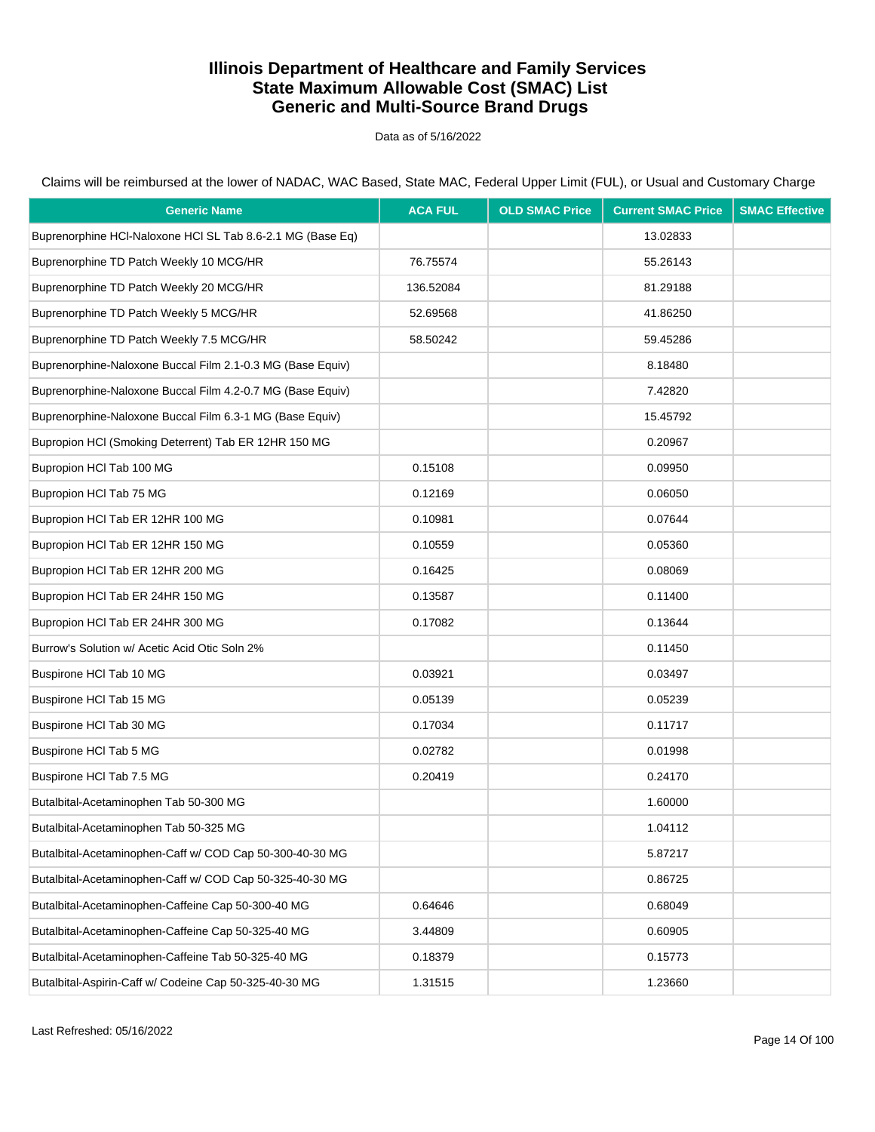Data as of 5/16/2022

Claims will be reimbursed at the lower of NADAC, WAC Based, State MAC, Federal Upper Limit (FUL), or Usual and Customary Charge

| <b>Generic Name</b>                                        | <b>ACA FUL</b> | <b>OLD SMAC Price</b> | <b>Current SMAC Price</b> | <b>SMAC Effective</b> |
|------------------------------------------------------------|----------------|-----------------------|---------------------------|-----------------------|
| Buprenorphine HCI-Naloxone HCI SL Tab 8.6-2.1 MG (Base Eq) |                |                       | 13.02833                  |                       |
| Buprenorphine TD Patch Weekly 10 MCG/HR                    | 76.75574       |                       | 55.26143                  |                       |
| Buprenorphine TD Patch Weekly 20 MCG/HR                    | 136.52084      |                       | 81.29188                  |                       |
| Buprenorphine TD Patch Weekly 5 MCG/HR                     | 52.69568       |                       | 41.86250                  |                       |
| Buprenorphine TD Patch Weekly 7.5 MCG/HR                   | 58.50242       |                       | 59.45286                  |                       |
| Buprenorphine-Naloxone Buccal Film 2.1-0.3 MG (Base Equiv) |                |                       | 8.18480                   |                       |
| Buprenorphine-Naloxone Buccal Film 4.2-0.7 MG (Base Equiv) |                |                       | 7.42820                   |                       |
| Buprenorphine-Naloxone Buccal Film 6.3-1 MG (Base Equiv)   |                |                       | 15.45792                  |                       |
| Bupropion HCI (Smoking Deterrent) Tab ER 12HR 150 MG       |                |                       | 0.20967                   |                       |
| Bupropion HCI Tab 100 MG                                   | 0.15108        |                       | 0.09950                   |                       |
| Bupropion HCI Tab 75 MG                                    | 0.12169        |                       | 0.06050                   |                       |
| Bupropion HCI Tab ER 12HR 100 MG                           | 0.10981        |                       | 0.07644                   |                       |
| Bupropion HCI Tab ER 12HR 150 MG                           | 0.10559        |                       | 0.05360                   |                       |
| Bupropion HCI Tab ER 12HR 200 MG                           | 0.16425        |                       | 0.08069                   |                       |
| Bupropion HCl Tab ER 24HR 150 MG                           | 0.13587        |                       | 0.11400                   |                       |
| Bupropion HCl Tab ER 24HR 300 MG                           | 0.17082        |                       | 0.13644                   |                       |
| Burrow's Solution w/ Acetic Acid Otic Soln 2%              |                |                       | 0.11450                   |                       |
| Buspirone HCI Tab 10 MG                                    | 0.03921        |                       | 0.03497                   |                       |
| Buspirone HCI Tab 15 MG                                    | 0.05139        |                       | 0.05239                   |                       |
| Buspirone HCI Tab 30 MG                                    | 0.17034        |                       | 0.11717                   |                       |
| Buspirone HCI Tab 5 MG                                     | 0.02782        |                       | 0.01998                   |                       |
| Buspirone HCl Tab 7.5 MG                                   | 0.20419        |                       | 0.24170                   |                       |
| Butalbital-Acetaminophen Tab 50-300 MG                     |                |                       | 1.60000                   |                       |
| Butalbital-Acetaminophen Tab 50-325 MG                     |                |                       | 1.04112                   |                       |
| Butalbital-Acetaminophen-Caff w/ COD Cap 50-300-40-30 MG   |                |                       | 5.87217                   |                       |
| Butalbital-Acetaminophen-Caff w/ COD Cap 50-325-40-30 MG   |                |                       | 0.86725                   |                       |
| Butalbital-Acetaminophen-Caffeine Cap 50-300-40 MG         | 0.64646        |                       | 0.68049                   |                       |
| Butalbital-Acetaminophen-Caffeine Cap 50-325-40 MG         | 3.44809        |                       | 0.60905                   |                       |
| Butalbital-Acetaminophen-Caffeine Tab 50-325-40 MG         | 0.18379        |                       | 0.15773                   |                       |
| Butalbital-Aspirin-Caff w/ Codeine Cap 50-325-40-30 MG     | 1.31515        |                       | 1.23660                   |                       |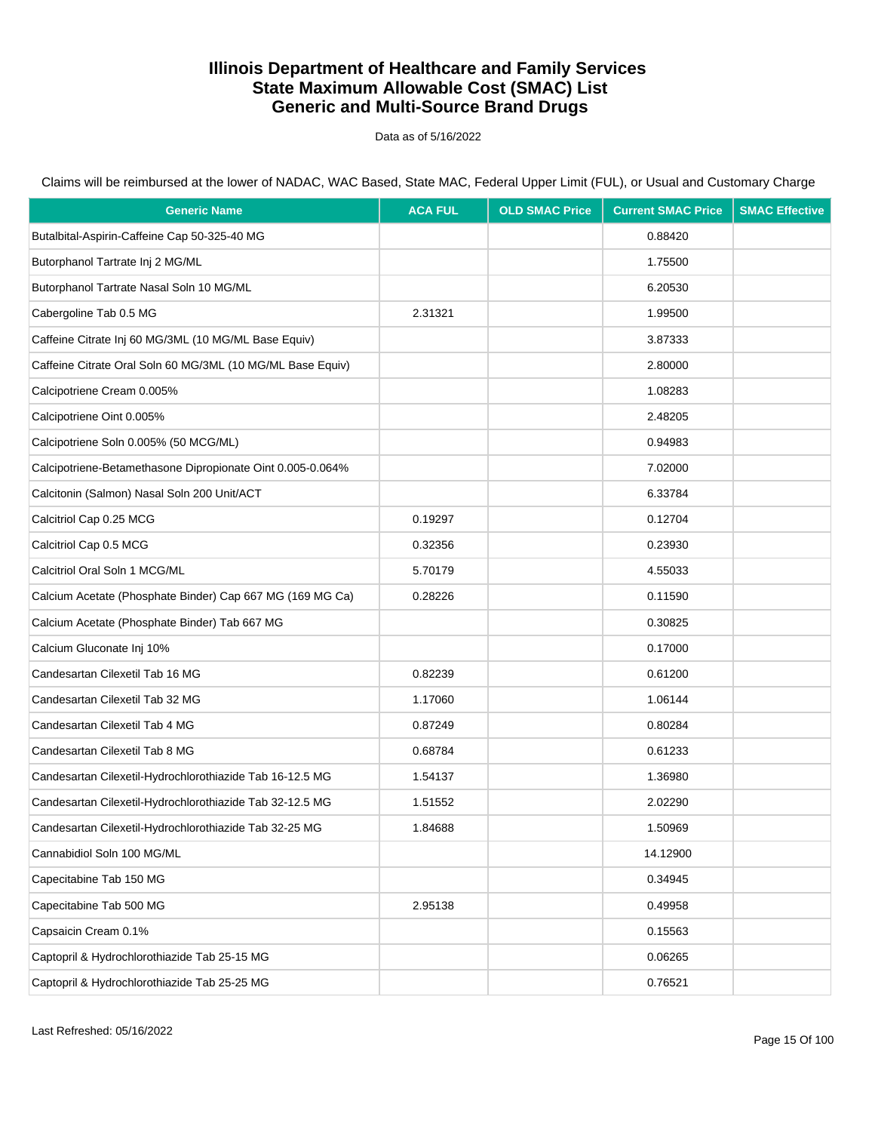Data as of 5/16/2022

Claims will be reimbursed at the lower of NADAC, WAC Based, State MAC, Federal Upper Limit (FUL), or Usual and Customary Charge

| <b>Generic Name</b>                                        | <b>ACA FUL</b> | <b>OLD SMAC Price</b> | <b>Current SMAC Price</b> | <b>SMAC Effective</b> |
|------------------------------------------------------------|----------------|-----------------------|---------------------------|-----------------------|
| Butalbital-Aspirin-Caffeine Cap 50-325-40 MG               |                |                       | 0.88420                   |                       |
| Butorphanol Tartrate Inj 2 MG/ML                           |                |                       | 1.75500                   |                       |
| Butorphanol Tartrate Nasal Soln 10 MG/ML                   |                |                       | 6.20530                   |                       |
| Cabergoline Tab 0.5 MG                                     | 2.31321        |                       | 1.99500                   |                       |
| Caffeine Citrate Inj 60 MG/3ML (10 MG/ML Base Equiv)       |                |                       | 3.87333                   |                       |
| Caffeine Citrate Oral Soln 60 MG/3ML (10 MG/ML Base Equiv) |                |                       | 2.80000                   |                       |
| Calcipotriene Cream 0.005%                                 |                |                       | 1.08283                   |                       |
| Calcipotriene Oint 0.005%                                  |                |                       | 2.48205                   |                       |
| Calcipotriene Soln 0.005% (50 MCG/ML)                      |                |                       | 0.94983                   |                       |
| Calcipotriene-Betamethasone Dipropionate Oint 0.005-0.064% |                |                       | 7.02000                   |                       |
| Calcitonin (Salmon) Nasal Soln 200 Unit/ACT                |                |                       | 6.33784                   |                       |
| Calcitriol Cap 0.25 MCG                                    | 0.19297        |                       | 0.12704                   |                       |
| Calcitriol Cap 0.5 MCG                                     | 0.32356        |                       | 0.23930                   |                       |
| Calcitriol Oral Soln 1 MCG/ML                              | 5.70179        |                       | 4.55033                   |                       |
| Calcium Acetate (Phosphate Binder) Cap 667 MG (169 MG Ca)  | 0.28226        |                       | 0.11590                   |                       |
| Calcium Acetate (Phosphate Binder) Tab 667 MG              |                |                       | 0.30825                   |                       |
| Calcium Gluconate Inj 10%                                  |                |                       | 0.17000                   |                       |
| Candesartan Cilexetil Tab 16 MG                            | 0.82239        |                       | 0.61200                   |                       |
| Candesartan Cilexetil Tab 32 MG                            | 1.17060        |                       | 1.06144                   |                       |
| Candesartan Cilexetil Tab 4 MG                             | 0.87249        |                       | 0.80284                   |                       |
| Candesartan Cilexetil Tab 8 MG                             | 0.68784        |                       | 0.61233                   |                       |
| Candesartan Cilexetil-Hydrochlorothiazide Tab 16-12.5 MG   | 1.54137        |                       | 1.36980                   |                       |
| Candesartan Cilexetil-Hydrochlorothiazide Tab 32-12.5 MG   | 1.51552        |                       | 2.02290                   |                       |
| Candesartan Cilexetil-Hydrochlorothiazide Tab 32-25 MG     | 1.84688        |                       | 1.50969                   |                       |
| Cannabidiol Soln 100 MG/ML                                 |                |                       | 14.12900                  |                       |
| Capecitabine Tab 150 MG                                    |                |                       | 0.34945                   |                       |
| Capecitabine Tab 500 MG                                    | 2.95138        |                       | 0.49958                   |                       |
| Capsaicin Cream 0.1%                                       |                |                       | 0.15563                   |                       |
| Captopril & Hydrochlorothiazide Tab 25-15 MG               |                |                       | 0.06265                   |                       |
| Captopril & Hydrochlorothiazide Tab 25-25 MG               |                |                       | 0.76521                   |                       |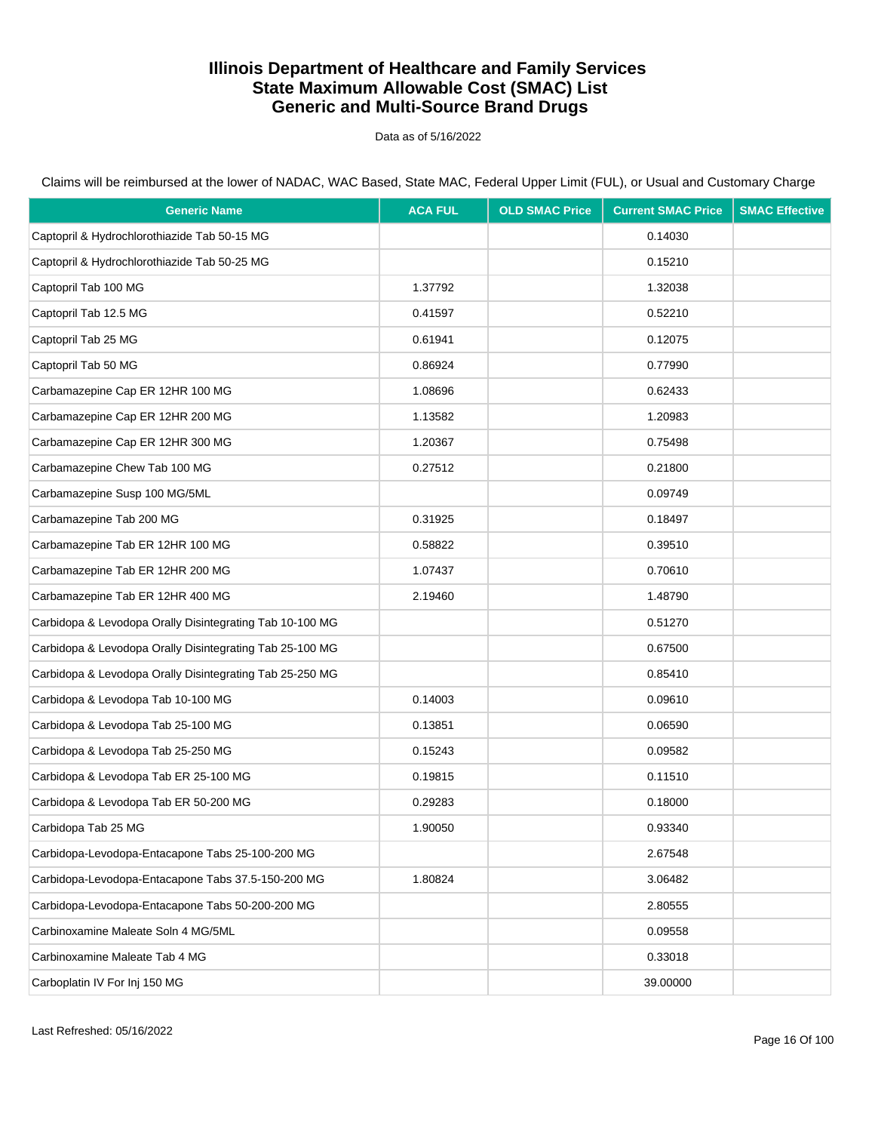Data as of 5/16/2022

Claims will be reimbursed at the lower of NADAC, WAC Based, State MAC, Federal Upper Limit (FUL), or Usual and Customary Charge

| <b>Generic Name</b>                                      | <b>ACA FUL</b> | <b>OLD SMAC Price</b> | <b>Current SMAC Price</b> | <b>SMAC Effective</b> |
|----------------------------------------------------------|----------------|-----------------------|---------------------------|-----------------------|
| Captopril & Hydrochlorothiazide Tab 50-15 MG             |                |                       | 0.14030                   |                       |
| Captopril & Hydrochlorothiazide Tab 50-25 MG             |                |                       | 0.15210                   |                       |
| Captopril Tab 100 MG                                     | 1.37792        |                       | 1.32038                   |                       |
| Captopril Tab 12.5 MG                                    | 0.41597        |                       | 0.52210                   |                       |
| Captopril Tab 25 MG                                      | 0.61941        |                       | 0.12075                   |                       |
| Captopril Tab 50 MG                                      | 0.86924        |                       | 0.77990                   |                       |
| Carbamazepine Cap ER 12HR 100 MG                         | 1.08696        |                       | 0.62433                   |                       |
| Carbamazepine Cap ER 12HR 200 MG                         | 1.13582        |                       | 1.20983                   |                       |
| Carbamazepine Cap ER 12HR 300 MG                         | 1.20367        |                       | 0.75498                   |                       |
| Carbamazepine Chew Tab 100 MG                            | 0.27512        |                       | 0.21800                   |                       |
| Carbamazepine Susp 100 MG/5ML                            |                |                       | 0.09749                   |                       |
| Carbamazepine Tab 200 MG                                 | 0.31925        |                       | 0.18497                   |                       |
| Carbamazepine Tab ER 12HR 100 MG                         | 0.58822        |                       | 0.39510                   |                       |
| Carbamazepine Tab ER 12HR 200 MG                         | 1.07437        |                       | 0.70610                   |                       |
| Carbamazepine Tab ER 12HR 400 MG                         | 2.19460        |                       | 1.48790                   |                       |
| Carbidopa & Levodopa Orally Disintegrating Tab 10-100 MG |                |                       | 0.51270                   |                       |
| Carbidopa & Levodopa Orally Disintegrating Tab 25-100 MG |                |                       | 0.67500                   |                       |
| Carbidopa & Levodopa Orally Disintegrating Tab 25-250 MG |                |                       | 0.85410                   |                       |
| Carbidopa & Levodopa Tab 10-100 MG                       | 0.14003        |                       | 0.09610                   |                       |
| Carbidopa & Levodopa Tab 25-100 MG                       | 0.13851        |                       | 0.06590                   |                       |
| Carbidopa & Levodopa Tab 25-250 MG                       | 0.15243        |                       | 0.09582                   |                       |
| Carbidopa & Levodopa Tab ER 25-100 MG                    | 0.19815        |                       | 0.11510                   |                       |
| Carbidopa & Levodopa Tab ER 50-200 MG                    | 0.29283        |                       | 0.18000                   |                       |
| Carbidopa Tab 25 MG                                      | 1.90050        |                       | 0.93340                   |                       |
| Carbidopa-Levodopa-Entacapone Tabs 25-100-200 MG         |                |                       | 2.67548                   |                       |
| Carbidopa-Levodopa-Entacapone Tabs 37.5-150-200 MG       | 1.80824        |                       | 3.06482                   |                       |
| Carbidopa-Levodopa-Entacapone Tabs 50-200-200 MG         |                |                       | 2.80555                   |                       |
| Carbinoxamine Maleate Soln 4 MG/5ML                      |                |                       | 0.09558                   |                       |
| Carbinoxamine Maleate Tab 4 MG                           |                |                       | 0.33018                   |                       |
| Carboplatin IV For Inj 150 MG                            |                |                       | 39.00000                  |                       |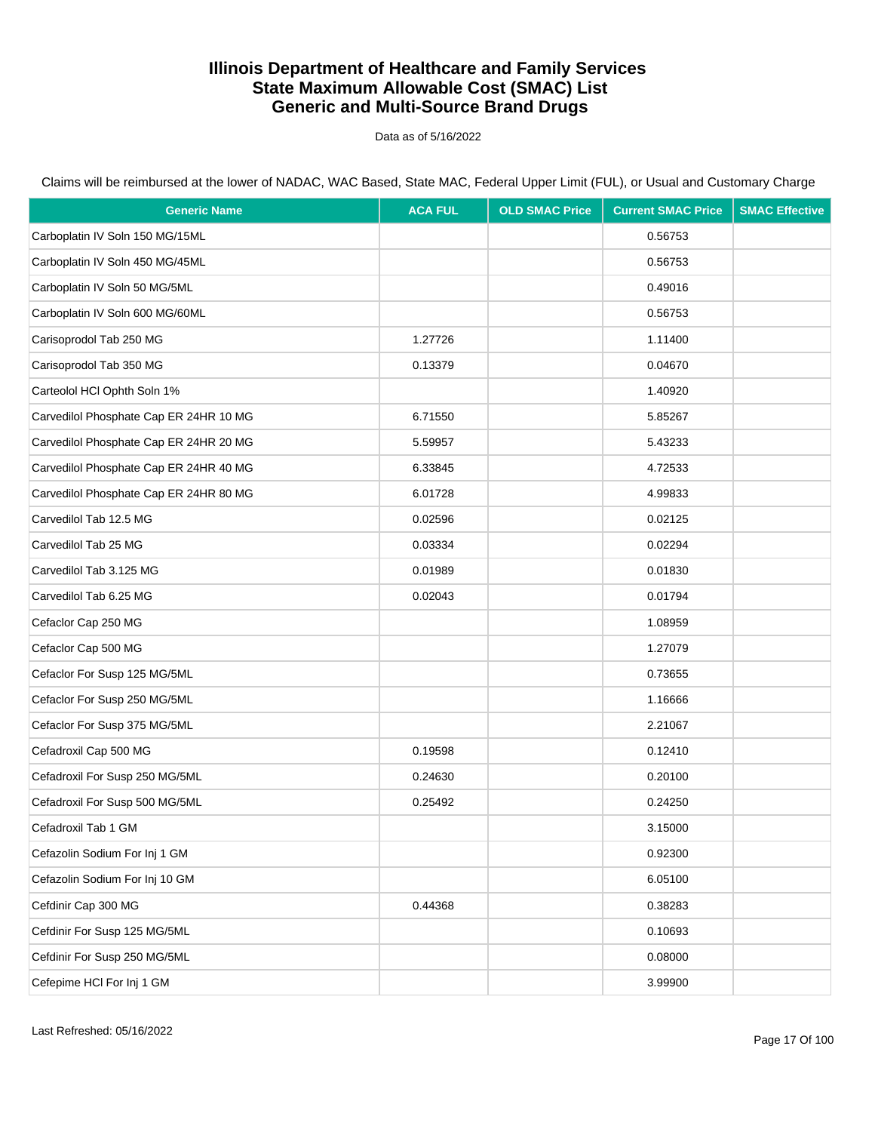Data as of 5/16/2022

| <b>Generic Name</b>                    | <b>ACA FUL</b> | <b>OLD SMAC Price</b> | <b>Current SMAC Price</b> | <b>SMAC Effective</b> |
|----------------------------------------|----------------|-----------------------|---------------------------|-----------------------|
| Carboplatin IV Soln 150 MG/15ML        |                |                       | 0.56753                   |                       |
| Carboplatin IV Soln 450 MG/45ML        |                |                       | 0.56753                   |                       |
| Carboplatin IV Soln 50 MG/5ML          |                |                       | 0.49016                   |                       |
| Carboplatin IV Soln 600 MG/60ML        |                |                       | 0.56753                   |                       |
| Carisoprodol Tab 250 MG                | 1.27726        |                       | 1.11400                   |                       |
| Carisoprodol Tab 350 MG                | 0.13379        |                       | 0.04670                   |                       |
| Carteolol HCl Ophth Soln 1%            |                |                       | 1.40920                   |                       |
| Carvedilol Phosphate Cap ER 24HR 10 MG | 6.71550        |                       | 5.85267                   |                       |
| Carvedilol Phosphate Cap ER 24HR 20 MG | 5.59957        |                       | 5.43233                   |                       |
| Carvedilol Phosphate Cap ER 24HR 40 MG | 6.33845        |                       | 4.72533                   |                       |
| Carvedilol Phosphate Cap ER 24HR 80 MG | 6.01728        |                       | 4.99833                   |                       |
| Carvedilol Tab 12.5 MG                 | 0.02596        |                       | 0.02125                   |                       |
| Carvedilol Tab 25 MG                   | 0.03334        |                       | 0.02294                   |                       |
| Carvedilol Tab 3.125 MG                | 0.01989        |                       | 0.01830                   |                       |
| Carvedilol Tab 6.25 MG                 | 0.02043        |                       | 0.01794                   |                       |
| Cefaclor Cap 250 MG                    |                |                       | 1.08959                   |                       |
| Cefaclor Cap 500 MG                    |                |                       | 1.27079                   |                       |
| Cefaclor For Susp 125 MG/5ML           |                |                       | 0.73655                   |                       |
| Cefaclor For Susp 250 MG/5ML           |                |                       | 1.16666                   |                       |
| Cefaclor For Susp 375 MG/5ML           |                |                       | 2.21067                   |                       |
| Cefadroxil Cap 500 MG                  | 0.19598        |                       | 0.12410                   |                       |
| Cefadroxil For Susp 250 MG/5ML         | 0.24630        |                       | 0.20100                   |                       |
| Cefadroxil For Susp 500 MG/5ML         | 0.25492        |                       | 0.24250                   |                       |
| Cefadroxil Tab 1 GM                    |                |                       | 3.15000                   |                       |
| Cefazolin Sodium For Inj 1 GM          |                |                       | 0.92300                   |                       |
| Cefazolin Sodium For Inj 10 GM         |                |                       | 6.05100                   |                       |
| Cefdinir Cap 300 MG                    | 0.44368        |                       | 0.38283                   |                       |
| Cefdinir For Susp 125 MG/5ML           |                |                       | 0.10693                   |                       |
| Cefdinir For Susp 250 MG/5ML           |                |                       | 0.08000                   |                       |
| Cefepime HCI For Inj 1 GM              |                |                       | 3.99900                   |                       |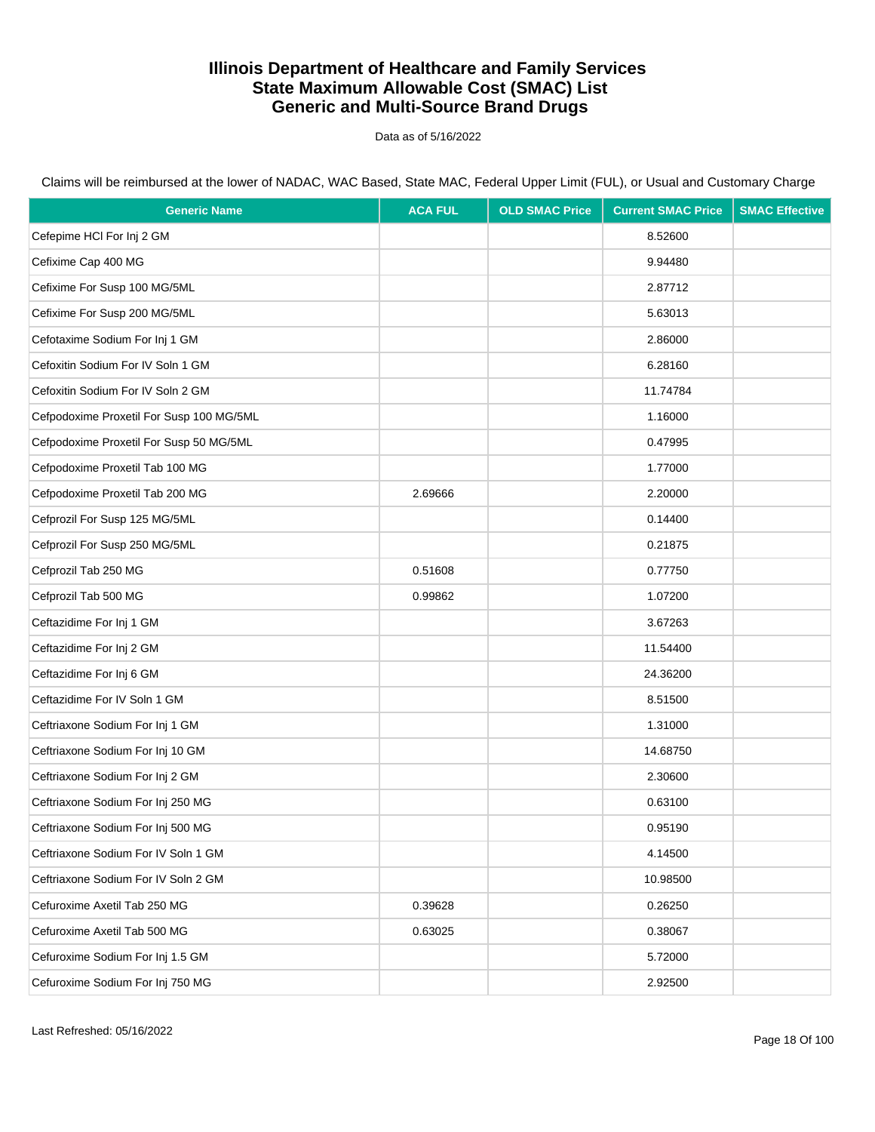Data as of 5/16/2022

| <b>Generic Name</b>                      | <b>ACA FUL</b> | <b>OLD SMAC Price</b> | <b>Current SMAC Price</b> | <b>SMAC Effective</b> |
|------------------------------------------|----------------|-----------------------|---------------------------|-----------------------|
| Cefepime HCI For Inj 2 GM                |                |                       | 8.52600                   |                       |
| Cefixime Cap 400 MG                      |                |                       | 9.94480                   |                       |
| Cefixime For Susp 100 MG/5ML             |                |                       | 2.87712                   |                       |
| Cefixime For Susp 200 MG/5ML             |                |                       | 5.63013                   |                       |
| Cefotaxime Sodium For Inj 1 GM           |                |                       | 2.86000                   |                       |
| Cefoxitin Sodium For IV Soln 1 GM        |                |                       | 6.28160                   |                       |
| Cefoxitin Sodium For IV Soln 2 GM        |                |                       | 11.74784                  |                       |
| Cefpodoxime Proxetil For Susp 100 MG/5ML |                |                       | 1.16000                   |                       |
| Cefpodoxime Proxetil For Susp 50 MG/5ML  |                |                       | 0.47995                   |                       |
| Cefpodoxime Proxetil Tab 100 MG          |                |                       | 1.77000                   |                       |
| Cefpodoxime Proxetil Tab 200 MG          | 2.69666        |                       | 2.20000                   |                       |
| Cefprozil For Susp 125 MG/5ML            |                |                       | 0.14400                   |                       |
| Cefprozil For Susp 250 MG/5ML            |                |                       | 0.21875                   |                       |
| Cefprozil Tab 250 MG                     | 0.51608        |                       | 0.77750                   |                       |
| Cefprozil Tab 500 MG                     | 0.99862        |                       | 1.07200                   |                       |
| Ceftazidime For Inj 1 GM                 |                |                       | 3.67263                   |                       |
| Ceftazidime For Inj 2 GM                 |                |                       | 11.54400                  |                       |
| Ceftazidime For Inj 6 GM                 |                |                       | 24.36200                  |                       |
| Ceftazidime For IV Soln 1 GM             |                |                       | 8.51500                   |                       |
| Ceftriaxone Sodium For Inj 1 GM          |                |                       | 1.31000                   |                       |
| Ceftriaxone Sodium For Inj 10 GM         |                |                       | 14.68750                  |                       |
| Ceftriaxone Sodium For Inj 2 GM          |                |                       | 2.30600                   |                       |
| Ceftriaxone Sodium For Inj 250 MG        |                |                       | 0.63100                   |                       |
| Ceftriaxone Sodium For Inj 500 MG        |                |                       | 0.95190                   |                       |
| Ceftriaxone Sodium For IV Soln 1 GM      |                |                       | 4.14500                   |                       |
| Ceftriaxone Sodium For IV Soln 2 GM      |                |                       | 10.98500                  |                       |
| Cefuroxime Axetil Tab 250 MG             | 0.39628        |                       | 0.26250                   |                       |
| Cefuroxime Axetil Tab 500 MG             | 0.63025        |                       | 0.38067                   |                       |
| Cefuroxime Sodium For Inj 1.5 GM         |                |                       | 5.72000                   |                       |
| Cefuroxime Sodium For Inj 750 MG         |                |                       | 2.92500                   |                       |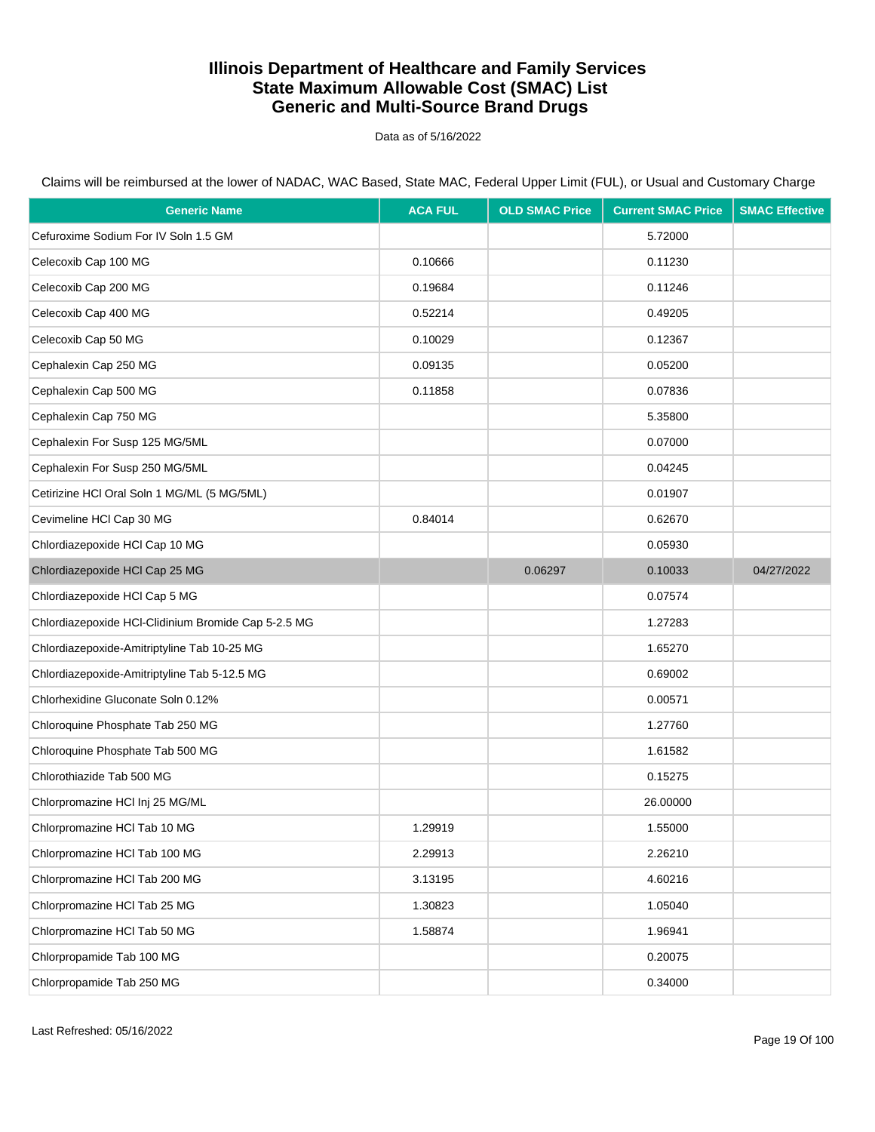Data as of 5/16/2022

| <b>Generic Name</b>                                 | <b>ACA FUL</b> | <b>OLD SMAC Price</b> | <b>Current SMAC Price</b> | <b>SMAC Effective</b> |
|-----------------------------------------------------|----------------|-----------------------|---------------------------|-----------------------|
| Cefuroxime Sodium For IV Soln 1.5 GM                |                |                       | 5.72000                   |                       |
| Celecoxib Cap 100 MG                                | 0.10666        |                       | 0.11230                   |                       |
| Celecoxib Cap 200 MG                                | 0.19684        |                       | 0.11246                   |                       |
| Celecoxib Cap 400 MG                                | 0.52214        |                       | 0.49205                   |                       |
| Celecoxib Cap 50 MG                                 | 0.10029        |                       | 0.12367                   |                       |
| Cephalexin Cap 250 MG                               | 0.09135        |                       | 0.05200                   |                       |
| Cephalexin Cap 500 MG                               | 0.11858        |                       | 0.07836                   |                       |
| Cephalexin Cap 750 MG                               |                |                       | 5.35800                   |                       |
| Cephalexin For Susp 125 MG/5ML                      |                |                       | 0.07000                   |                       |
| Cephalexin For Susp 250 MG/5ML                      |                |                       | 0.04245                   |                       |
| Cetirizine HCl Oral Soln 1 MG/ML (5 MG/5ML)         |                |                       | 0.01907                   |                       |
| Cevimeline HCl Cap 30 MG                            | 0.84014        |                       | 0.62670                   |                       |
| Chlordiazepoxide HCl Cap 10 MG                      |                |                       | 0.05930                   |                       |
| Chlordiazepoxide HCl Cap 25 MG                      |                | 0.06297               | 0.10033                   | 04/27/2022            |
| Chlordiazepoxide HCl Cap 5 MG                       |                |                       | 0.07574                   |                       |
| Chlordiazepoxide HCl-Clidinium Bromide Cap 5-2.5 MG |                |                       | 1.27283                   |                       |
| Chlordiazepoxide-Amitriptyline Tab 10-25 MG         |                |                       | 1.65270                   |                       |
| Chlordiazepoxide-Amitriptyline Tab 5-12.5 MG        |                |                       | 0.69002                   |                       |
| Chlorhexidine Gluconate Soln 0.12%                  |                |                       | 0.00571                   |                       |
| Chloroquine Phosphate Tab 250 MG                    |                |                       | 1.27760                   |                       |
| Chloroquine Phosphate Tab 500 MG                    |                |                       | 1.61582                   |                       |
| Chlorothiazide Tab 500 MG                           |                |                       | 0.15275                   |                       |
| Chlorpromazine HCl Inj 25 MG/ML                     |                |                       | 26.00000                  |                       |
| Chlorpromazine HCl Tab 10 MG                        | 1.29919        |                       | 1.55000                   |                       |
| Chlorpromazine HCl Tab 100 MG                       | 2.29913        |                       | 2.26210                   |                       |
| Chlorpromazine HCl Tab 200 MG                       | 3.13195        |                       | 4.60216                   |                       |
| Chlorpromazine HCl Tab 25 MG                        | 1.30823        |                       | 1.05040                   |                       |
| Chlorpromazine HCl Tab 50 MG                        | 1.58874        |                       | 1.96941                   |                       |
| Chlorpropamide Tab 100 MG                           |                |                       | 0.20075                   |                       |
| Chlorpropamide Tab 250 MG                           |                |                       | 0.34000                   |                       |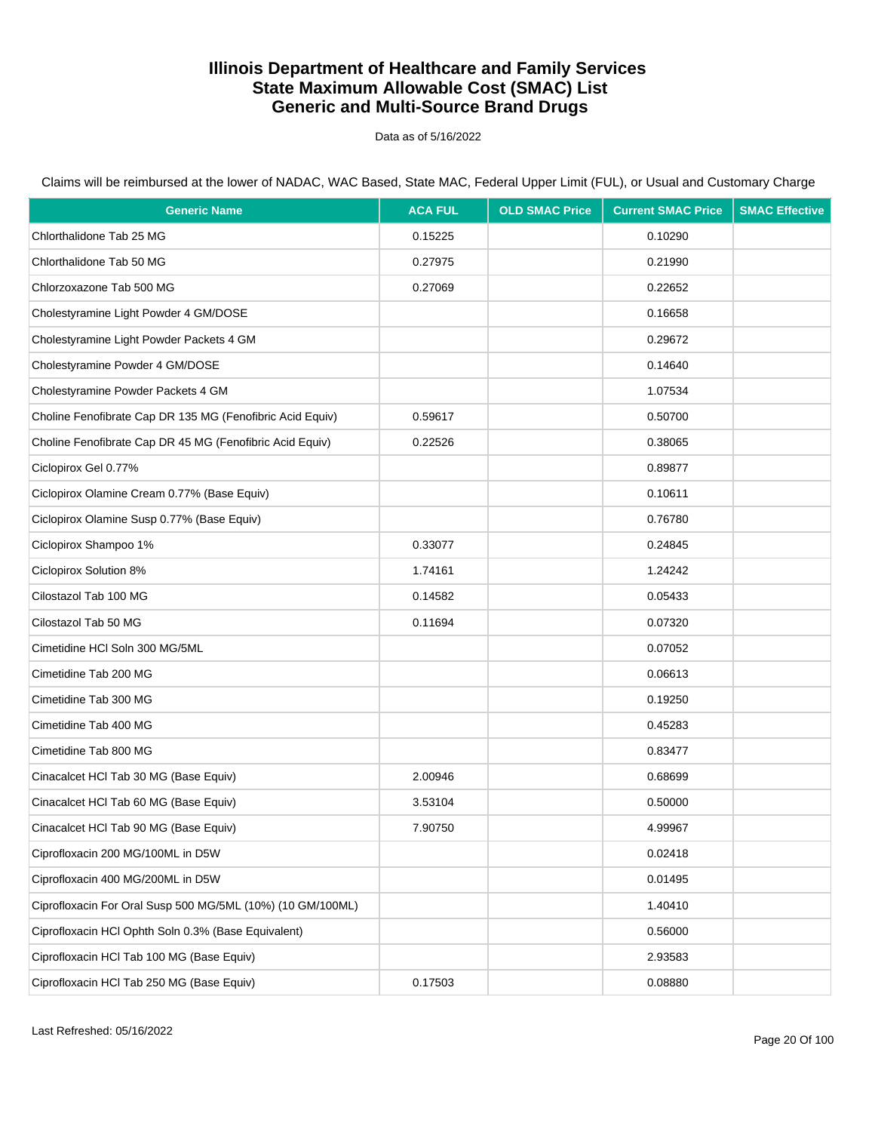Data as of 5/16/2022

| <b>Generic Name</b>                                        | <b>ACA FUL</b> | <b>OLD SMAC Price</b> | <b>Current SMAC Price</b> | <b>SMAC Effective</b> |
|------------------------------------------------------------|----------------|-----------------------|---------------------------|-----------------------|
| Chlorthalidone Tab 25 MG                                   | 0.15225        |                       | 0.10290                   |                       |
| Chlorthalidone Tab 50 MG                                   | 0.27975        |                       | 0.21990                   |                       |
| Chlorzoxazone Tab 500 MG                                   | 0.27069        |                       | 0.22652                   |                       |
| Cholestyramine Light Powder 4 GM/DOSE                      |                |                       | 0.16658                   |                       |
| Cholestyramine Light Powder Packets 4 GM                   |                |                       | 0.29672                   |                       |
| Cholestyramine Powder 4 GM/DOSE                            |                |                       | 0.14640                   |                       |
| Cholestyramine Powder Packets 4 GM                         |                |                       | 1.07534                   |                       |
| Choline Fenofibrate Cap DR 135 MG (Fenofibric Acid Equiv)  | 0.59617        |                       | 0.50700                   |                       |
| Choline Fenofibrate Cap DR 45 MG (Fenofibric Acid Equiv)   | 0.22526        |                       | 0.38065                   |                       |
| Ciclopirox Gel 0.77%                                       |                |                       | 0.89877                   |                       |
| Ciclopirox Olamine Cream 0.77% (Base Equiv)                |                |                       | 0.10611                   |                       |
| Ciclopirox Olamine Susp 0.77% (Base Equiv)                 |                |                       | 0.76780                   |                       |
| Ciclopirox Shampoo 1%                                      | 0.33077        |                       | 0.24845                   |                       |
| Ciclopirox Solution 8%                                     | 1.74161        |                       | 1.24242                   |                       |
| Cilostazol Tab 100 MG                                      | 0.14582        |                       | 0.05433                   |                       |
| Cilostazol Tab 50 MG                                       | 0.11694        |                       | 0.07320                   |                       |
| Cimetidine HCI Soln 300 MG/5ML                             |                |                       | 0.07052                   |                       |
| Cimetidine Tab 200 MG                                      |                |                       | 0.06613                   |                       |
| Cimetidine Tab 300 MG                                      |                |                       | 0.19250                   |                       |
| Cimetidine Tab 400 MG                                      |                |                       | 0.45283                   |                       |
| Cimetidine Tab 800 MG                                      |                |                       | 0.83477                   |                       |
| Cinacalcet HCl Tab 30 MG (Base Equiv)                      | 2.00946        |                       | 0.68699                   |                       |
| Cinacalcet HCl Tab 60 MG (Base Equiv)                      | 3.53104        |                       | 0.50000                   |                       |
| Cinacalcet HCl Tab 90 MG (Base Equiv)                      | 7.90750        |                       | 4.99967                   |                       |
| Ciprofloxacin 200 MG/100ML in D5W                          |                |                       | 0.02418                   |                       |
| Ciprofloxacin 400 MG/200ML in D5W                          |                |                       | 0.01495                   |                       |
| Ciprofloxacin For Oral Susp 500 MG/5ML (10%) (10 GM/100ML) |                |                       | 1.40410                   |                       |
| Ciprofloxacin HCl Ophth Soln 0.3% (Base Equivalent)        |                |                       | 0.56000                   |                       |
| Ciprofloxacin HCl Tab 100 MG (Base Equiv)                  |                |                       | 2.93583                   |                       |
| Ciprofloxacin HCl Tab 250 MG (Base Equiv)                  | 0.17503        |                       | 0.08880                   |                       |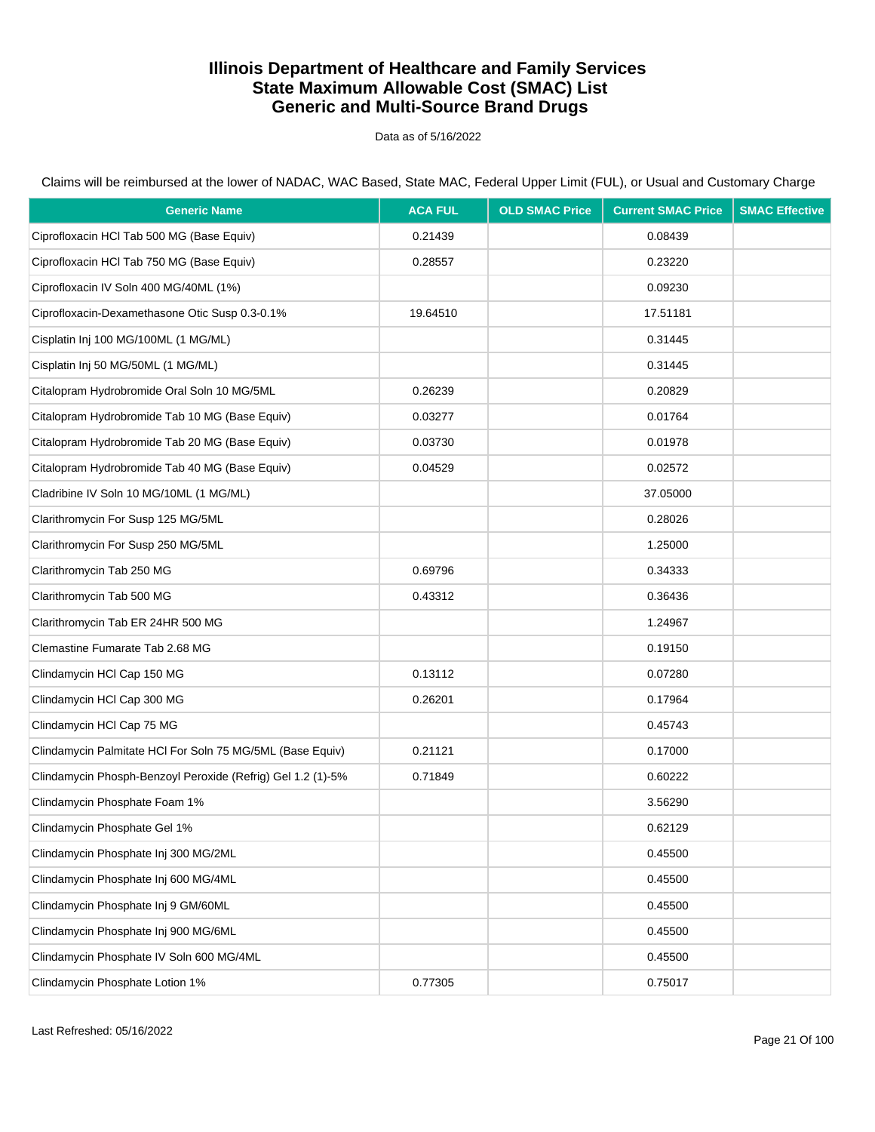Data as of 5/16/2022

Claims will be reimbursed at the lower of NADAC, WAC Based, State MAC, Federal Upper Limit (FUL), or Usual and Customary Charge

| <b>Generic Name</b>                                         | <b>ACA FUL</b> | <b>OLD SMAC Price</b> | <b>Current SMAC Price</b> | <b>SMAC Effective</b> |
|-------------------------------------------------------------|----------------|-----------------------|---------------------------|-----------------------|
| Ciprofloxacin HCI Tab 500 MG (Base Equiv)                   | 0.21439        |                       | 0.08439                   |                       |
| Ciprofloxacin HCl Tab 750 MG (Base Equiv)                   | 0.28557        |                       | 0.23220                   |                       |
| Ciprofloxacin IV Soln 400 MG/40ML (1%)                      |                |                       | 0.09230                   |                       |
| Ciprofloxacin-Dexamethasone Otic Susp 0.3-0.1%              | 19.64510       |                       | 17.51181                  |                       |
| Cisplatin Inj 100 MG/100ML (1 MG/ML)                        |                |                       | 0.31445                   |                       |
| Cisplatin Inj 50 MG/50ML (1 MG/ML)                          |                |                       | 0.31445                   |                       |
| Citalopram Hydrobromide Oral Soln 10 MG/5ML                 | 0.26239        |                       | 0.20829                   |                       |
| Citalopram Hydrobromide Tab 10 MG (Base Equiv)              | 0.03277        |                       | 0.01764                   |                       |
| Citalopram Hydrobromide Tab 20 MG (Base Equiv)              | 0.03730        |                       | 0.01978                   |                       |
| Citalopram Hydrobromide Tab 40 MG (Base Equiv)              | 0.04529        |                       | 0.02572                   |                       |
| Cladribine IV Soln 10 MG/10ML (1 MG/ML)                     |                |                       | 37.05000                  |                       |
| Clarithromycin For Susp 125 MG/5ML                          |                |                       | 0.28026                   |                       |
| Clarithromycin For Susp 250 MG/5ML                          |                |                       | 1.25000                   |                       |
| Clarithromycin Tab 250 MG                                   | 0.69796        |                       | 0.34333                   |                       |
| Clarithromycin Tab 500 MG                                   | 0.43312        |                       | 0.36436                   |                       |
| Clarithromycin Tab ER 24HR 500 MG                           |                |                       | 1.24967                   |                       |
| Clemastine Fumarate Tab 2.68 MG                             |                |                       | 0.19150                   |                       |
| Clindamycin HCl Cap 150 MG                                  | 0.13112        |                       | 0.07280                   |                       |
| Clindamycin HCl Cap 300 MG                                  | 0.26201        |                       | 0.17964                   |                       |
| Clindamycin HCl Cap 75 MG                                   |                |                       | 0.45743                   |                       |
| Clindamycin Palmitate HCI For Soln 75 MG/5ML (Base Equiv)   | 0.21121        |                       | 0.17000                   |                       |
| Clindamycin Phosph-Benzoyl Peroxide (Refrig) Gel 1.2 (1)-5% | 0.71849        |                       | 0.60222                   |                       |
| Clindamycin Phosphate Foam 1%                               |                |                       | 3.56290                   |                       |
| Clindamycin Phosphate Gel 1%                                |                |                       | 0.62129                   |                       |
| Clindamycin Phosphate Inj 300 MG/2ML                        |                |                       | 0.45500                   |                       |
| Clindamycin Phosphate Inj 600 MG/4ML                        |                |                       | 0.45500                   |                       |
| Clindamycin Phosphate Inj 9 GM/60ML                         |                |                       | 0.45500                   |                       |
| Clindamycin Phosphate Inj 900 MG/6ML                        |                |                       | 0.45500                   |                       |
| Clindamycin Phosphate IV Soln 600 MG/4ML                    |                |                       | 0.45500                   |                       |
| Clindamycin Phosphate Lotion 1%                             | 0.77305        |                       | 0.75017                   |                       |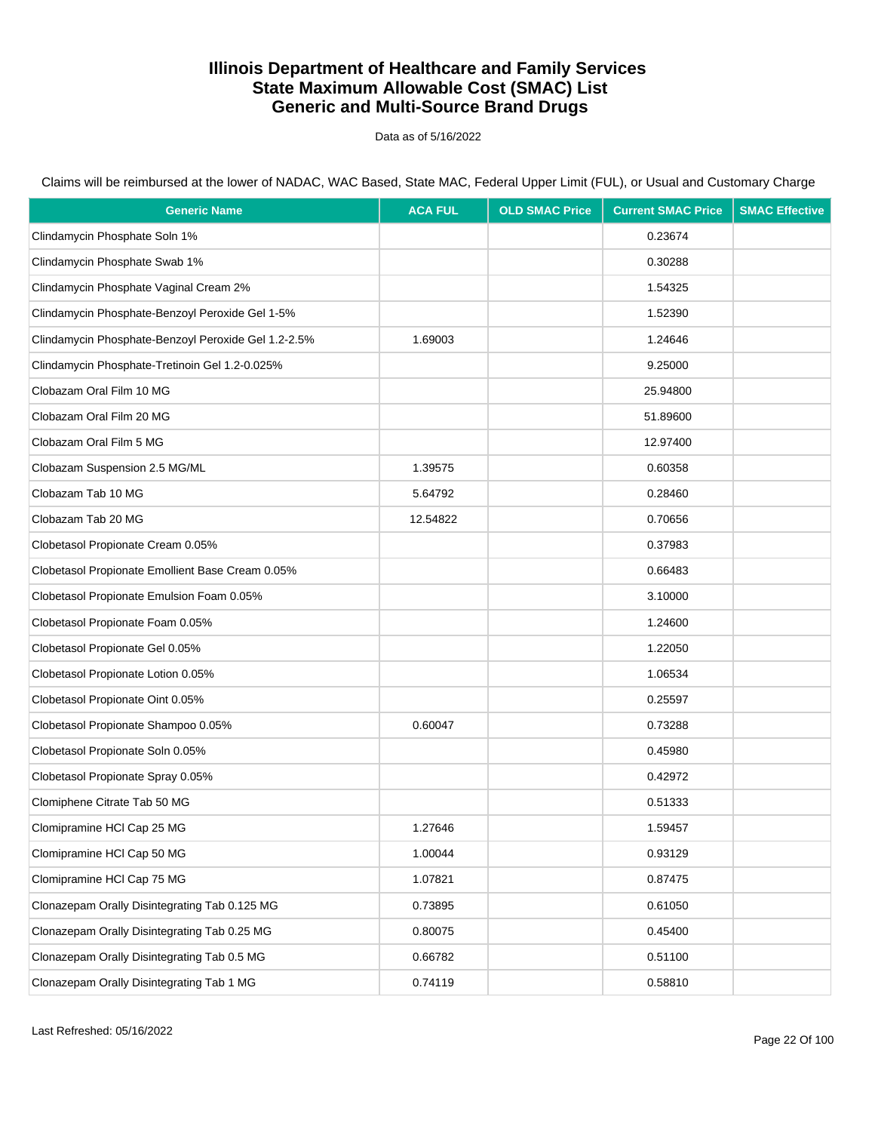Data as of 5/16/2022

Claims will be reimbursed at the lower of NADAC, WAC Based, State MAC, Federal Upper Limit (FUL), or Usual and Customary Charge

| <b>Generic Name</b>                                 | <b>ACA FUL</b> | <b>OLD SMAC Price</b> | <b>Current SMAC Price</b> | <b>SMAC Effective</b> |
|-----------------------------------------------------|----------------|-----------------------|---------------------------|-----------------------|
| Clindamycin Phosphate Soln 1%                       |                |                       | 0.23674                   |                       |
| Clindamycin Phosphate Swab 1%                       |                |                       | 0.30288                   |                       |
| Clindamycin Phosphate Vaginal Cream 2%              |                |                       | 1.54325                   |                       |
| Clindamycin Phosphate-Benzoyl Peroxide Gel 1-5%     |                |                       | 1.52390                   |                       |
| Clindamycin Phosphate-Benzoyl Peroxide Gel 1.2-2.5% | 1.69003        |                       | 1.24646                   |                       |
| Clindamycin Phosphate-Tretinoin Gel 1.2-0.025%      |                |                       | 9.25000                   |                       |
| Clobazam Oral Film 10 MG                            |                |                       | 25.94800                  |                       |
| Clobazam Oral Film 20 MG                            |                |                       | 51.89600                  |                       |
| Clobazam Oral Film 5 MG                             |                |                       | 12.97400                  |                       |
| Clobazam Suspension 2.5 MG/ML                       | 1.39575        |                       | 0.60358                   |                       |
| Clobazam Tab 10 MG                                  | 5.64792        |                       | 0.28460                   |                       |
| Clobazam Tab 20 MG                                  | 12.54822       |                       | 0.70656                   |                       |
| Clobetasol Propionate Cream 0.05%                   |                |                       | 0.37983                   |                       |
| Clobetasol Propionate Emollient Base Cream 0.05%    |                |                       | 0.66483                   |                       |
| Clobetasol Propionate Emulsion Foam 0.05%           |                |                       | 3.10000                   |                       |
| Clobetasol Propionate Foam 0.05%                    |                |                       | 1.24600                   |                       |
| Clobetasol Propionate Gel 0.05%                     |                |                       | 1.22050                   |                       |
| Clobetasol Propionate Lotion 0.05%                  |                |                       | 1.06534                   |                       |
| Clobetasol Propionate Oint 0.05%                    |                |                       | 0.25597                   |                       |
| Clobetasol Propionate Shampoo 0.05%                 | 0.60047        |                       | 0.73288                   |                       |
| Clobetasol Propionate Soln 0.05%                    |                |                       | 0.45980                   |                       |
| Clobetasol Propionate Spray 0.05%                   |                |                       | 0.42972                   |                       |
| Clomiphene Citrate Tab 50 MG                        |                |                       | 0.51333                   |                       |
| Clomipramine HCI Cap 25 MG                          | 1.27646        |                       | 1.59457                   |                       |
| Clomipramine HCl Cap 50 MG                          | 1.00044        |                       | 0.93129                   |                       |
| Clomipramine HCl Cap 75 MG                          | 1.07821        |                       | 0.87475                   |                       |
| Clonazepam Orally Disintegrating Tab 0.125 MG       | 0.73895        |                       | 0.61050                   |                       |
| Clonazepam Orally Disintegrating Tab 0.25 MG        | 0.80075        |                       | 0.45400                   |                       |
| Clonazepam Orally Disintegrating Tab 0.5 MG         | 0.66782        |                       | 0.51100                   |                       |
| Clonazepam Orally Disintegrating Tab 1 MG           | 0.74119        |                       | 0.58810                   |                       |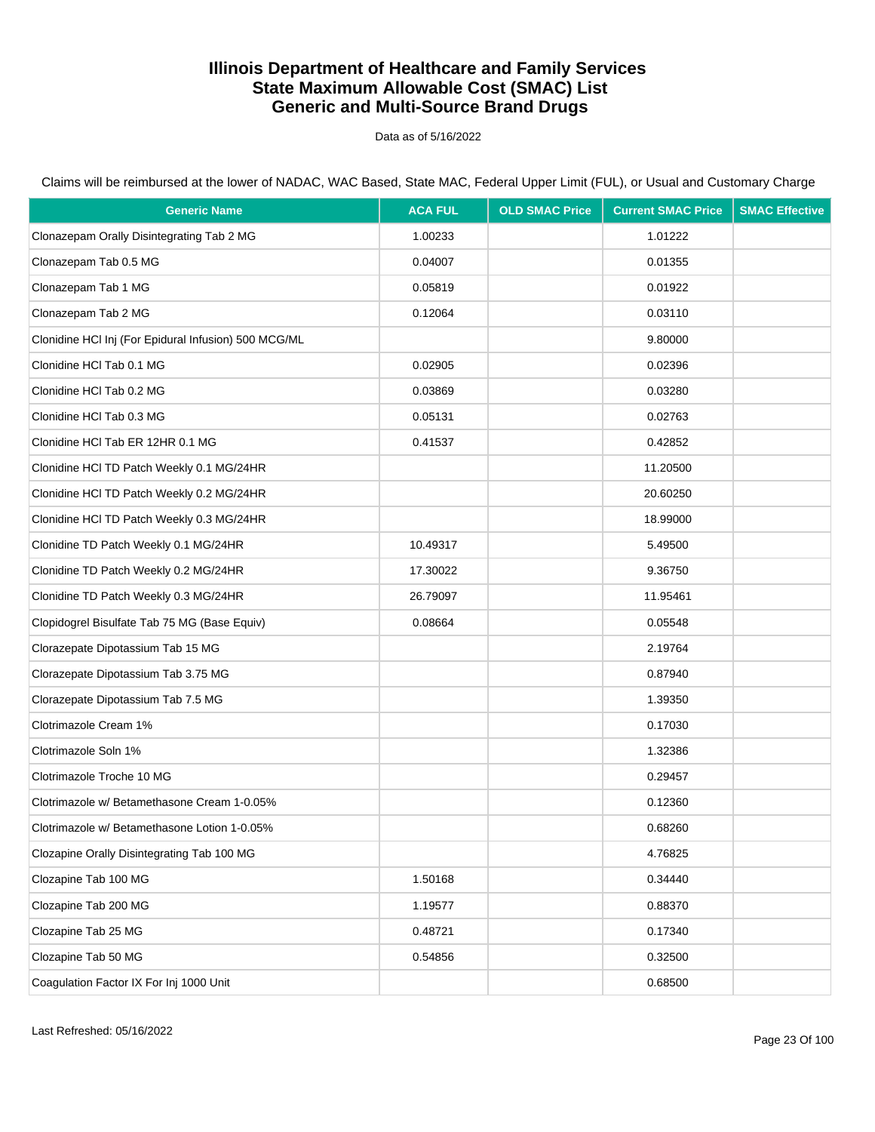Data as of 5/16/2022

| <b>Generic Name</b>                                  | <b>ACA FUL</b> | <b>OLD SMAC Price</b> | <b>Current SMAC Price</b> | <b>SMAC Effective</b> |
|------------------------------------------------------|----------------|-----------------------|---------------------------|-----------------------|
| Clonazepam Orally Disintegrating Tab 2 MG            | 1.00233        |                       | 1.01222                   |                       |
| Clonazepam Tab 0.5 MG                                | 0.04007        |                       | 0.01355                   |                       |
| Clonazepam Tab 1 MG                                  | 0.05819        |                       | 0.01922                   |                       |
| Clonazepam Tab 2 MG                                  | 0.12064        |                       | 0.03110                   |                       |
| Clonidine HCl Inj (For Epidural Infusion) 500 MCG/ML |                |                       | 9.80000                   |                       |
| Clonidine HCI Tab 0.1 MG                             | 0.02905        |                       | 0.02396                   |                       |
| Clonidine HCl Tab 0.2 MG                             | 0.03869        |                       | 0.03280                   |                       |
| Clonidine HCl Tab 0.3 MG                             | 0.05131        |                       | 0.02763                   |                       |
| Clonidine HCl Tab ER 12HR 0.1 MG                     | 0.41537        |                       | 0.42852                   |                       |
| Clonidine HCI TD Patch Weekly 0.1 MG/24HR            |                |                       | 11.20500                  |                       |
| Clonidine HCI TD Patch Weekly 0.2 MG/24HR            |                |                       | 20.60250                  |                       |
| Clonidine HCI TD Patch Weekly 0.3 MG/24HR            |                |                       | 18.99000                  |                       |
| Clonidine TD Patch Weekly 0.1 MG/24HR                | 10.49317       |                       | 5.49500                   |                       |
| Clonidine TD Patch Weekly 0.2 MG/24HR                | 17.30022       |                       | 9.36750                   |                       |
| Clonidine TD Patch Weekly 0.3 MG/24HR                | 26.79097       |                       | 11.95461                  |                       |
| Clopidogrel Bisulfate Tab 75 MG (Base Equiv)         | 0.08664        |                       | 0.05548                   |                       |
| Clorazepate Dipotassium Tab 15 MG                    |                |                       | 2.19764                   |                       |
| Clorazepate Dipotassium Tab 3.75 MG                  |                |                       | 0.87940                   |                       |
| Clorazepate Dipotassium Tab 7.5 MG                   |                |                       | 1.39350                   |                       |
| Clotrimazole Cream 1%                                |                |                       | 0.17030                   |                       |
| Clotrimazole Soln 1%                                 |                |                       | 1.32386                   |                       |
| Clotrimazole Troche 10 MG                            |                |                       | 0.29457                   |                       |
| Clotrimazole w/ Betamethasone Cream 1-0.05%          |                |                       | 0.12360                   |                       |
| Clotrimazole w/ Betamethasone Lotion 1-0.05%         |                |                       | 0.68260                   |                       |
| Clozapine Orally Disintegrating Tab 100 MG           |                |                       | 4.76825                   |                       |
| Clozapine Tab 100 MG                                 | 1.50168        |                       | 0.34440                   |                       |
| Clozapine Tab 200 MG                                 | 1.19577        |                       | 0.88370                   |                       |
| Clozapine Tab 25 MG                                  | 0.48721        |                       | 0.17340                   |                       |
| Clozapine Tab 50 MG                                  | 0.54856        |                       | 0.32500                   |                       |
| Coagulation Factor IX For Inj 1000 Unit              |                |                       | 0.68500                   |                       |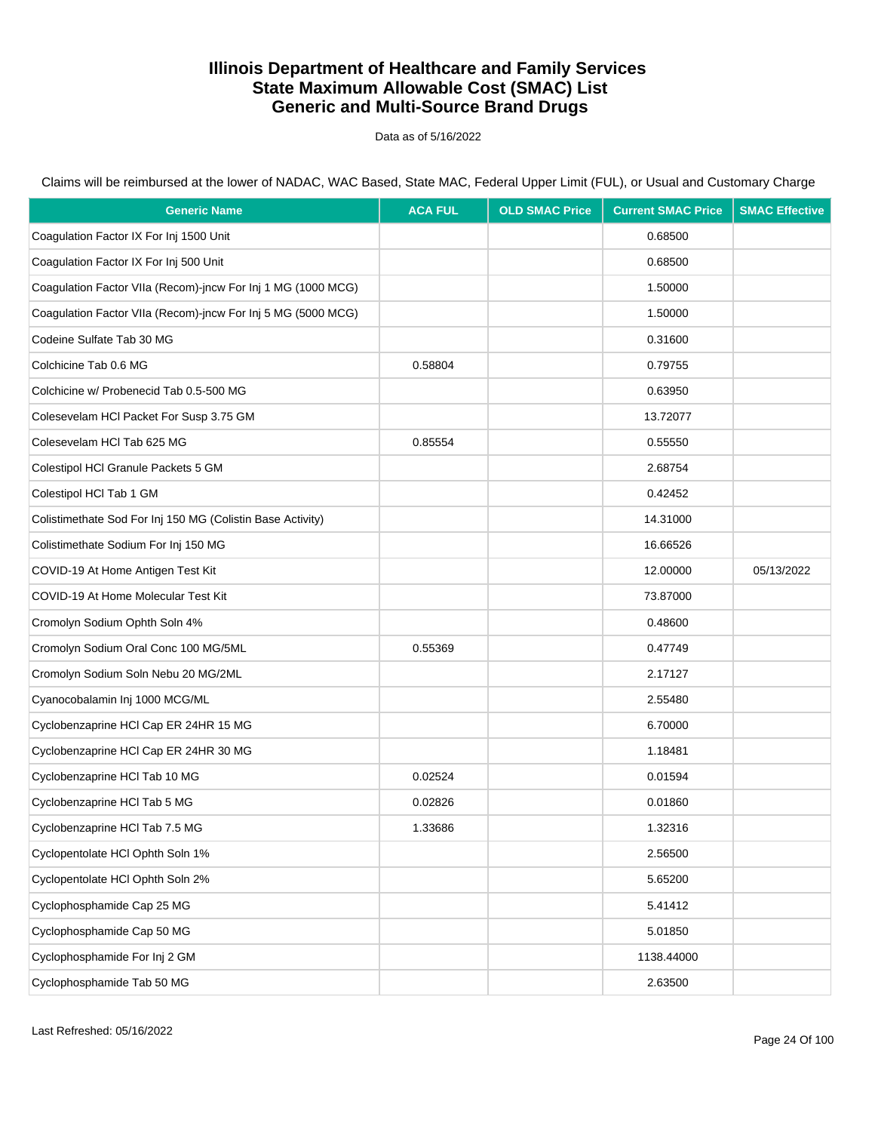Data as of 5/16/2022

| <b>Generic Name</b>                                          | <b>ACA FUL</b> | <b>OLD SMAC Price</b> | <b>Current SMAC Price</b> | <b>SMAC Effective</b> |
|--------------------------------------------------------------|----------------|-----------------------|---------------------------|-----------------------|
| Coagulation Factor IX For Inj 1500 Unit                      |                |                       | 0.68500                   |                       |
| Coagulation Factor IX For Inj 500 Unit                       |                |                       | 0.68500                   |                       |
| Coagulation Factor VIIa (Recom)-jncw For Inj 1 MG (1000 MCG) |                |                       | 1.50000                   |                       |
| Coagulation Factor VIIa (Recom)-jncw For Inj 5 MG (5000 MCG) |                |                       | 1.50000                   |                       |
| Codeine Sulfate Tab 30 MG                                    |                |                       | 0.31600                   |                       |
| Colchicine Tab 0.6 MG                                        | 0.58804        |                       | 0.79755                   |                       |
| Colchicine w/ Probenecid Tab 0.5-500 MG                      |                |                       | 0.63950                   |                       |
| Colesevelam HCI Packet For Susp 3.75 GM                      |                |                       | 13.72077                  |                       |
| Colesevelam HCl Tab 625 MG                                   | 0.85554        |                       | 0.55550                   |                       |
| Colestipol HCI Granule Packets 5 GM                          |                |                       | 2.68754                   |                       |
| Colestipol HCI Tab 1 GM                                      |                |                       | 0.42452                   |                       |
| Colistimethate Sod For Inj 150 MG (Colistin Base Activity)   |                |                       | 14.31000                  |                       |
| Colistimethate Sodium For Inj 150 MG                         |                |                       | 16.66526                  |                       |
| COVID-19 At Home Antigen Test Kit                            |                |                       | 12.00000                  | 05/13/2022            |
| COVID-19 At Home Molecular Test Kit                          |                |                       | 73.87000                  |                       |
| Cromolyn Sodium Ophth Soln 4%                                |                |                       | 0.48600                   |                       |
| Cromolyn Sodium Oral Conc 100 MG/5ML                         | 0.55369        |                       | 0.47749                   |                       |
| Cromolyn Sodium Soln Nebu 20 MG/2ML                          |                |                       | 2.17127                   |                       |
| Cyanocobalamin Inj 1000 MCG/ML                               |                |                       | 2.55480                   |                       |
| Cyclobenzaprine HCl Cap ER 24HR 15 MG                        |                |                       | 6.70000                   |                       |
| Cyclobenzaprine HCl Cap ER 24HR 30 MG                        |                |                       | 1.18481                   |                       |
| Cyclobenzaprine HCl Tab 10 MG                                | 0.02524        |                       | 0.01594                   |                       |
| Cyclobenzaprine HCl Tab 5 MG                                 | 0.02826        |                       | 0.01860                   |                       |
| Cyclobenzaprine HCl Tab 7.5 MG                               | 1.33686        |                       | 1.32316                   |                       |
| Cyclopentolate HCl Ophth Soln 1%                             |                |                       | 2.56500                   |                       |
| Cyclopentolate HCI Ophth Soln 2%                             |                |                       | 5.65200                   |                       |
| Cyclophosphamide Cap 25 MG                                   |                |                       | 5.41412                   |                       |
| Cyclophosphamide Cap 50 MG                                   |                |                       | 5.01850                   |                       |
| Cyclophosphamide For Inj 2 GM                                |                |                       | 1138.44000                |                       |
| Cyclophosphamide Tab 50 MG                                   |                |                       | 2.63500                   |                       |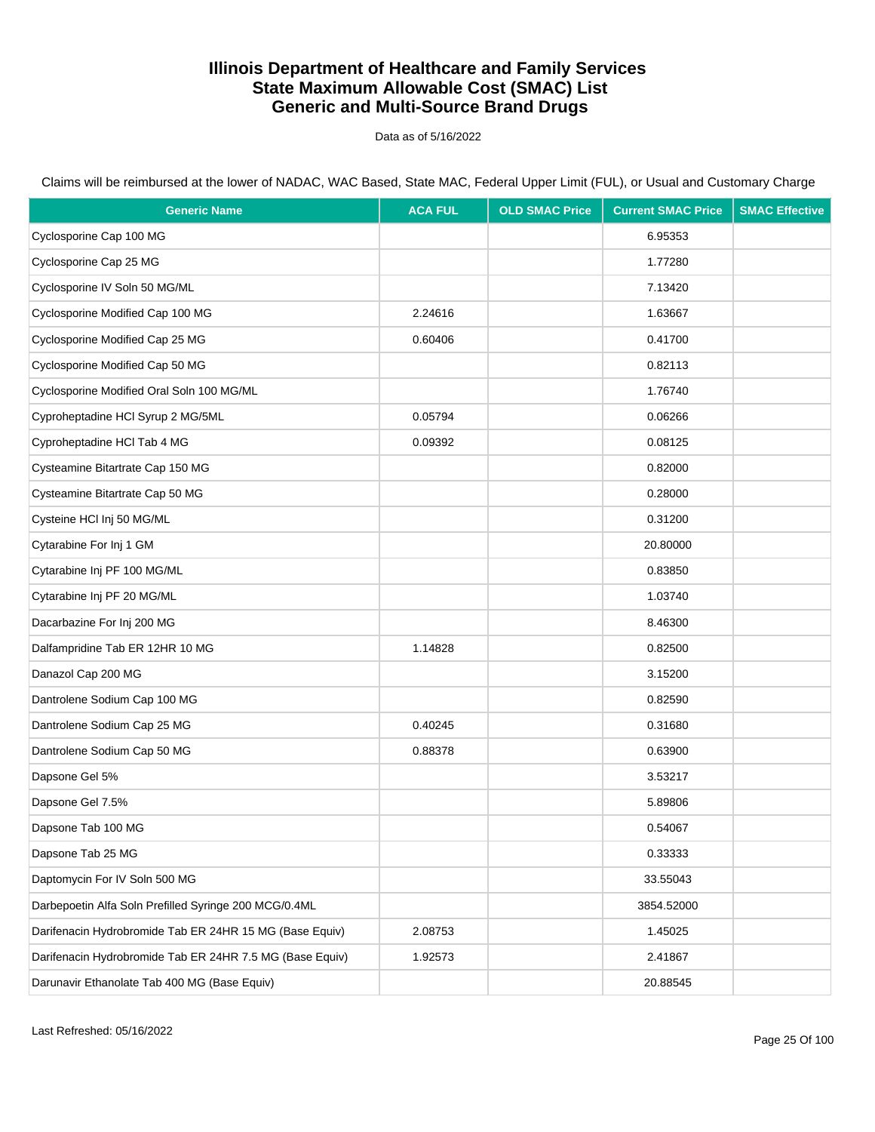Data as of 5/16/2022

Claims will be reimbursed at the lower of NADAC, WAC Based, State MAC, Federal Upper Limit (FUL), or Usual and Customary Charge

| <b>Generic Name</b>                                      | <b>ACA FUL</b> | <b>OLD SMAC Price</b> | <b>Current SMAC Price</b> | <b>SMAC Effective</b> |
|----------------------------------------------------------|----------------|-----------------------|---------------------------|-----------------------|
| Cyclosporine Cap 100 MG                                  |                |                       | 6.95353                   |                       |
| Cyclosporine Cap 25 MG                                   |                |                       | 1.77280                   |                       |
| Cyclosporine IV Soln 50 MG/ML                            |                |                       | 7.13420                   |                       |
| Cyclosporine Modified Cap 100 MG                         | 2.24616        |                       | 1.63667                   |                       |
| Cyclosporine Modified Cap 25 MG                          | 0.60406        |                       | 0.41700                   |                       |
| Cyclosporine Modified Cap 50 MG                          |                |                       | 0.82113                   |                       |
| Cyclosporine Modified Oral Soln 100 MG/ML                |                |                       | 1.76740                   |                       |
| Cyproheptadine HCI Syrup 2 MG/5ML                        | 0.05794        |                       | 0.06266                   |                       |
| Cyproheptadine HCl Tab 4 MG                              | 0.09392        |                       | 0.08125                   |                       |
| Cysteamine Bitartrate Cap 150 MG                         |                |                       | 0.82000                   |                       |
| Cysteamine Bitartrate Cap 50 MG                          |                |                       | 0.28000                   |                       |
| Cysteine HCl Inj 50 MG/ML                                |                |                       | 0.31200                   |                       |
| Cytarabine For Inj 1 GM                                  |                |                       | 20.80000                  |                       |
| Cytarabine Inj PF 100 MG/ML                              |                |                       | 0.83850                   |                       |
| Cytarabine Inj PF 20 MG/ML                               |                |                       | 1.03740                   |                       |
| Dacarbazine For Inj 200 MG                               |                |                       | 8.46300                   |                       |
| Dalfampridine Tab ER 12HR 10 MG                          | 1.14828        |                       | 0.82500                   |                       |
| Danazol Cap 200 MG                                       |                |                       | 3.15200                   |                       |
| Dantrolene Sodium Cap 100 MG                             |                |                       | 0.82590                   |                       |
| Dantrolene Sodium Cap 25 MG                              | 0.40245        |                       | 0.31680                   |                       |
| Dantrolene Sodium Cap 50 MG                              | 0.88378        |                       | 0.63900                   |                       |
| Dapsone Gel 5%                                           |                |                       | 3.53217                   |                       |
| Dapsone Gel 7.5%                                         |                |                       | 5.89806                   |                       |
| Dapsone Tab 100 MG                                       |                |                       | 0.54067                   |                       |
| Dapsone Tab 25 MG                                        |                |                       | 0.33333                   |                       |
| Daptomycin For IV Soln 500 MG                            |                |                       | 33.55043                  |                       |
| Darbepoetin Alfa Soln Prefilled Syringe 200 MCG/0.4ML    |                |                       | 3854.52000                |                       |
| Darifenacin Hydrobromide Tab ER 24HR 15 MG (Base Equiv)  | 2.08753        |                       | 1.45025                   |                       |
| Darifenacin Hydrobromide Tab ER 24HR 7.5 MG (Base Equiv) | 1.92573        |                       | 2.41867                   |                       |
| Darunavir Ethanolate Tab 400 MG (Base Equiv)             |                |                       | 20.88545                  |                       |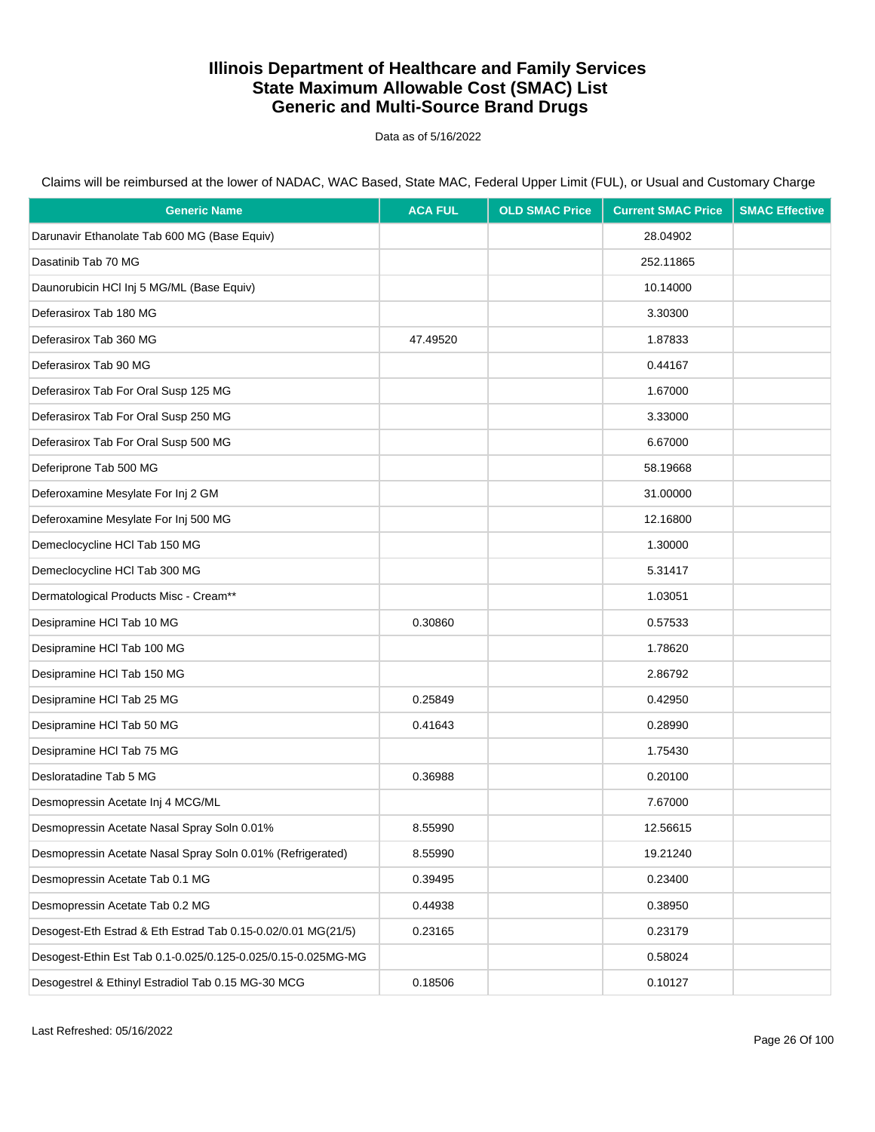Data as of 5/16/2022

Claims will be reimbursed at the lower of NADAC, WAC Based, State MAC, Federal Upper Limit (FUL), or Usual and Customary Charge

| <b>Generic Name</b>                                          | <b>ACA FUL</b> | <b>OLD SMAC Price</b> | <b>Current SMAC Price</b> | <b>SMAC Effective</b> |
|--------------------------------------------------------------|----------------|-----------------------|---------------------------|-----------------------|
| Darunavir Ethanolate Tab 600 MG (Base Equiv)                 |                |                       | 28.04902                  |                       |
| Dasatinib Tab 70 MG                                          |                |                       | 252.11865                 |                       |
| Daunorubicin HCl Inj 5 MG/ML (Base Equiv)                    |                |                       | 10.14000                  |                       |
| Deferasirox Tab 180 MG                                       |                |                       | 3.30300                   |                       |
| Deferasirox Tab 360 MG                                       | 47.49520       |                       | 1.87833                   |                       |
| Deferasirox Tab 90 MG                                        |                |                       | 0.44167                   |                       |
| Deferasirox Tab For Oral Susp 125 MG                         |                |                       | 1.67000                   |                       |
| Deferasirox Tab For Oral Susp 250 MG                         |                |                       | 3.33000                   |                       |
| Deferasirox Tab For Oral Susp 500 MG                         |                |                       | 6.67000                   |                       |
| Deferiprone Tab 500 MG                                       |                |                       | 58.19668                  |                       |
| Deferoxamine Mesylate For Inj 2 GM                           |                |                       | 31.00000                  |                       |
| Deferoxamine Mesylate For Inj 500 MG                         |                |                       | 12.16800                  |                       |
| Demeclocycline HCI Tab 150 MG                                |                |                       | 1.30000                   |                       |
| Demeclocycline HCI Tab 300 MG                                |                |                       | 5.31417                   |                       |
| Dermatological Products Misc - Cream**                       |                |                       | 1.03051                   |                       |
| Desipramine HCI Tab 10 MG                                    | 0.30860        |                       | 0.57533                   |                       |
| Desipramine HCI Tab 100 MG                                   |                |                       | 1.78620                   |                       |
| Desipramine HCI Tab 150 MG                                   |                |                       | 2.86792                   |                       |
| Desipramine HCI Tab 25 MG                                    | 0.25849        |                       | 0.42950                   |                       |
| Desipramine HCI Tab 50 MG                                    | 0.41643        |                       | 0.28990                   |                       |
| Desipramine HCI Tab 75 MG                                    |                |                       | 1.75430                   |                       |
| Desloratadine Tab 5 MG                                       | 0.36988        |                       | 0.20100                   |                       |
| Desmopressin Acetate Inj 4 MCG/ML                            |                |                       | 7.67000                   |                       |
| Desmopressin Acetate Nasal Spray Soln 0.01%                  | 8.55990        |                       | 12.56615                  |                       |
| Desmopressin Acetate Nasal Spray Soln 0.01% (Refrigerated)   | 8.55990        |                       | 19.21240                  |                       |
| Desmopressin Acetate Tab 0.1 MG                              | 0.39495        |                       | 0.23400                   |                       |
| Desmopressin Acetate Tab 0.2 MG                              | 0.44938        |                       | 0.38950                   |                       |
| Desogest-Eth Estrad & Eth Estrad Tab 0.15-0.02/0.01 MG(21/5) | 0.23165        |                       | 0.23179                   |                       |
| Desogest-Ethin Est Tab 0.1-0.025/0.125-0.025/0.15-0.025MG-MG |                |                       | 0.58024                   |                       |
| Desogestrel & Ethinyl Estradiol Tab 0.15 MG-30 MCG           | 0.18506        |                       | 0.10127                   |                       |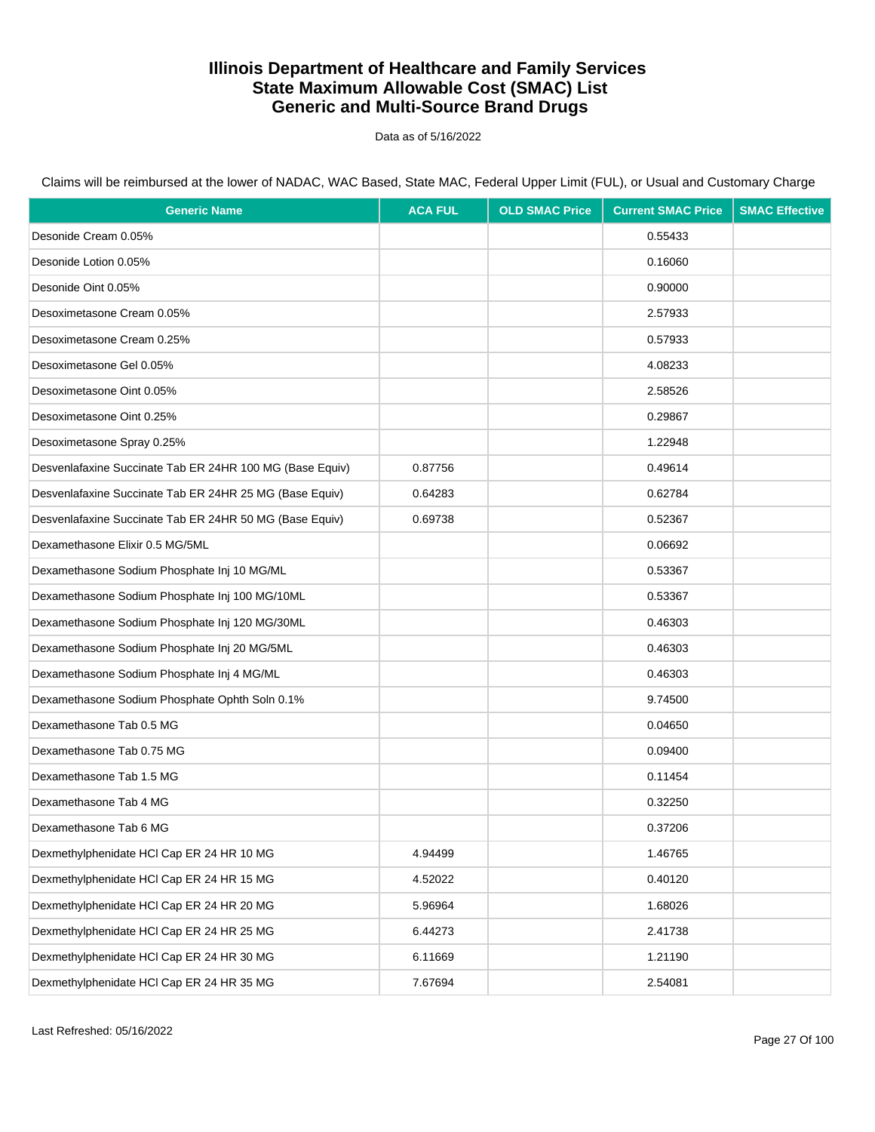Data as of 5/16/2022

| <b>Generic Name</b>                                      | <b>ACA FUL</b> | <b>OLD SMAC Price</b> | <b>Current SMAC Price</b> | <b>SMAC Effective</b> |
|----------------------------------------------------------|----------------|-----------------------|---------------------------|-----------------------|
| Desonide Cream 0.05%                                     |                |                       | 0.55433                   |                       |
| Desonide Lotion 0.05%                                    |                |                       | 0.16060                   |                       |
| Desonide Oint 0.05%                                      |                |                       | 0.90000                   |                       |
| Desoximetasone Cream 0.05%                               |                |                       | 2.57933                   |                       |
| Desoximetasone Cream 0.25%                               |                |                       | 0.57933                   |                       |
| Desoximetasone Gel 0.05%                                 |                |                       | 4.08233                   |                       |
| Desoximetasone Oint 0.05%                                |                |                       | 2.58526                   |                       |
| Desoximetasone Oint 0.25%                                |                |                       | 0.29867                   |                       |
| Desoximetasone Spray 0.25%                               |                |                       | 1.22948                   |                       |
| Desvenlafaxine Succinate Tab ER 24HR 100 MG (Base Equiv) | 0.87756        |                       | 0.49614                   |                       |
| Desvenlafaxine Succinate Tab ER 24HR 25 MG (Base Equiv)  | 0.64283        |                       | 0.62784                   |                       |
| Desvenlafaxine Succinate Tab ER 24HR 50 MG (Base Equiv)  | 0.69738        |                       | 0.52367                   |                       |
| Dexamethasone Elixir 0.5 MG/5ML                          |                |                       | 0.06692                   |                       |
| Dexamethasone Sodium Phosphate Inj 10 MG/ML              |                |                       | 0.53367                   |                       |
| Dexamethasone Sodium Phosphate Inj 100 MG/10ML           |                |                       | 0.53367                   |                       |
| Dexamethasone Sodium Phosphate Inj 120 MG/30ML           |                |                       | 0.46303                   |                       |
| Dexamethasone Sodium Phosphate Inj 20 MG/5ML             |                |                       | 0.46303                   |                       |
| Dexamethasone Sodium Phosphate Inj 4 MG/ML               |                |                       | 0.46303                   |                       |
| Dexamethasone Sodium Phosphate Ophth Soln 0.1%           |                |                       | 9.74500                   |                       |
| Dexamethasone Tab 0.5 MG                                 |                |                       | 0.04650                   |                       |
| Dexamethasone Tab 0.75 MG                                |                |                       | 0.09400                   |                       |
| Dexamethasone Tab 1.5 MG                                 |                |                       | 0.11454                   |                       |
| Dexamethasone Tab 4 MG                                   |                |                       | 0.32250                   |                       |
| Dexamethasone Tab 6 MG                                   |                |                       | 0.37206                   |                       |
| Dexmethylphenidate HCI Cap ER 24 HR 10 MG                | 4.94499        |                       | 1.46765                   |                       |
| Dexmethylphenidate HCl Cap ER 24 HR 15 MG                | 4.52022        |                       | 0.40120                   |                       |
| Dexmethylphenidate HCI Cap ER 24 HR 20 MG                | 5.96964        |                       | 1.68026                   |                       |
| Dexmethylphenidate HCl Cap ER 24 HR 25 MG                | 6.44273        |                       | 2.41738                   |                       |
| Dexmethylphenidate HCI Cap ER 24 HR 30 MG                | 6.11669        |                       | 1.21190                   |                       |
| Dexmethylphenidate HCl Cap ER 24 HR 35 MG                | 7.67694        |                       | 2.54081                   |                       |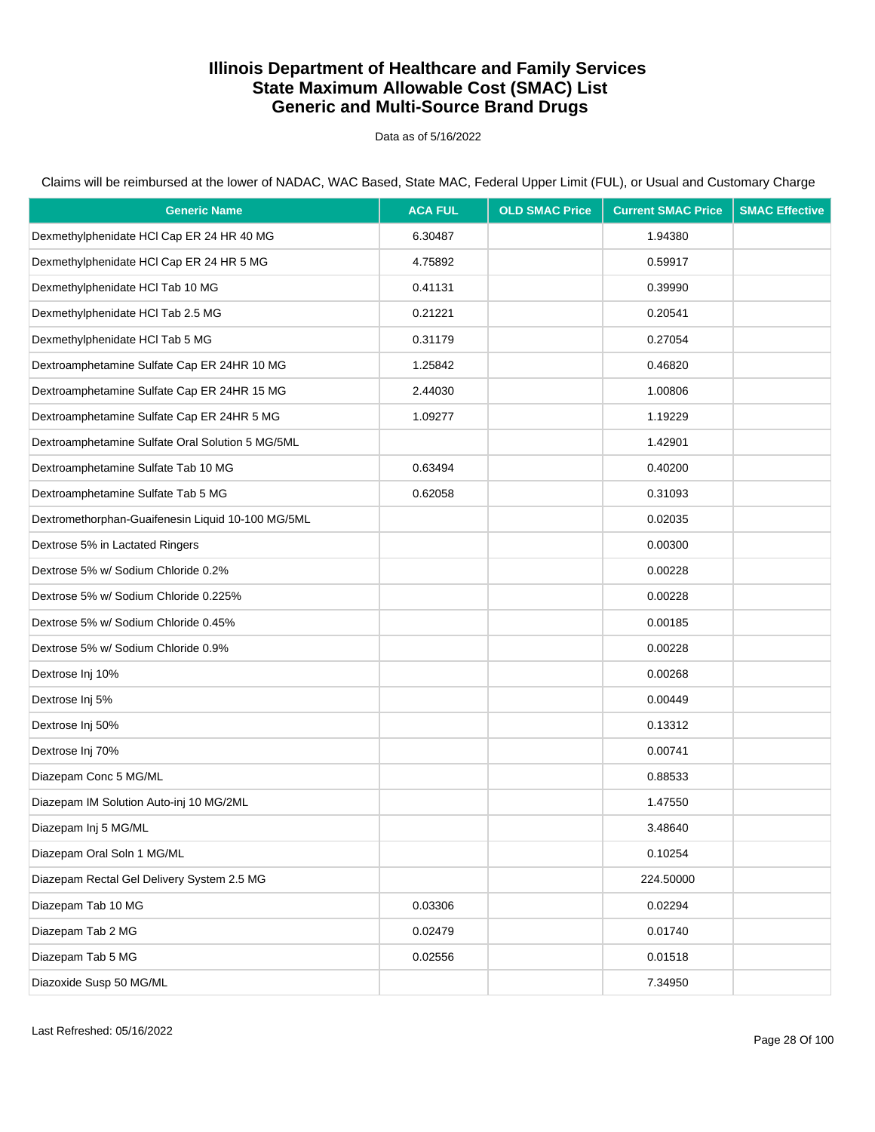Data as of 5/16/2022

| <b>Generic Name</b>                               | <b>ACA FUL</b> | <b>OLD SMAC Price</b> | <b>Current SMAC Price</b> | <b>SMAC Effective</b> |
|---------------------------------------------------|----------------|-----------------------|---------------------------|-----------------------|
| Dexmethylphenidate HCI Cap ER 24 HR 40 MG         | 6.30487        |                       | 1.94380                   |                       |
| Dexmethylphenidate HCI Cap ER 24 HR 5 MG          | 4.75892        |                       | 0.59917                   |                       |
| Dexmethylphenidate HCl Tab 10 MG                  | 0.41131        |                       | 0.39990                   |                       |
| Dexmethylphenidate HCl Tab 2.5 MG                 | 0.21221        |                       | 0.20541                   |                       |
| Dexmethylphenidate HCl Tab 5 MG                   | 0.31179        |                       | 0.27054                   |                       |
| Dextroamphetamine Sulfate Cap ER 24HR 10 MG       | 1.25842        |                       | 0.46820                   |                       |
| Dextroamphetamine Sulfate Cap ER 24HR 15 MG       | 2.44030        |                       | 1.00806                   |                       |
| Dextroamphetamine Sulfate Cap ER 24HR 5 MG        | 1.09277        |                       | 1.19229                   |                       |
| Dextroamphetamine Sulfate Oral Solution 5 MG/5ML  |                |                       | 1.42901                   |                       |
| Dextroamphetamine Sulfate Tab 10 MG               | 0.63494        |                       | 0.40200                   |                       |
| Dextroamphetamine Sulfate Tab 5 MG                | 0.62058        |                       | 0.31093                   |                       |
| Dextromethorphan-Guaifenesin Liquid 10-100 MG/5ML |                |                       | 0.02035                   |                       |
| Dextrose 5% in Lactated Ringers                   |                |                       | 0.00300                   |                       |
| Dextrose 5% w/ Sodium Chloride 0.2%               |                |                       | 0.00228                   |                       |
| Dextrose 5% w/ Sodium Chloride 0.225%             |                |                       | 0.00228                   |                       |
| Dextrose 5% w/ Sodium Chloride 0.45%              |                |                       | 0.00185                   |                       |
| Dextrose 5% w/ Sodium Chloride 0.9%               |                |                       | 0.00228                   |                       |
| Dextrose Inj 10%                                  |                |                       | 0.00268                   |                       |
| Dextrose Inj 5%                                   |                |                       | 0.00449                   |                       |
| Dextrose Inj 50%                                  |                |                       | 0.13312                   |                       |
| Dextrose Inj 70%                                  |                |                       | 0.00741                   |                       |
| Diazepam Conc 5 MG/ML                             |                |                       | 0.88533                   |                       |
| Diazepam IM Solution Auto-inj 10 MG/2ML           |                |                       | 1.47550                   |                       |
| Diazepam Inj 5 MG/ML                              |                |                       | 3.48640                   |                       |
| Diazepam Oral Soln 1 MG/ML                        |                |                       | 0.10254                   |                       |
| Diazepam Rectal Gel Delivery System 2.5 MG        |                |                       | 224.50000                 |                       |
| Diazepam Tab 10 MG                                | 0.03306        |                       | 0.02294                   |                       |
| Diazepam Tab 2 MG                                 | 0.02479        |                       | 0.01740                   |                       |
| Diazepam Tab 5 MG                                 | 0.02556        |                       | 0.01518                   |                       |
| Diazoxide Susp 50 MG/ML                           |                |                       | 7.34950                   |                       |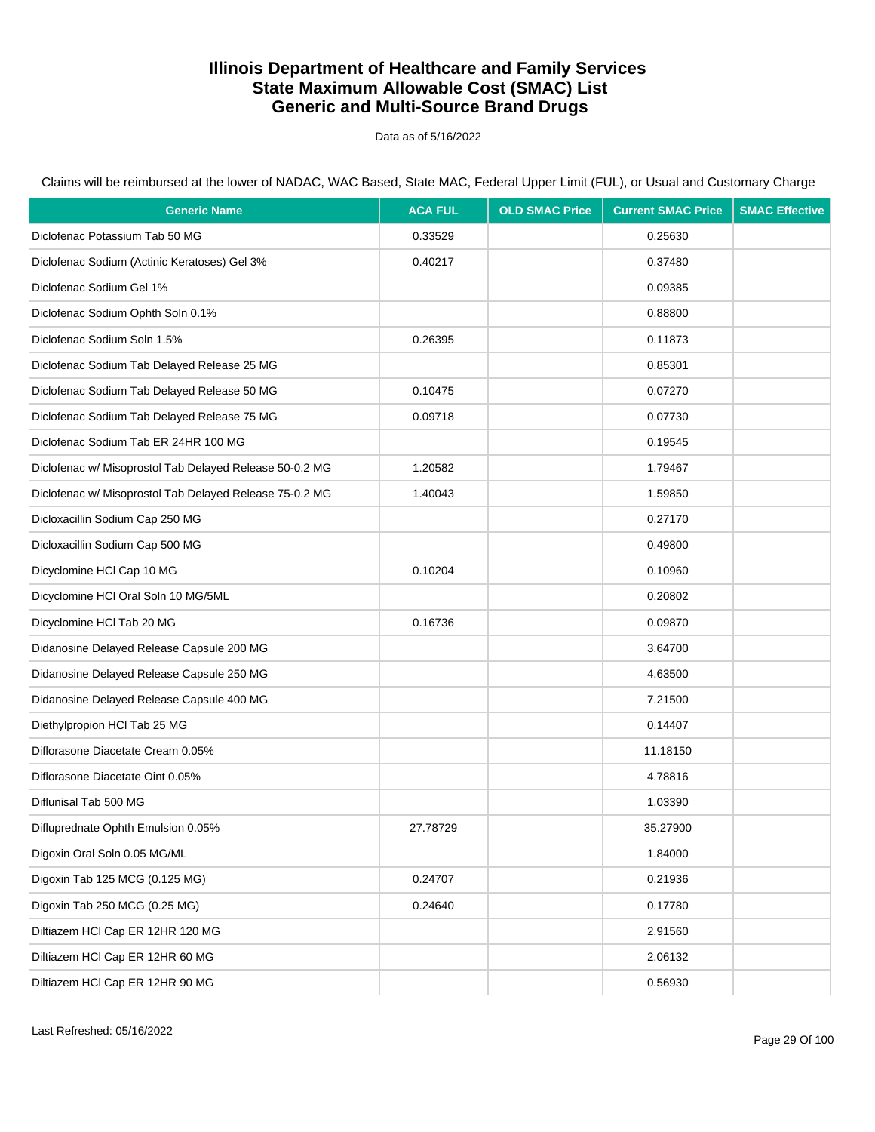Data as of 5/16/2022

| <b>Generic Name</b>                                     | <b>ACA FUL</b> | <b>OLD SMAC Price</b> | <b>Current SMAC Price</b> | <b>SMAC Effective</b> |
|---------------------------------------------------------|----------------|-----------------------|---------------------------|-----------------------|
| Diclofenac Potassium Tab 50 MG                          | 0.33529        |                       | 0.25630                   |                       |
| Diclofenac Sodium (Actinic Keratoses) Gel 3%            | 0.40217        |                       | 0.37480                   |                       |
| Diclofenac Sodium Gel 1%                                |                |                       | 0.09385                   |                       |
| Diclofenac Sodium Ophth Soln 0.1%                       |                |                       | 0.88800                   |                       |
| Diclofenac Sodium Soln 1.5%                             | 0.26395        |                       | 0.11873                   |                       |
| Diclofenac Sodium Tab Delayed Release 25 MG             |                |                       | 0.85301                   |                       |
| Diclofenac Sodium Tab Delayed Release 50 MG             | 0.10475        |                       | 0.07270                   |                       |
| Diclofenac Sodium Tab Delayed Release 75 MG             | 0.09718        |                       | 0.07730                   |                       |
| Diclofenac Sodium Tab ER 24HR 100 MG                    |                |                       | 0.19545                   |                       |
| Diclofenac w/ Misoprostol Tab Delayed Release 50-0.2 MG | 1.20582        |                       | 1.79467                   |                       |
| Diclofenac w/ Misoprostol Tab Delayed Release 75-0.2 MG | 1.40043        |                       | 1.59850                   |                       |
| Dicloxacillin Sodium Cap 250 MG                         |                |                       | 0.27170                   |                       |
| Dicloxacillin Sodium Cap 500 MG                         |                |                       | 0.49800                   |                       |
| Dicyclomine HCl Cap 10 MG                               | 0.10204        |                       | 0.10960                   |                       |
| Dicyclomine HCI Oral Soln 10 MG/5ML                     |                |                       | 0.20802                   |                       |
| Dicyclomine HCI Tab 20 MG                               | 0.16736        |                       | 0.09870                   |                       |
| Didanosine Delayed Release Capsule 200 MG               |                |                       | 3.64700                   |                       |
| Didanosine Delayed Release Capsule 250 MG               |                |                       | 4.63500                   |                       |
| Didanosine Delayed Release Capsule 400 MG               |                |                       | 7.21500                   |                       |
| Diethylpropion HCI Tab 25 MG                            |                |                       | 0.14407                   |                       |
| Diflorasone Diacetate Cream 0.05%                       |                |                       | 11.18150                  |                       |
| Diflorasone Diacetate Oint 0.05%                        |                |                       | 4.78816                   |                       |
| Diflunisal Tab 500 MG                                   |                |                       | 1.03390                   |                       |
| Difluprednate Ophth Emulsion 0.05%                      | 27.78729       |                       | 35.27900                  |                       |
| Digoxin Oral Soln 0.05 MG/ML                            |                |                       | 1.84000                   |                       |
| Digoxin Tab 125 MCG (0.125 MG)                          | 0.24707        |                       | 0.21936                   |                       |
| Digoxin Tab 250 MCG (0.25 MG)                           | 0.24640        |                       | 0.17780                   |                       |
| Diltiazem HCl Cap ER 12HR 120 MG                        |                |                       | 2.91560                   |                       |
| Diltiazem HCl Cap ER 12HR 60 MG                         |                |                       | 2.06132                   |                       |
| Diltiazem HCl Cap ER 12HR 90 MG                         |                |                       | 0.56930                   |                       |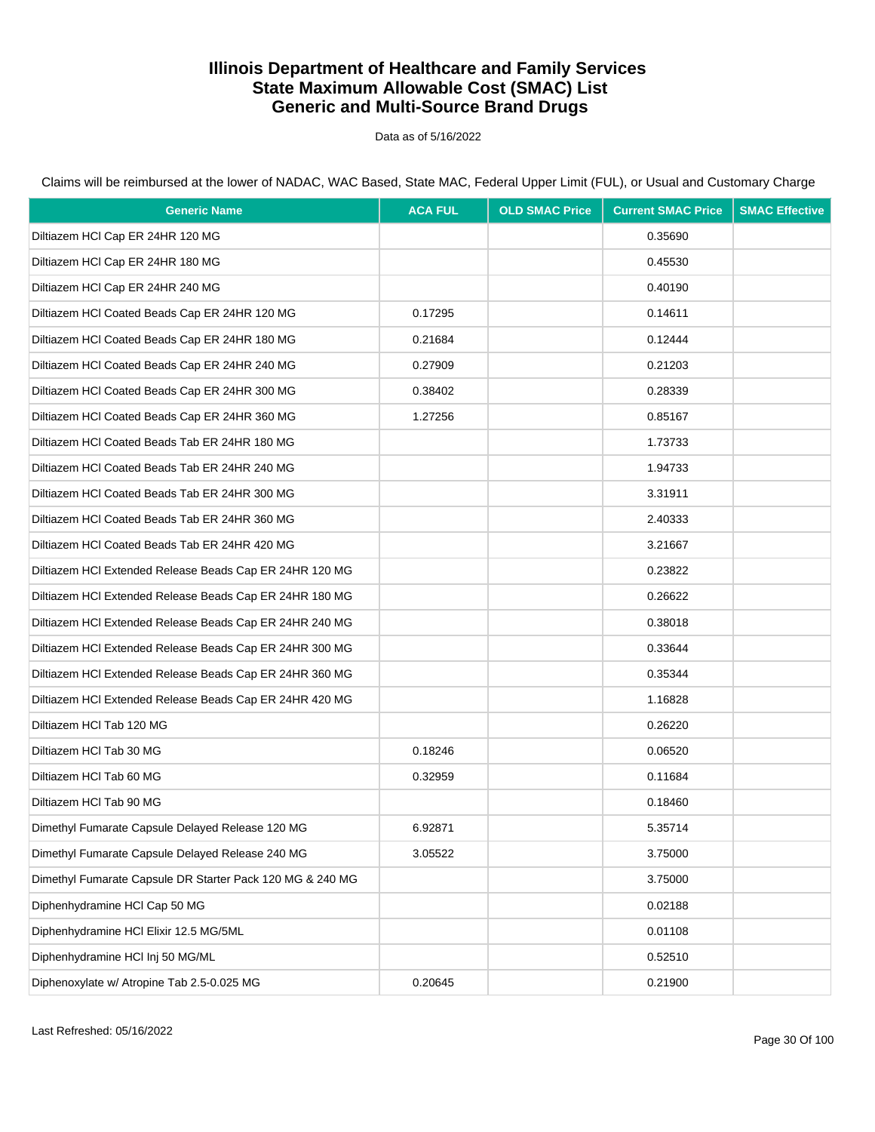Data as of 5/16/2022

Claims will be reimbursed at the lower of NADAC, WAC Based, State MAC, Federal Upper Limit (FUL), or Usual and Customary Charge

| <b>Generic Name</b>                                       | <b>ACA FUL</b> | <b>OLD SMAC Price</b> | <b>Current SMAC Price</b> | <b>SMAC Effective</b> |
|-----------------------------------------------------------|----------------|-----------------------|---------------------------|-----------------------|
| Diltiazem HCl Cap ER 24HR 120 MG                          |                |                       | 0.35690                   |                       |
| Diltiazem HCI Cap ER 24HR 180 MG                          |                |                       | 0.45530                   |                       |
| Diltiazem HCl Cap ER 24HR 240 MG                          |                |                       | 0.40190                   |                       |
| Diltiazem HCl Coated Beads Cap ER 24HR 120 MG             | 0.17295        |                       | 0.14611                   |                       |
| Diltiazem HCl Coated Beads Cap ER 24HR 180 MG             | 0.21684        |                       | 0.12444                   |                       |
| Diltiazem HCl Coated Beads Cap ER 24HR 240 MG             | 0.27909        |                       | 0.21203                   |                       |
| Diltiazem HCl Coated Beads Cap ER 24HR 300 MG             | 0.38402        |                       | 0.28339                   |                       |
| Diltiazem HCl Coated Beads Cap ER 24HR 360 MG             | 1.27256        |                       | 0.85167                   |                       |
| Diltiazem HCI Coated Beads Tab ER 24HR 180 MG             |                |                       | 1.73733                   |                       |
| Diltiazem HCI Coated Beads Tab ER 24HR 240 MG             |                |                       | 1.94733                   |                       |
| Diltiazem HCI Coated Beads Tab ER 24HR 300 MG             |                |                       | 3.31911                   |                       |
| Diltiazem HCI Coated Beads Tab ER 24HR 360 MG             |                |                       | 2.40333                   |                       |
| Diltiazem HCI Coated Beads Tab ER 24HR 420 MG             |                |                       | 3.21667                   |                       |
| Diltiazem HCl Extended Release Beads Cap ER 24HR 120 MG   |                |                       | 0.23822                   |                       |
| Diltiazem HCI Extended Release Beads Cap ER 24HR 180 MG   |                |                       | 0.26622                   |                       |
| Diltiazem HCI Extended Release Beads Cap ER 24HR 240 MG   |                |                       | 0.38018                   |                       |
| Diltiazem HCI Extended Release Beads Cap ER 24HR 300 MG   |                |                       | 0.33644                   |                       |
| Diltiazem HCI Extended Release Beads Cap ER 24HR 360 MG   |                |                       | 0.35344                   |                       |
| Diltiazem HCI Extended Release Beads Cap ER 24HR 420 MG   |                |                       | 1.16828                   |                       |
| Diltiazem HCI Tab 120 MG                                  |                |                       | 0.26220                   |                       |
| Diltiazem HCI Tab 30 MG                                   | 0.18246        |                       | 0.06520                   |                       |
| Diltiazem HCl Tab 60 MG                                   | 0.32959        |                       | 0.11684                   |                       |
| Diltiazem HCl Tab 90 MG                                   |                |                       | 0.18460                   |                       |
| Dimethyl Fumarate Capsule Delayed Release 120 MG          | 6.92871        |                       | 5.35714                   |                       |
| Dimethyl Fumarate Capsule Delayed Release 240 MG          | 3.05522        |                       | 3.75000                   |                       |
| Dimethyl Fumarate Capsule DR Starter Pack 120 MG & 240 MG |                |                       | 3.75000                   |                       |
| Diphenhydramine HCI Cap 50 MG                             |                |                       | 0.02188                   |                       |
| Diphenhydramine HCI Elixir 12.5 MG/5ML                    |                |                       | 0.01108                   |                       |
| Diphenhydramine HCI Inj 50 MG/ML                          |                |                       | 0.52510                   |                       |
| Diphenoxylate w/ Atropine Tab 2.5-0.025 MG                | 0.20645        |                       | 0.21900                   |                       |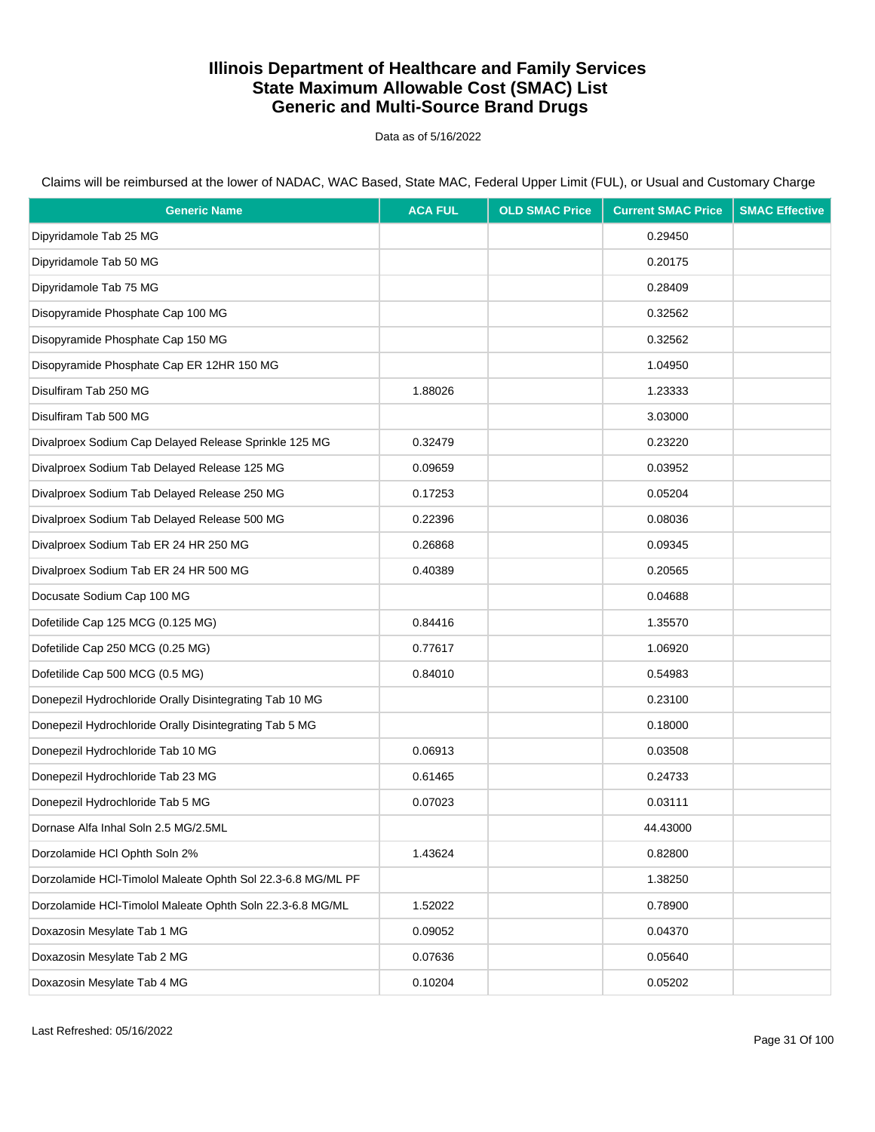Data as of 5/16/2022

| <b>Generic Name</b>                                         | <b>ACA FUL</b> | <b>OLD SMAC Price</b> | <b>Current SMAC Price</b> | <b>SMAC Effective</b> |
|-------------------------------------------------------------|----------------|-----------------------|---------------------------|-----------------------|
| Dipyridamole Tab 25 MG                                      |                |                       | 0.29450                   |                       |
| Dipyridamole Tab 50 MG                                      |                |                       | 0.20175                   |                       |
| Dipyridamole Tab 75 MG                                      |                |                       | 0.28409                   |                       |
| Disopyramide Phosphate Cap 100 MG                           |                |                       | 0.32562                   |                       |
| Disopyramide Phosphate Cap 150 MG                           |                |                       | 0.32562                   |                       |
| Disopyramide Phosphate Cap ER 12HR 150 MG                   |                |                       | 1.04950                   |                       |
| Disulfiram Tab 250 MG                                       | 1.88026        |                       | 1.23333                   |                       |
| Disulfiram Tab 500 MG                                       |                |                       | 3.03000                   |                       |
| Divalproex Sodium Cap Delayed Release Sprinkle 125 MG       | 0.32479        |                       | 0.23220                   |                       |
| Divalproex Sodium Tab Delayed Release 125 MG                | 0.09659        |                       | 0.03952                   |                       |
| Divalproex Sodium Tab Delayed Release 250 MG                | 0.17253        |                       | 0.05204                   |                       |
| Divalproex Sodium Tab Delayed Release 500 MG                | 0.22396        |                       | 0.08036                   |                       |
| Divalproex Sodium Tab ER 24 HR 250 MG                       | 0.26868        |                       | 0.09345                   |                       |
| Divalproex Sodium Tab ER 24 HR 500 MG                       | 0.40389        |                       | 0.20565                   |                       |
| Docusate Sodium Cap 100 MG                                  |                |                       | 0.04688                   |                       |
| Dofetilide Cap 125 MCG (0.125 MG)                           | 0.84416        |                       | 1.35570                   |                       |
| Dofetilide Cap 250 MCG (0.25 MG)                            | 0.77617        |                       | 1.06920                   |                       |
| Dofetilide Cap 500 MCG (0.5 MG)                             | 0.84010        |                       | 0.54983                   |                       |
| Donepezil Hydrochloride Orally Disintegrating Tab 10 MG     |                |                       | 0.23100                   |                       |
| Donepezil Hydrochloride Orally Disintegrating Tab 5 MG      |                |                       | 0.18000                   |                       |
| Donepezil Hydrochloride Tab 10 MG                           | 0.06913        |                       | 0.03508                   |                       |
| Donepezil Hydrochloride Tab 23 MG                           | 0.61465        |                       | 0.24733                   |                       |
| Donepezil Hydrochloride Tab 5 MG                            | 0.07023        |                       | 0.03111                   |                       |
| Dornase Alfa Inhal Soln 2.5 MG/2.5ML                        |                |                       | 44.43000                  |                       |
| Dorzolamide HCI Ophth Soln 2%                               | 1.43624        |                       | 0.82800                   |                       |
| Dorzolamide HCl-Timolol Maleate Ophth Sol 22.3-6.8 MG/ML PF |                |                       | 1.38250                   |                       |
| Dorzolamide HCl-Timolol Maleate Ophth Soln 22.3-6.8 MG/ML   | 1.52022        |                       | 0.78900                   |                       |
| Doxazosin Mesylate Tab 1 MG                                 | 0.09052        |                       | 0.04370                   |                       |
| Doxazosin Mesylate Tab 2 MG                                 | 0.07636        |                       | 0.05640                   |                       |
| Doxazosin Mesylate Tab 4 MG                                 | 0.10204        |                       | 0.05202                   |                       |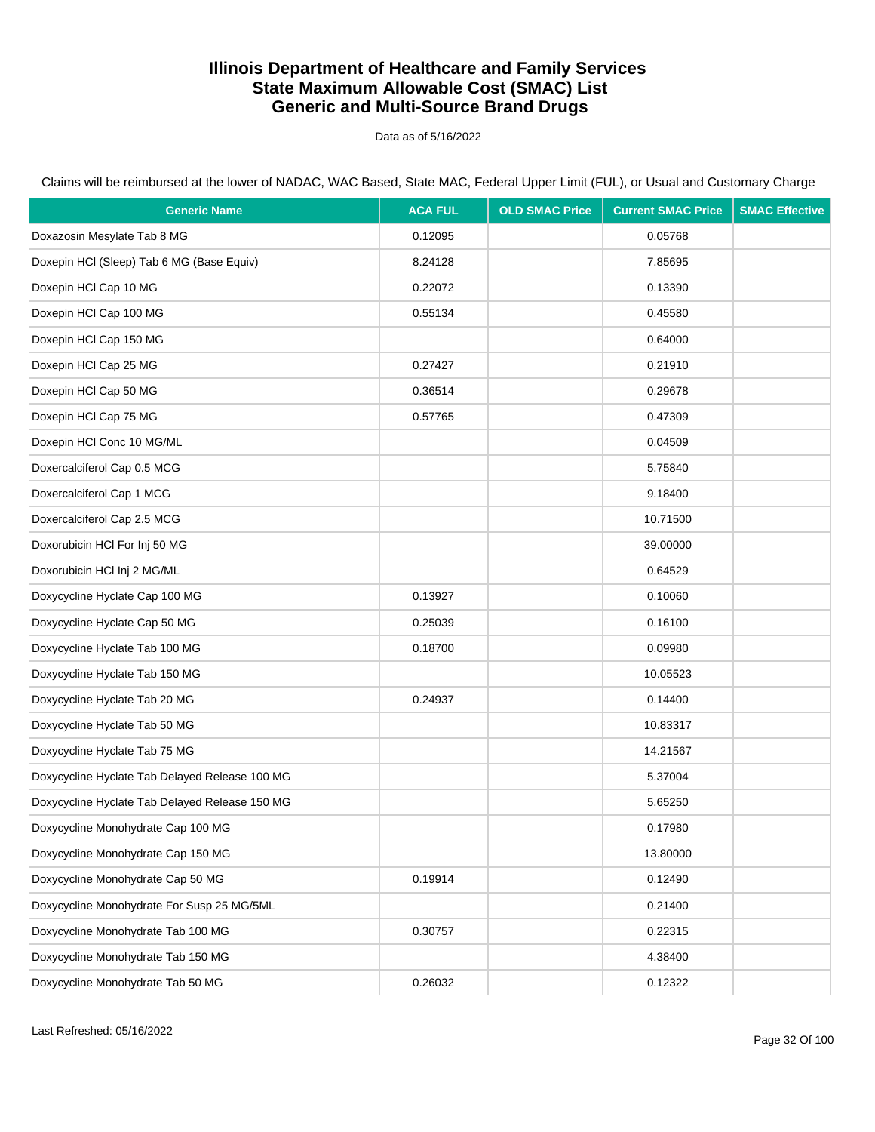Data as of 5/16/2022

| <b>Generic Name</b>                            | <b>ACA FUL</b> | <b>OLD SMAC Price</b> | <b>Current SMAC Price</b> | <b>SMAC Effective</b> |
|------------------------------------------------|----------------|-----------------------|---------------------------|-----------------------|
| Doxazosin Mesylate Tab 8 MG                    | 0.12095        |                       | 0.05768                   |                       |
| Doxepin HCI (Sleep) Tab 6 MG (Base Equiv)      | 8.24128        |                       | 7.85695                   |                       |
| Doxepin HCl Cap 10 MG                          | 0.22072        |                       | 0.13390                   |                       |
| Doxepin HCl Cap 100 MG                         | 0.55134        |                       | 0.45580                   |                       |
| Doxepin HCl Cap 150 MG                         |                |                       | 0.64000                   |                       |
| Doxepin HCl Cap 25 MG                          | 0.27427        |                       | 0.21910                   |                       |
| Doxepin HCl Cap 50 MG                          | 0.36514        |                       | 0.29678                   |                       |
| Doxepin HCl Cap 75 MG                          | 0.57765        |                       | 0.47309                   |                       |
| Doxepin HCI Conc 10 MG/ML                      |                |                       | 0.04509                   |                       |
| Doxercalciferol Cap 0.5 MCG                    |                |                       | 5.75840                   |                       |
| Doxercalciferol Cap 1 MCG                      |                |                       | 9.18400                   |                       |
| Doxercalciferol Cap 2.5 MCG                    |                |                       | 10.71500                  |                       |
| Doxorubicin HCI For Inj 50 MG                  |                |                       | 39.00000                  |                       |
| Doxorubicin HCl Inj 2 MG/ML                    |                |                       | 0.64529                   |                       |
| Doxycycline Hyclate Cap 100 MG                 | 0.13927        |                       | 0.10060                   |                       |
| Doxycycline Hyclate Cap 50 MG                  | 0.25039        |                       | 0.16100                   |                       |
| Doxycycline Hyclate Tab 100 MG                 | 0.18700        |                       | 0.09980                   |                       |
| Doxycycline Hyclate Tab 150 MG                 |                |                       | 10.05523                  |                       |
| Doxycycline Hyclate Tab 20 MG                  | 0.24937        |                       | 0.14400                   |                       |
| Doxycycline Hyclate Tab 50 MG                  |                |                       | 10.83317                  |                       |
| Doxycycline Hyclate Tab 75 MG                  |                |                       | 14.21567                  |                       |
| Doxycycline Hyclate Tab Delayed Release 100 MG |                |                       | 5.37004                   |                       |
| Doxycycline Hyclate Tab Delayed Release 150 MG |                |                       | 5.65250                   |                       |
| Doxycycline Monohydrate Cap 100 MG             |                |                       | 0.17980                   |                       |
| Doxycycline Monohydrate Cap 150 MG             |                |                       | 13.80000                  |                       |
| Doxycycline Monohydrate Cap 50 MG              | 0.19914        |                       | 0.12490                   |                       |
| Doxycycline Monohydrate For Susp 25 MG/5ML     |                |                       | 0.21400                   |                       |
| Doxycycline Monohydrate Tab 100 MG             | 0.30757        |                       | 0.22315                   |                       |
| Doxycycline Monohydrate Tab 150 MG             |                |                       | 4.38400                   |                       |
| Doxycycline Monohydrate Tab 50 MG              | 0.26032        |                       | 0.12322                   |                       |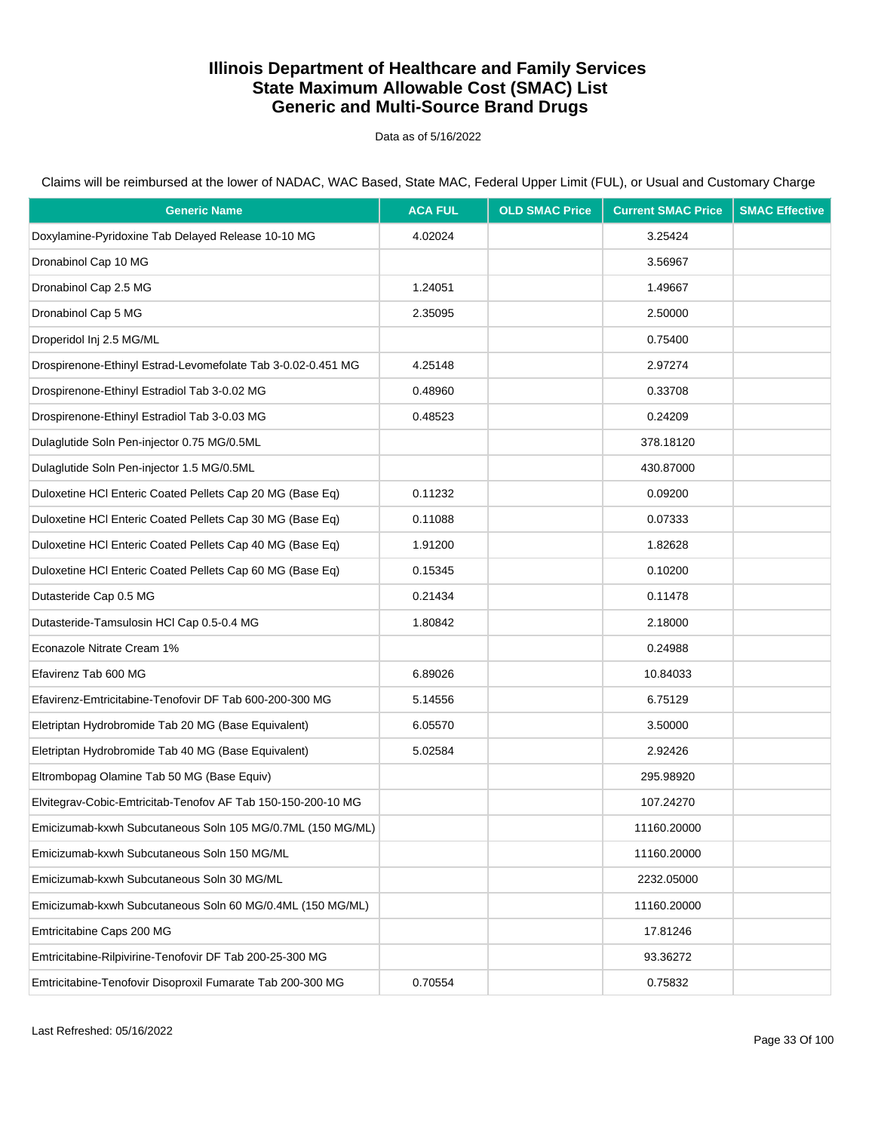Data as of 5/16/2022

Claims will be reimbursed at the lower of NADAC, WAC Based, State MAC, Federal Upper Limit (FUL), or Usual and Customary Charge

| <b>Generic Name</b>                                          | <b>ACA FUL</b> | <b>OLD SMAC Price</b> | <b>Current SMAC Price</b> | <b>SMAC Effective</b> |
|--------------------------------------------------------------|----------------|-----------------------|---------------------------|-----------------------|
| Doxylamine-Pyridoxine Tab Delayed Release 10-10 MG           | 4.02024        |                       | 3.25424                   |                       |
| Dronabinol Cap 10 MG                                         |                |                       | 3.56967                   |                       |
| Dronabinol Cap 2.5 MG                                        | 1.24051        |                       | 1.49667                   |                       |
| Dronabinol Cap 5 MG                                          | 2.35095        |                       | 2.50000                   |                       |
| Droperidol Inj 2.5 MG/ML                                     |                |                       | 0.75400                   |                       |
| Drospirenone-Ethinyl Estrad-Levomefolate Tab 3-0.02-0.451 MG | 4.25148        |                       | 2.97274                   |                       |
| Drospirenone-Ethinyl Estradiol Tab 3-0.02 MG                 | 0.48960        |                       | 0.33708                   |                       |
| Drospirenone-Ethinyl Estradiol Tab 3-0.03 MG                 | 0.48523        |                       | 0.24209                   |                       |
| Dulaglutide Soln Pen-injector 0.75 MG/0.5ML                  |                |                       | 378.18120                 |                       |
| Dulaglutide Soln Pen-injector 1.5 MG/0.5ML                   |                |                       | 430.87000                 |                       |
| Duloxetine HCI Enteric Coated Pellets Cap 20 MG (Base Eq)    | 0.11232        |                       | 0.09200                   |                       |
| Duloxetine HCI Enteric Coated Pellets Cap 30 MG (Base Eq)    | 0.11088        |                       | 0.07333                   |                       |
| Duloxetine HCI Enteric Coated Pellets Cap 40 MG (Base Eq)    | 1.91200        |                       | 1.82628                   |                       |
| Duloxetine HCI Enteric Coated Pellets Cap 60 MG (Base Eq)    | 0.15345        |                       | 0.10200                   |                       |
| Dutasteride Cap 0.5 MG                                       | 0.21434        |                       | 0.11478                   |                       |
| Dutasteride-Tamsulosin HCI Cap 0.5-0.4 MG                    | 1.80842        |                       | 2.18000                   |                       |
| Econazole Nitrate Cream 1%                                   |                |                       | 0.24988                   |                       |
| Efavirenz Tab 600 MG                                         | 6.89026        |                       | 10.84033                  |                       |
| Efavirenz-Emtricitabine-Tenofovir DF Tab 600-200-300 MG      | 5.14556        |                       | 6.75129                   |                       |
| Eletriptan Hydrobromide Tab 20 MG (Base Equivalent)          | 6.05570        |                       | 3.50000                   |                       |
| Eletriptan Hydrobromide Tab 40 MG (Base Equivalent)          | 5.02584        |                       | 2.92426                   |                       |
| Eltrombopag Olamine Tab 50 MG (Base Equiv)                   |                |                       | 295.98920                 |                       |
| Elvitegrav-Cobic-Emtricitab-Tenofov AF Tab 150-150-200-10 MG |                |                       | 107.24270                 |                       |
| Emicizumab-kxwh Subcutaneous Soln 105 MG/0.7ML (150 MG/ML)   |                |                       | 11160.20000               |                       |
| Emicizumab-kxwh Subcutaneous Soln 150 MG/ML                  |                |                       | 11160.20000               |                       |
| Emicizumab-kxwh Subcutaneous Soln 30 MG/ML                   |                |                       | 2232.05000                |                       |
| Emicizumab-kxwh Subcutaneous Soln 60 MG/0.4ML (150 MG/ML)    |                |                       | 11160.20000               |                       |
| Emtricitabine Caps 200 MG                                    |                |                       | 17.81246                  |                       |
| Emtricitabine-Rilpivirine-Tenofovir DF Tab 200-25-300 MG     |                |                       | 93.36272                  |                       |
| Emtricitabine-Tenofovir Disoproxil Fumarate Tab 200-300 MG   | 0.70554        |                       | 0.75832                   |                       |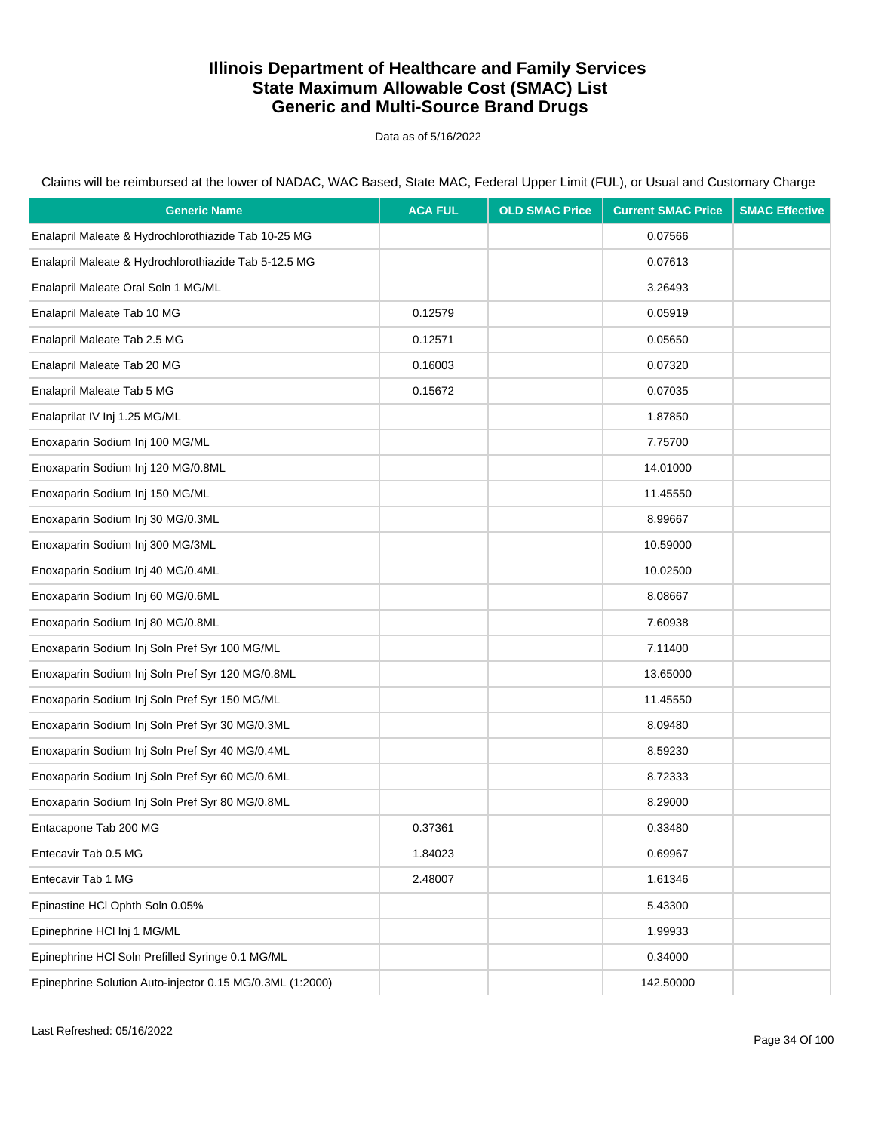Data as of 5/16/2022

Claims will be reimbursed at the lower of NADAC, WAC Based, State MAC, Federal Upper Limit (FUL), or Usual and Customary Charge

| <b>Generic Name</b>                                       | <b>ACA FUL</b> | <b>OLD SMAC Price</b> | <b>Current SMAC Price</b> | <b>SMAC Effective</b> |
|-----------------------------------------------------------|----------------|-----------------------|---------------------------|-----------------------|
| Enalapril Maleate & Hydrochlorothiazide Tab 10-25 MG      |                |                       | 0.07566                   |                       |
| Enalapril Maleate & Hydrochlorothiazide Tab 5-12.5 MG     |                |                       | 0.07613                   |                       |
| Enalapril Maleate Oral Soln 1 MG/ML                       |                |                       | 3.26493                   |                       |
| Enalapril Maleate Tab 10 MG                               | 0.12579        |                       | 0.05919                   |                       |
| Enalapril Maleate Tab 2.5 MG                              | 0.12571        |                       | 0.05650                   |                       |
| Enalapril Maleate Tab 20 MG                               | 0.16003        |                       | 0.07320                   |                       |
| Enalapril Maleate Tab 5 MG                                | 0.15672        |                       | 0.07035                   |                       |
| Enalaprilat IV Inj 1.25 MG/ML                             |                |                       | 1.87850                   |                       |
| Enoxaparin Sodium Inj 100 MG/ML                           |                |                       | 7.75700                   |                       |
| Enoxaparin Sodium Inj 120 MG/0.8ML                        |                |                       | 14.01000                  |                       |
| Enoxaparin Sodium Inj 150 MG/ML                           |                |                       | 11.45550                  |                       |
| Enoxaparin Sodium Inj 30 MG/0.3ML                         |                |                       | 8.99667                   |                       |
| Enoxaparin Sodium Inj 300 MG/3ML                          |                |                       | 10.59000                  |                       |
| Enoxaparin Sodium Inj 40 MG/0.4ML                         |                |                       | 10.02500                  |                       |
| Enoxaparin Sodium Inj 60 MG/0.6ML                         |                |                       | 8.08667                   |                       |
| Enoxaparin Sodium Inj 80 MG/0.8ML                         |                |                       | 7.60938                   |                       |
| Enoxaparin Sodium Inj Soln Pref Syr 100 MG/ML             |                |                       | 7.11400                   |                       |
| Enoxaparin Sodium Inj Soln Pref Syr 120 MG/0.8ML          |                |                       | 13.65000                  |                       |
| Enoxaparin Sodium Inj Soln Pref Syr 150 MG/ML             |                |                       | 11.45550                  |                       |
| Enoxaparin Sodium Inj Soln Pref Syr 30 MG/0.3ML           |                |                       | 8.09480                   |                       |
| Enoxaparin Sodium Inj Soln Pref Syr 40 MG/0.4ML           |                |                       | 8.59230                   |                       |
| Enoxaparin Sodium Inj Soln Pref Syr 60 MG/0.6ML           |                |                       | 8.72333                   |                       |
| Enoxaparin Sodium Inj Soln Pref Syr 80 MG/0.8ML           |                |                       | 8.29000                   |                       |
| Entacapone Tab 200 MG                                     | 0.37361        |                       | 0.33480                   |                       |
| Entecavir Tab 0.5 MG                                      | 1.84023        |                       | 0.69967                   |                       |
| Entecavir Tab 1 MG                                        | 2.48007        |                       | 1.61346                   |                       |
| Epinastine HCI Ophth Soln 0.05%                           |                |                       | 5.43300                   |                       |
| Epinephrine HCl Inj 1 MG/ML                               |                |                       | 1.99933                   |                       |
| Epinephrine HCl Soln Prefilled Syringe 0.1 MG/ML          |                |                       | 0.34000                   |                       |
| Epinephrine Solution Auto-injector 0.15 MG/0.3ML (1:2000) |                |                       | 142.50000                 |                       |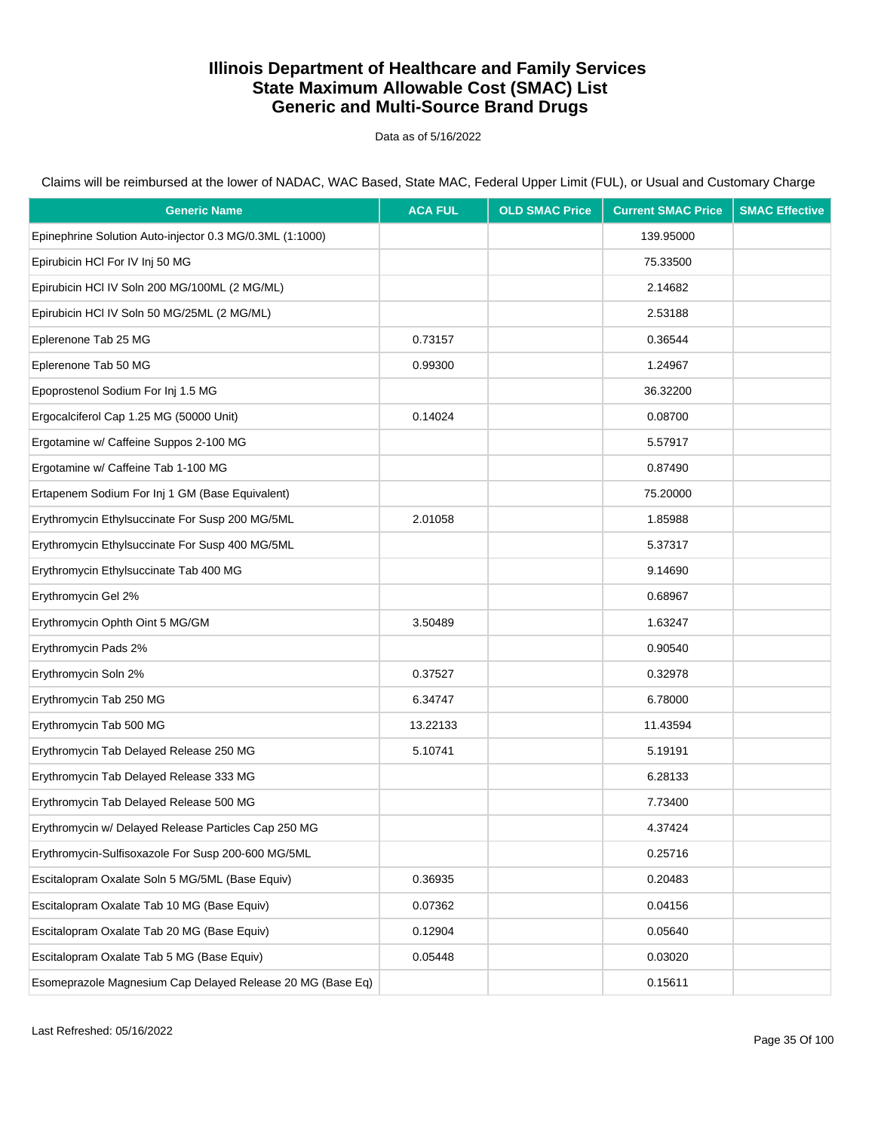Data as of 5/16/2022

| <b>Generic Name</b>                                        | <b>ACA FUL</b> | <b>OLD SMAC Price</b> | <b>Current SMAC Price</b> | <b>SMAC Effective</b> |
|------------------------------------------------------------|----------------|-----------------------|---------------------------|-----------------------|
| Epinephrine Solution Auto-injector 0.3 MG/0.3ML (1:1000)   |                |                       | 139.95000                 |                       |
| Epirubicin HCI For IV Inj 50 MG                            |                |                       | 75.33500                  |                       |
| Epirubicin HCI IV Soln 200 MG/100ML (2 MG/ML)              |                |                       | 2.14682                   |                       |
| Epirubicin HCI IV Soln 50 MG/25ML (2 MG/ML)                |                |                       | 2.53188                   |                       |
| Eplerenone Tab 25 MG                                       | 0.73157        |                       | 0.36544                   |                       |
| Eplerenone Tab 50 MG                                       | 0.99300        |                       | 1.24967                   |                       |
| Epoprostenol Sodium For Inj 1.5 MG                         |                |                       | 36.32200                  |                       |
| Ergocalciferol Cap 1.25 MG (50000 Unit)                    | 0.14024        |                       | 0.08700                   |                       |
| Ergotamine w/ Caffeine Suppos 2-100 MG                     |                |                       | 5.57917                   |                       |
| Ergotamine w/ Caffeine Tab 1-100 MG                        |                |                       | 0.87490                   |                       |
| Ertapenem Sodium For Inj 1 GM (Base Equivalent)            |                |                       | 75.20000                  |                       |
| Erythromycin Ethylsuccinate For Susp 200 MG/5ML            | 2.01058        |                       | 1.85988                   |                       |
| Erythromycin Ethylsuccinate For Susp 400 MG/5ML            |                |                       | 5.37317                   |                       |
| Erythromycin Ethylsuccinate Tab 400 MG                     |                |                       | 9.14690                   |                       |
| Erythromycin Gel 2%                                        |                |                       | 0.68967                   |                       |
| Erythromycin Ophth Oint 5 MG/GM                            | 3.50489        |                       | 1.63247                   |                       |
| Erythromycin Pads 2%                                       |                |                       | 0.90540                   |                       |
| Erythromycin Soln 2%                                       | 0.37527        |                       | 0.32978                   |                       |
| Erythromycin Tab 250 MG                                    | 6.34747        |                       | 6.78000                   |                       |
| Erythromycin Tab 500 MG                                    | 13.22133       |                       | 11.43594                  |                       |
| Erythromycin Tab Delayed Release 250 MG                    | 5.10741        |                       | 5.19191                   |                       |
| Erythromycin Tab Delayed Release 333 MG                    |                |                       | 6.28133                   |                       |
| Erythromycin Tab Delayed Release 500 MG                    |                |                       | 7.73400                   |                       |
| Erythromycin w/ Delayed Release Particles Cap 250 MG       |                |                       | 4.37424                   |                       |
| Erythromycin-Sulfisoxazole For Susp 200-600 MG/5ML         |                |                       | 0.25716                   |                       |
| Escitalopram Oxalate Soln 5 MG/5ML (Base Equiv)            | 0.36935        |                       | 0.20483                   |                       |
| Escitalopram Oxalate Tab 10 MG (Base Equiv)                | 0.07362        |                       | 0.04156                   |                       |
| Escitalopram Oxalate Tab 20 MG (Base Equiv)                | 0.12904        |                       | 0.05640                   |                       |
| Escitalopram Oxalate Tab 5 MG (Base Equiv)                 | 0.05448        |                       | 0.03020                   |                       |
| Esomeprazole Magnesium Cap Delayed Release 20 MG (Base Eq) |                |                       | 0.15611                   |                       |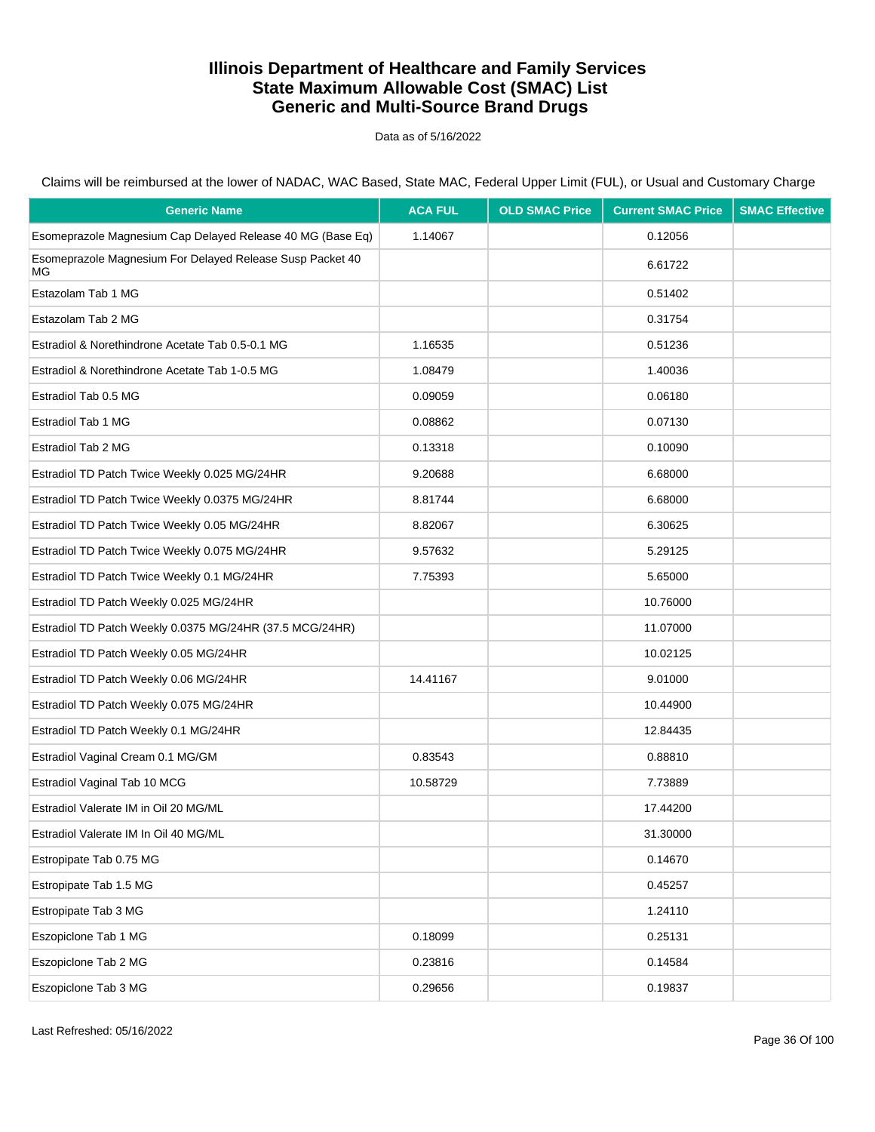Data as of 5/16/2022

Claims will be reimbursed at the lower of NADAC, WAC Based, State MAC, Federal Upper Limit (FUL), or Usual and Customary Charge

| <b>Generic Name</b>                                             | <b>ACA FUL</b> | <b>OLD SMAC Price</b> | <b>Current SMAC Price</b> | <b>SMAC Effective</b> |
|-----------------------------------------------------------------|----------------|-----------------------|---------------------------|-----------------------|
| Esomeprazole Magnesium Cap Delayed Release 40 MG (Base Eq)      | 1.14067        |                       | 0.12056                   |                       |
| Esomeprazole Magnesium For Delayed Release Susp Packet 40<br>ΜG |                |                       | 6.61722                   |                       |
| Estazolam Tab 1 MG                                              |                |                       | 0.51402                   |                       |
| Estazolam Tab 2 MG                                              |                |                       | 0.31754                   |                       |
| Estradiol & Norethindrone Acetate Tab 0.5-0.1 MG                | 1.16535        |                       | 0.51236                   |                       |
| Estradiol & Norethindrone Acetate Tab 1-0.5 MG                  | 1.08479        |                       | 1.40036                   |                       |
| Estradiol Tab 0.5 MG                                            | 0.09059        |                       | 0.06180                   |                       |
| Estradiol Tab 1 MG                                              | 0.08862        |                       | 0.07130                   |                       |
| Estradiol Tab 2 MG                                              | 0.13318        |                       | 0.10090                   |                       |
| Estradiol TD Patch Twice Weekly 0.025 MG/24HR                   | 9.20688        |                       | 6.68000                   |                       |
| Estradiol TD Patch Twice Weekly 0.0375 MG/24HR                  | 8.81744        |                       | 6.68000                   |                       |
| Estradiol TD Patch Twice Weekly 0.05 MG/24HR                    | 8.82067        |                       | 6.30625                   |                       |
| Estradiol TD Patch Twice Weekly 0.075 MG/24HR                   | 9.57632        |                       | 5.29125                   |                       |
| Estradiol TD Patch Twice Weekly 0.1 MG/24HR                     | 7.75393        |                       | 5.65000                   |                       |
| Estradiol TD Patch Weekly 0.025 MG/24HR                         |                |                       | 10.76000                  |                       |
| Estradiol TD Patch Weekly 0.0375 MG/24HR (37.5 MCG/24HR)        |                |                       | 11.07000                  |                       |
| Estradiol TD Patch Weekly 0.05 MG/24HR                          |                |                       | 10.02125                  |                       |
| Estradiol TD Patch Weekly 0.06 MG/24HR                          | 14.41167       |                       | 9.01000                   |                       |
| Estradiol TD Patch Weekly 0.075 MG/24HR                         |                |                       | 10.44900                  |                       |
| Estradiol TD Patch Weekly 0.1 MG/24HR                           |                |                       | 12.84435                  |                       |
| Estradiol Vaginal Cream 0.1 MG/GM                               | 0.83543        |                       | 0.88810                   |                       |
| Estradiol Vaginal Tab 10 MCG                                    | 10.58729       |                       | 7.73889                   |                       |
| Estradiol Valerate IM in Oil 20 MG/ML                           |                |                       | 17.44200                  |                       |
| Estradiol Valerate IM In Oil 40 MG/ML                           |                |                       | 31.30000                  |                       |
| Estropipate Tab 0.75 MG                                         |                |                       | 0.14670                   |                       |
| Estropipate Tab 1.5 MG                                          |                |                       | 0.45257                   |                       |
| Estropipate Tab 3 MG                                            |                |                       | 1.24110                   |                       |
| Eszopiclone Tab 1 MG                                            | 0.18099        |                       | 0.25131                   |                       |
| Eszopiclone Tab 2 MG                                            | 0.23816        |                       | 0.14584                   |                       |
| Eszopiclone Tab 3 MG                                            | 0.29656        |                       | 0.19837                   |                       |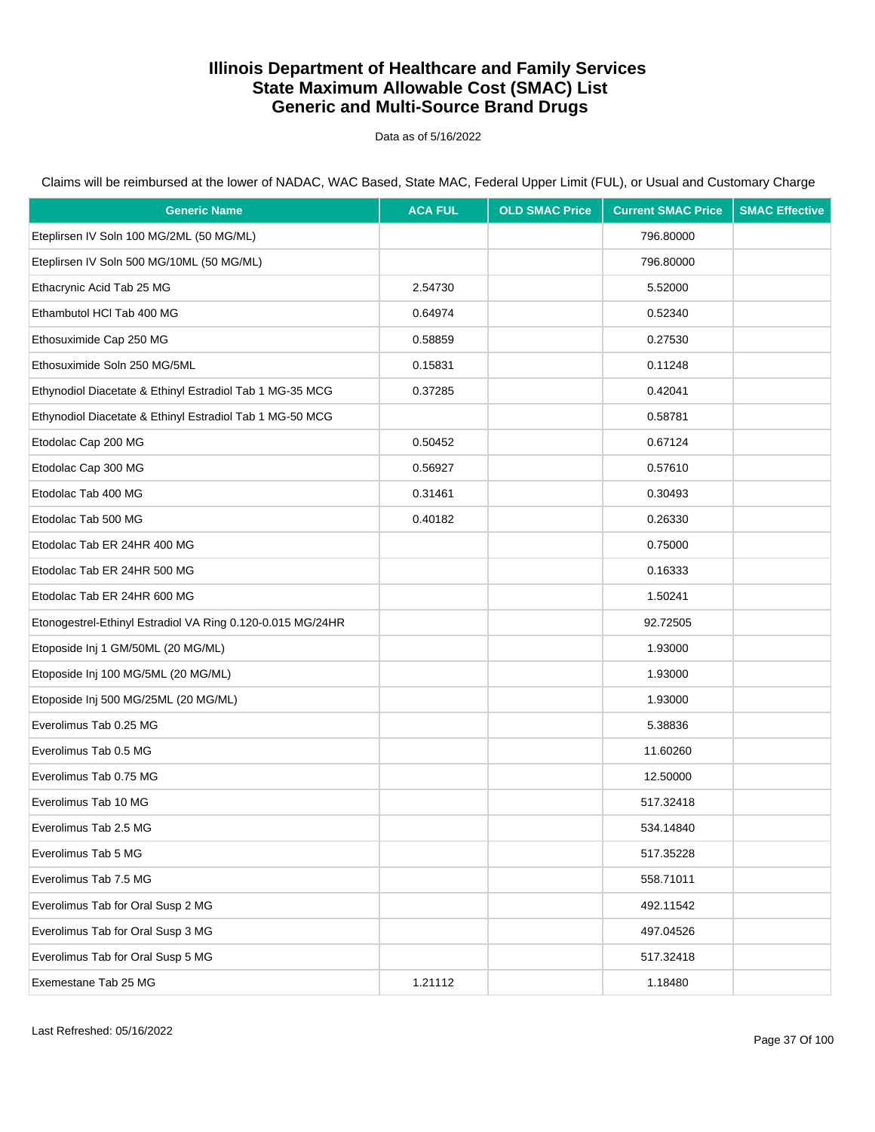Data as of 5/16/2022

| <b>Generic Name</b>                                        | <b>ACA FUL</b> | <b>OLD SMAC Price</b> | <b>Current SMAC Price</b> | <b>SMAC Effective</b> |
|------------------------------------------------------------|----------------|-----------------------|---------------------------|-----------------------|
| Eteplirsen IV Soln 100 MG/2ML (50 MG/ML)                   |                |                       | 796.80000                 |                       |
| Eteplirsen IV Soln 500 MG/10ML (50 MG/ML)                  |                |                       | 796.80000                 |                       |
| Ethacrynic Acid Tab 25 MG                                  | 2.54730        |                       | 5.52000                   |                       |
| Ethambutol HCl Tab 400 MG                                  | 0.64974        |                       | 0.52340                   |                       |
| Ethosuximide Cap 250 MG                                    | 0.58859        |                       | 0.27530                   |                       |
| Ethosuximide Soln 250 MG/5ML                               | 0.15831        |                       | 0.11248                   |                       |
| Ethynodiol Diacetate & Ethinyl Estradiol Tab 1 MG-35 MCG   | 0.37285        |                       | 0.42041                   |                       |
| Ethynodiol Diacetate & Ethinyl Estradiol Tab 1 MG-50 MCG   |                |                       | 0.58781                   |                       |
| Etodolac Cap 200 MG                                        | 0.50452        |                       | 0.67124                   |                       |
| Etodolac Cap 300 MG                                        | 0.56927        |                       | 0.57610                   |                       |
| Etodolac Tab 400 MG                                        | 0.31461        |                       | 0.30493                   |                       |
| Etodolac Tab 500 MG                                        | 0.40182        |                       | 0.26330                   |                       |
| Etodolac Tab ER 24HR 400 MG                                |                |                       | 0.75000                   |                       |
| Etodolac Tab ER 24HR 500 MG                                |                |                       | 0.16333                   |                       |
| Etodolac Tab ER 24HR 600 MG                                |                |                       | 1.50241                   |                       |
| Etonogestrel-Ethinyl Estradiol VA Ring 0.120-0.015 MG/24HR |                |                       | 92.72505                  |                       |
| Etoposide Inj 1 GM/50ML (20 MG/ML)                         |                |                       | 1.93000                   |                       |
| Etoposide Inj 100 MG/5ML (20 MG/ML)                        |                |                       | 1.93000                   |                       |
| Etoposide Inj 500 MG/25ML (20 MG/ML)                       |                |                       | 1.93000                   |                       |
| Everolimus Tab 0.25 MG                                     |                |                       | 5.38836                   |                       |
| Everolimus Tab 0.5 MG                                      |                |                       | 11.60260                  |                       |
| Everolimus Tab 0.75 MG                                     |                |                       | 12.50000                  |                       |
| Everolimus Tab 10 MG                                       |                |                       | 517.32418                 |                       |
| Everolimus Tab 2.5 MG                                      |                |                       | 534.14840                 |                       |
| Everolimus Tab 5 MG                                        |                |                       | 517.35228                 |                       |
| Everolimus Tab 7.5 MG                                      |                |                       | 558.71011                 |                       |
| Everolimus Tab for Oral Susp 2 MG                          |                |                       | 492.11542                 |                       |
| Everolimus Tab for Oral Susp 3 MG                          |                |                       | 497.04526                 |                       |
| Everolimus Tab for Oral Susp 5 MG                          |                |                       | 517.32418                 |                       |
| Exemestane Tab 25 MG                                       | 1.21112        |                       | 1.18480                   |                       |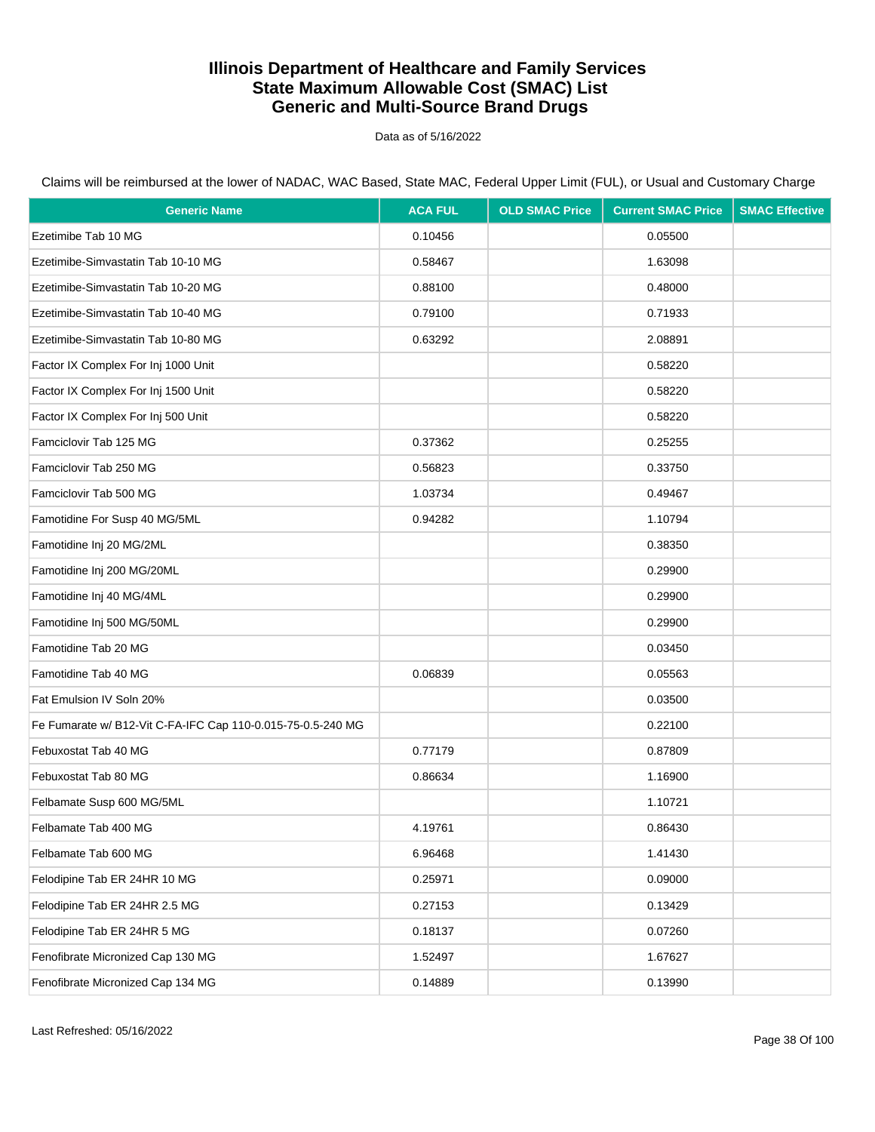Data as of 5/16/2022

| <b>Generic Name</b>                                         | <b>ACA FUL</b> | <b>OLD SMAC Price</b> | <b>Current SMAC Price</b> | <b>SMAC Effective</b> |
|-------------------------------------------------------------|----------------|-----------------------|---------------------------|-----------------------|
| Ezetimibe Tab 10 MG                                         | 0.10456        |                       | 0.05500                   |                       |
| Ezetimibe-Simvastatin Tab 10-10 MG                          | 0.58467        |                       | 1.63098                   |                       |
| Ezetimibe-Simvastatin Tab 10-20 MG                          | 0.88100        |                       | 0.48000                   |                       |
| Ezetimibe-Simvastatin Tab 10-40 MG                          | 0.79100        |                       | 0.71933                   |                       |
| Ezetimibe-Simvastatin Tab 10-80 MG                          | 0.63292        |                       | 2.08891                   |                       |
| Factor IX Complex For Inj 1000 Unit                         |                |                       | 0.58220                   |                       |
| Factor IX Complex For Inj 1500 Unit                         |                |                       | 0.58220                   |                       |
| Factor IX Complex For Inj 500 Unit                          |                |                       | 0.58220                   |                       |
| Famciclovir Tab 125 MG                                      | 0.37362        |                       | 0.25255                   |                       |
| Famciclovir Tab 250 MG                                      | 0.56823        |                       | 0.33750                   |                       |
| Famciclovir Tab 500 MG                                      | 1.03734        |                       | 0.49467                   |                       |
| Famotidine For Susp 40 MG/5ML                               | 0.94282        |                       | 1.10794                   |                       |
| Famotidine Inj 20 MG/2ML                                    |                |                       | 0.38350                   |                       |
| Famotidine Inj 200 MG/20ML                                  |                |                       | 0.29900                   |                       |
| Famotidine Inj 40 MG/4ML                                    |                |                       | 0.29900                   |                       |
| Famotidine Inj 500 MG/50ML                                  |                |                       | 0.29900                   |                       |
| Famotidine Tab 20 MG                                        |                |                       | 0.03450                   |                       |
| Famotidine Tab 40 MG                                        | 0.06839        |                       | 0.05563                   |                       |
| Fat Emulsion IV Soln 20%                                    |                |                       | 0.03500                   |                       |
| Fe Fumarate w/ B12-Vit C-FA-IFC Cap 110-0.015-75-0.5-240 MG |                |                       | 0.22100                   |                       |
| Febuxostat Tab 40 MG                                        | 0.77179        |                       | 0.87809                   |                       |
| Febuxostat Tab 80 MG                                        | 0.86634        |                       | 1.16900                   |                       |
| Felbamate Susp 600 MG/5ML                                   |                |                       | 1.10721                   |                       |
| Felbamate Tab 400 MG                                        | 4.19761        |                       | 0.86430                   |                       |
| Felbamate Tab 600 MG                                        | 6.96468        |                       | 1.41430                   |                       |
| Felodipine Tab ER 24HR 10 MG                                | 0.25971        |                       | 0.09000                   |                       |
| Felodipine Tab ER 24HR 2.5 MG                               | 0.27153        |                       | 0.13429                   |                       |
| Felodipine Tab ER 24HR 5 MG                                 | 0.18137        |                       | 0.07260                   |                       |
| Fenofibrate Micronized Cap 130 MG                           | 1.52497        |                       | 1.67627                   |                       |
| Fenofibrate Micronized Cap 134 MG                           | 0.14889        |                       | 0.13990                   |                       |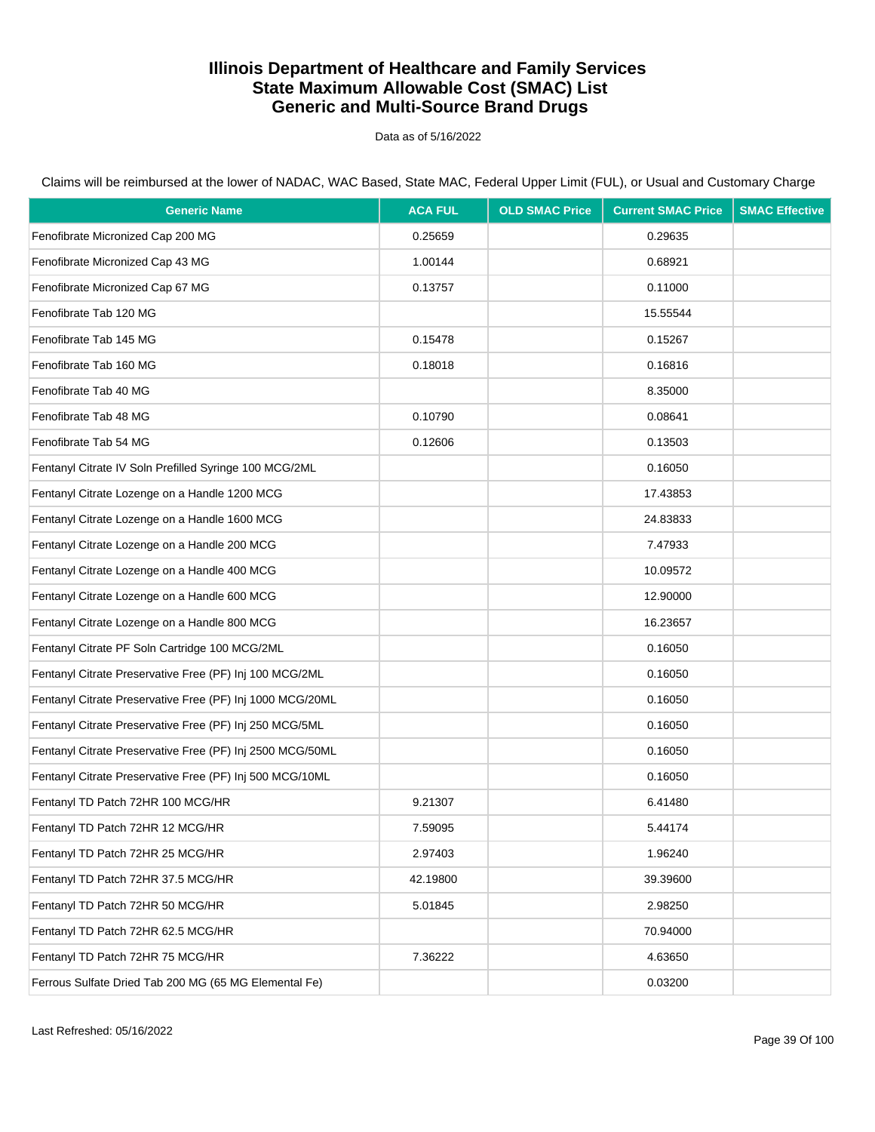Data as of 5/16/2022

| <b>Generic Name</b>                                       | <b>ACA FUL</b> | <b>OLD SMAC Price</b> | <b>Current SMAC Price</b> | <b>SMAC Effective</b> |
|-----------------------------------------------------------|----------------|-----------------------|---------------------------|-----------------------|
| Fenofibrate Micronized Cap 200 MG                         | 0.25659        |                       | 0.29635                   |                       |
| Fenofibrate Micronized Cap 43 MG                          | 1.00144        |                       | 0.68921                   |                       |
| Fenofibrate Micronized Cap 67 MG                          | 0.13757        |                       | 0.11000                   |                       |
| Fenofibrate Tab 120 MG                                    |                |                       | 15.55544                  |                       |
| Fenofibrate Tab 145 MG                                    | 0.15478        |                       | 0.15267                   |                       |
| Fenofibrate Tab 160 MG                                    | 0.18018        |                       | 0.16816                   |                       |
| Fenofibrate Tab 40 MG                                     |                |                       | 8.35000                   |                       |
| Fenofibrate Tab 48 MG                                     | 0.10790        |                       | 0.08641                   |                       |
| Fenofibrate Tab 54 MG                                     | 0.12606        |                       | 0.13503                   |                       |
| Fentanyl Citrate IV Soln Prefilled Syringe 100 MCG/2ML    |                |                       | 0.16050                   |                       |
| Fentanyl Citrate Lozenge on a Handle 1200 MCG             |                |                       | 17.43853                  |                       |
| Fentanyl Citrate Lozenge on a Handle 1600 MCG             |                |                       | 24.83833                  |                       |
| Fentanyl Citrate Lozenge on a Handle 200 MCG              |                |                       | 7.47933                   |                       |
| Fentanyl Citrate Lozenge on a Handle 400 MCG              |                |                       | 10.09572                  |                       |
| Fentanyl Citrate Lozenge on a Handle 600 MCG              |                |                       | 12.90000                  |                       |
| Fentanyl Citrate Lozenge on a Handle 800 MCG              |                |                       | 16.23657                  |                       |
| Fentanyl Citrate PF Soln Cartridge 100 MCG/2ML            |                |                       | 0.16050                   |                       |
| Fentanyl Citrate Preservative Free (PF) Inj 100 MCG/2ML   |                |                       | 0.16050                   |                       |
| Fentanyl Citrate Preservative Free (PF) Inj 1000 MCG/20ML |                |                       | 0.16050                   |                       |
| Fentanyl Citrate Preservative Free (PF) Inj 250 MCG/5ML   |                |                       | 0.16050                   |                       |
| Fentanyl Citrate Preservative Free (PF) Inj 2500 MCG/50ML |                |                       | 0.16050                   |                       |
| Fentanyl Citrate Preservative Free (PF) Inj 500 MCG/10ML  |                |                       | 0.16050                   |                       |
| Fentanyl TD Patch 72HR 100 MCG/HR                         | 9.21307        |                       | 6.41480                   |                       |
| Fentanyl TD Patch 72HR 12 MCG/HR                          | 7.59095        |                       | 5.44174                   |                       |
| Fentanyl TD Patch 72HR 25 MCG/HR                          | 2.97403        |                       | 1.96240                   |                       |
| Fentanyl TD Patch 72HR 37.5 MCG/HR                        | 42.19800       |                       | 39.39600                  |                       |
| Fentanyl TD Patch 72HR 50 MCG/HR                          | 5.01845        |                       | 2.98250                   |                       |
| Fentanyl TD Patch 72HR 62.5 MCG/HR                        |                |                       | 70.94000                  |                       |
| Fentanyl TD Patch 72HR 75 MCG/HR                          | 7.36222        |                       | 4.63650                   |                       |
| Ferrous Sulfate Dried Tab 200 MG (65 MG Elemental Fe)     |                |                       | 0.03200                   |                       |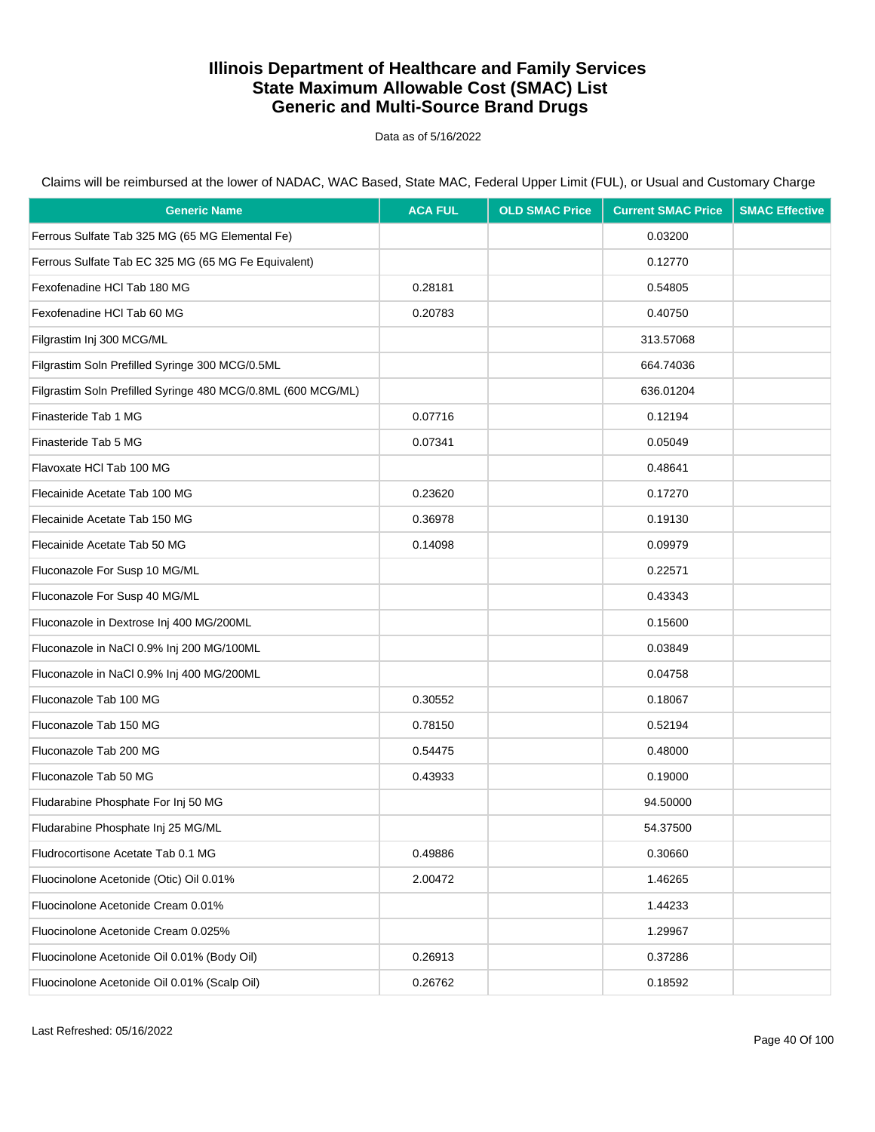Data as of 5/16/2022

| <b>Generic Name</b>                                          | <b>ACA FUL</b> | <b>OLD SMAC Price</b> | <b>Current SMAC Price</b> | <b>SMAC Effective</b> |
|--------------------------------------------------------------|----------------|-----------------------|---------------------------|-----------------------|
| Ferrous Sulfate Tab 325 MG (65 MG Elemental Fe)              |                |                       | 0.03200                   |                       |
| Ferrous Sulfate Tab EC 325 MG (65 MG Fe Equivalent)          |                |                       | 0.12770                   |                       |
| Fexofenadine HCI Tab 180 MG                                  | 0.28181        |                       | 0.54805                   |                       |
| Fexofenadine HCl Tab 60 MG                                   | 0.20783        |                       | 0.40750                   |                       |
| Filgrastim Inj 300 MCG/ML                                    |                |                       | 313.57068                 |                       |
| Filgrastim Soln Prefilled Syringe 300 MCG/0.5ML              |                |                       | 664.74036                 |                       |
| Filgrastim Soln Prefilled Syringe 480 MCG/0.8ML (600 MCG/ML) |                |                       | 636.01204                 |                       |
| Finasteride Tab 1 MG                                         | 0.07716        |                       | 0.12194                   |                       |
| Finasteride Tab 5 MG                                         | 0.07341        |                       | 0.05049                   |                       |
| Flavoxate HCI Tab 100 MG                                     |                |                       | 0.48641                   |                       |
| Flecainide Acetate Tab 100 MG                                | 0.23620        |                       | 0.17270                   |                       |
| Flecainide Acetate Tab 150 MG                                | 0.36978        |                       | 0.19130                   |                       |
| Flecainide Acetate Tab 50 MG                                 | 0.14098        |                       | 0.09979                   |                       |
| Fluconazole For Susp 10 MG/ML                                |                |                       | 0.22571                   |                       |
| Fluconazole For Susp 40 MG/ML                                |                |                       | 0.43343                   |                       |
| Fluconazole in Dextrose Inj 400 MG/200ML                     |                |                       | 0.15600                   |                       |
| Fluconazole in NaCl 0.9% Inj 200 MG/100ML                    |                |                       | 0.03849                   |                       |
| Fluconazole in NaCl 0.9% Inj 400 MG/200ML                    |                |                       | 0.04758                   |                       |
| Fluconazole Tab 100 MG                                       | 0.30552        |                       | 0.18067                   |                       |
| Fluconazole Tab 150 MG                                       | 0.78150        |                       | 0.52194                   |                       |
| Fluconazole Tab 200 MG                                       | 0.54475        |                       | 0.48000                   |                       |
| Fluconazole Tab 50 MG                                        | 0.43933        |                       | 0.19000                   |                       |
| Fludarabine Phosphate For Inj 50 MG                          |                |                       | 94.50000                  |                       |
| Fludarabine Phosphate Inj 25 MG/ML                           |                |                       | 54.37500                  |                       |
| Fludrocortisone Acetate Tab 0.1 MG                           | 0.49886        |                       | 0.30660                   |                       |
| Fluocinolone Acetonide (Otic) Oil 0.01%                      | 2.00472        |                       | 1.46265                   |                       |
| Fluocinolone Acetonide Cream 0.01%                           |                |                       | 1.44233                   |                       |
| Fluocinolone Acetonide Cream 0.025%                          |                |                       | 1.29967                   |                       |
| Fluocinolone Acetonide Oil 0.01% (Body Oil)                  | 0.26913        |                       | 0.37286                   |                       |
| Fluocinolone Acetonide Oil 0.01% (Scalp Oil)                 | 0.26762        |                       | 0.18592                   |                       |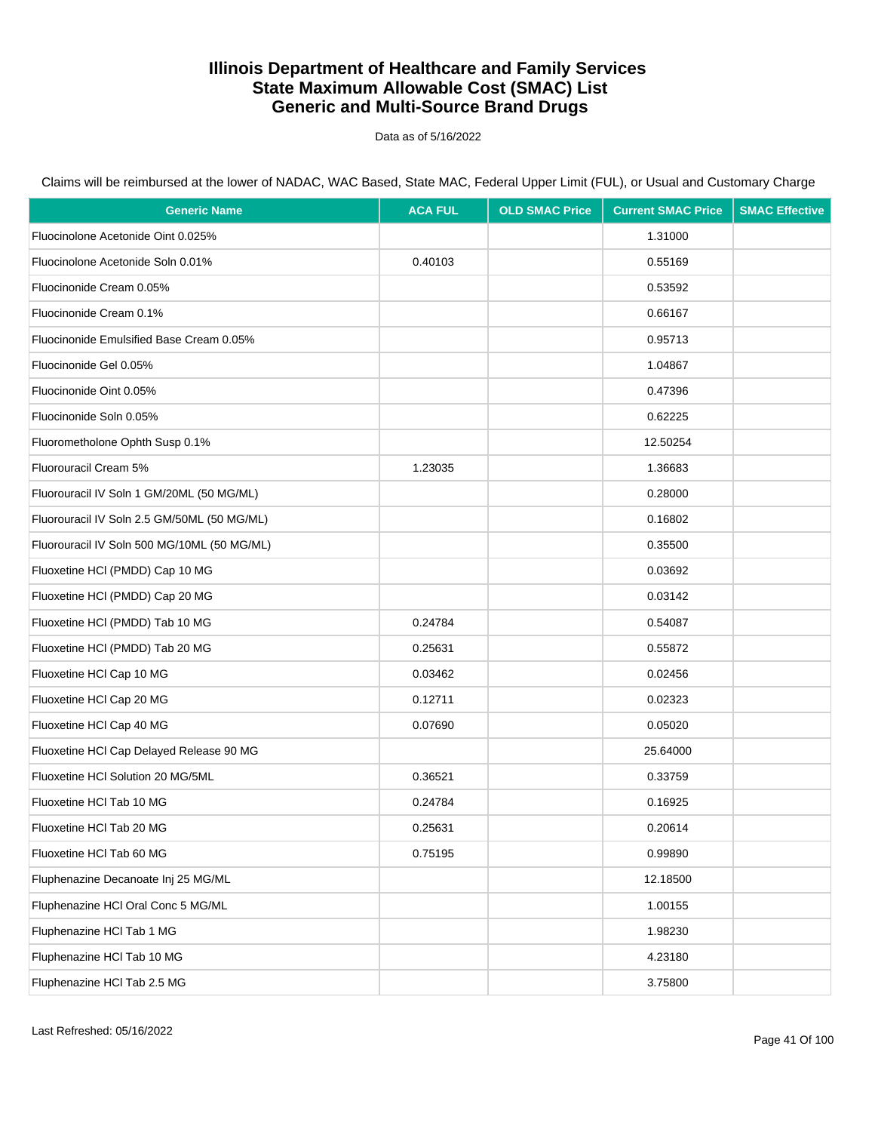Data as of 5/16/2022

| <b>Generic Name</b>                         | <b>ACA FUL</b> | <b>OLD SMAC Price</b> | <b>Current SMAC Price</b> | <b>SMAC Effective</b> |
|---------------------------------------------|----------------|-----------------------|---------------------------|-----------------------|
| Fluocinolone Acetonide Oint 0.025%          |                |                       | 1.31000                   |                       |
| Fluocinolone Acetonide Soln 0.01%           | 0.40103        |                       | 0.55169                   |                       |
| Fluocinonide Cream 0.05%                    |                |                       | 0.53592                   |                       |
| Fluocinonide Cream 0.1%                     |                |                       | 0.66167                   |                       |
| Fluocinonide Emulsified Base Cream 0.05%    |                |                       | 0.95713                   |                       |
| Fluocinonide Gel 0.05%                      |                |                       | 1.04867                   |                       |
| Fluocinonide Oint 0.05%                     |                |                       | 0.47396                   |                       |
| Fluocinonide Soln 0.05%                     |                |                       | 0.62225                   |                       |
| Fluorometholone Ophth Susp 0.1%             |                |                       | 12.50254                  |                       |
| Fluorouracil Cream 5%                       | 1.23035        |                       | 1.36683                   |                       |
| Fluorouracil IV Soln 1 GM/20ML (50 MG/ML)   |                |                       | 0.28000                   |                       |
| Fluorouracil IV Soln 2.5 GM/50ML (50 MG/ML) |                |                       | 0.16802                   |                       |
| Fluorouracil IV Soln 500 MG/10ML (50 MG/ML) |                |                       | 0.35500                   |                       |
| Fluoxetine HCI (PMDD) Cap 10 MG             |                |                       | 0.03692                   |                       |
| Fluoxetine HCI (PMDD) Cap 20 MG             |                |                       | 0.03142                   |                       |
| Fluoxetine HCI (PMDD) Tab 10 MG             | 0.24784        |                       | 0.54087                   |                       |
| Fluoxetine HCI (PMDD) Tab 20 MG             | 0.25631        |                       | 0.55872                   |                       |
| Fluoxetine HCl Cap 10 MG                    | 0.03462        |                       | 0.02456                   |                       |
| Fluoxetine HCl Cap 20 MG                    | 0.12711        |                       | 0.02323                   |                       |
| Fluoxetine HCl Cap 40 MG                    | 0.07690        |                       | 0.05020                   |                       |
| Fluoxetine HCl Cap Delayed Release 90 MG    |                |                       | 25.64000                  |                       |
| Fluoxetine HCI Solution 20 MG/5ML           | 0.36521        |                       | 0.33759                   |                       |
| Fluoxetine HCl Tab 10 MG                    | 0.24784        |                       | 0.16925                   |                       |
| Fluoxetine HCI Tab 20 MG                    | 0.25631        |                       | 0.20614                   |                       |
| Fluoxetine HCl Tab 60 MG                    | 0.75195        |                       | 0.99890                   |                       |
| Fluphenazine Decanoate Inj 25 MG/ML         |                |                       | 12.18500                  |                       |
| Fluphenazine HCl Oral Conc 5 MG/ML          |                |                       | 1.00155                   |                       |
| Fluphenazine HCl Tab 1 MG                   |                |                       | 1.98230                   |                       |
| Fluphenazine HCl Tab 10 MG                  |                |                       | 4.23180                   |                       |
| Fluphenazine HCl Tab 2.5 MG                 |                |                       | 3.75800                   |                       |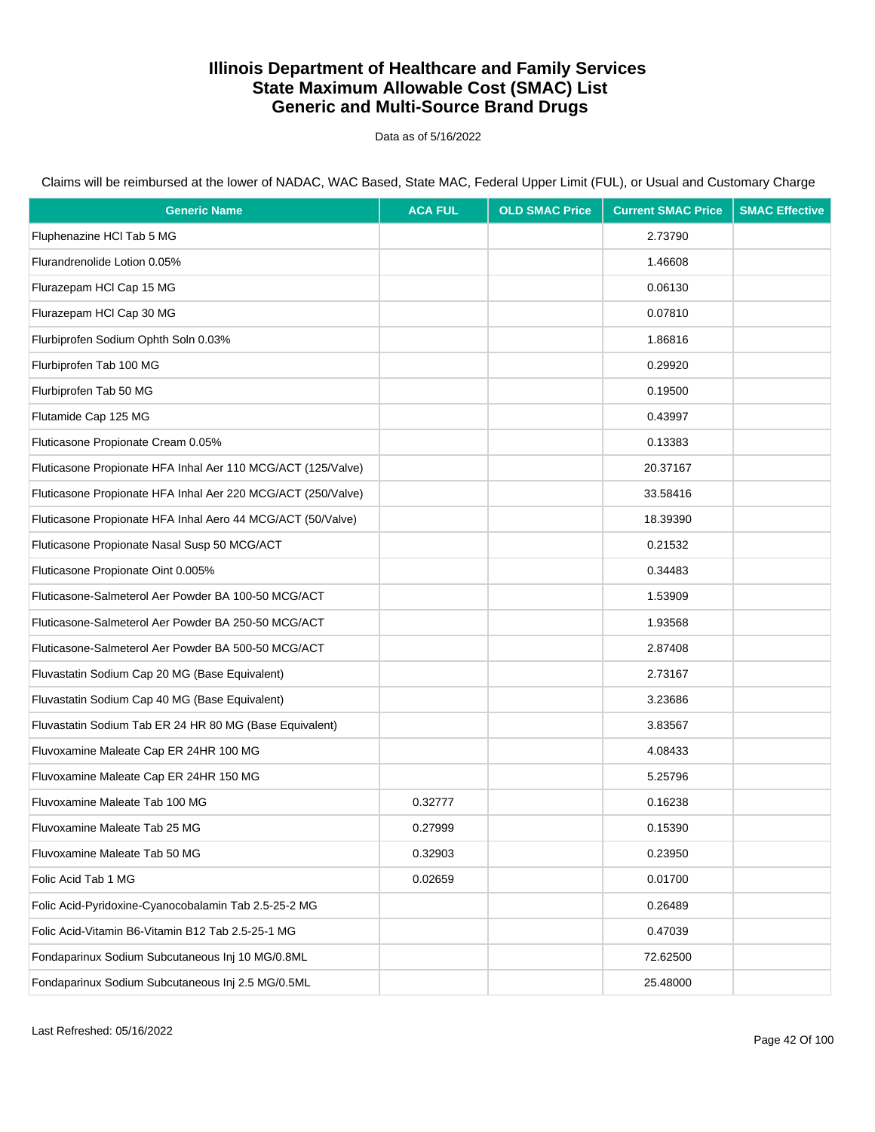Data as of 5/16/2022

Claims will be reimbursed at the lower of NADAC, WAC Based, State MAC, Federal Upper Limit (FUL), or Usual and Customary Charge

| <b>Generic Name</b>                                          | <b>ACA FUL</b> | <b>OLD SMAC Price</b> | <b>Current SMAC Price</b> | <b>SMAC Effective</b> |
|--------------------------------------------------------------|----------------|-----------------------|---------------------------|-----------------------|
| Fluphenazine HCl Tab 5 MG                                    |                |                       | 2.73790                   |                       |
| Flurandrenolide Lotion 0.05%                                 |                |                       | 1.46608                   |                       |
| Flurazepam HCl Cap 15 MG                                     |                |                       | 0.06130                   |                       |
| Flurazepam HCl Cap 30 MG                                     |                |                       | 0.07810                   |                       |
| Flurbiprofen Sodium Ophth Soln 0.03%                         |                |                       | 1.86816                   |                       |
| Flurbiprofen Tab 100 MG                                      |                |                       | 0.29920                   |                       |
| Flurbiprofen Tab 50 MG                                       |                |                       | 0.19500                   |                       |
| Flutamide Cap 125 MG                                         |                |                       | 0.43997                   |                       |
| Fluticasone Propionate Cream 0.05%                           |                |                       | 0.13383                   |                       |
| Fluticasone Propionate HFA Inhal Aer 110 MCG/ACT (125/Valve) |                |                       | 20.37167                  |                       |
| Fluticasone Propionate HFA Inhal Aer 220 MCG/ACT (250/Valve) |                |                       | 33.58416                  |                       |
| Fluticasone Propionate HFA Inhal Aero 44 MCG/ACT (50/Valve)  |                |                       | 18.39390                  |                       |
| Fluticasone Propionate Nasal Susp 50 MCG/ACT                 |                |                       | 0.21532                   |                       |
| Fluticasone Propionate Oint 0.005%                           |                |                       | 0.34483                   |                       |
| Fluticasone-Salmeterol Aer Powder BA 100-50 MCG/ACT          |                |                       | 1.53909                   |                       |
| Fluticasone-Salmeterol Aer Powder BA 250-50 MCG/ACT          |                |                       | 1.93568                   |                       |
| Fluticasone-Salmeterol Aer Powder BA 500-50 MCG/ACT          |                |                       | 2.87408                   |                       |
| Fluvastatin Sodium Cap 20 MG (Base Equivalent)               |                |                       | 2.73167                   |                       |
| Fluvastatin Sodium Cap 40 MG (Base Equivalent)               |                |                       | 3.23686                   |                       |
| Fluvastatin Sodium Tab ER 24 HR 80 MG (Base Equivalent)      |                |                       | 3.83567                   |                       |
| Fluvoxamine Maleate Cap ER 24HR 100 MG                       |                |                       | 4.08433                   |                       |
| Fluvoxamine Maleate Cap ER 24HR 150 MG                       |                |                       | 5.25796                   |                       |
| Fluvoxamine Maleate Tab 100 MG                               | 0.32777        |                       | 0.16238                   |                       |
| Fluvoxamine Maleate Tab 25 MG                                | 0.27999        |                       | 0.15390                   |                       |
| Fluvoxamine Maleate Tab 50 MG                                | 0.32903        |                       | 0.23950                   |                       |
| Folic Acid Tab 1 MG                                          | 0.02659        |                       | 0.01700                   |                       |
| Folic Acid-Pyridoxine-Cyanocobalamin Tab 2.5-25-2 MG         |                |                       | 0.26489                   |                       |
| Folic Acid-Vitamin B6-Vitamin B12 Tab 2.5-25-1 MG            |                |                       | 0.47039                   |                       |
| Fondaparinux Sodium Subcutaneous Inj 10 MG/0.8ML             |                |                       | 72.62500                  |                       |
| Fondaparinux Sodium Subcutaneous Inj 2.5 MG/0.5ML            |                |                       | 25.48000                  |                       |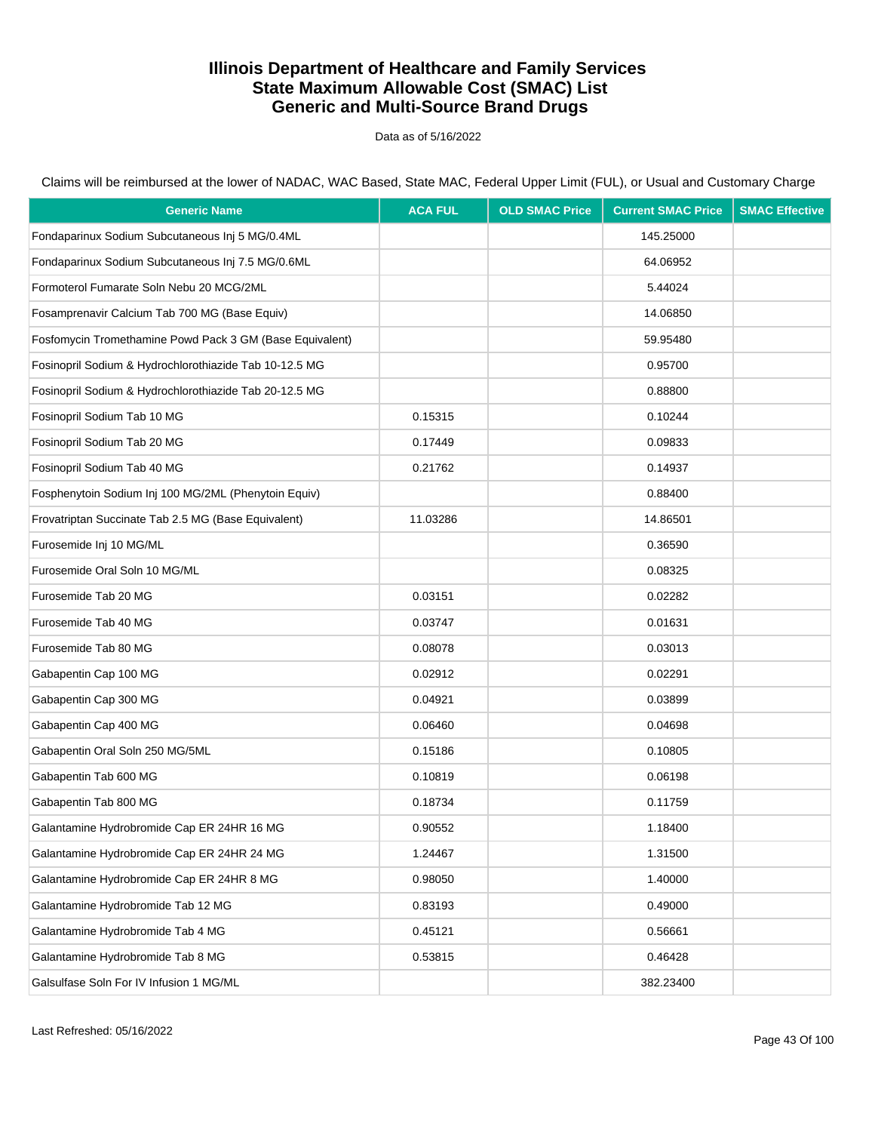Data as of 5/16/2022

| <b>Generic Name</b>                                      | <b>ACA FUL</b> | <b>OLD SMAC Price</b> | <b>Current SMAC Price</b> | <b>SMAC Effective</b> |
|----------------------------------------------------------|----------------|-----------------------|---------------------------|-----------------------|
| Fondaparinux Sodium Subcutaneous Inj 5 MG/0.4ML          |                |                       | 145.25000                 |                       |
| Fondaparinux Sodium Subcutaneous Inj 7.5 MG/0.6ML        |                |                       | 64.06952                  |                       |
| Formoterol Fumarate Soln Nebu 20 MCG/2ML                 |                |                       | 5.44024                   |                       |
| Fosamprenavir Calcium Tab 700 MG (Base Equiv)            |                |                       | 14.06850                  |                       |
| Fosfomycin Tromethamine Powd Pack 3 GM (Base Equivalent) |                |                       | 59.95480                  |                       |
| Fosinopril Sodium & Hydrochlorothiazide Tab 10-12.5 MG   |                |                       | 0.95700                   |                       |
| Fosinopril Sodium & Hydrochlorothiazide Tab 20-12.5 MG   |                |                       | 0.88800                   |                       |
| Fosinopril Sodium Tab 10 MG                              | 0.15315        |                       | 0.10244                   |                       |
| Fosinopril Sodium Tab 20 MG                              | 0.17449        |                       | 0.09833                   |                       |
| Fosinopril Sodium Tab 40 MG                              | 0.21762        |                       | 0.14937                   |                       |
| Fosphenytoin Sodium Inj 100 MG/2ML (Phenytoin Equiv)     |                |                       | 0.88400                   |                       |
| Frovatriptan Succinate Tab 2.5 MG (Base Equivalent)      | 11.03286       |                       | 14.86501                  |                       |
| Furosemide Inj 10 MG/ML                                  |                |                       | 0.36590                   |                       |
| Furosemide Oral Soln 10 MG/ML                            |                |                       | 0.08325                   |                       |
| Furosemide Tab 20 MG                                     | 0.03151        |                       | 0.02282                   |                       |
| Furosemide Tab 40 MG                                     | 0.03747        |                       | 0.01631                   |                       |
| Furosemide Tab 80 MG                                     | 0.08078        |                       | 0.03013                   |                       |
| Gabapentin Cap 100 MG                                    | 0.02912        |                       | 0.02291                   |                       |
| Gabapentin Cap 300 MG                                    | 0.04921        |                       | 0.03899                   |                       |
| Gabapentin Cap 400 MG                                    | 0.06460        |                       | 0.04698                   |                       |
| Gabapentin Oral Soln 250 MG/5ML                          | 0.15186        |                       | 0.10805                   |                       |
| Gabapentin Tab 600 MG                                    | 0.10819        |                       | 0.06198                   |                       |
| Gabapentin Tab 800 MG                                    | 0.18734        |                       | 0.11759                   |                       |
| Galantamine Hydrobromide Cap ER 24HR 16 MG               | 0.90552        |                       | 1.18400                   |                       |
| Galantamine Hydrobromide Cap ER 24HR 24 MG               | 1.24467        |                       | 1.31500                   |                       |
| Galantamine Hydrobromide Cap ER 24HR 8 MG                | 0.98050        |                       | 1.40000                   |                       |
| Galantamine Hydrobromide Tab 12 MG                       | 0.83193        |                       | 0.49000                   |                       |
| Galantamine Hydrobromide Tab 4 MG                        | 0.45121        |                       | 0.56661                   |                       |
| Galantamine Hydrobromide Tab 8 MG                        | 0.53815        |                       | 0.46428                   |                       |
| Galsulfase Soln For IV Infusion 1 MG/ML                  |                |                       | 382.23400                 |                       |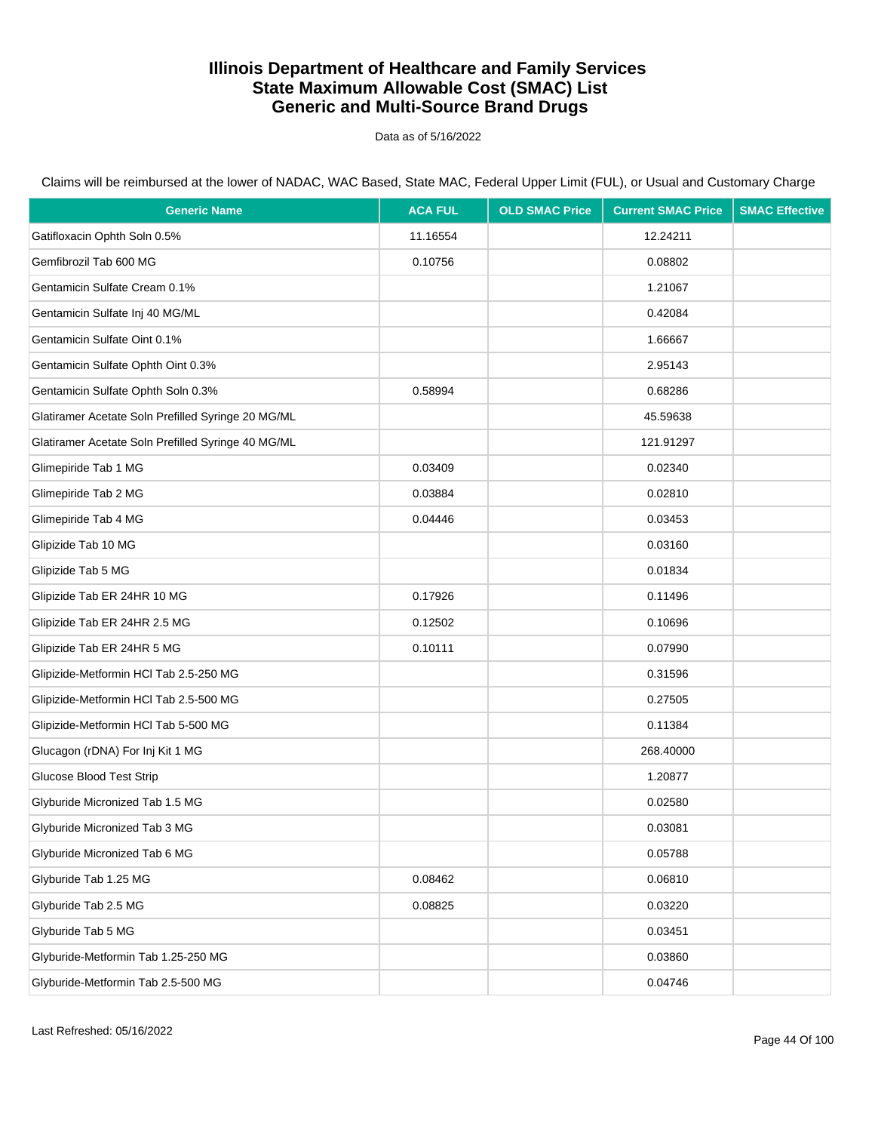Data as of 5/16/2022

| <b>Generic Name</b>                                | <b>ACA FUL</b> | <b>OLD SMAC Price</b> | <b>Current SMAC Price</b> | <b>SMAC Effective</b> |
|----------------------------------------------------|----------------|-----------------------|---------------------------|-----------------------|
| Gatifloxacin Ophth Soln 0.5%                       | 11.16554       |                       | 12.24211                  |                       |
| Gemfibrozil Tab 600 MG                             | 0.10756        |                       | 0.08802                   |                       |
| Gentamicin Sulfate Cream 0.1%                      |                |                       | 1.21067                   |                       |
| Gentamicin Sulfate Inj 40 MG/ML                    |                |                       | 0.42084                   |                       |
| Gentamicin Sulfate Oint 0.1%                       |                |                       | 1.66667                   |                       |
| Gentamicin Sulfate Ophth Oint 0.3%                 |                |                       | 2.95143                   |                       |
| Gentamicin Sulfate Ophth Soln 0.3%                 | 0.58994        |                       | 0.68286                   |                       |
| Glatiramer Acetate Soln Prefilled Syringe 20 MG/ML |                |                       | 45.59638                  |                       |
| Glatiramer Acetate Soln Prefilled Syringe 40 MG/ML |                |                       | 121.91297                 |                       |
| Glimepiride Tab 1 MG                               | 0.03409        |                       | 0.02340                   |                       |
| Glimepiride Tab 2 MG                               | 0.03884        |                       | 0.02810                   |                       |
| Glimepiride Tab 4 MG                               | 0.04446        |                       | 0.03453                   |                       |
| Glipizide Tab 10 MG                                |                |                       | 0.03160                   |                       |
| Glipizide Tab 5 MG                                 |                |                       | 0.01834                   |                       |
| Glipizide Tab ER 24HR 10 MG                        | 0.17926        |                       | 0.11496                   |                       |
| Glipizide Tab ER 24HR 2.5 MG                       | 0.12502        |                       | 0.10696                   |                       |
| Glipizide Tab ER 24HR 5 MG                         | 0.10111        |                       | 0.07990                   |                       |
| Glipizide-Metformin HCl Tab 2.5-250 MG             |                |                       | 0.31596                   |                       |
| Glipizide-Metformin HCl Tab 2.5-500 MG             |                |                       | 0.27505                   |                       |
| Glipizide-Metformin HCl Tab 5-500 MG               |                |                       | 0.11384                   |                       |
| Glucagon (rDNA) For Inj Kit 1 MG                   |                |                       | 268.40000                 |                       |
| Glucose Blood Test Strip                           |                |                       | 1.20877                   |                       |
| Glyburide Micronized Tab 1.5 MG                    |                |                       | 0.02580                   |                       |
| Glyburide Micronized Tab 3 MG                      |                |                       | 0.03081                   |                       |
| Glyburide Micronized Tab 6 MG                      |                |                       | 0.05788                   |                       |
| Glyburide Tab 1.25 MG                              | 0.08462        |                       | 0.06810                   |                       |
| Glyburide Tab 2.5 MG                               | 0.08825        |                       | 0.03220                   |                       |
| Glyburide Tab 5 MG                                 |                |                       | 0.03451                   |                       |
| Glyburide-Metformin Tab 1.25-250 MG                |                |                       | 0.03860                   |                       |
| Glyburide-Metformin Tab 2.5-500 MG                 |                |                       | 0.04746                   |                       |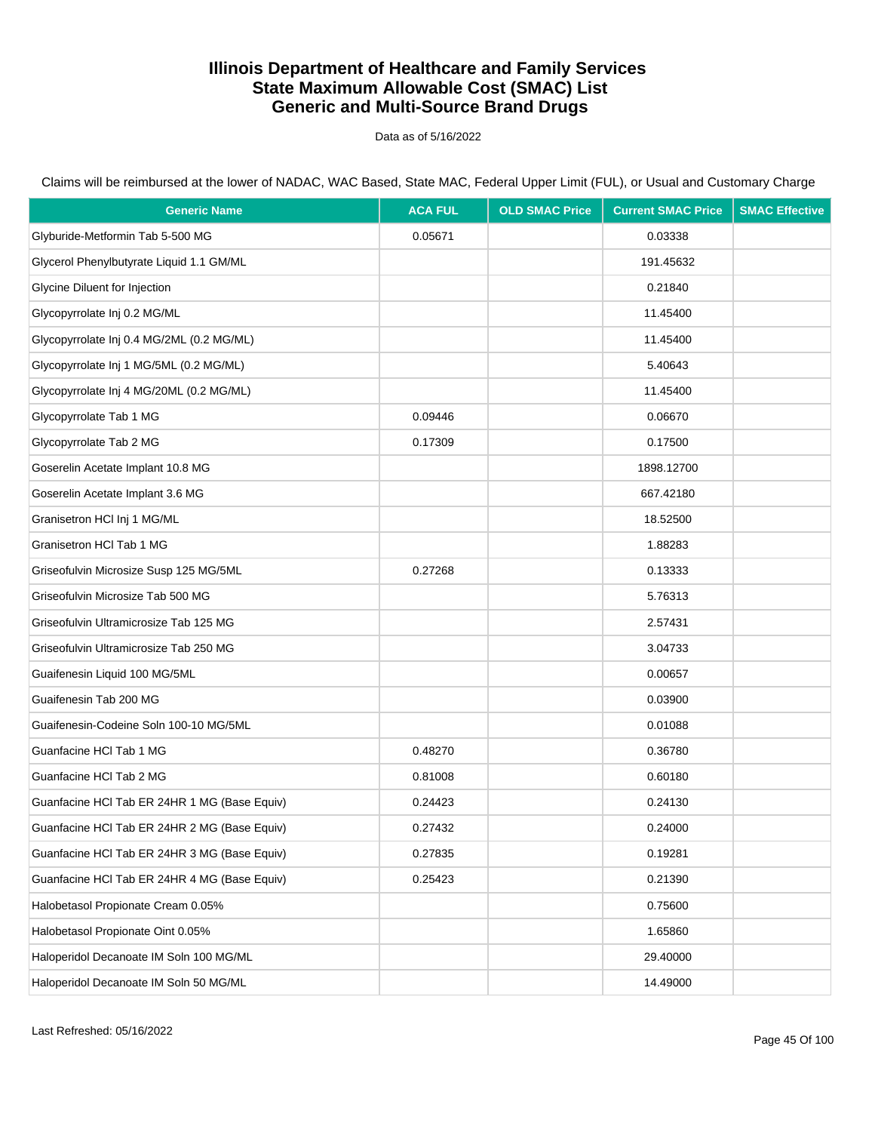Data as of 5/16/2022

Claims will be reimbursed at the lower of NADAC, WAC Based, State MAC, Federal Upper Limit (FUL), or Usual and Customary Charge

| <b>Generic Name</b>                          | <b>ACA FUL</b> | <b>OLD SMAC Price</b> | <b>Current SMAC Price</b> | <b>SMAC Effective</b> |
|----------------------------------------------|----------------|-----------------------|---------------------------|-----------------------|
| Glyburide-Metformin Tab 5-500 MG             | 0.05671        |                       | 0.03338                   |                       |
| Glycerol Phenylbutyrate Liquid 1.1 GM/ML     |                |                       | 191.45632                 |                       |
| Glycine Diluent for Injection                |                |                       | 0.21840                   |                       |
| Glycopyrrolate Inj 0.2 MG/ML                 |                |                       | 11.45400                  |                       |
| Glycopyrrolate Inj 0.4 MG/2ML (0.2 MG/ML)    |                |                       | 11.45400                  |                       |
| Glycopyrrolate Inj 1 MG/5ML (0.2 MG/ML)      |                |                       | 5.40643                   |                       |
| Glycopyrrolate Inj 4 MG/20ML (0.2 MG/ML)     |                |                       | 11.45400                  |                       |
| Glycopyrrolate Tab 1 MG                      | 0.09446        |                       | 0.06670                   |                       |
| Glycopyrrolate Tab 2 MG                      | 0.17309        |                       | 0.17500                   |                       |
| Goserelin Acetate Implant 10.8 MG            |                |                       | 1898.12700                |                       |
| Goserelin Acetate Implant 3.6 MG             |                |                       | 667.42180                 |                       |
| Granisetron HCl Inj 1 MG/ML                  |                |                       | 18.52500                  |                       |
| Granisetron HCl Tab 1 MG                     |                |                       | 1.88283                   |                       |
| Griseofulvin Microsize Susp 125 MG/5ML       | 0.27268        |                       | 0.13333                   |                       |
| Griseofulvin Microsize Tab 500 MG            |                |                       | 5.76313                   |                       |
| Griseofulvin Ultramicrosize Tab 125 MG       |                |                       | 2.57431                   |                       |
| Griseofulvin Ultramicrosize Tab 250 MG       |                |                       | 3.04733                   |                       |
| Guaifenesin Liquid 100 MG/5ML                |                |                       | 0.00657                   |                       |
| Guaifenesin Tab 200 MG                       |                |                       | 0.03900                   |                       |
| Guaifenesin-Codeine Soln 100-10 MG/5ML       |                |                       | 0.01088                   |                       |
| Guanfacine HCl Tab 1 MG                      | 0.48270        |                       | 0.36780                   |                       |
| Guanfacine HCl Tab 2 MG                      | 0.81008        |                       | 0.60180                   |                       |
| Guanfacine HCI Tab ER 24HR 1 MG (Base Equiv) | 0.24423        |                       | 0.24130                   |                       |
| Guanfacine HCI Tab ER 24HR 2 MG (Base Equiv) | 0.27432        |                       | 0.24000                   |                       |
| Guanfacine HCI Tab ER 24HR 3 MG (Base Equiv) | 0.27835        |                       | 0.19281                   |                       |
| Guanfacine HCI Tab ER 24HR 4 MG (Base Equiv) | 0.25423        |                       | 0.21390                   |                       |
| Halobetasol Propionate Cream 0.05%           |                |                       | 0.75600                   |                       |
| Halobetasol Propionate Oint 0.05%            |                |                       | 1.65860                   |                       |
| Haloperidol Decanoate IM Soln 100 MG/ML      |                |                       | 29.40000                  |                       |
| Haloperidol Decanoate IM Soln 50 MG/ML       |                |                       | 14.49000                  |                       |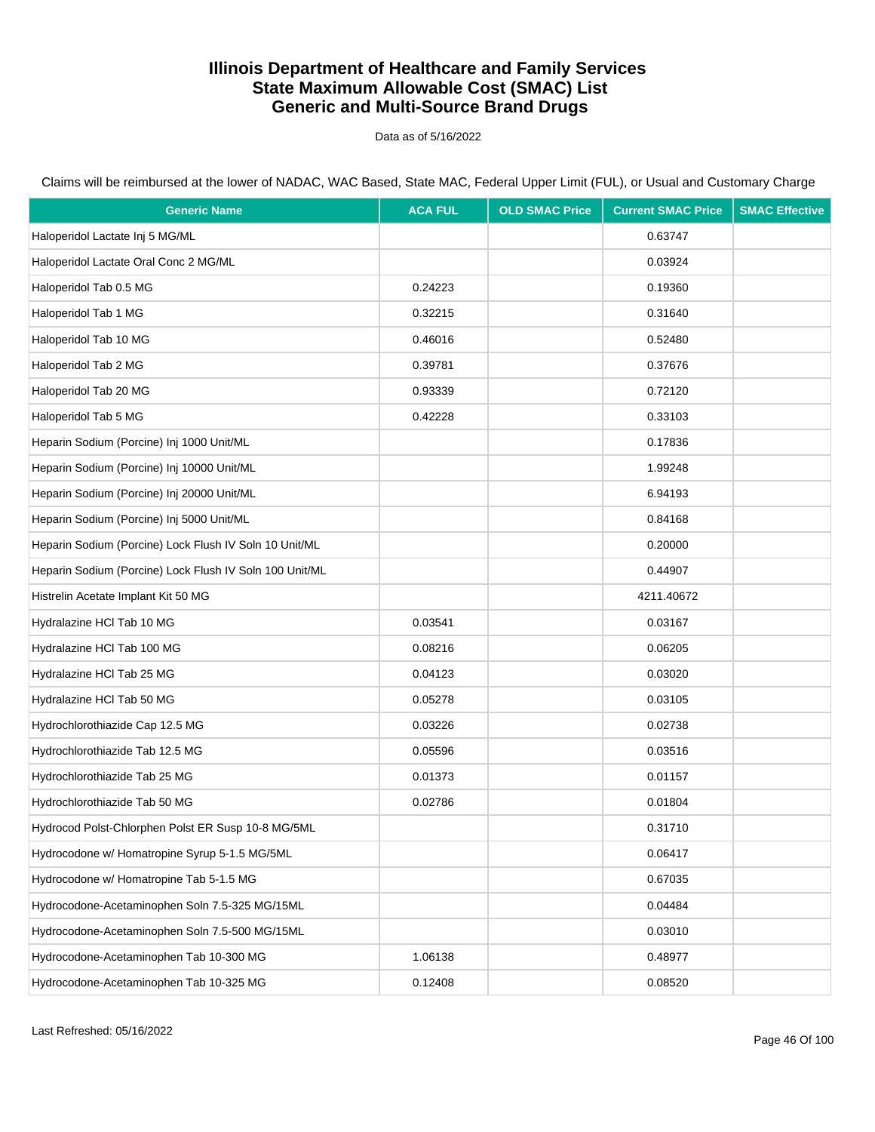Data as of 5/16/2022

| <b>Generic Name</b>                                     | <b>ACA FUL</b> | <b>OLD SMAC Price</b> | <b>Current SMAC Price</b> | <b>SMAC Effective</b> |
|---------------------------------------------------------|----------------|-----------------------|---------------------------|-----------------------|
| Haloperidol Lactate Inj 5 MG/ML                         |                |                       | 0.63747                   |                       |
| Haloperidol Lactate Oral Conc 2 MG/ML                   |                |                       | 0.03924                   |                       |
| Haloperidol Tab 0.5 MG                                  | 0.24223        |                       | 0.19360                   |                       |
| Haloperidol Tab 1 MG                                    | 0.32215        |                       | 0.31640                   |                       |
| Haloperidol Tab 10 MG                                   | 0.46016        |                       | 0.52480                   |                       |
| Haloperidol Tab 2 MG                                    | 0.39781        |                       | 0.37676                   |                       |
| Haloperidol Tab 20 MG                                   | 0.93339        |                       | 0.72120                   |                       |
| Haloperidol Tab 5 MG                                    | 0.42228        |                       | 0.33103                   |                       |
| Heparin Sodium (Porcine) Inj 1000 Unit/ML               |                |                       | 0.17836                   |                       |
| Heparin Sodium (Porcine) Inj 10000 Unit/ML              |                |                       | 1.99248                   |                       |
| Heparin Sodium (Porcine) Inj 20000 Unit/ML              |                |                       | 6.94193                   |                       |
| Heparin Sodium (Porcine) Inj 5000 Unit/ML               |                |                       | 0.84168                   |                       |
| Heparin Sodium (Porcine) Lock Flush IV Soln 10 Unit/ML  |                |                       | 0.20000                   |                       |
| Heparin Sodium (Porcine) Lock Flush IV Soln 100 Unit/ML |                |                       | 0.44907                   |                       |
| Histrelin Acetate Implant Kit 50 MG                     |                |                       | 4211.40672                |                       |
| Hydralazine HCl Tab 10 MG                               | 0.03541        |                       | 0.03167                   |                       |
| Hydralazine HCl Tab 100 MG                              | 0.08216        |                       | 0.06205                   |                       |
| Hydralazine HCl Tab 25 MG                               | 0.04123        |                       | 0.03020                   |                       |
| Hydralazine HCl Tab 50 MG                               | 0.05278        |                       | 0.03105                   |                       |
| Hydrochlorothiazide Cap 12.5 MG                         | 0.03226        |                       | 0.02738                   |                       |
| Hydrochlorothiazide Tab 12.5 MG                         | 0.05596        |                       | 0.03516                   |                       |
| Hydrochlorothiazide Tab 25 MG                           | 0.01373        |                       | 0.01157                   |                       |
| Hydrochlorothiazide Tab 50 MG                           | 0.02786        |                       | 0.01804                   |                       |
| Hydrocod Polst-Chlorphen Polst ER Susp 10-8 MG/5ML      |                |                       | 0.31710                   |                       |
| Hydrocodone w/ Homatropine Syrup 5-1.5 MG/5ML           |                |                       | 0.06417                   |                       |
| Hydrocodone w/ Homatropine Tab 5-1.5 MG                 |                |                       | 0.67035                   |                       |
| Hydrocodone-Acetaminophen Soln 7.5-325 MG/15ML          |                |                       | 0.04484                   |                       |
| Hydrocodone-Acetaminophen Soln 7.5-500 MG/15ML          |                |                       | 0.03010                   |                       |
| Hydrocodone-Acetaminophen Tab 10-300 MG                 | 1.06138        |                       | 0.48977                   |                       |
| Hydrocodone-Acetaminophen Tab 10-325 MG                 | 0.12408        |                       | 0.08520                   |                       |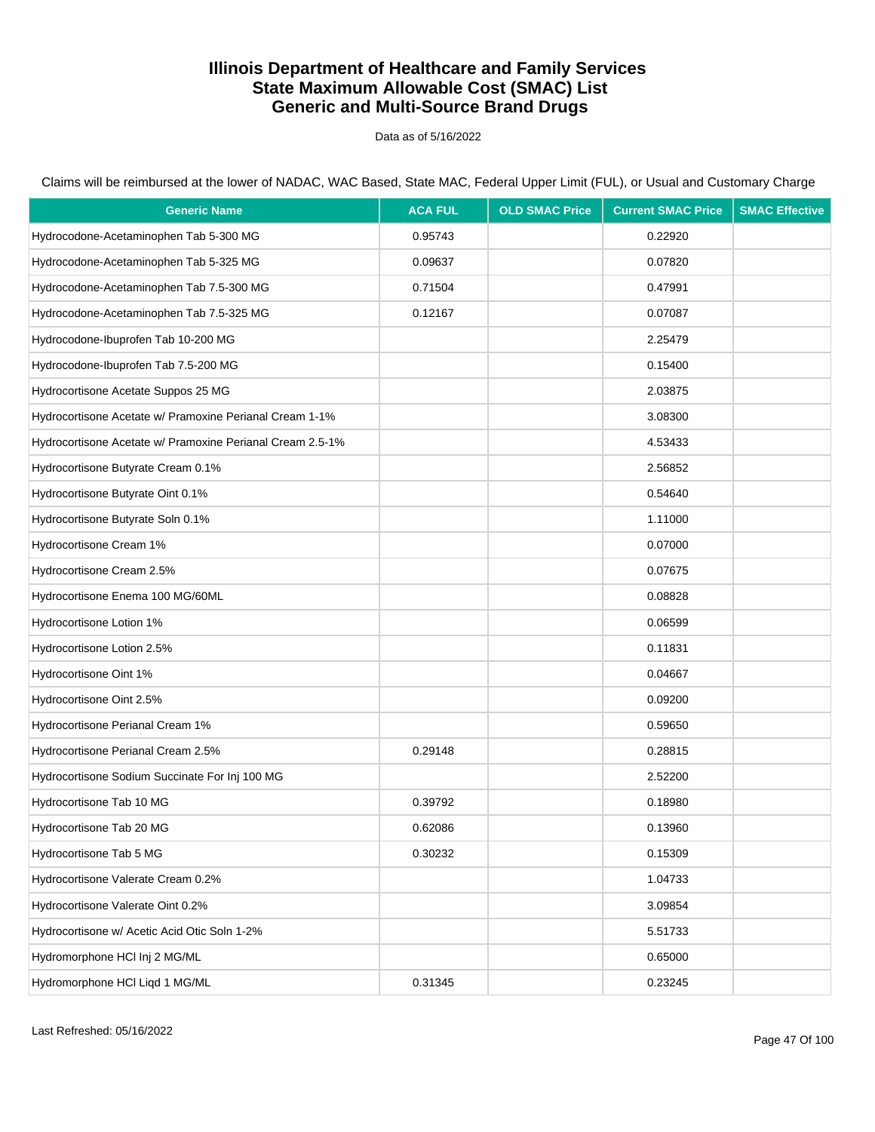Data as of 5/16/2022

Claims will be reimbursed at the lower of NADAC, WAC Based, State MAC, Federal Upper Limit (FUL), or Usual and Customary Charge

| <b>Generic Name</b>                                       | <b>ACA FUL</b> | <b>OLD SMAC Price</b> | <b>Current SMAC Price</b> | <b>SMAC Effective</b> |
|-----------------------------------------------------------|----------------|-----------------------|---------------------------|-----------------------|
| Hydrocodone-Acetaminophen Tab 5-300 MG                    | 0.95743        |                       | 0.22920                   |                       |
| Hydrocodone-Acetaminophen Tab 5-325 MG                    | 0.09637        |                       | 0.07820                   |                       |
| Hydrocodone-Acetaminophen Tab 7.5-300 MG                  | 0.71504        |                       | 0.47991                   |                       |
| Hydrocodone-Acetaminophen Tab 7.5-325 MG                  | 0.12167        |                       | 0.07087                   |                       |
| Hydrocodone-Ibuprofen Tab 10-200 MG                       |                |                       | 2.25479                   |                       |
| Hydrocodone-Ibuprofen Tab 7.5-200 MG                      |                |                       | 0.15400                   |                       |
| Hydrocortisone Acetate Suppos 25 MG                       |                |                       | 2.03875                   |                       |
| Hydrocortisone Acetate w/ Pramoxine Perianal Cream 1-1%   |                |                       | 3.08300                   |                       |
| Hydrocortisone Acetate w/ Pramoxine Perianal Cream 2.5-1% |                |                       | 4.53433                   |                       |
| Hydrocortisone Butyrate Cream 0.1%                        |                |                       | 2.56852                   |                       |
| Hydrocortisone Butyrate Oint 0.1%                         |                |                       | 0.54640                   |                       |
| Hydrocortisone Butyrate Soln 0.1%                         |                |                       | 1.11000                   |                       |
| Hydrocortisone Cream 1%                                   |                |                       | 0.07000                   |                       |
| Hydrocortisone Cream 2.5%                                 |                |                       | 0.07675                   |                       |
| Hydrocortisone Enema 100 MG/60ML                          |                |                       | 0.08828                   |                       |
| Hydrocortisone Lotion 1%                                  |                |                       | 0.06599                   |                       |
| Hydrocortisone Lotion 2.5%                                |                |                       | 0.11831                   |                       |
| Hydrocortisone Oint 1%                                    |                |                       | 0.04667                   |                       |
| Hydrocortisone Oint 2.5%                                  |                |                       | 0.09200                   |                       |
| Hydrocortisone Perianal Cream 1%                          |                |                       | 0.59650                   |                       |
| Hydrocortisone Perianal Cream 2.5%                        | 0.29148        |                       | 0.28815                   |                       |
| Hydrocortisone Sodium Succinate For Inj 100 MG            |                |                       | 2.52200                   |                       |
| Hydrocortisone Tab 10 MG                                  | 0.39792        |                       | 0.18980                   |                       |
| Hydrocortisone Tab 20 MG                                  | 0.62086        |                       | 0.13960                   |                       |
| Hydrocortisone Tab 5 MG                                   | 0.30232        |                       | 0.15309                   |                       |
| Hydrocortisone Valerate Cream 0.2%                        |                |                       | 1.04733                   |                       |
| Hydrocortisone Valerate Oint 0.2%                         |                |                       | 3.09854                   |                       |
| Hydrocortisone w/ Acetic Acid Otic Soln 1-2%              |                |                       | 5.51733                   |                       |
| Hydromorphone HCl Inj 2 MG/ML                             |                |                       | 0.65000                   |                       |
| Hydromorphone HCI Liqd 1 MG/ML                            | 0.31345        |                       | 0.23245                   |                       |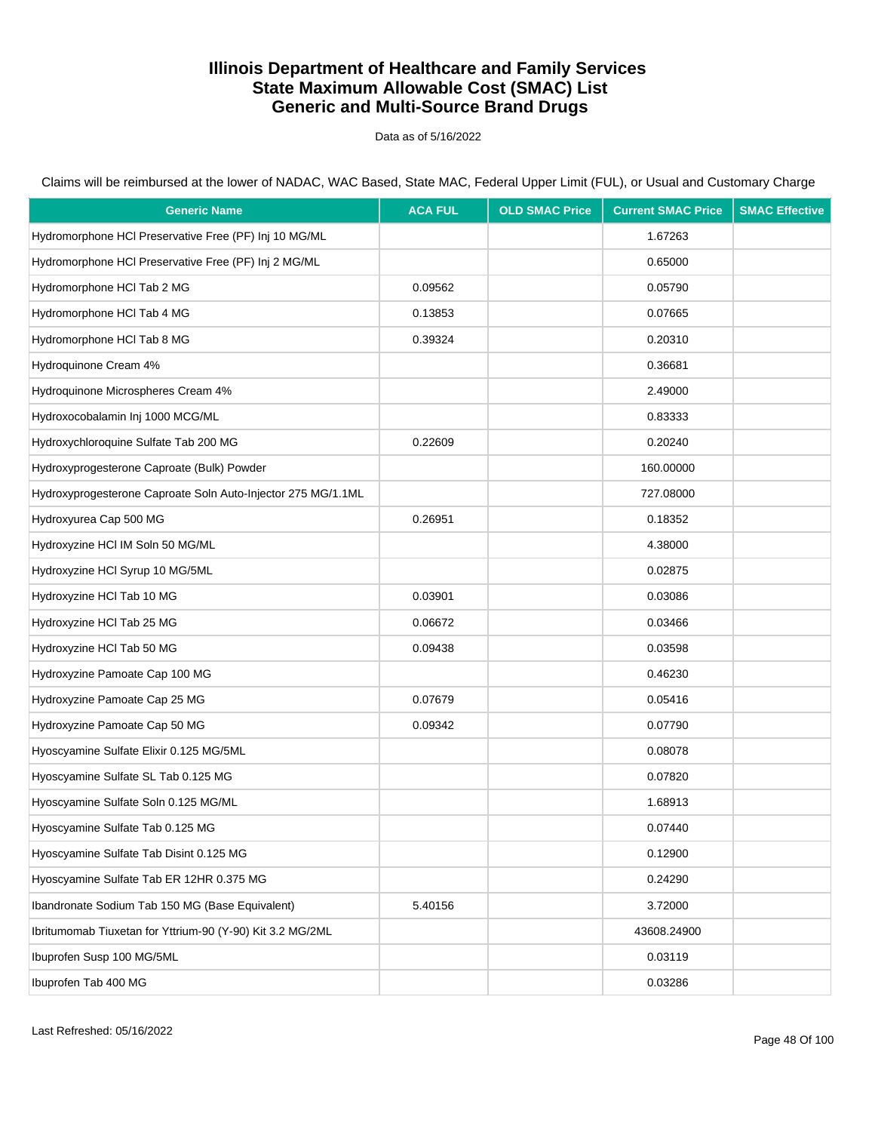Data as of 5/16/2022

Claims will be reimbursed at the lower of NADAC, WAC Based, State MAC, Federal Upper Limit (FUL), or Usual and Customary Charge

| <b>Generic Name</b>                                          | <b>ACA FUL</b> | <b>OLD SMAC Price</b> | <b>Current SMAC Price</b> | <b>SMAC Effective</b> |
|--------------------------------------------------------------|----------------|-----------------------|---------------------------|-----------------------|
| Hydromorphone HCI Preservative Free (PF) Inj 10 MG/ML        |                |                       | 1.67263                   |                       |
| Hydromorphone HCI Preservative Free (PF) Inj 2 MG/ML         |                |                       | 0.65000                   |                       |
| Hydromorphone HCl Tab 2 MG                                   | 0.09562        |                       | 0.05790                   |                       |
| Hydromorphone HCl Tab 4 MG                                   | 0.13853        |                       | 0.07665                   |                       |
| Hydromorphone HCl Tab 8 MG                                   | 0.39324        |                       | 0.20310                   |                       |
| Hydroquinone Cream 4%                                        |                |                       | 0.36681                   |                       |
| Hydroquinone Microspheres Cream 4%                           |                |                       | 2.49000                   |                       |
| Hydroxocobalamin Inj 1000 MCG/ML                             |                |                       | 0.83333                   |                       |
| Hydroxychloroquine Sulfate Tab 200 MG                        | 0.22609        |                       | 0.20240                   |                       |
| Hydroxyprogesterone Caproate (Bulk) Powder                   |                |                       | 160.00000                 |                       |
| Hydroxyprogesterone Caproate Soln Auto-Injector 275 MG/1.1ML |                |                       | 727.08000                 |                       |
| Hydroxyurea Cap 500 MG                                       | 0.26951        |                       | 0.18352                   |                       |
| Hydroxyzine HCI IM Soln 50 MG/ML                             |                |                       | 4.38000                   |                       |
| Hydroxyzine HCl Syrup 10 MG/5ML                              |                |                       | 0.02875                   |                       |
| Hydroxyzine HCl Tab 10 MG                                    | 0.03901        |                       | 0.03086                   |                       |
| Hydroxyzine HCI Tab 25 MG                                    | 0.06672        |                       | 0.03466                   |                       |
| Hydroxyzine HCI Tab 50 MG                                    | 0.09438        |                       | 0.03598                   |                       |
| Hydroxyzine Pamoate Cap 100 MG                               |                |                       | 0.46230                   |                       |
| Hydroxyzine Pamoate Cap 25 MG                                | 0.07679        |                       | 0.05416                   |                       |
| Hydroxyzine Pamoate Cap 50 MG                                | 0.09342        |                       | 0.07790                   |                       |
| Hyoscyamine Sulfate Elixir 0.125 MG/5ML                      |                |                       | 0.08078                   |                       |
| Hyoscyamine Sulfate SL Tab 0.125 MG                          |                |                       | 0.07820                   |                       |
| Hyoscyamine Sulfate Soln 0.125 MG/ML                         |                |                       | 1.68913                   |                       |
| Hyoscyamine Sulfate Tab 0.125 MG                             |                |                       | 0.07440                   |                       |
| Hyoscyamine Sulfate Tab Disint 0.125 MG                      |                |                       | 0.12900                   |                       |
| Hyoscyamine Sulfate Tab ER 12HR 0.375 MG                     |                |                       | 0.24290                   |                       |
| Ibandronate Sodium Tab 150 MG (Base Equivalent)              | 5.40156        |                       | 3.72000                   |                       |
| Ibritumomab Tiuxetan for Yttrium-90 (Y-90) Kit 3.2 MG/2ML    |                |                       | 43608.24900               |                       |
| Ibuprofen Susp 100 MG/5ML                                    |                |                       | 0.03119                   |                       |
| Ibuprofen Tab 400 MG                                         |                |                       | 0.03286                   |                       |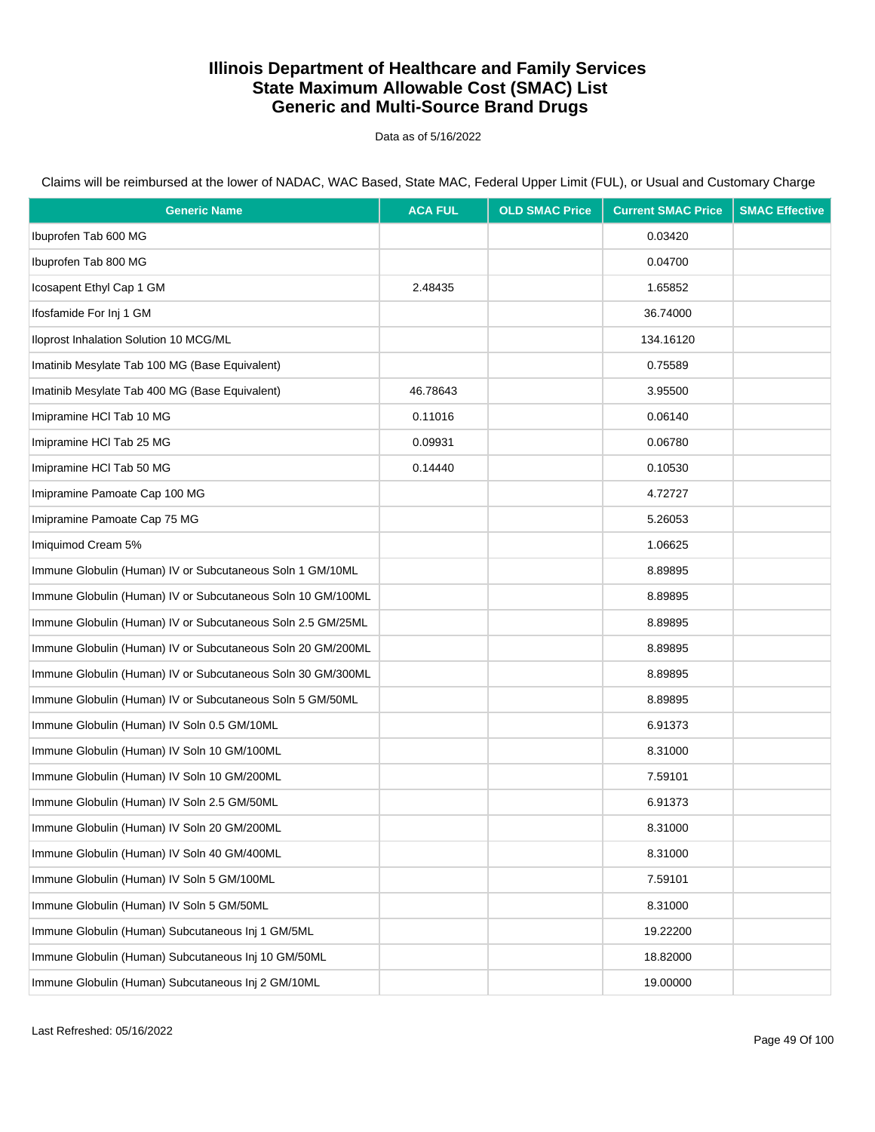Data as of 5/16/2022

Claims will be reimbursed at the lower of NADAC, WAC Based, State MAC, Federal Upper Limit (FUL), or Usual and Customary Charge

| <b>Generic Name</b>                                         | <b>ACA FUL</b> | <b>OLD SMAC Price</b> | <b>Current SMAC Price</b> | <b>SMAC Effective</b> |
|-------------------------------------------------------------|----------------|-----------------------|---------------------------|-----------------------|
| Ibuprofen Tab 600 MG                                        |                |                       | 0.03420                   |                       |
| Ibuprofen Tab 800 MG                                        |                |                       | 0.04700                   |                       |
| Icosapent Ethyl Cap 1 GM                                    | 2.48435        |                       | 1.65852                   |                       |
| Ifosfamide For Inj 1 GM                                     |                |                       | 36.74000                  |                       |
| Iloprost Inhalation Solution 10 MCG/ML                      |                |                       | 134.16120                 |                       |
| Imatinib Mesylate Tab 100 MG (Base Equivalent)              |                |                       | 0.75589                   |                       |
| Imatinib Mesylate Tab 400 MG (Base Equivalent)              | 46.78643       |                       | 3.95500                   |                       |
| Imipramine HCI Tab 10 MG                                    | 0.11016        |                       | 0.06140                   |                       |
| Imipramine HCI Tab 25 MG                                    | 0.09931        |                       | 0.06780                   |                       |
| Imipramine HCl Tab 50 MG                                    | 0.14440        |                       | 0.10530                   |                       |
| Imipramine Pamoate Cap 100 MG                               |                |                       | 4.72727                   |                       |
| Imipramine Pamoate Cap 75 MG                                |                |                       | 5.26053                   |                       |
| Imiquimod Cream 5%                                          |                |                       | 1.06625                   |                       |
| Immune Globulin (Human) IV or Subcutaneous Soln 1 GM/10ML   |                |                       | 8.89895                   |                       |
| Immune Globulin (Human) IV or Subcutaneous Soln 10 GM/100ML |                |                       | 8.89895                   |                       |
| Immune Globulin (Human) IV or Subcutaneous Soln 2.5 GM/25ML |                |                       | 8.89895                   |                       |
| Immune Globulin (Human) IV or Subcutaneous Soln 20 GM/200ML |                |                       | 8.89895                   |                       |
| Immune Globulin (Human) IV or Subcutaneous Soln 30 GM/300ML |                |                       | 8.89895                   |                       |
| Immune Globulin (Human) IV or Subcutaneous Soln 5 GM/50ML   |                |                       | 8.89895                   |                       |
| Immune Globulin (Human) IV Soln 0.5 GM/10ML                 |                |                       | 6.91373                   |                       |
| Immune Globulin (Human) IV Soln 10 GM/100ML                 |                |                       | 8.31000                   |                       |
| Immune Globulin (Human) IV Soln 10 GM/200ML                 |                |                       | 7.59101                   |                       |
| Immune Globulin (Human) IV Soln 2.5 GM/50ML                 |                |                       | 6.91373                   |                       |
| Immune Globulin (Human) IV Soln 20 GM/200ML                 |                |                       | 8.31000                   |                       |
| Immune Globulin (Human) IV Soln 40 GM/400ML                 |                |                       | 8.31000                   |                       |
| Immune Globulin (Human) IV Soln 5 GM/100ML                  |                |                       | 7.59101                   |                       |
| Immune Globulin (Human) IV Soln 5 GM/50ML                   |                |                       | 8.31000                   |                       |
| Immune Globulin (Human) Subcutaneous Inj 1 GM/5ML           |                |                       | 19.22200                  |                       |
| Immune Globulin (Human) Subcutaneous Inj 10 GM/50ML         |                |                       | 18.82000                  |                       |
| Immune Globulin (Human) Subcutaneous Inj 2 GM/10ML          |                |                       | 19.00000                  |                       |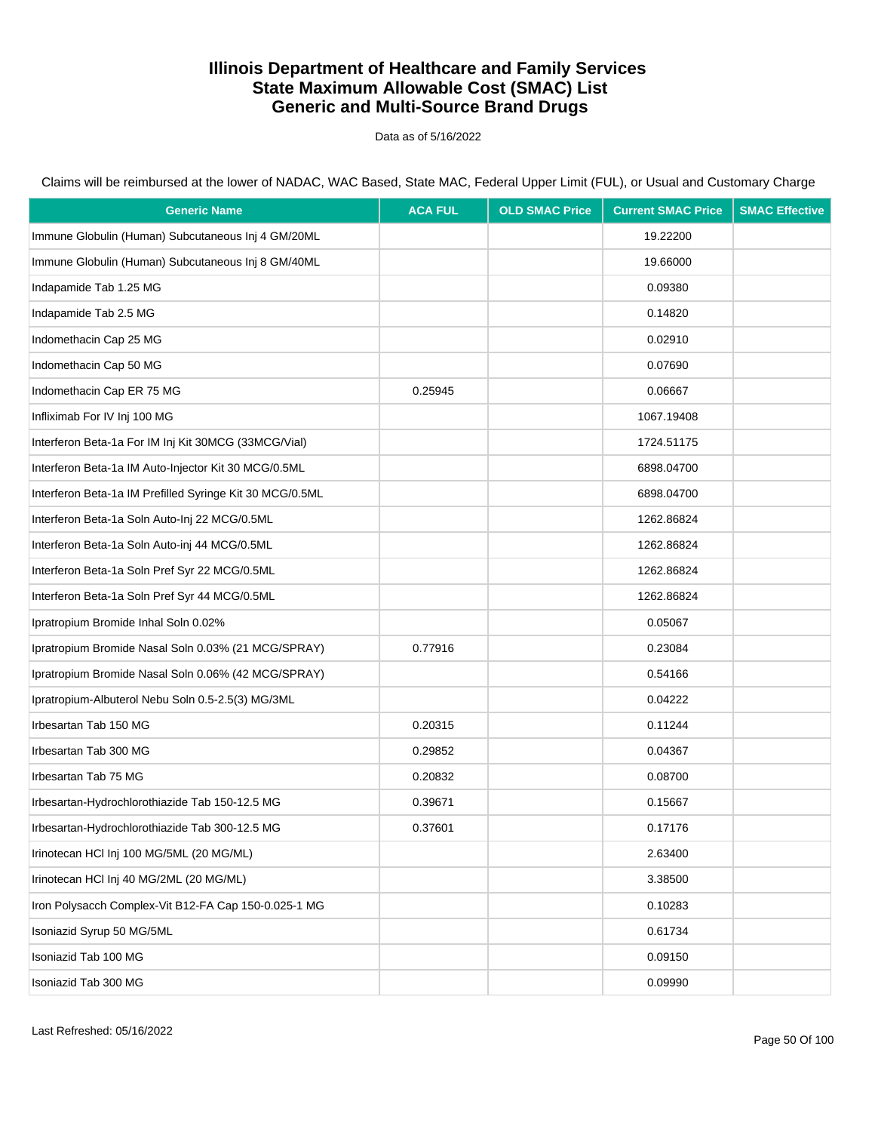Data as of 5/16/2022

| <b>Generic Name</b>                                      | <b>ACA FUL</b> | <b>OLD SMAC Price</b> | <b>Current SMAC Price</b> | <b>SMAC Effective</b> |
|----------------------------------------------------------|----------------|-----------------------|---------------------------|-----------------------|
| Immune Globulin (Human) Subcutaneous Inj 4 GM/20ML       |                |                       | 19.22200                  |                       |
| Immune Globulin (Human) Subcutaneous Inj 8 GM/40ML       |                |                       | 19.66000                  |                       |
| Indapamide Tab 1.25 MG                                   |                |                       | 0.09380                   |                       |
| Indapamide Tab 2.5 MG                                    |                |                       | 0.14820                   |                       |
| Indomethacin Cap 25 MG                                   |                |                       | 0.02910                   |                       |
| Indomethacin Cap 50 MG                                   |                |                       | 0.07690                   |                       |
| Indomethacin Cap ER 75 MG                                | 0.25945        |                       | 0.06667                   |                       |
| Infliximab For IV Inj 100 MG                             |                |                       | 1067.19408                |                       |
| Interferon Beta-1a For IM Inj Kit 30MCG (33MCG/Vial)     |                |                       | 1724.51175                |                       |
| Interferon Beta-1a IM Auto-Injector Kit 30 MCG/0.5ML     |                |                       | 6898.04700                |                       |
| Interferon Beta-1a IM Prefilled Syringe Kit 30 MCG/0.5ML |                |                       | 6898.04700                |                       |
| Interferon Beta-1a Soln Auto-Inj 22 MCG/0.5ML            |                |                       | 1262.86824                |                       |
| Interferon Beta-1a Soln Auto-inj 44 MCG/0.5ML            |                |                       | 1262.86824                |                       |
| Interferon Beta-1a Soln Pref Syr 22 MCG/0.5ML            |                |                       | 1262.86824                |                       |
| Interferon Beta-1a Soln Pref Syr 44 MCG/0.5ML            |                |                       | 1262.86824                |                       |
| Ipratropium Bromide Inhal Soln 0.02%                     |                |                       | 0.05067                   |                       |
| Ipratropium Bromide Nasal Soln 0.03% (21 MCG/SPRAY)      | 0.77916        |                       | 0.23084                   |                       |
| Ipratropium Bromide Nasal Soln 0.06% (42 MCG/SPRAY)      |                |                       | 0.54166                   |                       |
| Ipratropium-Albuterol Nebu Soln 0.5-2.5(3) MG/3ML        |                |                       | 0.04222                   |                       |
| Irbesartan Tab 150 MG                                    | 0.20315        |                       | 0.11244                   |                       |
| Irbesartan Tab 300 MG                                    | 0.29852        |                       | 0.04367                   |                       |
| Irbesartan Tab 75 MG                                     | 0.20832        |                       | 0.08700                   |                       |
| Irbesartan-Hydrochlorothiazide Tab 150-12.5 MG           | 0.39671        |                       | 0.15667                   |                       |
| Irbesartan-Hydrochlorothiazide Tab 300-12.5 MG           | 0.37601        |                       | 0.17176                   |                       |
| Irinotecan HCI Inj 100 MG/5ML (20 MG/ML)                 |                |                       | 2.63400                   |                       |
| Irinotecan HCI Inj 40 MG/2ML (20 MG/ML)                  |                |                       | 3.38500                   |                       |
| Iron Polysacch Complex-Vit B12-FA Cap 150-0.025-1 MG     |                |                       | 0.10283                   |                       |
| Isoniazid Syrup 50 MG/5ML                                |                |                       | 0.61734                   |                       |
| Isoniazid Tab 100 MG                                     |                |                       | 0.09150                   |                       |
| Isoniazid Tab 300 MG                                     |                |                       | 0.09990                   |                       |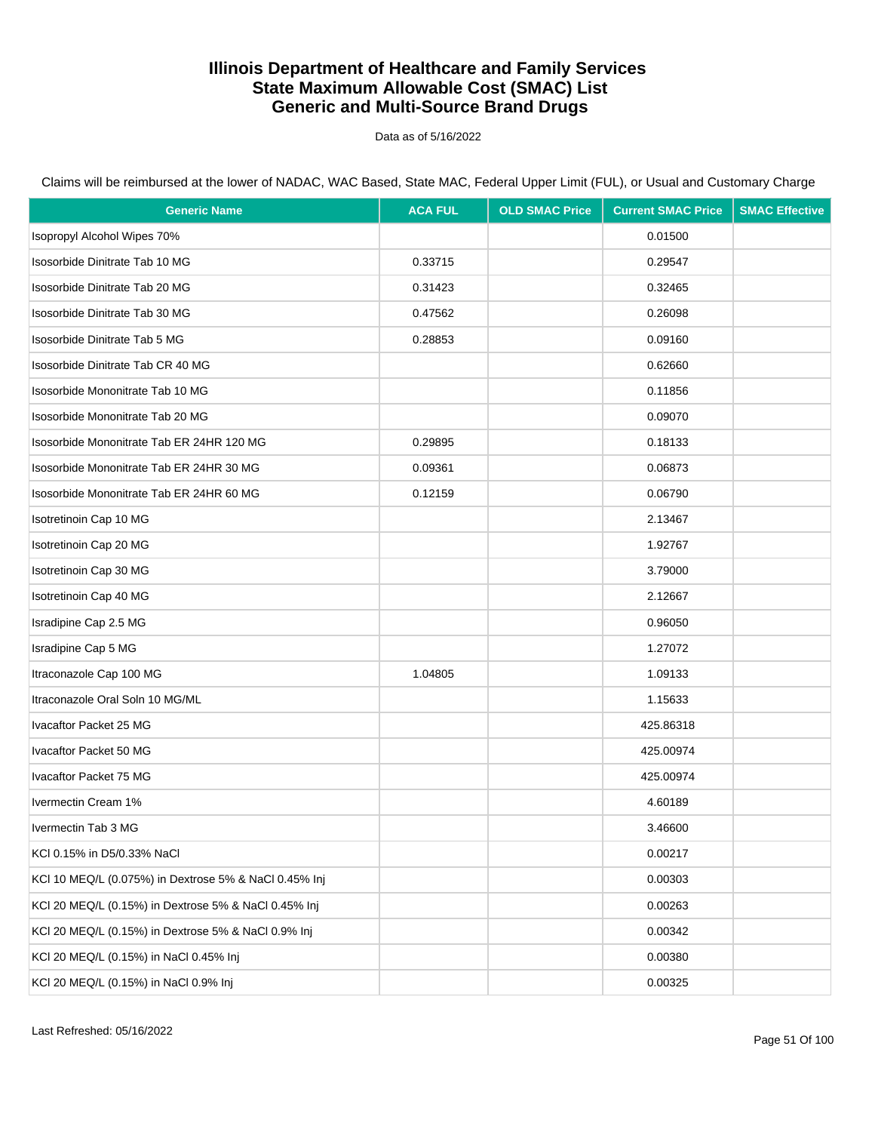Data as of 5/16/2022

| <b>Generic Name</b>                                   | <b>ACA FUL</b> | <b>OLD SMAC Price</b> | <b>Current SMAC Price</b> | <b>SMAC Effective</b> |
|-------------------------------------------------------|----------------|-----------------------|---------------------------|-----------------------|
| Isopropyl Alcohol Wipes 70%                           |                |                       | 0.01500                   |                       |
| Isosorbide Dinitrate Tab 10 MG                        | 0.33715        |                       | 0.29547                   |                       |
| Isosorbide Dinitrate Tab 20 MG                        | 0.31423        |                       | 0.32465                   |                       |
| Isosorbide Dinitrate Tab 30 MG                        | 0.47562        |                       | 0.26098                   |                       |
| Isosorbide Dinitrate Tab 5 MG                         | 0.28853        |                       | 0.09160                   |                       |
| Isosorbide Dinitrate Tab CR 40 MG                     |                |                       | 0.62660                   |                       |
| Isosorbide Mononitrate Tab 10 MG                      |                |                       | 0.11856                   |                       |
| Isosorbide Mononitrate Tab 20 MG                      |                |                       | 0.09070                   |                       |
| Isosorbide Mononitrate Tab ER 24HR 120 MG             | 0.29895        |                       | 0.18133                   |                       |
| Isosorbide Mononitrate Tab ER 24HR 30 MG              | 0.09361        |                       | 0.06873                   |                       |
| Isosorbide Mononitrate Tab ER 24HR 60 MG              | 0.12159        |                       | 0.06790                   |                       |
| Isotretinoin Cap 10 MG                                |                |                       | 2.13467                   |                       |
| Isotretinoin Cap 20 MG                                |                |                       | 1.92767                   |                       |
| Isotretinoin Cap 30 MG                                |                |                       | 3.79000                   |                       |
| Isotretinoin Cap 40 MG                                |                |                       | 2.12667                   |                       |
| Isradipine Cap 2.5 MG                                 |                |                       | 0.96050                   |                       |
| Isradipine Cap 5 MG                                   |                |                       | 1.27072                   |                       |
| Itraconazole Cap 100 MG                               | 1.04805        |                       | 1.09133                   |                       |
| Itraconazole Oral Soln 10 MG/ML                       |                |                       | 1.15633                   |                       |
| Ivacaftor Packet 25 MG                                |                |                       | 425.86318                 |                       |
| Ivacaftor Packet 50 MG                                |                |                       | 425.00974                 |                       |
| Ivacaftor Packet 75 MG                                |                |                       | 425.00974                 |                       |
| Ivermectin Cream 1%                                   |                |                       | 4.60189                   |                       |
| Ivermectin Tab 3 MG                                   |                |                       | 3.46600                   |                       |
| KCI 0.15% in D5/0.33% NaCl                            |                |                       | 0.00217                   |                       |
| KCI 10 MEQ/L (0.075%) in Dextrose 5% & NaCl 0.45% Inj |                |                       | 0.00303                   |                       |
| KCI 20 MEQ/L (0.15%) in Dextrose 5% & NaCl 0.45% Inj  |                |                       | 0.00263                   |                       |
| KCl 20 MEQ/L (0.15%) in Dextrose 5% & NaCl 0.9% Inj   |                |                       | 0.00342                   |                       |
| KCI 20 MEQ/L (0.15%) in NaCl 0.45% Inj                |                |                       | 0.00380                   |                       |
| KCI 20 MEQ/L (0.15%) in NaCl 0.9% Inj                 |                |                       | 0.00325                   |                       |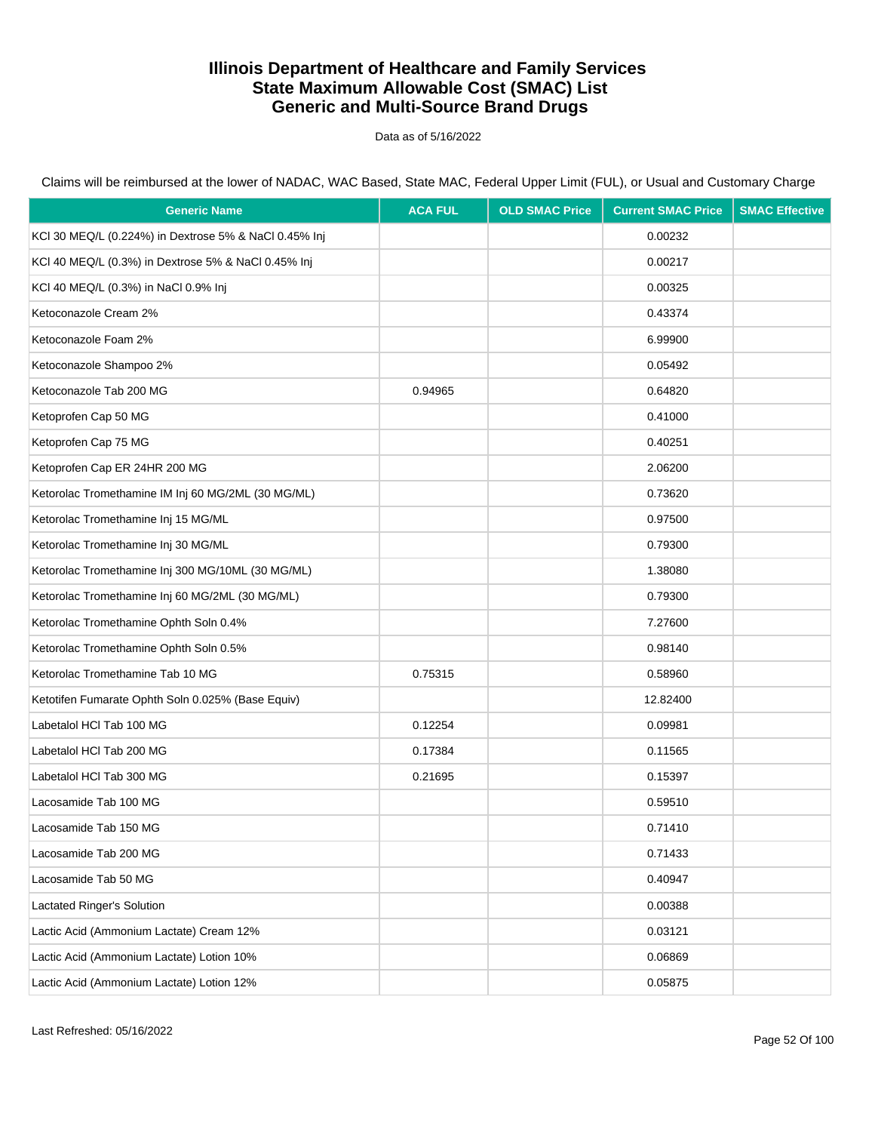Data as of 5/16/2022

| <b>Generic Name</b>                                   | <b>ACA FUL</b> | <b>OLD SMAC Price</b> | <b>Current SMAC Price</b> | <b>SMAC Effective</b> |
|-------------------------------------------------------|----------------|-----------------------|---------------------------|-----------------------|
| KCI 30 MEQ/L (0.224%) in Dextrose 5% & NaCl 0.45% Inj |                |                       | 0.00232                   |                       |
| KCI 40 MEQ/L (0.3%) in Dextrose 5% & NaCl 0.45% Inj   |                |                       | 0.00217                   |                       |
| KCI 40 MEQ/L (0.3%) in NaCl 0.9% Inj                  |                |                       | 0.00325                   |                       |
| Ketoconazole Cream 2%                                 |                |                       | 0.43374                   |                       |
| Ketoconazole Foam 2%                                  |                |                       | 6.99900                   |                       |
| Ketoconazole Shampoo 2%                               |                |                       | 0.05492                   |                       |
| Ketoconazole Tab 200 MG                               | 0.94965        |                       | 0.64820                   |                       |
| Ketoprofen Cap 50 MG                                  |                |                       | 0.41000                   |                       |
| Ketoprofen Cap 75 MG                                  |                |                       | 0.40251                   |                       |
| Ketoprofen Cap ER 24HR 200 MG                         |                |                       | 2.06200                   |                       |
| Ketorolac Tromethamine IM Inj 60 MG/2ML (30 MG/ML)    |                |                       | 0.73620                   |                       |
| Ketorolac Tromethamine Inj 15 MG/ML                   |                |                       | 0.97500                   |                       |
| Ketorolac Tromethamine Inj 30 MG/ML                   |                |                       | 0.79300                   |                       |
| Ketorolac Tromethamine Inj 300 MG/10ML (30 MG/ML)     |                |                       | 1.38080                   |                       |
| Ketorolac Tromethamine Inj 60 MG/2ML (30 MG/ML)       |                |                       | 0.79300                   |                       |
| Ketorolac Tromethamine Ophth Soln 0.4%                |                |                       | 7.27600                   |                       |
| Ketorolac Tromethamine Ophth Soln 0.5%                |                |                       | 0.98140                   |                       |
| Ketorolac Tromethamine Tab 10 MG                      | 0.75315        |                       | 0.58960                   |                       |
| Ketotifen Fumarate Ophth Soln 0.025% (Base Equiv)     |                |                       | 12.82400                  |                       |
| Labetalol HCl Tab 100 MG                              | 0.12254        |                       | 0.09981                   |                       |
| Labetalol HCl Tab 200 MG                              | 0.17384        |                       | 0.11565                   |                       |
| Labetalol HCl Tab 300 MG                              | 0.21695        |                       | 0.15397                   |                       |
| Lacosamide Tab 100 MG                                 |                |                       | 0.59510                   |                       |
| Lacosamide Tab 150 MG                                 |                |                       | 0.71410                   |                       |
| Lacosamide Tab 200 MG                                 |                |                       | 0.71433                   |                       |
| Lacosamide Tab 50 MG                                  |                |                       | 0.40947                   |                       |
| Lactated Ringer's Solution                            |                |                       | 0.00388                   |                       |
| Lactic Acid (Ammonium Lactate) Cream 12%              |                |                       | 0.03121                   |                       |
| Lactic Acid (Ammonium Lactate) Lotion 10%             |                |                       | 0.06869                   |                       |
| Lactic Acid (Ammonium Lactate) Lotion 12%             |                |                       | 0.05875                   |                       |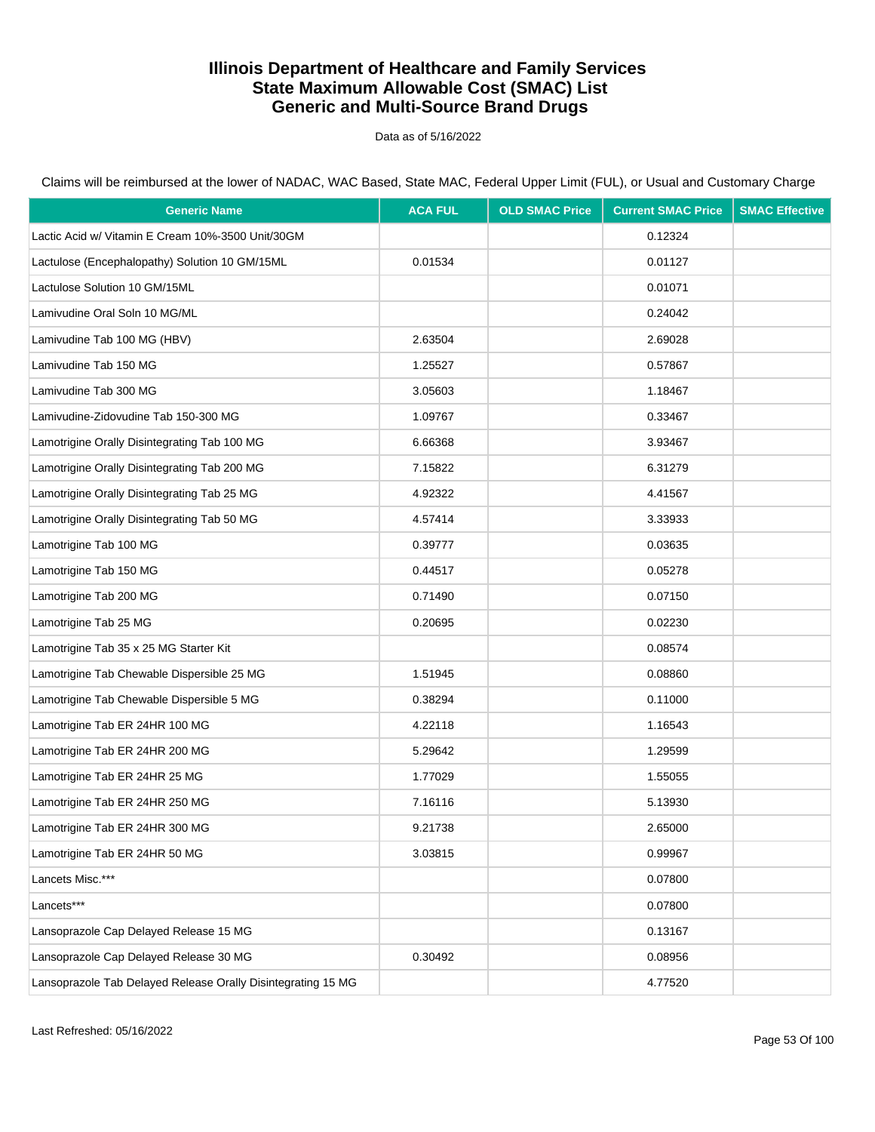Data as of 5/16/2022

Claims will be reimbursed at the lower of NADAC, WAC Based, State MAC, Federal Upper Limit (FUL), or Usual and Customary Charge

| <b>Generic Name</b>                                          | <b>ACA FUL</b> | <b>OLD SMAC Price</b> | <b>Current SMAC Price</b> | <b>SMAC Effective</b> |
|--------------------------------------------------------------|----------------|-----------------------|---------------------------|-----------------------|
| Lactic Acid w/ Vitamin E Cream 10%-3500 Unit/30GM            |                |                       | 0.12324                   |                       |
| Lactulose (Encephalopathy) Solution 10 GM/15ML               | 0.01534        |                       | 0.01127                   |                       |
| Lactulose Solution 10 GM/15ML                                |                |                       | 0.01071                   |                       |
| Lamivudine Oral Soln 10 MG/ML                                |                |                       | 0.24042                   |                       |
| Lamivudine Tab 100 MG (HBV)                                  | 2.63504        |                       | 2.69028                   |                       |
| Lamivudine Tab 150 MG                                        | 1.25527        |                       | 0.57867                   |                       |
| Lamivudine Tab 300 MG                                        | 3.05603        |                       | 1.18467                   |                       |
| Lamivudine-Zidovudine Tab 150-300 MG                         | 1.09767        |                       | 0.33467                   |                       |
| Lamotrigine Orally Disintegrating Tab 100 MG                 | 6.66368        |                       | 3.93467                   |                       |
| Lamotrigine Orally Disintegrating Tab 200 MG                 | 7.15822        |                       | 6.31279                   |                       |
| Lamotrigine Orally Disintegrating Tab 25 MG                  | 4.92322        |                       | 4.41567                   |                       |
| Lamotrigine Orally Disintegrating Tab 50 MG                  | 4.57414        |                       | 3.33933                   |                       |
| Lamotrigine Tab 100 MG                                       | 0.39777        |                       | 0.03635                   |                       |
| Lamotrigine Tab 150 MG                                       | 0.44517        |                       | 0.05278                   |                       |
| Lamotrigine Tab 200 MG                                       | 0.71490        |                       | 0.07150                   |                       |
| Lamotrigine Tab 25 MG                                        | 0.20695        |                       | 0.02230                   |                       |
| Lamotrigine Tab 35 x 25 MG Starter Kit                       |                |                       | 0.08574                   |                       |
| Lamotrigine Tab Chewable Dispersible 25 MG                   | 1.51945        |                       | 0.08860                   |                       |
| Lamotrigine Tab Chewable Dispersible 5 MG                    | 0.38294        |                       | 0.11000                   |                       |
| Lamotrigine Tab ER 24HR 100 MG                               | 4.22118        |                       | 1.16543                   |                       |
| Lamotrigine Tab ER 24HR 200 MG                               | 5.29642        |                       | 1.29599                   |                       |
| Lamotrigine Tab ER 24HR 25 MG                                | 1.77029        |                       | 1.55055                   |                       |
| Lamotrigine Tab ER 24HR 250 MG                               | 7.16116        |                       | 5.13930                   |                       |
| Lamotrigine Tab ER 24HR 300 MG                               | 9.21738        |                       | 2.65000                   |                       |
| Lamotrigine Tab ER 24HR 50 MG                                | 3.03815        |                       | 0.99967                   |                       |
| Lancets Misc.***                                             |                |                       | 0.07800                   |                       |
| Lancets***                                                   |                |                       | 0.07800                   |                       |
| Lansoprazole Cap Delayed Release 15 MG                       |                |                       | 0.13167                   |                       |
| Lansoprazole Cap Delayed Release 30 MG                       | 0.30492        |                       | 0.08956                   |                       |
| Lansoprazole Tab Delayed Release Orally Disintegrating 15 MG |                |                       | 4.77520                   |                       |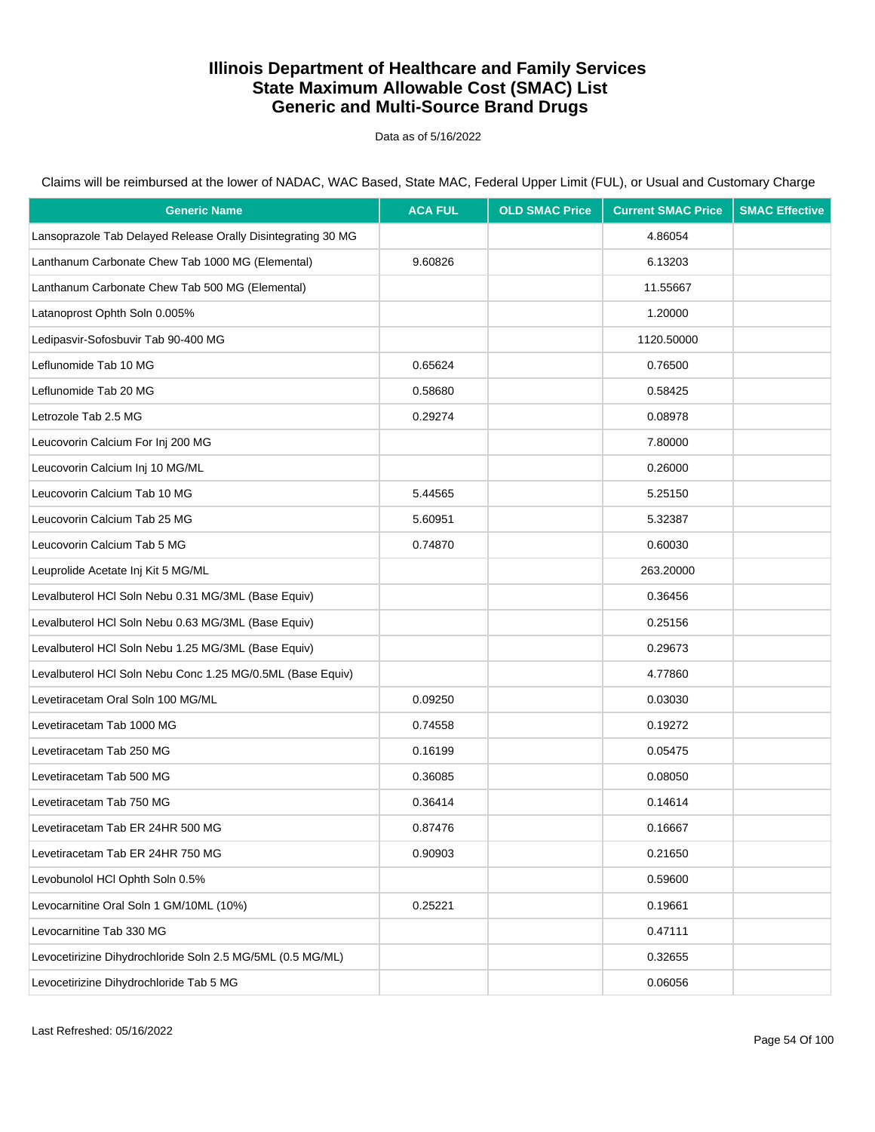Data as of 5/16/2022

Claims will be reimbursed at the lower of NADAC, WAC Based, State MAC, Federal Upper Limit (FUL), or Usual and Customary Charge

| <b>Generic Name</b>                                          | <b>ACA FUL</b> | <b>OLD SMAC Price</b> | <b>Current SMAC Price</b> | <b>SMAC Effective</b> |
|--------------------------------------------------------------|----------------|-----------------------|---------------------------|-----------------------|
| Lansoprazole Tab Delayed Release Orally Disintegrating 30 MG |                |                       | 4.86054                   |                       |
| Lanthanum Carbonate Chew Tab 1000 MG (Elemental)             | 9.60826        |                       | 6.13203                   |                       |
| Lanthanum Carbonate Chew Tab 500 MG (Elemental)              |                |                       | 11.55667                  |                       |
| Latanoprost Ophth Soln 0.005%                                |                |                       | 1.20000                   |                       |
| Ledipasvir-Sofosbuvir Tab 90-400 MG                          |                |                       | 1120.50000                |                       |
| Leflunomide Tab 10 MG                                        | 0.65624        |                       | 0.76500                   |                       |
| Leflunomide Tab 20 MG                                        | 0.58680        |                       | 0.58425                   |                       |
| Letrozole Tab 2.5 MG                                         | 0.29274        |                       | 0.08978                   |                       |
| Leucovorin Calcium For Inj 200 MG                            |                |                       | 7.80000                   |                       |
| Leucovorin Calcium Inj 10 MG/ML                              |                |                       | 0.26000                   |                       |
| Leucovorin Calcium Tab 10 MG                                 | 5.44565        |                       | 5.25150                   |                       |
| Leucovorin Calcium Tab 25 MG                                 | 5.60951        |                       | 5.32387                   |                       |
| Leucovorin Calcium Tab 5 MG                                  | 0.74870        |                       | 0.60030                   |                       |
| Leuprolide Acetate Inj Kit 5 MG/ML                           |                |                       | 263.20000                 |                       |
| Levalbuterol HCI Soln Nebu 0.31 MG/3ML (Base Equiv)          |                |                       | 0.36456                   |                       |
| Levalbuterol HCI Soln Nebu 0.63 MG/3ML (Base Equiv)          |                |                       | 0.25156                   |                       |
| Levalbuterol HCI Soln Nebu 1.25 MG/3ML (Base Equiv)          |                |                       | 0.29673                   |                       |
| Levalbuterol HCI Soln Nebu Conc 1.25 MG/0.5ML (Base Equiv)   |                |                       | 4.77860                   |                       |
| Levetiracetam Oral Soln 100 MG/ML                            | 0.09250        |                       | 0.03030                   |                       |
| Levetiracetam Tab 1000 MG                                    | 0.74558        |                       | 0.19272                   |                       |
| Levetiracetam Tab 250 MG                                     | 0.16199        |                       | 0.05475                   |                       |
| Levetiracetam Tab 500 MG                                     | 0.36085        |                       | 0.08050                   |                       |
| Levetiracetam Tab 750 MG                                     | 0.36414        |                       | 0.14614                   |                       |
| Levetiracetam Tab ER 24HR 500 MG                             | 0.87476        |                       | 0.16667                   |                       |
| Levetiracetam Tab ER 24HR 750 MG                             | 0.90903        |                       | 0.21650                   |                       |
| Levobunolol HCl Ophth Soln 0.5%                              |                |                       | 0.59600                   |                       |
| Levocarnitine Oral Soln 1 GM/10ML (10%)                      | 0.25221        |                       | 0.19661                   |                       |
| Levocarnitine Tab 330 MG                                     |                |                       | 0.47111                   |                       |
| Levocetirizine Dihydrochloride Soln 2.5 MG/5ML (0.5 MG/ML)   |                |                       | 0.32655                   |                       |
| Levocetirizine Dihydrochloride Tab 5 MG                      |                |                       | 0.06056                   |                       |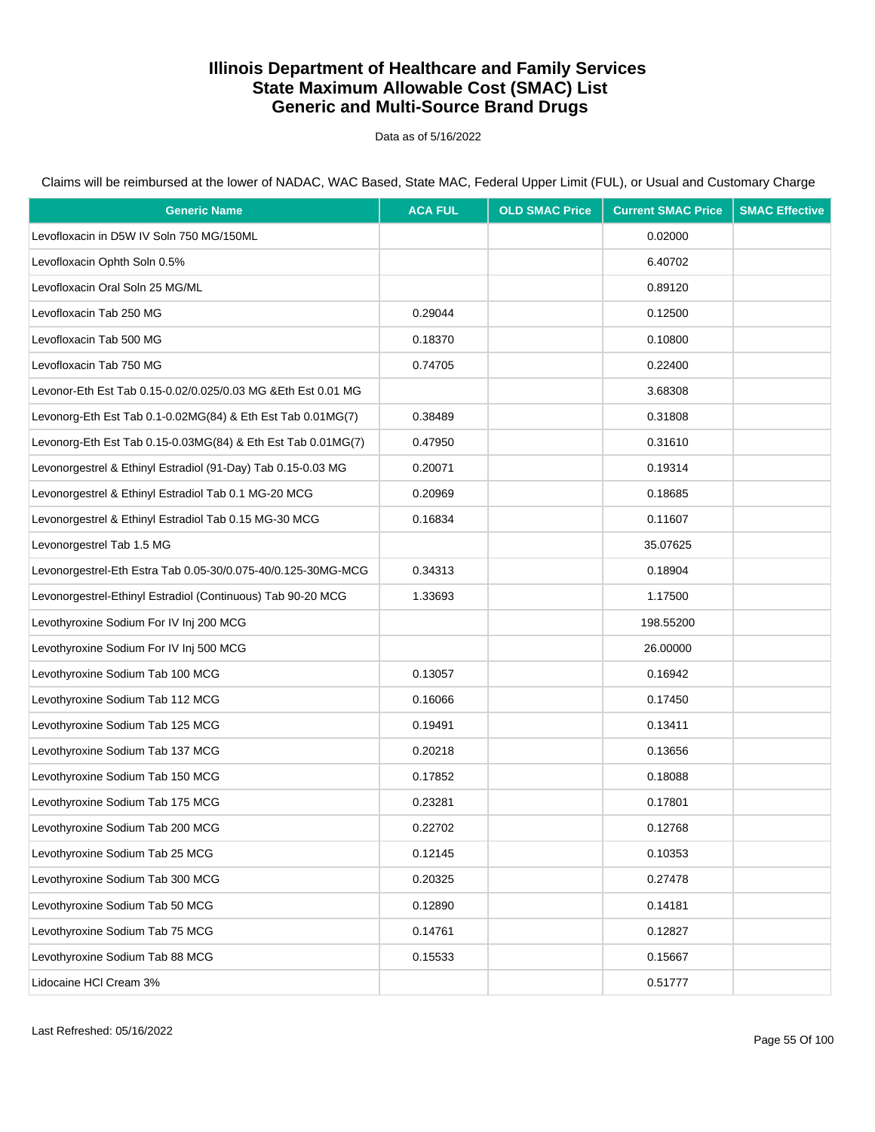Data as of 5/16/2022

| <b>Generic Name</b>                                           | <b>ACA FUL</b> | <b>OLD SMAC Price</b> | <b>Current SMAC Price</b> | <b>SMAC Effective</b> |
|---------------------------------------------------------------|----------------|-----------------------|---------------------------|-----------------------|
| Levofloxacin in D5W IV Soln 750 MG/150ML                      |                |                       | 0.02000                   |                       |
| Levofloxacin Ophth Soln 0.5%                                  |                |                       | 6.40702                   |                       |
| Levofloxacin Oral Soln 25 MG/ML                               |                |                       | 0.89120                   |                       |
| Levofloxacin Tab 250 MG                                       | 0.29044        |                       | 0.12500                   |                       |
| Levofloxacin Tab 500 MG                                       | 0.18370        |                       | 0.10800                   |                       |
| Levofloxacin Tab 750 MG                                       | 0.74705        |                       | 0.22400                   |                       |
| Levonor-Eth Est Tab 0.15-0.02/0.025/0.03 MG & Eth Est 0.01 MG |                |                       | 3.68308                   |                       |
| Levonorg-Eth Est Tab 0.1-0.02MG(84) & Eth Est Tab 0.01MG(7)   | 0.38489        |                       | 0.31808                   |                       |
| Levonorg-Eth Est Tab 0.15-0.03MG(84) & Eth Est Tab 0.01MG(7)  | 0.47950        |                       | 0.31610                   |                       |
| Levonorgestrel & Ethinyl Estradiol (91-Day) Tab 0.15-0.03 MG  | 0.20071        |                       | 0.19314                   |                       |
| Levonorgestrel & Ethinyl Estradiol Tab 0.1 MG-20 MCG          | 0.20969        |                       | 0.18685                   |                       |
| Levonorgestrel & Ethinyl Estradiol Tab 0.15 MG-30 MCG         | 0.16834        |                       | 0.11607                   |                       |
| Levonorgestrel Tab 1.5 MG                                     |                |                       | 35.07625                  |                       |
| Levonorgestrel-Eth Estra Tab 0.05-30/0.075-40/0.125-30MG-MCG  | 0.34313        |                       | 0.18904                   |                       |
| Levonorgestrel-Ethinyl Estradiol (Continuous) Tab 90-20 MCG   | 1.33693        |                       | 1.17500                   |                       |
| Levothyroxine Sodium For IV Inj 200 MCG                       |                |                       | 198.55200                 |                       |
| Levothyroxine Sodium For IV Inj 500 MCG                       |                |                       | 26.00000                  |                       |
| Levothyroxine Sodium Tab 100 MCG                              | 0.13057        |                       | 0.16942                   |                       |
| Levothyroxine Sodium Tab 112 MCG                              | 0.16066        |                       | 0.17450                   |                       |
| Levothyroxine Sodium Tab 125 MCG                              | 0.19491        |                       | 0.13411                   |                       |
| Levothyroxine Sodium Tab 137 MCG                              | 0.20218        |                       | 0.13656                   |                       |
| Levothyroxine Sodium Tab 150 MCG                              | 0.17852        |                       | 0.18088                   |                       |
| Levothyroxine Sodium Tab 175 MCG                              | 0.23281        |                       | 0.17801                   |                       |
| Levothyroxine Sodium Tab 200 MCG                              | 0.22702        |                       | 0.12768                   |                       |
| Levothyroxine Sodium Tab 25 MCG                               | 0.12145        |                       | 0.10353                   |                       |
| Levothyroxine Sodium Tab 300 MCG                              | 0.20325        |                       | 0.27478                   |                       |
| Levothyroxine Sodium Tab 50 MCG                               | 0.12890        |                       | 0.14181                   |                       |
| Levothyroxine Sodium Tab 75 MCG                               | 0.14761        |                       | 0.12827                   |                       |
| Levothyroxine Sodium Tab 88 MCG                               | 0.15533        |                       | 0.15667                   |                       |
| Lidocaine HCI Cream 3%                                        |                |                       | 0.51777                   |                       |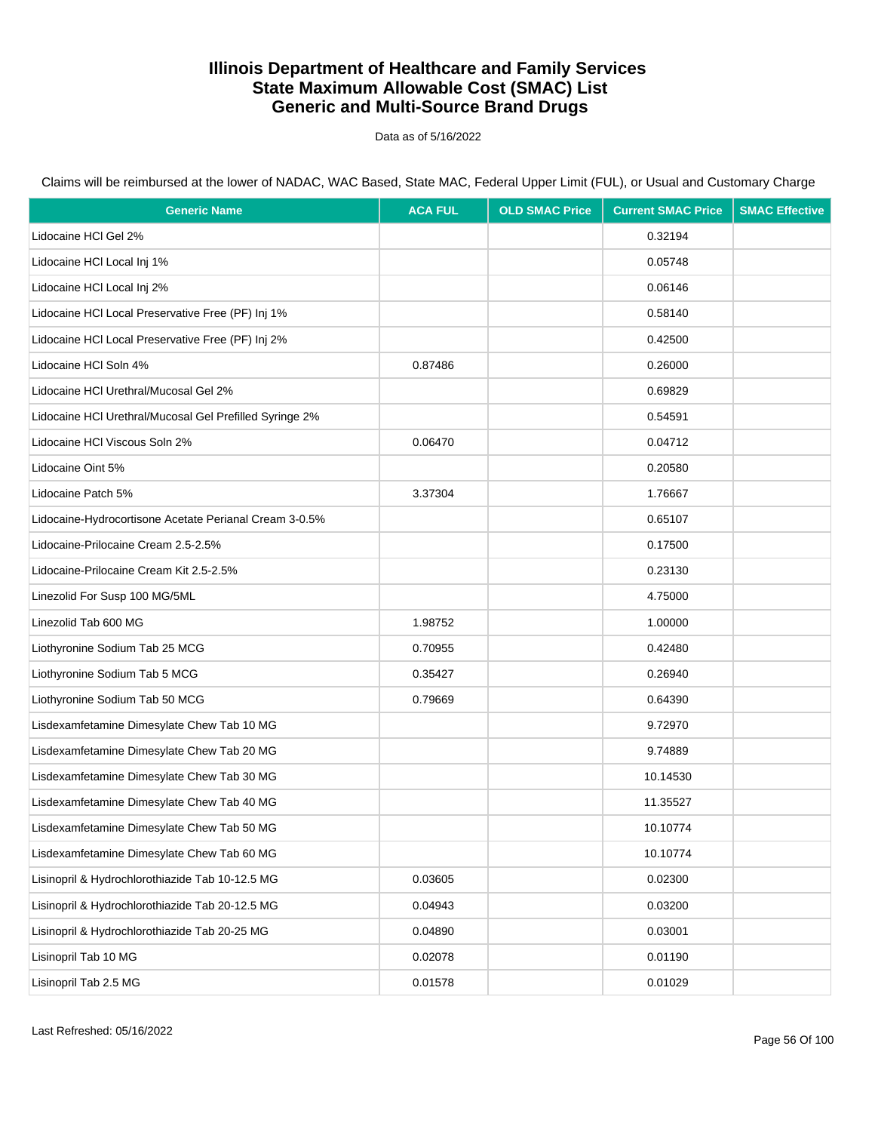Data as of 5/16/2022

| <b>Generic Name</b>                                     | <b>ACA FUL</b> | <b>OLD SMAC Price</b> | <b>Current SMAC Price</b> | <b>SMAC Effective</b> |
|---------------------------------------------------------|----------------|-----------------------|---------------------------|-----------------------|
| Lidocaine HCI Gel 2%                                    |                |                       | 0.32194                   |                       |
| Lidocaine HCI Local Inj 1%                              |                |                       | 0.05748                   |                       |
| Lidocaine HCI Local Inj 2%                              |                |                       | 0.06146                   |                       |
| Lidocaine HCI Local Preservative Free (PF) Inj 1%       |                |                       | 0.58140                   |                       |
| Lidocaine HCI Local Preservative Free (PF) Inj 2%       |                |                       | 0.42500                   |                       |
| Lidocaine HCI Soln 4%                                   | 0.87486        |                       | 0.26000                   |                       |
| Lidocaine HCI Urethral/Mucosal Gel 2%                   |                |                       | 0.69829                   |                       |
| Lidocaine HCI Urethral/Mucosal Gel Prefilled Syringe 2% |                |                       | 0.54591                   |                       |
| Lidocaine HCI Viscous Soln 2%                           | 0.06470        |                       | 0.04712                   |                       |
| Lidocaine Oint 5%                                       |                |                       | 0.20580                   |                       |
| Lidocaine Patch 5%                                      | 3.37304        |                       | 1.76667                   |                       |
| Lidocaine-Hydrocortisone Acetate Perianal Cream 3-0.5%  |                |                       | 0.65107                   |                       |
| Lidocaine-Prilocaine Cream 2.5-2.5%                     |                |                       | 0.17500                   |                       |
| Lidocaine-Prilocaine Cream Kit 2.5-2.5%                 |                |                       | 0.23130                   |                       |
| Linezolid For Susp 100 MG/5ML                           |                |                       | 4.75000                   |                       |
| Linezolid Tab 600 MG                                    | 1.98752        |                       | 1.00000                   |                       |
| Liothyronine Sodium Tab 25 MCG                          | 0.70955        |                       | 0.42480                   |                       |
| Liothyronine Sodium Tab 5 MCG                           | 0.35427        |                       | 0.26940                   |                       |
| Liothyronine Sodium Tab 50 MCG                          | 0.79669        |                       | 0.64390                   |                       |
| Lisdexamfetamine Dimesylate Chew Tab 10 MG              |                |                       | 9.72970                   |                       |
| Lisdexamfetamine Dimesylate Chew Tab 20 MG              |                |                       | 9.74889                   |                       |
| Lisdexamfetamine Dimesylate Chew Tab 30 MG              |                |                       | 10.14530                  |                       |
| Lisdexamfetamine Dimesylate Chew Tab 40 MG              |                |                       | 11.35527                  |                       |
| Lisdexamfetamine Dimesylate Chew Tab 50 MG              |                |                       | 10.10774                  |                       |
| Lisdexamfetamine Dimesylate Chew Tab 60 MG              |                |                       | 10.10774                  |                       |
| Lisinopril & Hydrochlorothiazide Tab 10-12.5 MG         | 0.03605        |                       | 0.02300                   |                       |
| Lisinopril & Hydrochlorothiazide Tab 20-12.5 MG         | 0.04943        |                       | 0.03200                   |                       |
| Lisinopril & Hydrochlorothiazide Tab 20-25 MG           | 0.04890        |                       | 0.03001                   |                       |
| Lisinopril Tab 10 MG                                    | 0.02078        |                       | 0.01190                   |                       |
| Lisinopril Tab 2.5 MG                                   | 0.01578        |                       | 0.01029                   |                       |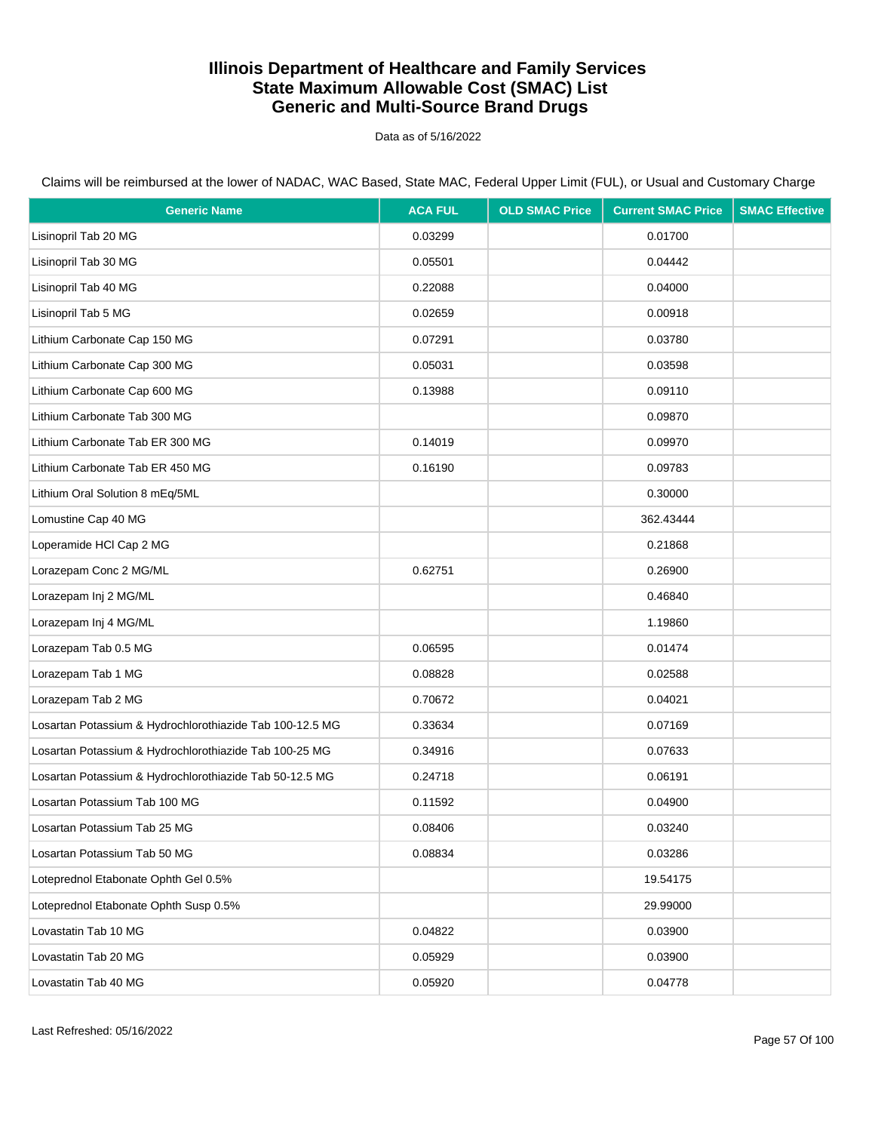Data as of 5/16/2022

| <b>Generic Name</b>                                      | <b>ACA FUL</b> | <b>OLD SMAC Price</b> | <b>Current SMAC Price</b> | <b>SMAC Effective</b> |
|----------------------------------------------------------|----------------|-----------------------|---------------------------|-----------------------|
| Lisinopril Tab 20 MG                                     | 0.03299        |                       | 0.01700                   |                       |
| Lisinopril Tab 30 MG                                     | 0.05501        |                       | 0.04442                   |                       |
| Lisinopril Tab 40 MG                                     | 0.22088        |                       | 0.04000                   |                       |
| Lisinopril Tab 5 MG                                      | 0.02659        |                       | 0.00918                   |                       |
| Lithium Carbonate Cap 150 MG                             | 0.07291        |                       | 0.03780                   |                       |
| Lithium Carbonate Cap 300 MG                             | 0.05031        |                       | 0.03598                   |                       |
| Lithium Carbonate Cap 600 MG                             | 0.13988        |                       | 0.09110                   |                       |
| Lithium Carbonate Tab 300 MG                             |                |                       | 0.09870                   |                       |
| Lithium Carbonate Tab ER 300 MG                          | 0.14019        |                       | 0.09970                   |                       |
| Lithium Carbonate Tab ER 450 MG                          | 0.16190        |                       | 0.09783                   |                       |
| Lithium Oral Solution 8 mEq/5ML                          |                |                       | 0.30000                   |                       |
| Lomustine Cap 40 MG                                      |                |                       | 362.43444                 |                       |
| Loperamide HCI Cap 2 MG                                  |                |                       | 0.21868                   |                       |
| Lorazepam Conc 2 MG/ML                                   | 0.62751        |                       | 0.26900                   |                       |
| Lorazepam Inj 2 MG/ML                                    |                |                       | 0.46840                   |                       |
| Lorazepam Inj 4 MG/ML                                    |                |                       | 1.19860                   |                       |
| Lorazepam Tab 0.5 MG                                     | 0.06595        |                       | 0.01474                   |                       |
| Lorazepam Tab 1 MG                                       | 0.08828        |                       | 0.02588                   |                       |
| Lorazepam Tab 2 MG                                       | 0.70672        |                       | 0.04021                   |                       |
| Losartan Potassium & Hydrochlorothiazide Tab 100-12.5 MG | 0.33634        |                       | 0.07169                   |                       |
| Losartan Potassium & Hydrochlorothiazide Tab 100-25 MG   | 0.34916        |                       | 0.07633                   |                       |
| Losartan Potassium & Hydrochlorothiazide Tab 50-12.5 MG  | 0.24718        |                       | 0.06191                   |                       |
| Losartan Potassium Tab 100 MG                            | 0.11592        |                       | 0.04900                   |                       |
| Losartan Potassium Tab 25 MG                             | 0.08406        |                       | 0.03240                   |                       |
| Losartan Potassium Tab 50 MG                             | 0.08834        |                       | 0.03286                   |                       |
| Loteprednol Etabonate Ophth Gel 0.5%                     |                |                       | 19.54175                  |                       |
| Loteprednol Etabonate Ophth Susp 0.5%                    |                |                       | 29.99000                  |                       |
| Lovastatin Tab 10 MG                                     | 0.04822        |                       | 0.03900                   |                       |
| Lovastatin Tab 20 MG                                     | 0.05929        |                       | 0.03900                   |                       |
| Lovastatin Tab 40 MG                                     | 0.05920        |                       | 0.04778                   |                       |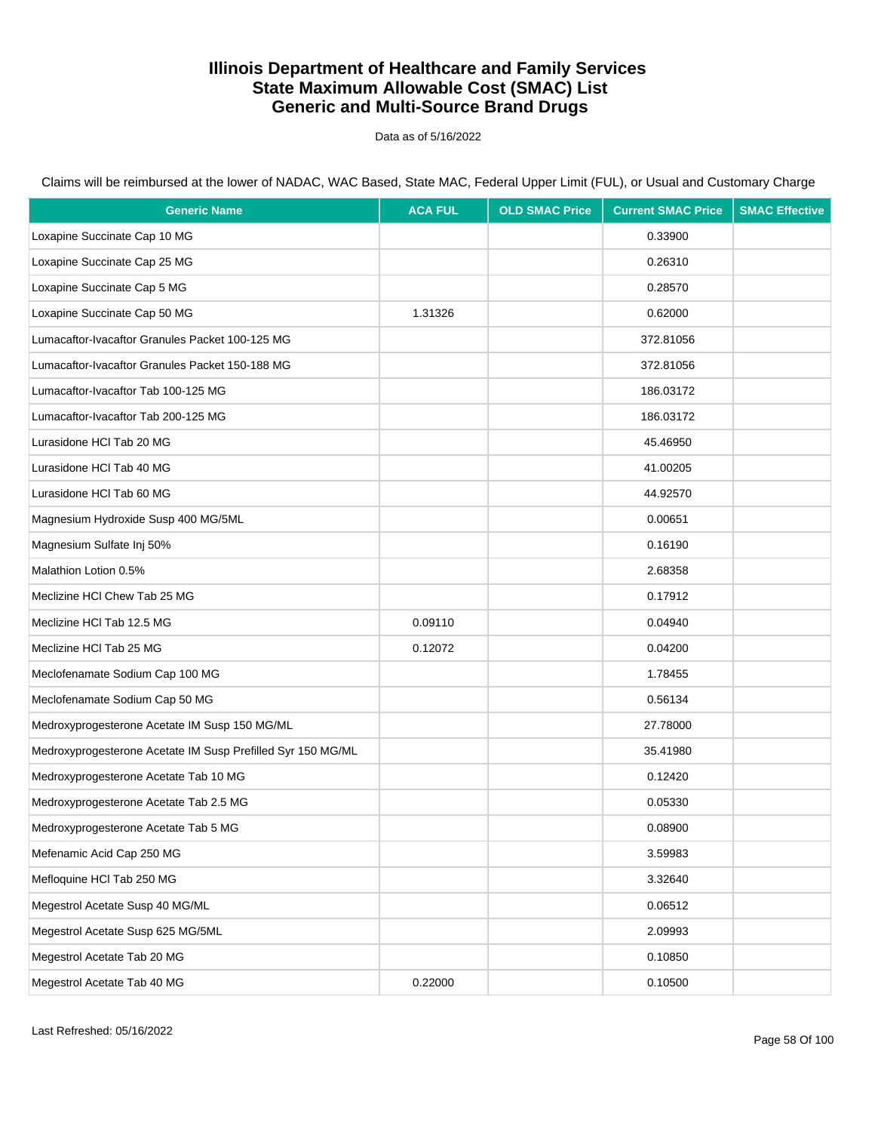Data as of 5/16/2022

| <b>Generic Name</b>                                         | <b>ACA FUL</b> | <b>OLD SMAC Price</b> | <b>Current SMAC Price</b> | <b>SMAC Effective</b> |
|-------------------------------------------------------------|----------------|-----------------------|---------------------------|-----------------------|
| Loxapine Succinate Cap 10 MG                                |                |                       | 0.33900                   |                       |
| Loxapine Succinate Cap 25 MG                                |                |                       | 0.26310                   |                       |
| Loxapine Succinate Cap 5 MG                                 |                |                       | 0.28570                   |                       |
| Loxapine Succinate Cap 50 MG                                | 1.31326        |                       | 0.62000                   |                       |
| Lumacaftor-Ivacaftor Granules Packet 100-125 MG             |                |                       | 372.81056                 |                       |
| Lumacaftor-Ivacaftor Granules Packet 150-188 MG             |                |                       | 372.81056                 |                       |
| Lumacaftor-Ivacaftor Tab 100-125 MG                         |                |                       | 186.03172                 |                       |
| Lumacaftor-Ivacaftor Tab 200-125 MG                         |                |                       | 186.03172                 |                       |
| Lurasidone HCI Tab 20 MG                                    |                |                       | 45.46950                  |                       |
| Lurasidone HCI Tab 40 MG                                    |                |                       | 41.00205                  |                       |
| Lurasidone HCI Tab 60 MG                                    |                |                       | 44.92570                  |                       |
| Magnesium Hydroxide Susp 400 MG/5ML                         |                |                       | 0.00651                   |                       |
| Magnesium Sulfate Inj 50%                                   |                |                       | 0.16190                   |                       |
| Malathion Lotion 0.5%                                       |                |                       | 2.68358                   |                       |
| Meclizine HCI Chew Tab 25 MG                                |                |                       | 0.17912                   |                       |
| Meclizine HCl Tab 12.5 MG                                   | 0.09110        |                       | 0.04940                   |                       |
| Meclizine HCl Tab 25 MG                                     | 0.12072        |                       | 0.04200                   |                       |
| Meclofenamate Sodium Cap 100 MG                             |                |                       | 1.78455                   |                       |
| Meclofenamate Sodium Cap 50 MG                              |                |                       | 0.56134                   |                       |
| Medroxyprogesterone Acetate IM Susp 150 MG/ML               |                |                       | 27.78000                  |                       |
| Medroxyprogesterone Acetate IM Susp Prefilled Syr 150 MG/ML |                |                       | 35.41980                  |                       |
| Medroxyprogesterone Acetate Tab 10 MG                       |                |                       | 0.12420                   |                       |
| Medroxyprogesterone Acetate Tab 2.5 MG                      |                |                       | 0.05330                   |                       |
| Medroxyprogesterone Acetate Tab 5 MG                        |                |                       | 0.08900                   |                       |
| Mefenamic Acid Cap 250 MG                                   |                |                       | 3.59983                   |                       |
| Mefloquine HCl Tab 250 MG                                   |                |                       | 3.32640                   |                       |
| Megestrol Acetate Susp 40 MG/ML                             |                |                       | 0.06512                   |                       |
| Megestrol Acetate Susp 625 MG/5ML                           |                |                       | 2.09993                   |                       |
| Megestrol Acetate Tab 20 MG                                 |                |                       | 0.10850                   |                       |
| Megestrol Acetate Tab 40 MG                                 | 0.22000        |                       | 0.10500                   |                       |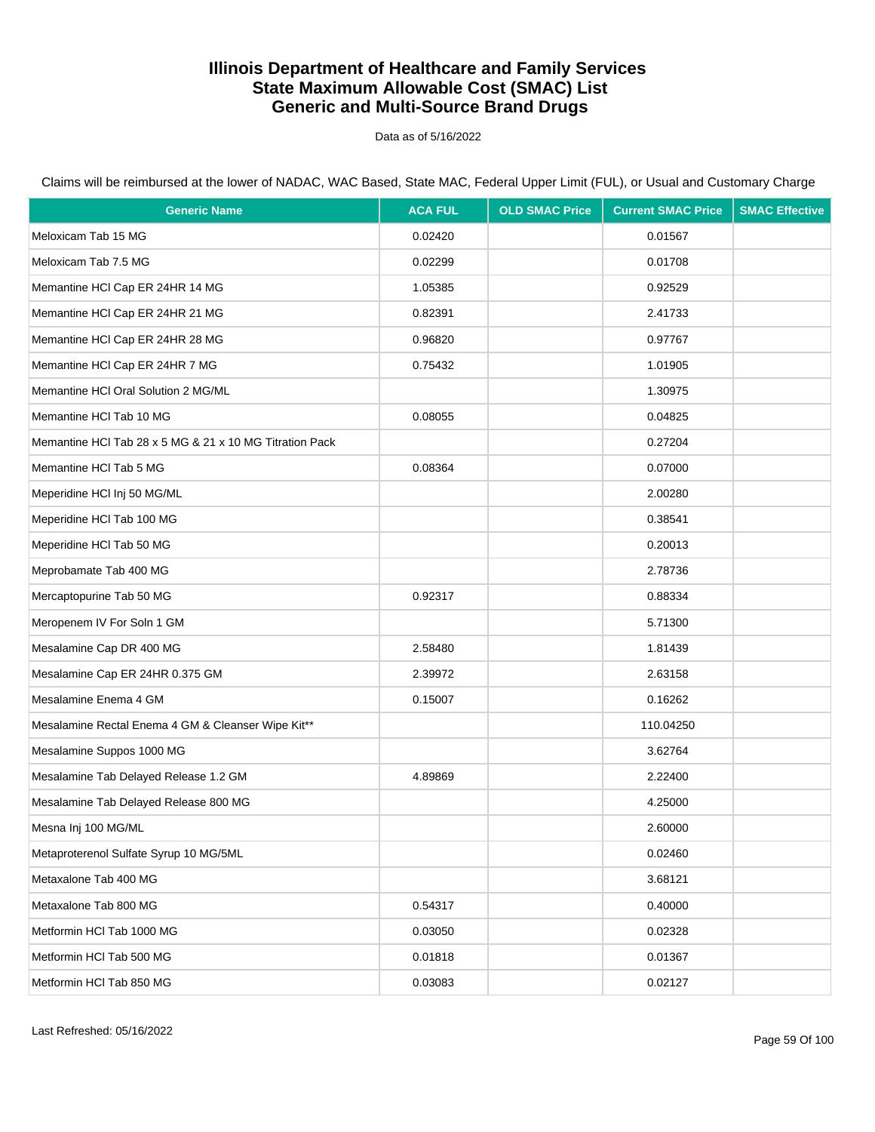Data as of 5/16/2022

| <b>Generic Name</b>                                     | <b>ACA FUL</b> | <b>OLD SMAC Price</b> | <b>Current SMAC Price</b> | <b>SMAC Effective</b> |
|---------------------------------------------------------|----------------|-----------------------|---------------------------|-----------------------|
| Meloxicam Tab 15 MG                                     | 0.02420        |                       | 0.01567                   |                       |
| Meloxicam Tab 7.5 MG                                    | 0.02299        |                       | 0.01708                   |                       |
| Memantine HCI Cap ER 24HR 14 MG                         | 1.05385        |                       | 0.92529                   |                       |
| Memantine HCI Cap ER 24HR 21 MG                         | 0.82391        |                       | 2.41733                   |                       |
| Memantine HCI Cap ER 24HR 28 MG                         | 0.96820        |                       | 0.97767                   |                       |
| Memantine HCI Cap ER 24HR 7 MG                          | 0.75432        |                       | 1.01905                   |                       |
| Memantine HCI Oral Solution 2 MG/ML                     |                |                       | 1.30975                   |                       |
| Memantine HCI Tab 10 MG                                 | 0.08055        |                       | 0.04825                   |                       |
| Memantine HCl Tab 28 x 5 MG & 21 x 10 MG Titration Pack |                |                       | 0.27204                   |                       |
| Memantine HCI Tab 5 MG                                  | 0.08364        |                       | 0.07000                   |                       |
| Meperidine HCI Inj 50 MG/ML                             |                |                       | 2.00280                   |                       |
| Meperidine HCI Tab 100 MG                               |                |                       | 0.38541                   |                       |
| Meperidine HCI Tab 50 MG                                |                |                       | 0.20013                   |                       |
| Meprobamate Tab 400 MG                                  |                |                       | 2.78736                   |                       |
| Mercaptopurine Tab 50 MG                                | 0.92317        |                       | 0.88334                   |                       |
| Meropenem IV For Soln 1 GM                              |                |                       | 5.71300                   |                       |
| Mesalamine Cap DR 400 MG                                | 2.58480        |                       | 1.81439                   |                       |
| Mesalamine Cap ER 24HR 0.375 GM                         | 2.39972        |                       | 2.63158                   |                       |
| Mesalamine Enema 4 GM                                   | 0.15007        |                       | 0.16262                   |                       |
| Mesalamine Rectal Enema 4 GM & Cleanser Wipe Kit**      |                |                       | 110.04250                 |                       |
| Mesalamine Suppos 1000 MG                               |                |                       | 3.62764                   |                       |
| Mesalamine Tab Delayed Release 1.2 GM                   | 4.89869        |                       | 2.22400                   |                       |
| Mesalamine Tab Delayed Release 800 MG                   |                |                       | 4.25000                   |                       |
| Mesna Inj 100 MG/ML                                     |                |                       | 2.60000                   |                       |
| Metaproterenol Sulfate Syrup 10 MG/5ML                  |                |                       | 0.02460                   |                       |
| Metaxalone Tab 400 MG                                   |                |                       | 3.68121                   |                       |
| Metaxalone Tab 800 MG                                   | 0.54317        |                       | 0.40000                   |                       |
| Metformin HCI Tab 1000 MG                               | 0.03050        |                       | 0.02328                   |                       |
| Metformin HCI Tab 500 MG                                | 0.01818        |                       | 0.01367                   |                       |
| Metformin HCI Tab 850 MG                                | 0.03083        |                       | 0.02127                   |                       |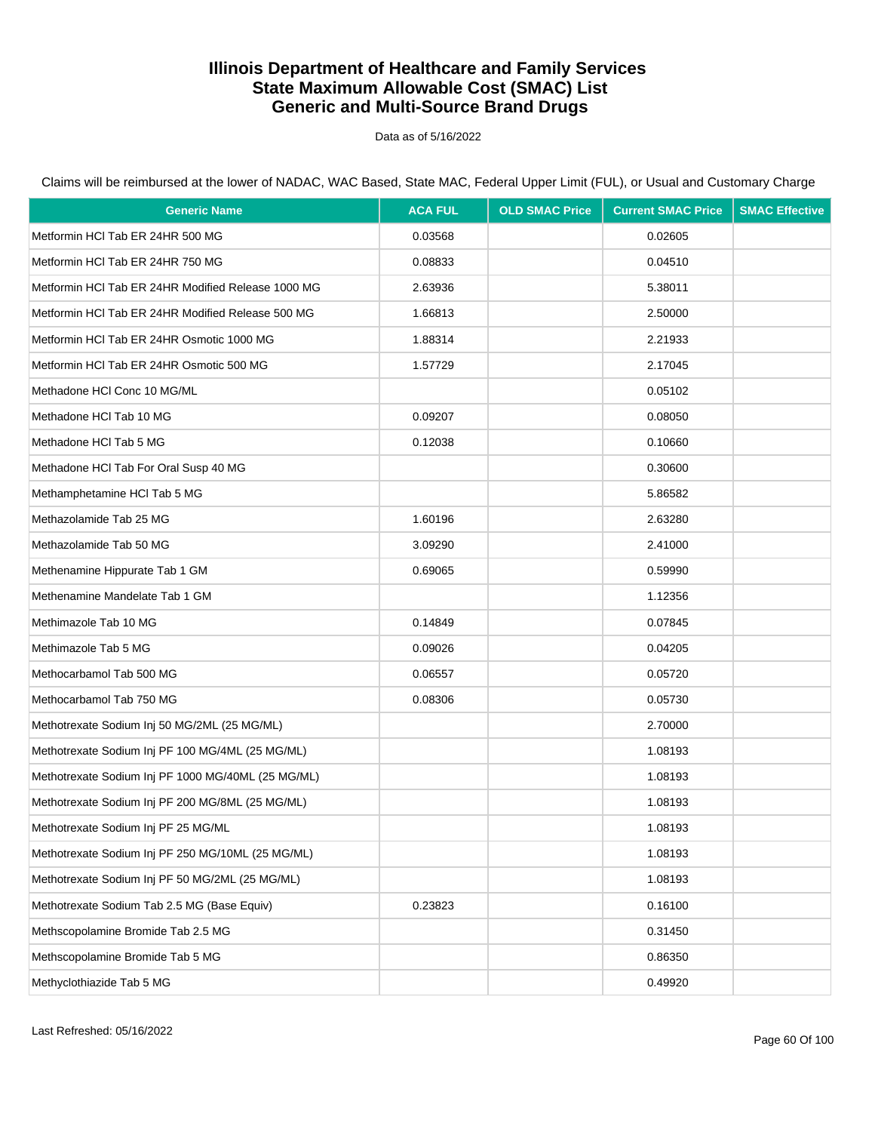Data as of 5/16/2022

| <b>Generic Name</b>                                | <b>ACA FUL</b> | <b>OLD SMAC Price</b> | <b>Current SMAC Price</b> | <b>SMAC Effective</b> |
|----------------------------------------------------|----------------|-----------------------|---------------------------|-----------------------|
| Metformin HCI Tab ER 24HR 500 MG                   | 0.03568        |                       | 0.02605                   |                       |
| Metformin HCI Tab ER 24HR 750 MG                   | 0.08833        |                       | 0.04510                   |                       |
| Metformin HCI Tab ER 24HR Modified Release 1000 MG | 2.63936        |                       | 5.38011                   |                       |
| Metformin HCI Tab ER 24HR Modified Release 500 MG  | 1.66813        |                       | 2.50000                   |                       |
| Metformin HCI Tab ER 24HR Osmotic 1000 MG          | 1.88314        |                       | 2.21933                   |                       |
| Metformin HCI Tab ER 24HR Osmotic 500 MG           | 1.57729        |                       | 2.17045                   |                       |
| Methadone HCI Conc 10 MG/ML                        |                |                       | 0.05102                   |                       |
| Methadone HCI Tab 10 MG                            | 0.09207        |                       | 0.08050                   |                       |
| Methadone HCI Tab 5 MG                             | 0.12038        |                       | 0.10660                   |                       |
| Methadone HCI Tab For Oral Susp 40 MG              |                |                       | 0.30600                   |                       |
| Methamphetamine HCI Tab 5 MG                       |                |                       | 5.86582                   |                       |
| Methazolamide Tab 25 MG                            | 1.60196        |                       | 2.63280                   |                       |
| Methazolamide Tab 50 MG                            | 3.09290        |                       | 2.41000                   |                       |
| Methenamine Hippurate Tab 1 GM                     | 0.69065        |                       | 0.59990                   |                       |
| Methenamine Mandelate Tab 1 GM                     |                |                       | 1.12356                   |                       |
| Methimazole Tab 10 MG                              | 0.14849        |                       | 0.07845                   |                       |
| Methimazole Tab 5 MG                               | 0.09026        |                       | 0.04205                   |                       |
| Methocarbamol Tab 500 MG                           | 0.06557        |                       | 0.05720                   |                       |
| Methocarbamol Tab 750 MG                           | 0.08306        |                       | 0.05730                   |                       |
| Methotrexate Sodium Inj 50 MG/2ML (25 MG/ML)       |                |                       | 2.70000                   |                       |
| Methotrexate Sodium Inj PF 100 MG/4ML (25 MG/ML)   |                |                       | 1.08193                   |                       |
| Methotrexate Sodium Inj PF 1000 MG/40ML (25 MG/ML) |                |                       | 1.08193                   |                       |
| Methotrexate Sodium Inj PF 200 MG/8ML (25 MG/ML)   |                |                       | 1.08193                   |                       |
| Methotrexate Sodium Inj PF 25 MG/ML                |                |                       | 1.08193                   |                       |
| Methotrexate Sodium Inj PF 250 MG/10ML (25 MG/ML)  |                |                       | 1.08193                   |                       |
| Methotrexate Sodium Inj PF 50 MG/2ML (25 MG/ML)    |                |                       | 1.08193                   |                       |
| Methotrexate Sodium Tab 2.5 MG (Base Equiv)        | 0.23823        |                       | 0.16100                   |                       |
| Methscopolamine Bromide Tab 2.5 MG                 |                |                       | 0.31450                   |                       |
| Methscopolamine Bromide Tab 5 MG                   |                |                       | 0.86350                   |                       |
| Methyclothiazide Tab 5 MG                          |                |                       | 0.49920                   |                       |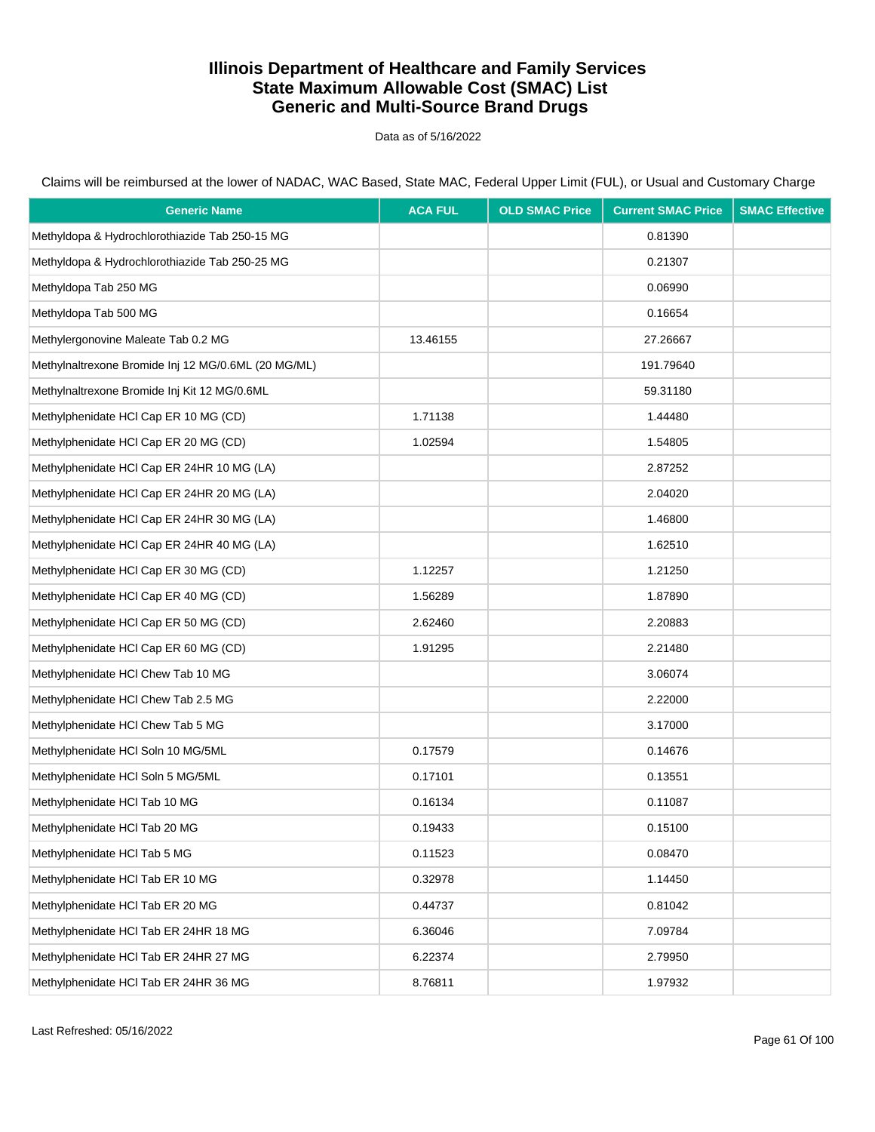Data as of 5/16/2022

| <b>Generic Name</b>                                 | <b>ACA FUL</b> | <b>OLD SMAC Price</b> | <b>Current SMAC Price</b> | <b>SMAC Effective</b> |
|-----------------------------------------------------|----------------|-----------------------|---------------------------|-----------------------|
| Methyldopa & Hydrochlorothiazide Tab 250-15 MG      |                |                       | 0.81390                   |                       |
| Methyldopa & Hydrochlorothiazide Tab 250-25 MG      |                |                       | 0.21307                   |                       |
| Methyldopa Tab 250 MG                               |                |                       | 0.06990                   |                       |
| Methyldopa Tab 500 MG                               |                |                       | 0.16654                   |                       |
| Methylergonovine Maleate Tab 0.2 MG                 | 13.46155       |                       | 27.26667                  |                       |
| Methylnaltrexone Bromide Inj 12 MG/0.6ML (20 MG/ML) |                |                       | 191.79640                 |                       |
| Methylnaltrexone Bromide Inj Kit 12 MG/0.6ML        |                |                       | 59.31180                  |                       |
| Methylphenidate HCI Cap ER 10 MG (CD)               | 1.71138        |                       | 1.44480                   |                       |
| Methylphenidate HCI Cap ER 20 MG (CD)               | 1.02594        |                       | 1.54805                   |                       |
| Methylphenidate HCl Cap ER 24HR 10 MG (LA)          |                |                       | 2.87252                   |                       |
| Methylphenidate HCl Cap ER 24HR 20 MG (LA)          |                |                       | 2.04020                   |                       |
| Methylphenidate HCl Cap ER 24HR 30 MG (LA)          |                |                       | 1.46800                   |                       |
| Methylphenidate HCl Cap ER 24HR 40 MG (LA)          |                |                       | 1.62510                   |                       |
| Methylphenidate HCI Cap ER 30 MG (CD)               | 1.12257        |                       | 1.21250                   |                       |
| Methylphenidate HCI Cap ER 40 MG (CD)               | 1.56289        |                       | 1.87890                   |                       |
| Methylphenidate HCI Cap ER 50 MG (CD)               | 2.62460        |                       | 2.20883                   |                       |
| Methylphenidate HCI Cap ER 60 MG (CD)               | 1.91295        |                       | 2.21480                   |                       |
| Methylphenidate HCI Chew Tab 10 MG                  |                |                       | 3.06074                   |                       |
| Methylphenidate HCI Chew Tab 2.5 MG                 |                |                       | 2.22000                   |                       |
| Methylphenidate HCI Chew Tab 5 MG                   |                |                       | 3.17000                   |                       |
| Methylphenidate HCI Soln 10 MG/5ML                  | 0.17579        |                       | 0.14676                   |                       |
| Methylphenidate HCI Soln 5 MG/5ML                   | 0.17101        |                       | 0.13551                   |                       |
| Methylphenidate HCI Tab 10 MG                       | 0.16134        |                       | 0.11087                   |                       |
| Methylphenidate HCI Tab 20 MG                       | 0.19433        |                       | 0.15100                   |                       |
| Methylphenidate HCl Tab 5 MG                        | 0.11523        |                       | 0.08470                   |                       |
| Methylphenidate HCI Tab ER 10 MG                    | 0.32978        |                       | 1.14450                   |                       |
| Methylphenidate HCI Tab ER 20 MG                    | 0.44737        |                       | 0.81042                   |                       |
| Methylphenidate HCI Tab ER 24HR 18 MG               | 6.36046        |                       | 7.09784                   |                       |
| Methylphenidate HCl Tab ER 24HR 27 MG               | 6.22374        |                       | 2.79950                   |                       |
| Methylphenidate HCI Tab ER 24HR 36 MG               | 8.76811        |                       | 1.97932                   |                       |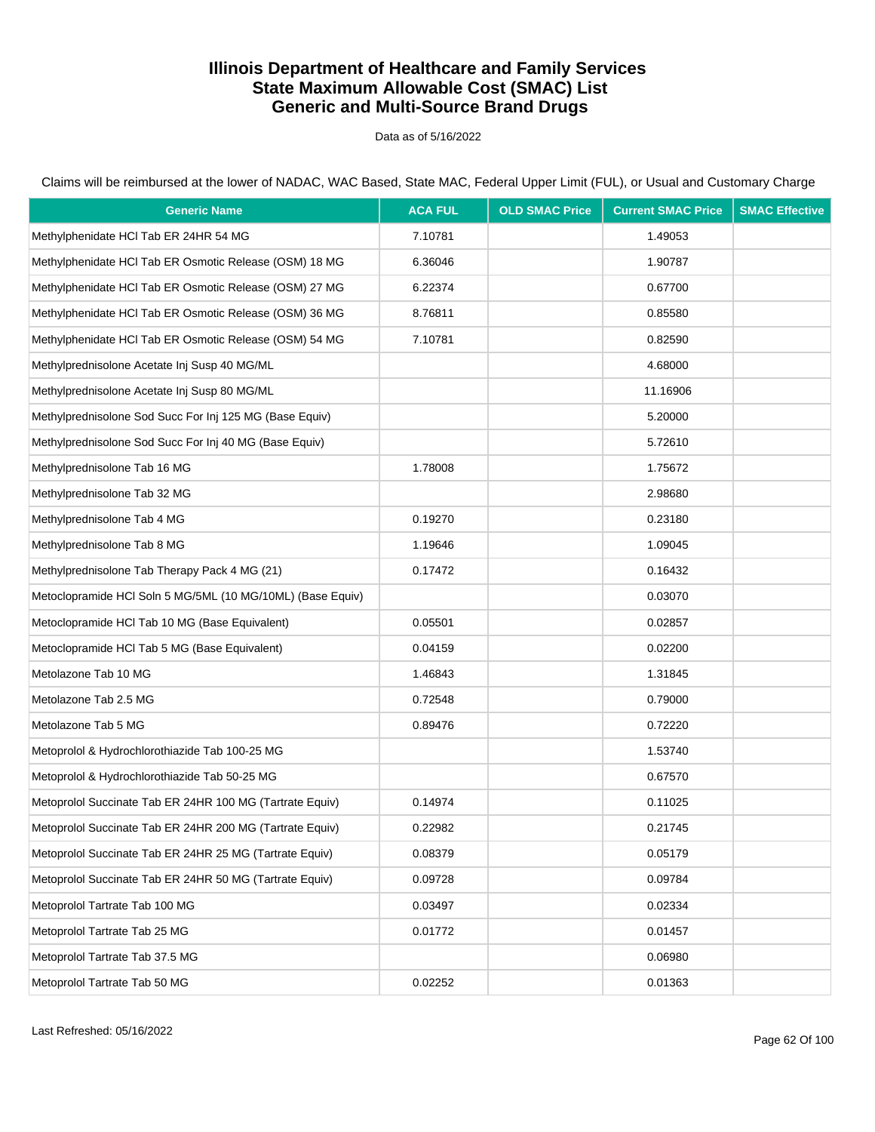Data as of 5/16/2022

Claims will be reimbursed at the lower of NADAC, WAC Based, State MAC, Federal Upper Limit (FUL), or Usual and Customary Charge

| <b>Generic Name</b>                                        | <b>ACA FUL</b> | <b>OLD SMAC Price</b> | <b>Current SMAC Price</b> | <b>SMAC Effective</b> |
|------------------------------------------------------------|----------------|-----------------------|---------------------------|-----------------------|
| Methylphenidate HCI Tab ER 24HR 54 MG                      | 7.10781        |                       | 1.49053                   |                       |
| Methylphenidate HCI Tab ER Osmotic Release (OSM) 18 MG     | 6.36046        |                       | 1.90787                   |                       |
| Methylphenidate HCI Tab ER Osmotic Release (OSM) 27 MG     | 6.22374        |                       | 0.67700                   |                       |
| Methylphenidate HCI Tab ER Osmotic Release (OSM) 36 MG     | 8.76811        |                       | 0.85580                   |                       |
| Methylphenidate HCl Tab ER Osmotic Release (OSM) 54 MG     | 7.10781        |                       | 0.82590                   |                       |
| Methylprednisolone Acetate Inj Susp 40 MG/ML               |                |                       | 4.68000                   |                       |
| Methylprednisolone Acetate Inj Susp 80 MG/ML               |                |                       | 11.16906                  |                       |
| Methylprednisolone Sod Succ For Inj 125 MG (Base Equiv)    |                |                       | 5.20000                   |                       |
| Methylprednisolone Sod Succ For Inj 40 MG (Base Equiv)     |                |                       | 5.72610                   |                       |
| Methylprednisolone Tab 16 MG                               | 1.78008        |                       | 1.75672                   |                       |
| Methylprednisolone Tab 32 MG                               |                |                       | 2.98680                   |                       |
| Methylprednisolone Tab 4 MG                                | 0.19270        |                       | 0.23180                   |                       |
| Methylprednisolone Tab 8 MG                                | 1.19646        |                       | 1.09045                   |                       |
| Methylprednisolone Tab Therapy Pack 4 MG (21)              | 0.17472        |                       | 0.16432                   |                       |
| Metoclopramide HCl Soln 5 MG/5ML (10 MG/10ML) (Base Equiv) |                |                       | 0.03070                   |                       |
| Metoclopramide HCl Tab 10 MG (Base Equivalent)             | 0.05501        |                       | 0.02857                   |                       |
| Metoclopramide HCI Tab 5 MG (Base Equivalent)              | 0.04159        |                       | 0.02200                   |                       |
| Metolazone Tab 10 MG                                       | 1.46843        |                       | 1.31845                   |                       |
| Metolazone Tab 2.5 MG                                      | 0.72548        |                       | 0.79000                   |                       |
| Metolazone Tab 5 MG                                        | 0.89476        |                       | 0.72220                   |                       |
| Metoprolol & Hydrochlorothiazide Tab 100-25 MG             |                |                       | 1.53740                   |                       |
| Metoprolol & Hydrochlorothiazide Tab 50-25 MG              |                |                       | 0.67570                   |                       |
| Metoprolol Succinate Tab ER 24HR 100 MG (Tartrate Equiv)   | 0.14974        |                       | 0.11025                   |                       |
| Metoprolol Succinate Tab ER 24HR 200 MG (Tartrate Equiv)   | 0.22982        |                       | 0.21745                   |                       |
| Metoprolol Succinate Tab ER 24HR 25 MG (Tartrate Equiv)    | 0.08379        |                       | 0.05179                   |                       |
| Metoprolol Succinate Tab ER 24HR 50 MG (Tartrate Equiv)    | 0.09728        |                       | 0.09784                   |                       |
| Metoprolol Tartrate Tab 100 MG                             | 0.03497        |                       | 0.02334                   |                       |
| Metoprolol Tartrate Tab 25 MG                              | 0.01772        |                       | 0.01457                   |                       |
| Metoprolol Tartrate Tab 37.5 MG                            |                |                       | 0.06980                   |                       |
| Metoprolol Tartrate Tab 50 MG                              | 0.02252        |                       | 0.01363                   |                       |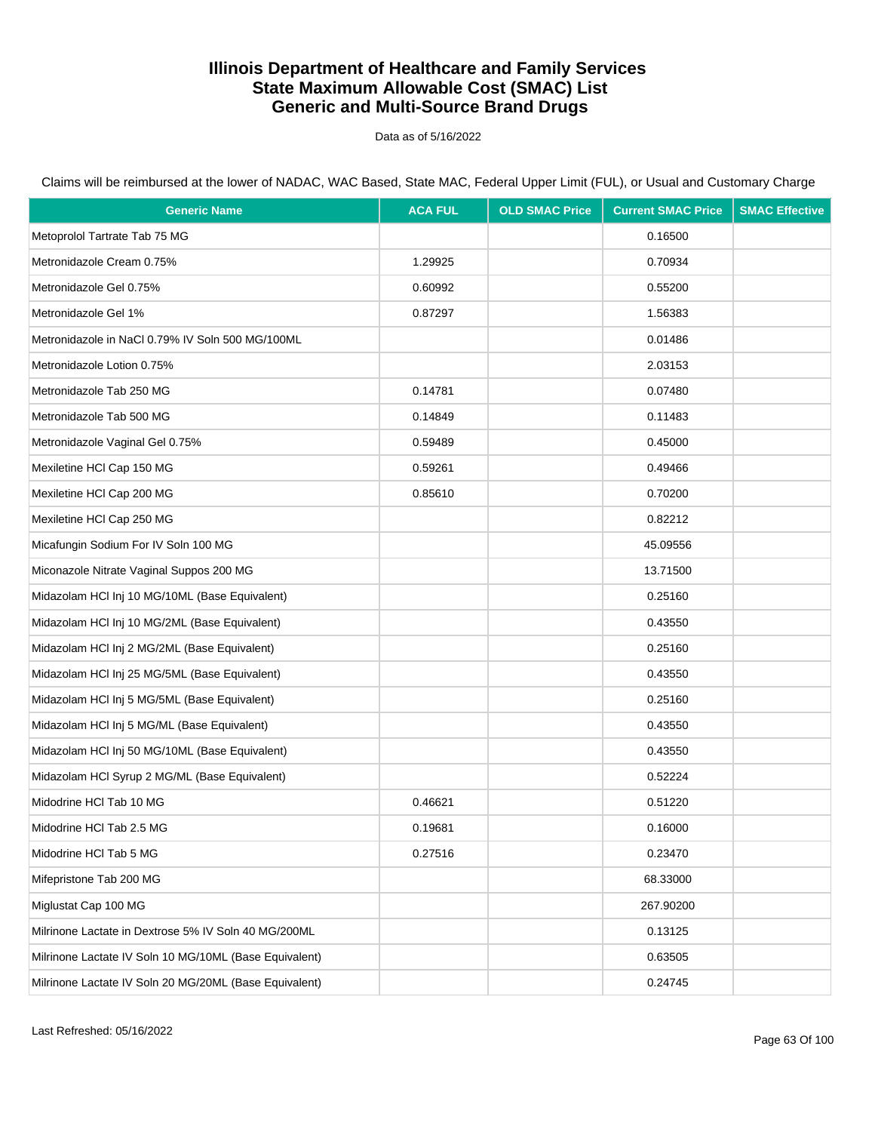Data as of 5/16/2022

| <b>Generic Name</b>                                    | <b>ACA FUL</b> | <b>OLD SMAC Price</b> | <b>Current SMAC Price</b> | <b>SMAC Effective</b> |
|--------------------------------------------------------|----------------|-----------------------|---------------------------|-----------------------|
| Metoprolol Tartrate Tab 75 MG                          |                |                       | 0.16500                   |                       |
| Metronidazole Cream 0.75%                              | 1.29925        |                       | 0.70934                   |                       |
| Metronidazole Gel 0.75%                                | 0.60992        |                       | 0.55200                   |                       |
| Metronidazole Gel 1%                                   | 0.87297        |                       | 1.56383                   |                       |
| Metronidazole in NaCl 0.79% IV Soln 500 MG/100ML       |                |                       | 0.01486                   |                       |
| Metronidazole Lotion 0.75%                             |                |                       | 2.03153                   |                       |
| Metronidazole Tab 250 MG                               | 0.14781        |                       | 0.07480                   |                       |
| Metronidazole Tab 500 MG                               | 0.14849        |                       | 0.11483                   |                       |
| Metronidazole Vaginal Gel 0.75%                        | 0.59489        |                       | 0.45000                   |                       |
| Mexiletine HCI Cap 150 MG                              | 0.59261        |                       | 0.49466                   |                       |
| Mexiletine HCI Cap 200 MG                              | 0.85610        |                       | 0.70200                   |                       |
| Mexiletine HCI Cap 250 MG                              |                |                       | 0.82212                   |                       |
| Micafungin Sodium For IV Soln 100 MG                   |                |                       | 45.09556                  |                       |
| Miconazole Nitrate Vaginal Suppos 200 MG               |                |                       | 13.71500                  |                       |
| Midazolam HCl Inj 10 MG/10ML (Base Equivalent)         |                |                       | 0.25160                   |                       |
| Midazolam HCl Inj 10 MG/2ML (Base Equivalent)          |                |                       | 0.43550                   |                       |
| Midazolam HCl Inj 2 MG/2ML (Base Equivalent)           |                |                       | 0.25160                   |                       |
| Midazolam HCl Inj 25 MG/5ML (Base Equivalent)          |                |                       | 0.43550                   |                       |
| Midazolam HCl Inj 5 MG/5ML (Base Equivalent)           |                |                       | 0.25160                   |                       |
| Midazolam HCl Inj 5 MG/ML (Base Equivalent)            |                |                       | 0.43550                   |                       |
| Midazolam HCl Inj 50 MG/10ML (Base Equivalent)         |                |                       | 0.43550                   |                       |
| Midazolam HCl Syrup 2 MG/ML (Base Equivalent)          |                |                       | 0.52224                   |                       |
| Midodrine HCI Tab 10 MG                                | 0.46621        |                       | 0.51220                   |                       |
| Midodrine HCI Tab 2.5 MG                               | 0.19681        |                       | 0.16000                   |                       |
| Midodrine HCI Tab 5 MG                                 | 0.27516        |                       | 0.23470                   |                       |
| Mifepristone Tab 200 MG                                |                |                       | 68.33000                  |                       |
| Miglustat Cap 100 MG                                   |                |                       | 267.90200                 |                       |
| Milrinone Lactate in Dextrose 5% IV Soln 40 MG/200ML   |                |                       | 0.13125                   |                       |
| Milrinone Lactate IV Soln 10 MG/10ML (Base Equivalent) |                |                       | 0.63505                   |                       |
| Milrinone Lactate IV Soln 20 MG/20ML (Base Equivalent) |                |                       | 0.24745                   |                       |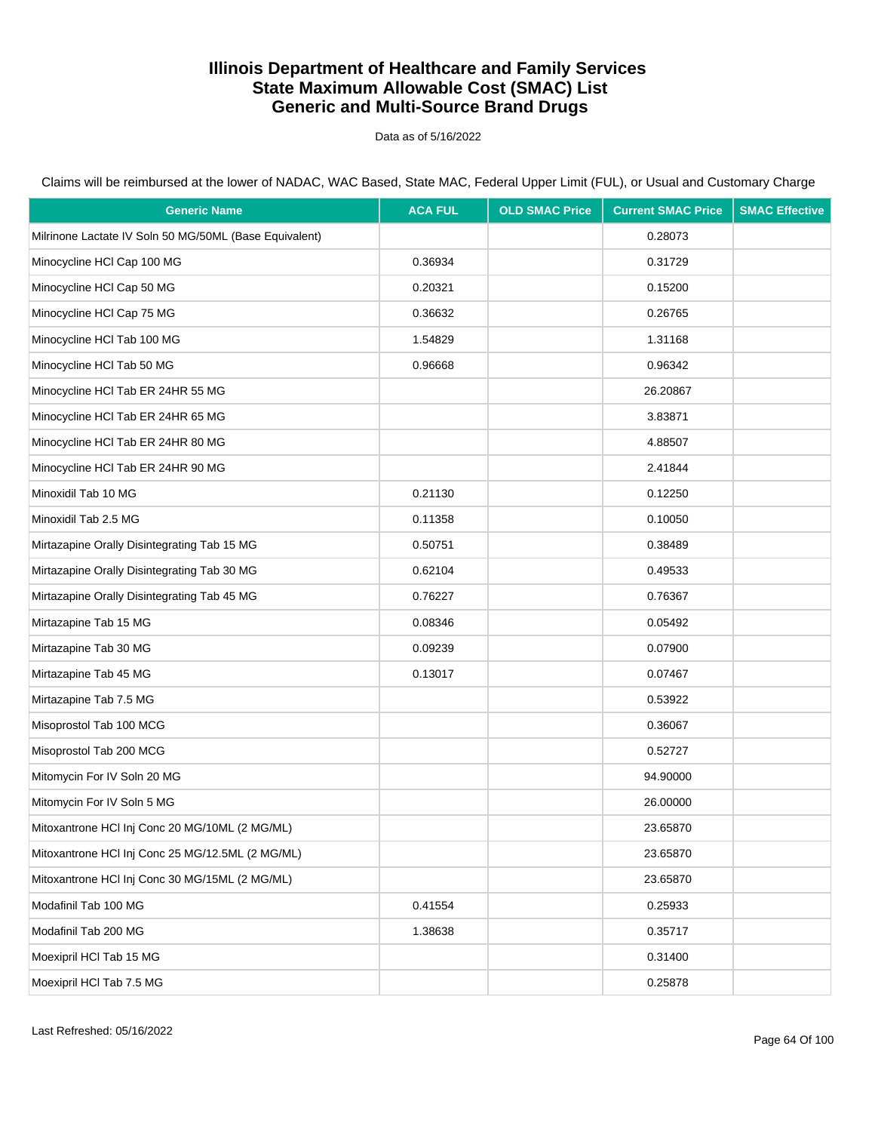Data as of 5/16/2022

| <b>Generic Name</b>                                    | <b>ACA FUL</b> | <b>OLD SMAC Price</b> | <b>Current SMAC Price</b> | <b>SMAC Effective</b> |
|--------------------------------------------------------|----------------|-----------------------|---------------------------|-----------------------|
| Milrinone Lactate IV Soln 50 MG/50ML (Base Equivalent) |                |                       | 0.28073                   |                       |
| Minocycline HCI Cap 100 MG                             | 0.36934        |                       | 0.31729                   |                       |
| Minocycline HCI Cap 50 MG                              | 0.20321        |                       | 0.15200                   |                       |
| Minocycline HCI Cap 75 MG                              | 0.36632        |                       | 0.26765                   |                       |
| Minocycline HCI Tab 100 MG                             | 1.54829        |                       | 1.31168                   |                       |
| Minocycline HCI Tab 50 MG                              | 0.96668        |                       | 0.96342                   |                       |
| Minocycline HCI Tab ER 24HR 55 MG                      |                |                       | 26.20867                  |                       |
| Minocycline HCI Tab ER 24HR 65 MG                      |                |                       | 3.83871                   |                       |
| Minocycline HCI Tab ER 24HR 80 MG                      |                |                       | 4.88507                   |                       |
| Minocycline HCI Tab ER 24HR 90 MG                      |                |                       | 2.41844                   |                       |
| Minoxidil Tab 10 MG                                    | 0.21130        |                       | 0.12250                   |                       |
| Minoxidil Tab 2.5 MG                                   | 0.11358        |                       | 0.10050                   |                       |
| Mirtazapine Orally Disintegrating Tab 15 MG            | 0.50751        |                       | 0.38489                   |                       |
| Mirtazapine Orally Disintegrating Tab 30 MG            | 0.62104        |                       | 0.49533                   |                       |
| Mirtazapine Orally Disintegrating Tab 45 MG            | 0.76227        |                       | 0.76367                   |                       |
| Mirtazapine Tab 15 MG                                  | 0.08346        |                       | 0.05492                   |                       |
| Mirtazapine Tab 30 MG                                  | 0.09239        |                       | 0.07900                   |                       |
| Mirtazapine Tab 45 MG                                  | 0.13017        |                       | 0.07467                   |                       |
| Mirtazapine Tab 7.5 MG                                 |                |                       | 0.53922                   |                       |
| Misoprostol Tab 100 MCG                                |                |                       | 0.36067                   |                       |
| Misoprostol Tab 200 MCG                                |                |                       | 0.52727                   |                       |
| Mitomycin For IV Soln 20 MG                            |                |                       | 94.90000                  |                       |
| Mitomycin For IV Soln 5 MG                             |                |                       | 26.00000                  |                       |
| Mitoxantrone HCI Inj Conc 20 MG/10ML (2 MG/ML)         |                |                       | 23.65870                  |                       |
| Mitoxantrone HCI Inj Conc 25 MG/12.5ML (2 MG/ML)       |                |                       | 23.65870                  |                       |
| Mitoxantrone HCI Inj Conc 30 MG/15ML (2 MG/ML)         |                |                       | 23.65870                  |                       |
| Modafinil Tab 100 MG                                   | 0.41554        |                       | 0.25933                   |                       |
| Modafinil Tab 200 MG                                   | 1.38638        |                       | 0.35717                   |                       |
| Moexipril HCI Tab 15 MG                                |                |                       | 0.31400                   |                       |
| Moexipril HCI Tab 7.5 MG                               |                |                       | 0.25878                   |                       |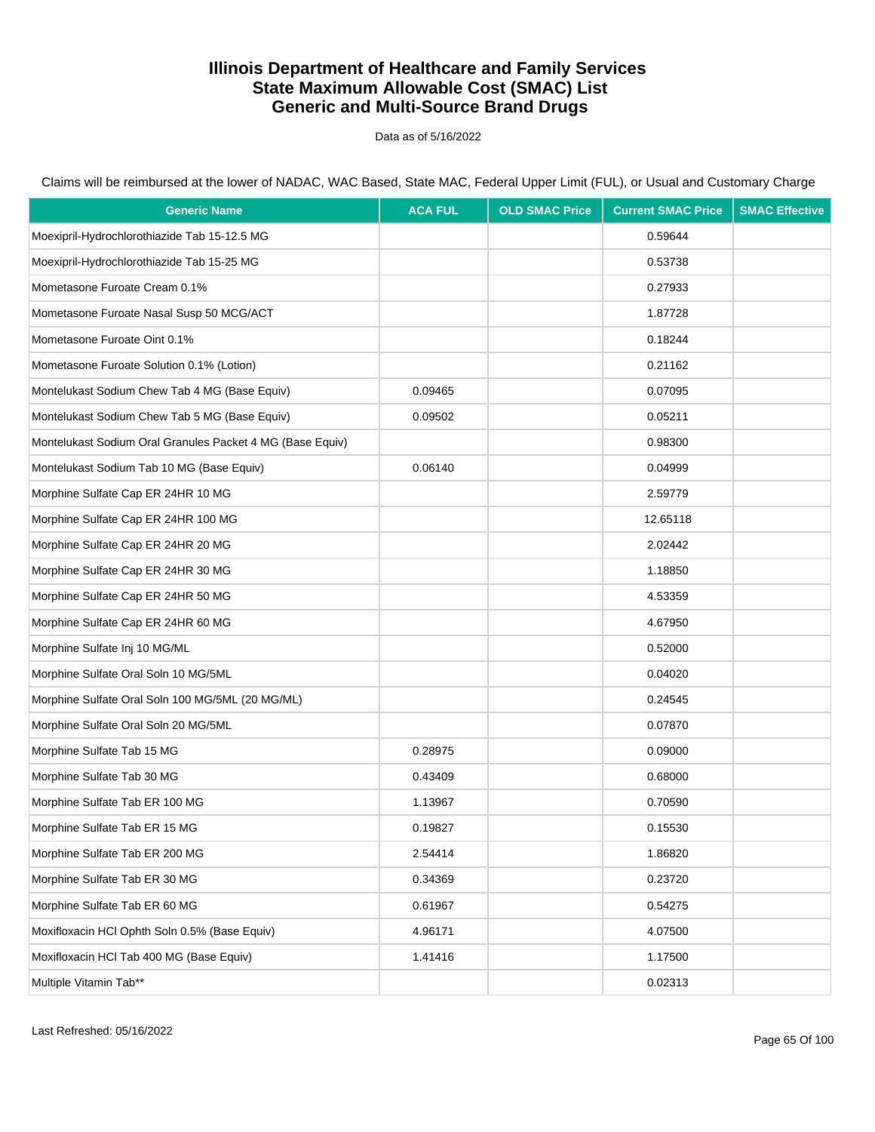Data as of 5/16/2022

| <b>Generic Name</b>                                       | <b>ACA FUL</b> | <b>OLD SMAC Price</b> | <b>Current SMAC Price</b> | <b>SMAC Effective</b> |
|-----------------------------------------------------------|----------------|-----------------------|---------------------------|-----------------------|
| Moexipril-Hydrochlorothiazide Tab 15-12.5 MG              |                |                       | 0.59644                   |                       |
| Moexipril-Hydrochlorothiazide Tab 15-25 MG                |                |                       | 0.53738                   |                       |
| Mometasone Furoate Cream 0.1%                             |                |                       | 0.27933                   |                       |
| Mometasone Furoate Nasal Susp 50 MCG/ACT                  |                |                       | 1.87728                   |                       |
| Mometasone Furoate Oint 0.1%                              |                |                       | 0.18244                   |                       |
| Mometasone Furoate Solution 0.1% (Lotion)                 |                |                       | 0.21162                   |                       |
| Montelukast Sodium Chew Tab 4 MG (Base Equiv)             | 0.09465        |                       | 0.07095                   |                       |
| Montelukast Sodium Chew Tab 5 MG (Base Equiv)             | 0.09502        |                       | 0.05211                   |                       |
| Montelukast Sodium Oral Granules Packet 4 MG (Base Equiv) |                |                       | 0.98300                   |                       |
| Montelukast Sodium Tab 10 MG (Base Equiv)                 | 0.06140        |                       | 0.04999                   |                       |
| Morphine Sulfate Cap ER 24HR 10 MG                        |                |                       | 2.59779                   |                       |
| Morphine Sulfate Cap ER 24HR 100 MG                       |                |                       | 12.65118                  |                       |
| Morphine Sulfate Cap ER 24HR 20 MG                        |                |                       | 2.02442                   |                       |
| Morphine Sulfate Cap ER 24HR 30 MG                        |                |                       | 1.18850                   |                       |
| Morphine Sulfate Cap ER 24HR 50 MG                        |                |                       | 4.53359                   |                       |
| Morphine Sulfate Cap ER 24HR 60 MG                        |                |                       | 4.67950                   |                       |
| Morphine Sulfate Inj 10 MG/ML                             |                |                       | 0.52000                   |                       |
| Morphine Sulfate Oral Soln 10 MG/5ML                      |                |                       | 0.04020                   |                       |
| Morphine Sulfate Oral Soln 100 MG/5ML (20 MG/ML)          |                |                       | 0.24545                   |                       |
| Morphine Sulfate Oral Soln 20 MG/5ML                      |                |                       | 0.07870                   |                       |
| Morphine Sulfate Tab 15 MG                                | 0.28975        |                       | 0.09000                   |                       |
| Morphine Sulfate Tab 30 MG                                | 0.43409        |                       | 0.68000                   |                       |
| Morphine Sulfate Tab ER 100 MG                            | 1.13967        |                       | 0.70590                   |                       |
| Morphine Sulfate Tab ER 15 MG                             | 0.19827        |                       | 0.15530                   |                       |
| Morphine Sulfate Tab ER 200 MG                            | 2.54414        |                       | 1.86820                   |                       |
| Morphine Sulfate Tab ER 30 MG                             | 0.34369        |                       | 0.23720                   |                       |
| Morphine Sulfate Tab ER 60 MG                             | 0.61967        |                       | 0.54275                   |                       |
| Moxifloxacin HCl Ophth Soln 0.5% (Base Equiv)             | 4.96171        |                       | 4.07500                   |                       |
| Moxifloxacin HCI Tab 400 MG (Base Equiv)                  | 1.41416        |                       | 1.17500                   |                       |
| Multiple Vitamin Tab**                                    |                |                       | 0.02313                   |                       |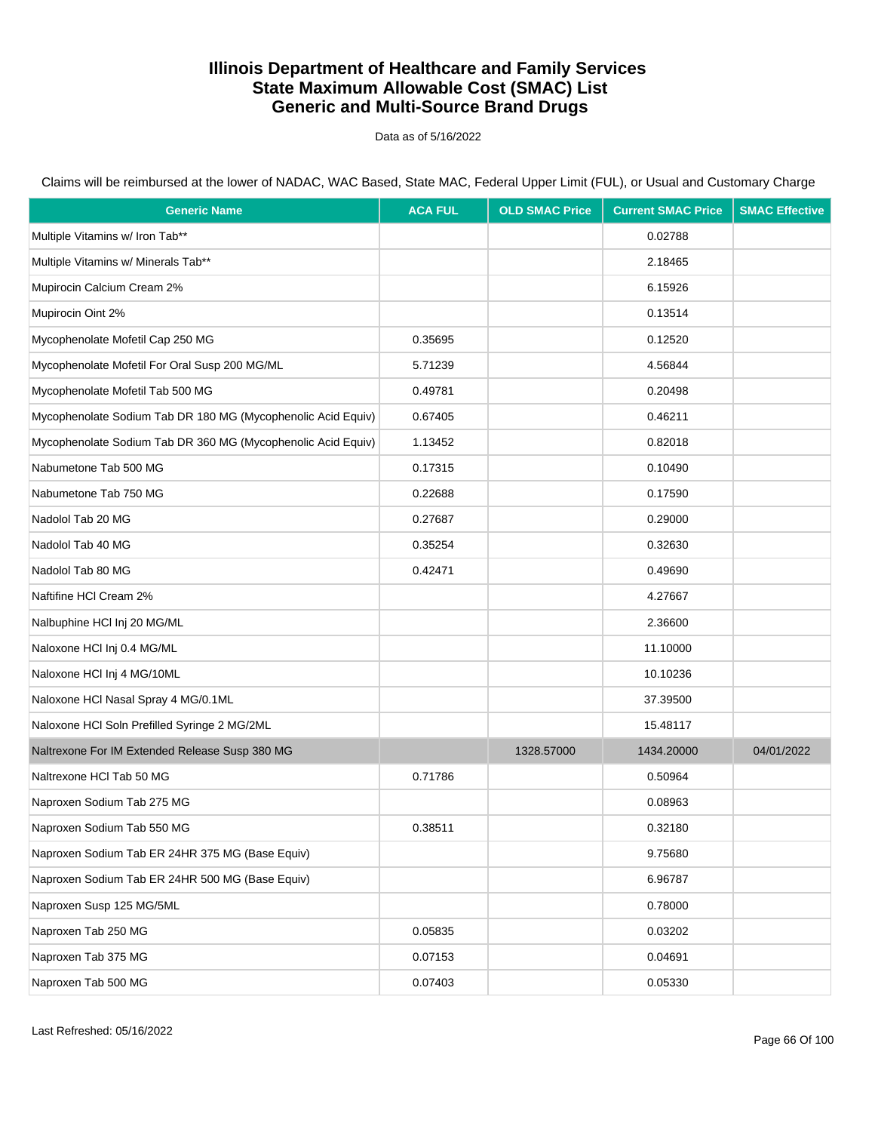Data as of 5/16/2022

| <b>Generic Name</b>                                          | <b>ACA FUL</b> | <b>OLD SMAC Price</b> | <b>Current SMAC Price</b> | <b>SMAC Effective</b> |
|--------------------------------------------------------------|----------------|-----------------------|---------------------------|-----------------------|
| Multiple Vitamins w/ Iron Tab**                              |                |                       | 0.02788                   |                       |
| Multiple Vitamins w/ Minerals Tab**                          |                |                       | 2.18465                   |                       |
| Mupirocin Calcium Cream 2%                                   |                |                       | 6.15926                   |                       |
| Mupirocin Oint 2%                                            |                |                       | 0.13514                   |                       |
| Mycophenolate Mofetil Cap 250 MG                             | 0.35695        |                       | 0.12520                   |                       |
| Mycophenolate Mofetil For Oral Susp 200 MG/ML                | 5.71239        |                       | 4.56844                   |                       |
| Mycophenolate Mofetil Tab 500 MG                             | 0.49781        |                       | 0.20498                   |                       |
| Mycophenolate Sodium Tab DR 180 MG (Mycophenolic Acid Equiv) | 0.67405        |                       | 0.46211                   |                       |
| Mycophenolate Sodium Tab DR 360 MG (Mycophenolic Acid Equiv) | 1.13452        |                       | 0.82018                   |                       |
| Nabumetone Tab 500 MG                                        | 0.17315        |                       | 0.10490                   |                       |
| Nabumetone Tab 750 MG                                        | 0.22688        |                       | 0.17590                   |                       |
| Nadolol Tab 20 MG                                            | 0.27687        |                       | 0.29000                   |                       |
| Nadolol Tab 40 MG                                            | 0.35254        |                       | 0.32630                   |                       |
| Nadolol Tab 80 MG                                            | 0.42471        |                       | 0.49690                   |                       |
| Naftifine HCI Cream 2%                                       |                |                       | 4.27667                   |                       |
| Nalbuphine HCl Inj 20 MG/ML                                  |                |                       | 2.36600                   |                       |
| Naloxone HCl Inj 0.4 MG/ML                                   |                |                       | 11.10000                  |                       |
| Naloxone HCl Inj 4 MG/10ML                                   |                |                       | 10.10236                  |                       |
| Naloxone HCl Nasal Spray 4 MG/0.1ML                          |                |                       | 37.39500                  |                       |
| Naloxone HCl Soln Prefilled Syringe 2 MG/2ML                 |                |                       | 15.48117                  |                       |
| Naltrexone For IM Extended Release Susp 380 MG               |                | 1328.57000            | 1434.20000                | 04/01/2022            |
| Naltrexone HCl Tab 50 MG                                     | 0.71786        |                       | 0.50964                   |                       |
| Naproxen Sodium Tab 275 MG                                   |                |                       | 0.08963                   |                       |
| Naproxen Sodium Tab 550 MG                                   | 0.38511        |                       | 0.32180                   |                       |
| Naproxen Sodium Tab ER 24HR 375 MG (Base Equiv)              |                |                       | 9.75680                   |                       |
| Naproxen Sodium Tab ER 24HR 500 MG (Base Equiv)              |                |                       | 6.96787                   |                       |
| Naproxen Susp 125 MG/5ML                                     |                |                       | 0.78000                   |                       |
| Naproxen Tab 250 MG                                          | 0.05835        |                       | 0.03202                   |                       |
| Naproxen Tab 375 MG                                          | 0.07153        |                       | 0.04691                   |                       |
| Naproxen Tab 500 MG                                          | 0.07403        |                       | 0.05330                   |                       |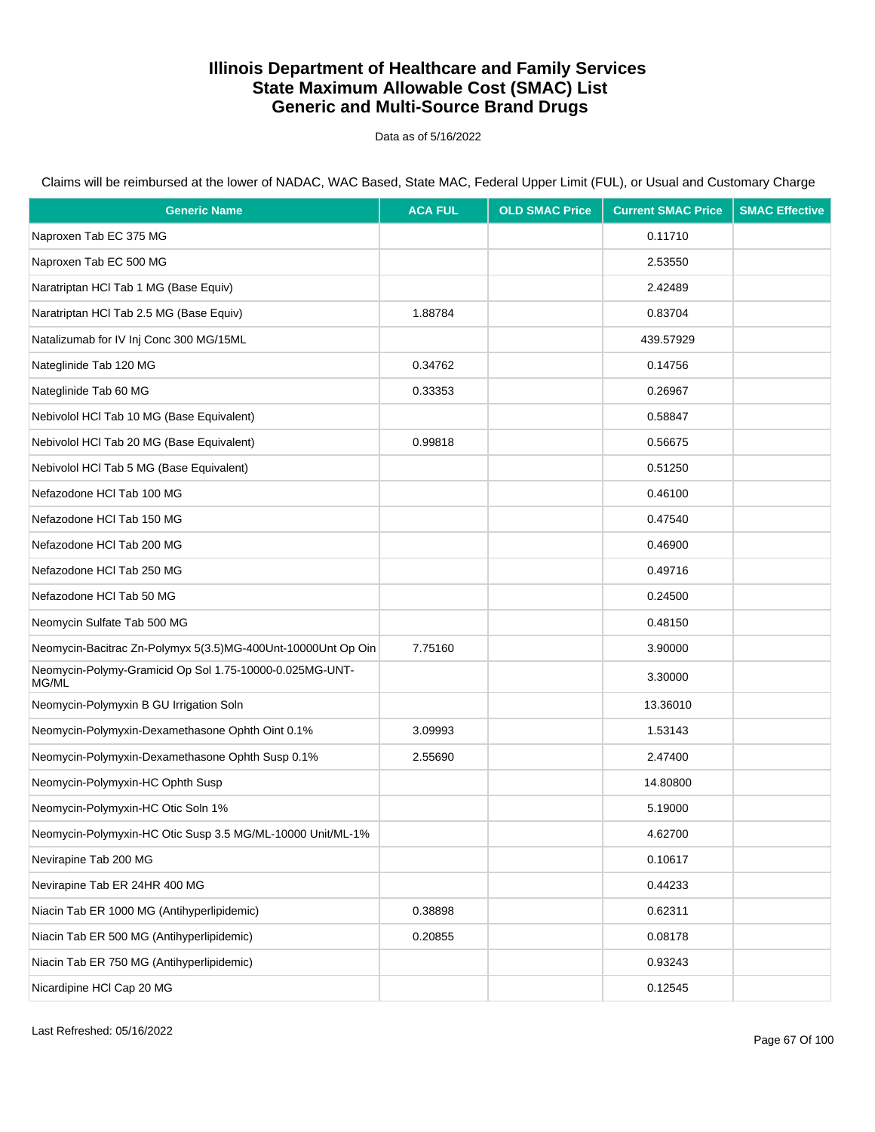Data as of 5/16/2022

| <b>Generic Name</b>                                              | <b>ACA FUL</b> | <b>OLD SMAC Price</b> | <b>Current SMAC Price</b> | <b>SMAC Effective</b> |
|------------------------------------------------------------------|----------------|-----------------------|---------------------------|-----------------------|
| Naproxen Tab EC 375 MG                                           |                |                       | 0.11710                   |                       |
| Naproxen Tab EC 500 MG                                           |                |                       | 2.53550                   |                       |
| Naratriptan HCl Tab 1 MG (Base Equiv)                            |                |                       | 2.42489                   |                       |
| Naratriptan HCl Tab 2.5 MG (Base Equiv)                          | 1.88784        |                       | 0.83704                   |                       |
| Natalizumab for IV Inj Conc 300 MG/15ML                          |                |                       | 439.57929                 |                       |
| Nateglinide Tab 120 MG                                           | 0.34762        |                       | 0.14756                   |                       |
| Nateglinide Tab 60 MG                                            | 0.33353        |                       | 0.26967                   |                       |
| Nebivolol HCl Tab 10 MG (Base Equivalent)                        |                |                       | 0.58847                   |                       |
| Nebivolol HCl Tab 20 MG (Base Equivalent)                        | 0.99818        |                       | 0.56675                   |                       |
| Nebivolol HCl Tab 5 MG (Base Equivalent)                         |                |                       | 0.51250                   |                       |
| Nefazodone HCl Tab 100 MG                                        |                |                       | 0.46100                   |                       |
| Nefazodone HCl Tab 150 MG                                        |                |                       | 0.47540                   |                       |
| Nefazodone HCI Tab 200 MG                                        |                |                       | 0.46900                   |                       |
| Nefazodone HCI Tab 250 MG                                        |                |                       | 0.49716                   |                       |
| Nefazodone HCl Tab 50 MG                                         |                |                       | 0.24500                   |                       |
| Neomycin Sulfate Tab 500 MG                                      |                |                       | 0.48150                   |                       |
| Neomycin-Bacitrac Zn-Polymyx 5(3.5)MG-400Unt-10000Unt Op Oin     | 7.75160        |                       | 3.90000                   |                       |
| Neomycin-Polymy-Gramicid Op Sol 1.75-10000-0.025MG-UNT-<br>MG/ML |                |                       | 3.30000                   |                       |
| Neomycin-Polymyxin B GU Irrigation Soln                          |                |                       | 13.36010                  |                       |
| Neomycin-Polymyxin-Dexamethasone Ophth Oint 0.1%                 | 3.09993        |                       | 1.53143                   |                       |
| Neomycin-Polymyxin-Dexamethasone Ophth Susp 0.1%                 | 2.55690        |                       | 2.47400                   |                       |
| Neomycin-Polymyxin-HC Ophth Susp                                 |                |                       | 14.80800                  |                       |
| Neomycin-Polymyxin-HC Otic Soln 1%                               |                |                       | 5.19000                   |                       |
| Neomycin-Polymyxin-HC Otic Susp 3.5 MG/ML-10000 Unit/ML-1%       |                |                       | 4.62700                   |                       |
| Nevirapine Tab 200 MG                                            |                |                       | 0.10617                   |                       |
| Nevirapine Tab ER 24HR 400 MG                                    |                |                       | 0.44233                   |                       |
| Niacin Tab ER 1000 MG (Antihyperlipidemic)                       | 0.38898        |                       | 0.62311                   |                       |
| Niacin Tab ER 500 MG (Antihyperlipidemic)                        | 0.20855        |                       | 0.08178                   |                       |
| Niacin Tab ER 750 MG (Antihyperlipidemic)                        |                |                       | 0.93243                   |                       |
| Nicardipine HCI Cap 20 MG                                        |                |                       | 0.12545                   |                       |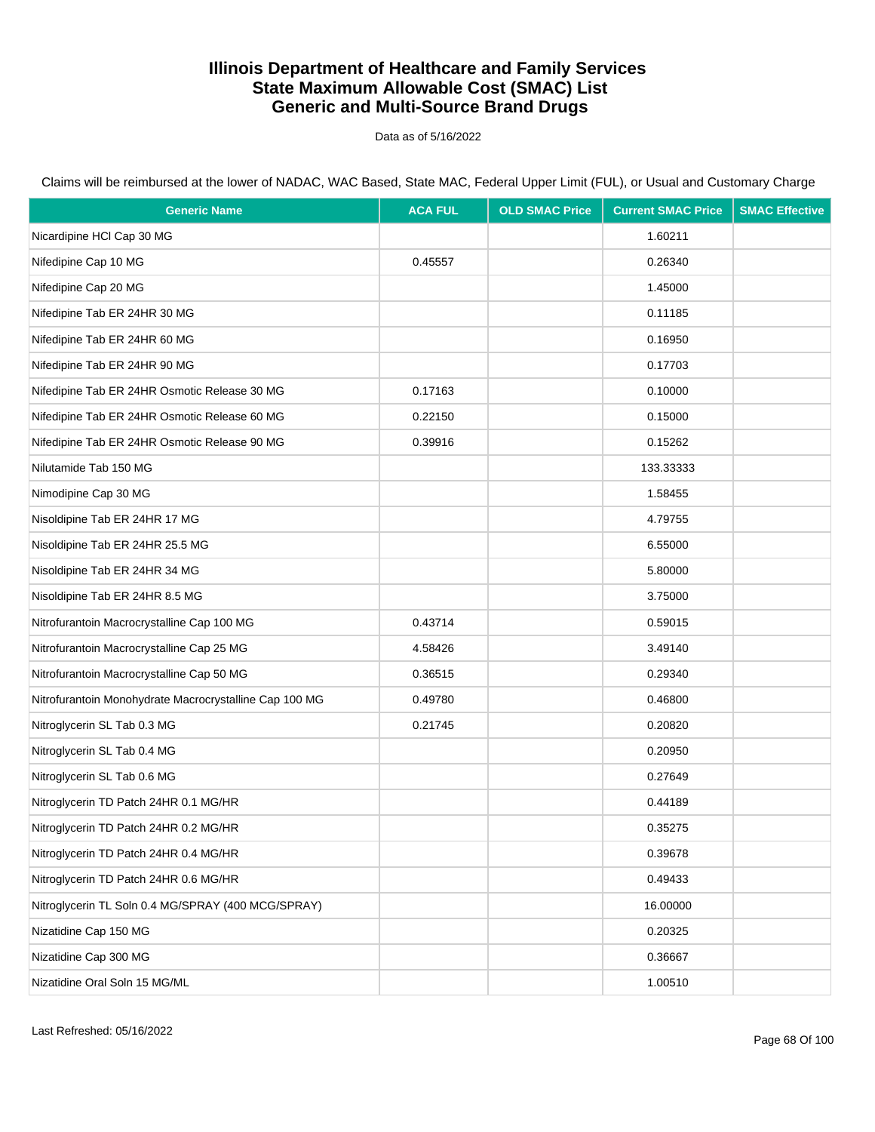Data as of 5/16/2022

| <b>Generic Name</b>                                    | <b>ACA FUL</b> | <b>OLD SMAC Price</b> | <b>Current SMAC Price</b> | <b>SMAC Effective</b> |
|--------------------------------------------------------|----------------|-----------------------|---------------------------|-----------------------|
| Nicardipine HCI Cap 30 MG                              |                |                       | 1.60211                   |                       |
| Nifedipine Cap 10 MG                                   | 0.45557        |                       | 0.26340                   |                       |
| Nifedipine Cap 20 MG                                   |                |                       | 1.45000                   |                       |
| Nifedipine Tab ER 24HR 30 MG                           |                |                       | 0.11185                   |                       |
| Nifedipine Tab ER 24HR 60 MG                           |                |                       | 0.16950                   |                       |
| Nifedipine Tab ER 24HR 90 MG                           |                |                       | 0.17703                   |                       |
| Nifedipine Tab ER 24HR Osmotic Release 30 MG           | 0.17163        |                       | 0.10000                   |                       |
| Nifedipine Tab ER 24HR Osmotic Release 60 MG           | 0.22150        |                       | 0.15000                   |                       |
| Nifedipine Tab ER 24HR Osmotic Release 90 MG           | 0.39916        |                       | 0.15262                   |                       |
| Nilutamide Tab 150 MG                                  |                |                       | 133.33333                 |                       |
| Nimodipine Cap 30 MG                                   |                |                       | 1.58455                   |                       |
| Nisoldipine Tab ER 24HR 17 MG                          |                |                       | 4.79755                   |                       |
| Nisoldipine Tab ER 24HR 25.5 MG                        |                |                       | 6.55000                   |                       |
| Nisoldipine Tab ER 24HR 34 MG                          |                |                       | 5.80000                   |                       |
| Nisoldipine Tab ER 24HR 8.5 MG                         |                |                       | 3.75000                   |                       |
| Nitrofurantoin Macrocrystalline Cap 100 MG             | 0.43714        |                       | 0.59015                   |                       |
| Nitrofurantoin Macrocrystalline Cap 25 MG              | 4.58426        |                       | 3.49140                   |                       |
| Nitrofurantoin Macrocrystalline Cap 50 MG              | 0.36515        |                       | 0.29340                   |                       |
| Nitrofurantoin Monohydrate Macrocrystalline Cap 100 MG | 0.49780        |                       | 0.46800                   |                       |
| Nitroglycerin SL Tab 0.3 MG                            | 0.21745        |                       | 0.20820                   |                       |
| Nitroglycerin SL Tab 0.4 MG                            |                |                       | 0.20950                   |                       |
| Nitroglycerin SL Tab 0.6 MG                            |                |                       | 0.27649                   |                       |
| Nitroglycerin TD Patch 24HR 0.1 MG/HR                  |                |                       | 0.44189                   |                       |
| Nitroglycerin TD Patch 24HR 0.2 MG/HR                  |                |                       | 0.35275                   |                       |
| Nitroglycerin TD Patch 24HR 0.4 MG/HR                  |                |                       | 0.39678                   |                       |
| Nitroglycerin TD Patch 24HR 0.6 MG/HR                  |                |                       | 0.49433                   |                       |
| Nitroglycerin TL Soln 0.4 MG/SPRAY (400 MCG/SPRAY)     |                |                       | 16.00000                  |                       |
| Nizatidine Cap 150 MG                                  |                |                       | 0.20325                   |                       |
| Nizatidine Cap 300 MG                                  |                |                       | 0.36667                   |                       |
| Nizatidine Oral Soln 15 MG/ML                          |                |                       | 1.00510                   |                       |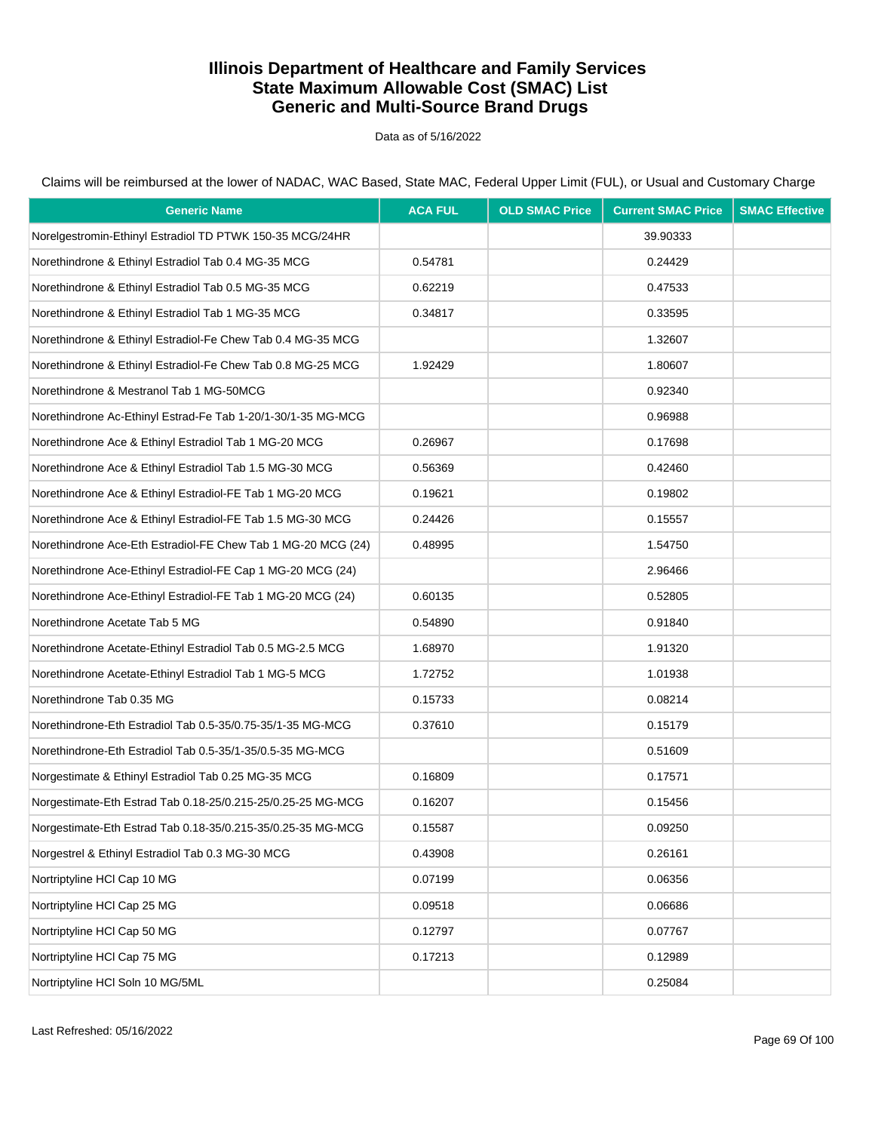Data as of 5/16/2022

| <b>Generic Name</b>                                          | <b>ACA FUL</b> | <b>OLD SMAC Price</b> | <b>Current SMAC Price</b> | <b>SMAC Effective</b> |
|--------------------------------------------------------------|----------------|-----------------------|---------------------------|-----------------------|
| Norelgestromin-Ethinyl Estradiol TD PTWK 150-35 MCG/24HR     |                |                       | 39.90333                  |                       |
| Norethindrone & Ethinyl Estradiol Tab 0.4 MG-35 MCG          | 0.54781        |                       | 0.24429                   |                       |
| Norethindrone & Ethinyl Estradiol Tab 0.5 MG-35 MCG          | 0.62219        |                       | 0.47533                   |                       |
| Norethindrone & Ethinyl Estradiol Tab 1 MG-35 MCG            | 0.34817        |                       | 0.33595                   |                       |
| Norethindrone & Ethinyl Estradiol-Fe Chew Tab 0.4 MG-35 MCG  |                |                       | 1.32607                   |                       |
| Norethindrone & Ethinyl Estradiol-Fe Chew Tab 0.8 MG-25 MCG  | 1.92429        |                       | 1.80607                   |                       |
| Norethindrone & Mestranol Tab 1 MG-50MCG                     |                |                       | 0.92340                   |                       |
| Norethindrone Ac-Ethinyl Estrad-Fe Tab 1-20/1-30/1-35 MG-MCG |                |                       | 0.96988                   |                       |
| Norethindrone Ace & Ethinyl Estradiol Tab 1 MG-20 MCG        | 0.26967        |                       | 0.17698                   |                       |
| Norethindrone Ace & Ethinyl Estradiol Tab 1.5 MG-30 MCG      | 0.56369        |                       | 0.42460                   |                       |
| Norethindrone Ace & Ethinyl Estradiol-FE Tab 1 MG-20 MCG     | 0.19621        |                       | 0.19802                   |                       |
| Norethindrone Ace & Ethinyl Estradiol-FE Tab 1.5 MG-30 MCG   | 0.24426        |                       | 0.15557                   |                       |
| Norethindrone Ace-Eth Estradiol-FE Chew Tab 1 MG-20 MCG (24) | 0.48995        |                       | 1.54750                   |                       |
| Norethindrone Ace-Ethinyl Estradiol-FE Cap 1 MG-20 MCG (24)  |                |                       | 2.96466                   |                       |
| Norethindrone Ace-Ethinyl Estradiol-FE Tab 1 MG-20 MCG (24)  | 0.60135        |                       | 0.52805                   |                       |
| Norethindrone Acetate Tab 5 MG                               | 0.54890        |                       | 0.91840                   |                       |
| Norethindrone Acetate-Ethinyl Estradiol Tab 0.5 MG-2.5 MCG   | 1.68970        |                       | 1.91320                   |                       |
| Norethindrone Acetate-Ethinyl Estradiol Tab 1 MG-5 MCG       | 1.72752        |                       | 1.01938                   |                       |
| Norethindrone Tab 0.35 MG                                    | 0.15733        |                       | 0.08214                   |                       |
| Norethindrone-Eth Estradiol Tab 0.5-35/0.75-35/1-35 MG-MCG   | 0.37610        |                       | 0.15179                   |                       |
| Norethindrone-Eth Estradiol Tab 0.5-35/1-35/0.5-35 MG-MCG    |                |                       | 0.51609                   |                       |
| Norgestimate & Ethinyl Estradiol Tab 0.25 MG-35 MCG          | 0.16809        |                       | 0.17571                   |                       |
| Norgestimate-Eth Estrad Tab 0.18-25/0.215-25/0.25-25 MG-MCG  | 0.16207        |                       | 0.15456                   |                       |
| Norgestimate-Eth Estrad Tab 0.18-35/0.215-35/0.25-35 MG-MCG  | 0.15587        |                       | 0.09250                   |                       |
| Norgestrel & Ethinyl Estradiol Tab 0.3 MG-30 MCG             | 0.43908        |                       | 0.26161                   |                       |
| Nortriptyline HCl Cap 10 MG                                  | 0.07199        |                       | 0.06356                   |                       |
| Nortriptyline HCl Cap 25 MG                                  | 0.09518        |                       | 0.06686                   |                       |
| Nortriptyline HCl Cap 50 MG                                  | 0.12797        |                       | 0.07767                   |                       |
| Nortriptyline HCl Cap 75 MG                                  | 0.17213        |                       | 0.12989                   |                       |
| Nortriptyline HCl Soln 10 MG/5ML                             |                |                       | 0.25084                   |                       |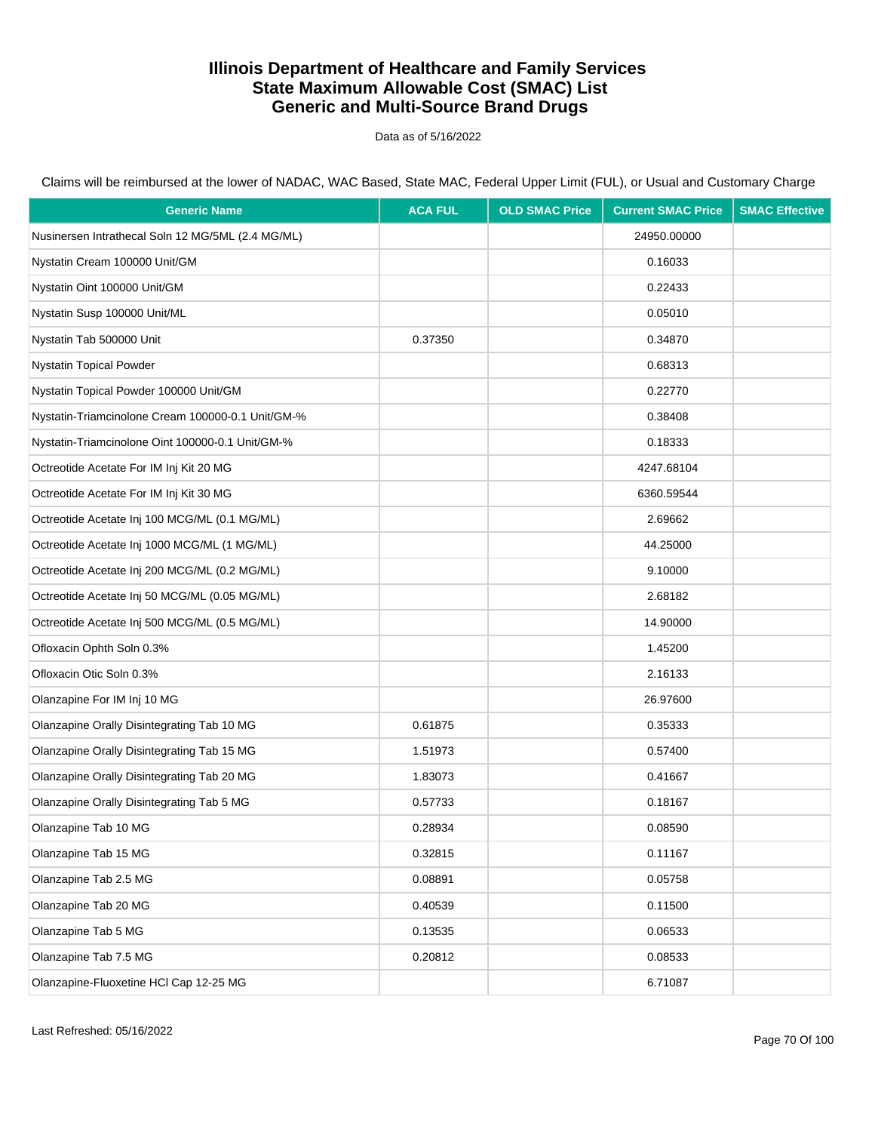Data as of 5/16/2022

| <b>Generic Name</b>                               | <b>ACA FUL</b> | <b>OLD SMAC Price</b> | <b>Current SMAC Price</b> | <b>SMAC Effective</b> |
|---------------------------------------------------|----------------|-----------------------|---------------------------|-----------------------|
| Nusinersen Intrathecal Soln 12 MG/5ML (2.4 MG/ML) |                |                       | 24950.00000               |                       |
| Nystatin Cream 100000 Unit/GM                     |                |                       | 0.16033                   |                       |
| Nystatin Oint 100000 Unit/GM                      |                |                       | 0.22433                   |                       |
| Nystatin Susp 100000 Unit/ML                      |                |                       | 0.05010                   |                       |
| Nystatin Tab 500000 Unit                          | 0.37350        |                       | 0.34870                   |                       |
| Nystatin Topical Powder                           |                |                       | 0.68313                   |                       |
| Nystatin Topical Powder 100000 Unit/GM            |                |                       | 0.22770                   |                       |
| Nystatin-Triamcinolone Cream 100000-0.1 Unit/GM-% |                |                       | 0.38408                   |                       |
| Nystatin-Triamcinolone Oint 100000-0.1 Unit/GM-%  |                |                       | 0.18333                   |                       |
| Octreotide Acetate For IM Inj Kit 20 MG           |                |                       | 4247.68104                |                       |
| Octreotide Acetate For IM Inj Kit 30 MG           |                |                       | 6360.59544                |                       |
| Octreotide Acetate Inj 100 MCG/ML (0.1 MG/ML)     |                |                       | 2.69662                   |                       |
| Octreotide Acetate Inj 1000 MCG/ML (1 MG/ML)      |                |                       | 44.25000                  |                       |
| Octreotide Acetate Inj 200 MCG/ML (0.2 MG/ML)     |                |                       | 9.10000                   |                       |
| Octreotide Acetate Inj 50 MCG/ML (0.05 MG/ML)     |                |                       | 2.68182                   |                       |
| Octreotide Acetate Inj 500 MCG/ML (0.5 MG/ML)     |                |                       | 14.90000                  |                       |
| Ofloxacin Ophth Soln 0.3%                         |                |                       | 1.45200                   |                       |
| Ofloxacin Otic Soln 0.3%                          |                |                       | 2.16133                   |                       |
| Olanzapine For IM Inj 10 MG                       |                |                       | 26.97600                  |                       |
| Olanzapine Orally Disintegrating Tab 10 MG        | 0.61875        |                       | 0.35333                   |                       |
| Olanzapine Orally Disintegrating Tab 15 MG        | 1.51973        |                       | 0.57400                   |                       |
| Olanzapine Orally Disintegrating Tab 20 MG        | 1.83073        |                       | 0.41667                   |                       |
| Olanzapine Orally Disintegrating Tab 5 MG         | 0.57733        |                       | 0.18167                   |                       |
| Olanzapine Tab 10 MG                              | 0.28934        |                       | 0.08590                   |                       |
| Olanzapine Tab 15 MG                              | 0.32815        |                       | 0.11167                   |                       |
| Olanzapine Tab 2.5 MG                             | 0.08891        |                       | 0.05758                   |                       |
| Olanzapine Tab 20 MG                              | 0.40539        |                       | 0.11500                   |                       |
| Olanzapine Tab 5 MG                               | 0.13535        |                       | 0.06533                   |                       |
| Olanzapine Tab 7.5 MG                             | 0.20812        |                       | 0.08533                   |                       |
| Olanzapine-Fluoxetine HCl Cap 12-25 MG            |                |                       | 6.71087                   |                       |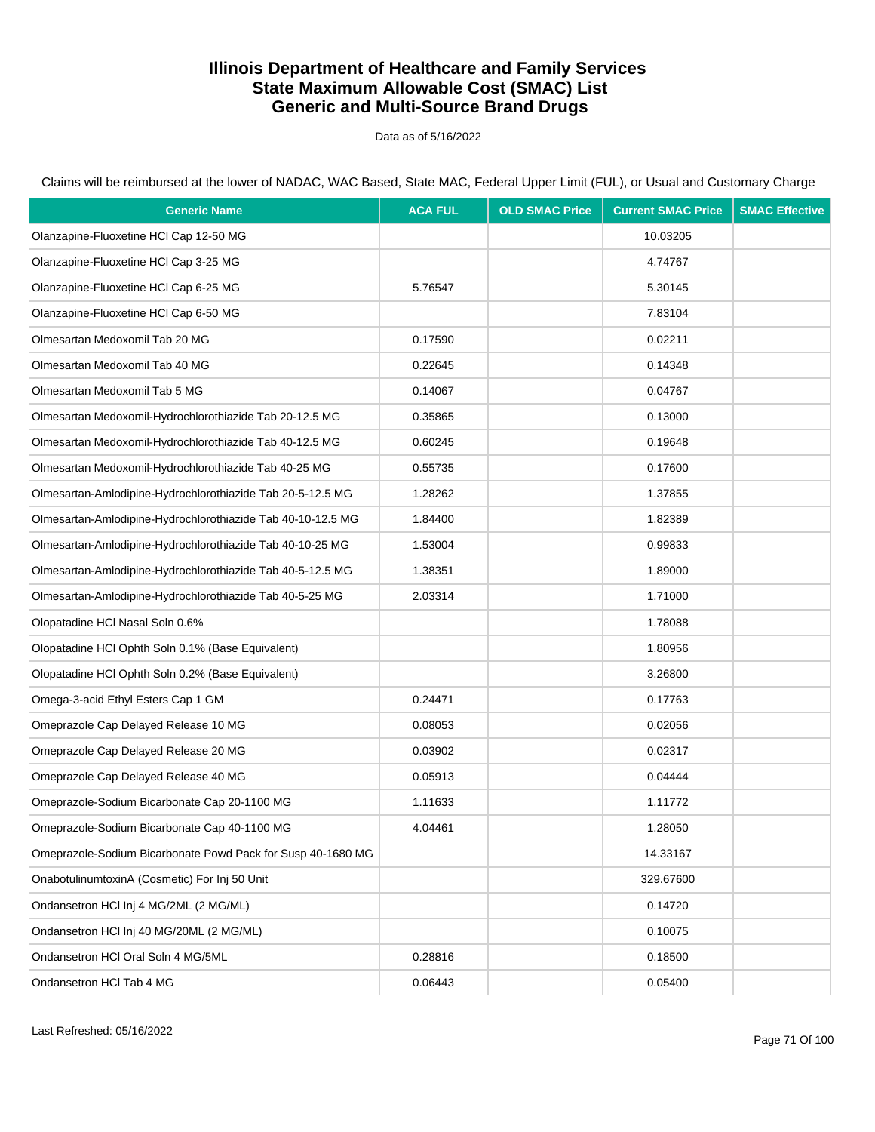Data as of 5/16/2022

Claims will be reimbursed at the lower of NADAC, WAC Based, State MAC, Federal Upper Limit (FUL), or Usual and Customary Charge

| <b>Generic Name</b>                                         | <b>ACA FUL</b> | <b>OLD SMAC Price</b> | <b>Current SMAC Price</b> | <b>SMAC Effective</b> |
|-------------------------------------------------------------|----------------|-----------------------|---------------------------|-----------------------|
| Olanzapine-Fluoxetine HCl Cap 12-50 MG                      |                |                       | 10.03205                  |                       |
| Olanzapine-Fluoxetine HCl Cap 3-25 MG                       |                |                       | 4.74767                   |                       |
| Olanzapine-Fluoxetine HCl Cap 6-25 MG                       | 5.76547        |                       | 5.30145                   |                       |
| Olanzapine-Fluoxetine HCl Cap 6-50 MG                       |                |                       | 7.83104                   |                       |
| Olmesartan Medoxomil Tab 20 MG                              | 0.17590        |                       | 0.02211                   |                       |
| Olmesartan Medoxomil Tab 40 MG                              | 0.22645        |                       | 0.14348                   |                       |
| Olmesartan Medoxomil Tab 5 MG                               | 0.14067        |                       | 0.04767                   |                       |
| Olmesartan Medoxomil-Hydrochlorothiazide Tab 20-12.5 MG     | 0.35865        |                       | 0.13000                   |                       |
| Olmesartan Medoxomil-Hydrochlorothiazide Tab 40-12.5 MG     | 0.60245        |                       | 0.19648                   |                       |
| Olmesartan Medoxomil-Hydrochlorothiazide Tab 40-25 MG       | 0.55735        |                       | 0.17600                   |                       |
| Olmesartan-Amlodipine-Hydrochlorothiazide Tab 20-5-12.5 MG  | 1.28262        |                       | 1.37855                   |                       |
| Olmesartan-Amlodipine-Hydrochlorothiazide Tab 40-10-12.5 MG | 1.84400        |                       | 1.82389                   |                       |
| Olmesartan-Amlodipine-Hydrochlorothiazide Tab 40-10-25 MG   | 1.53004        |                       | 0.99833                   |                       |
| Olmesartan-Amlodipine-Hydrochlorothiazide Tab 40-5-12.5 MG  | 1.38351        |                       | 1.89000                   |                       |
| Olmesartan-Amlodipine-Hydrochlorothiazide Tab 40-5-25 MG    | 2.03314        |                       | 1.71000                   |                       |
| Olopatadine HCI Nasal Soln 0.6%                             |                |                       | 1.78088                   |                       |
| Olopatadine HCl Ophth Soln 0.1% (Base Equivalent)           |                |                       | 1.80956                   |                       |
| Olopatadine HCl Ophth Soln 0.2% (Base Equivalent)           |                |                       | 3.26800                   |                       |
| Omega-3-acid Ethyl Esters Cap 1 GM                          | 0.24471        |                       | 0.17763                   |                       |
| Omeprazole Cap Delayed Release 10 MG                        | 0.08053        |                       | 0.02056                   |                       |
| Omeprazole Cap Delayed Release 20 MG                        | 0.03902        |                       | 0.02317                   |                       |
| Omeprazole Cap Delayed Release 40 MG                        | 0.05913        |                       | 0.04444                   |                       |
| Omeprazole-Sodium Bicarbonate Cap 20-1100 MG                | 1.11633        |                       | 1.11772                   |                       |
| Omeprazole-Sodium Bicarbonate Cap 40-1100 MG                | 4.04461        |                       | 1.28050                   |                       |
| Omeprazole-Sodium Bicarbonate Powd Pack for Susp 40-1680 MG |                |                       | 14.33167                  |                       |
| OnabotulinumtoxinA (Cosmetic) For Inj 50 Unit               |                |                       | 329.67600                 |                       |
| Ondansetron HCI Inj 4 MG/2ML (2 MG/ML)                      |                |                       | 0.14720                   |                       |
| Ondansetron HCI Inj 40 MG/20ML (2 MG/ML)                    |                |                       | 0.10075                   |                       |
| Ondansetron HCI Oral Soln 4 MG/5ML                          | 0.28816        |                       | 0.18500                   |                       |
| Ondansetron HCI Tab 4 MG                                    | 0.06443        |                       | 0.05400                   |                       |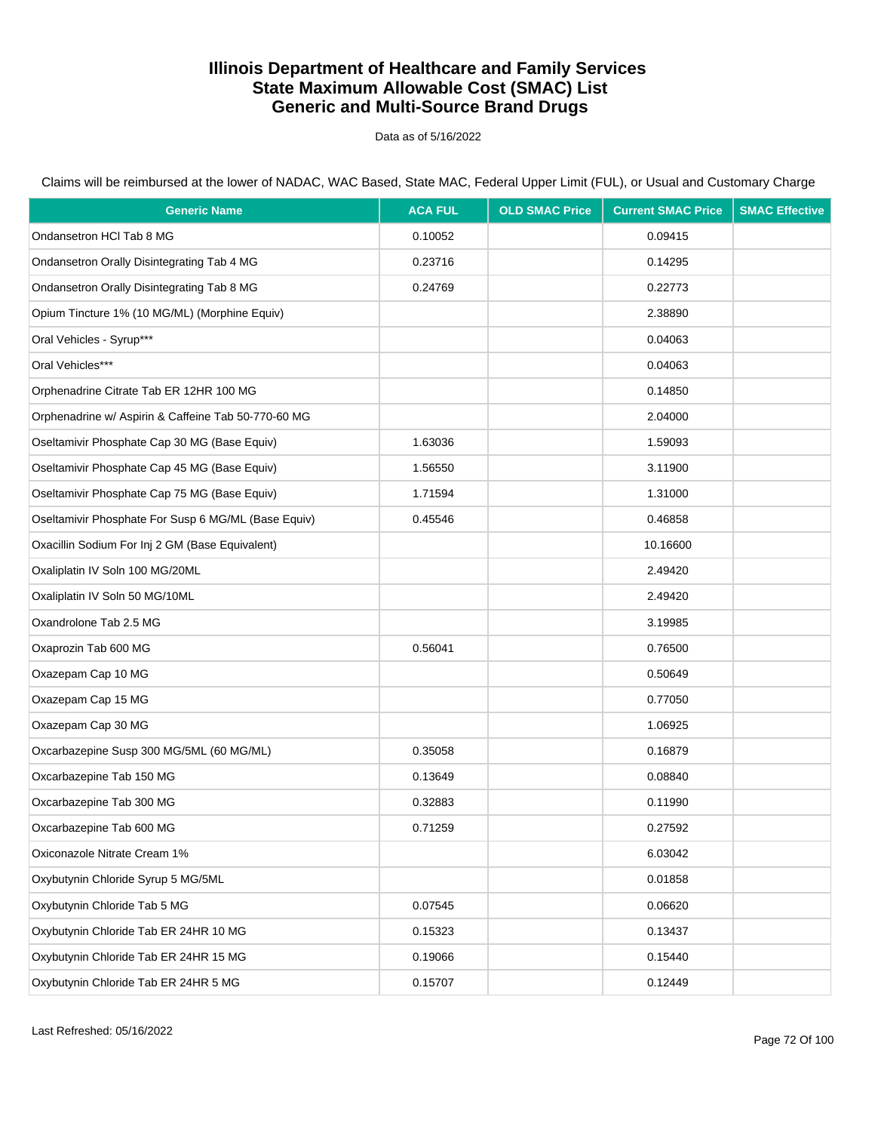Data as of 5/16/2022

Claims will be reimbursed at the lower of NADAC, WAC Based, State MAC, Federal Upper Limit (FUL), or Usual and Customary Charge

| <b>Generic Name</b>                                 | <b>ACA FUL</b> | <b>OLD SMAC Price</b> | <b>Current SMAC Price</b> | <b>SMAC Effective</b> |
|-----------------------------------------------------|----------------|-----------------------|---------------------------|-----------------------|
| Ondansetron HCI Tab 8 MG                            | 0.10052        |                       | 0.09415                   |                       |
| Ondansetron Orally Disintegrating Tab 4 MG          | 0.23716        |                       | 0.14295                   |                       |
| Ondansetron Orally Disintegrating Tab 8 MG          | 0.24769        |                       | 0.22773                   |                       |
| Opium Tincture 1% (10 MG/ML) (Morphine Equiv)       |                |                       | 2.38890                   |                       |
| Oral Vehicles - Syrup***                            |                |                       | 0.04063                   |                       |
| Oral Vehicles***                                    |                |                       | 0.04063                   |                       |
| Orphenadrine Citrate Tab ER 12HR 100 MG             |                |                       | 0.14850                   |                       |
| Orphenadrine w/ Aspirin & Caffeine Tab 50-770-60 MG |                |                       | 2.04000                   |                       |
| Oseltamivir Phosphate Cap 30 MG (Base Equiv)        | 1.63036        |                       | 1.59093                   |                       |
| Oseltamivir Phosphate Cap 45 MG (Base Equiv)        | 1.56550        |                       | 3.11900                   |                       |
| Oseltamivir Phosphate Cap 75 MG (Base Equiv)        | 1.71594        |                       | 1.31000                   |                       |
| Oseltamivir Phosphate For Susp 6 MG/ML (Base Equiv) | 0.45546        |                       | 0.46858                   |                       |
| Oxacillin Sodium For Inj 2 GM (Base Equivalent)     |                |                       | 10.16600                  |                       |
| Oxaliplatin IV Soln 100 MG/20ML                     |                |                       | 2.49420                   |                       |
| Oxaliplatin IV Soln 50 MG/10ML                      |                |                       | 2.49420                   |                       |
| Oxandrolone Tab 2.5 MG                              |                |                       | 3.19985                   |                       |
| Oxaprozin Tab 600 MG                                | 0.56041        |                       | 0.76500                   |                       |
| Oxazepam Cap 10 MG                                  |                |                       | 0.50649                   |                       |
| Oxazepam Cap 15 MG                                  |                |                       | 0.77050                   |                       |
| Oxazepam Cap 30 MG                                  |                |                       | 1.06925                   |                       |
| Oxcarbazepine Susp 300 MG/5ML (60 MG/ML)            | 0.35058        |                       | 0.16879                   |                       |
| Oxcarbazepine Tab 150 MG                            | 0.13649        |                       | 0.08840                   |                       |
| Oxcarbazepine Tab 300 MG                            | 0.32883        |                       | 0.11990                   |                       |
| Oxcarbazepine Tab 600 MG                            | 0.71259        |                       | 0.27592                   |                       |
| Oxiconazole Nitrate Cream 1%                        |                |                       | 6.03042                   |                       |
| Oxybutynin Chloride Syrup 5 MG/5ML                  |                |                       | 0.01858                   |                       |
| Oxybutynin Chloride Tab 5 MG                        | 0.07545        |                       | 0.06620                   |                       |
| Oxybutynin Chloride Tab ER 24HR 10 MG               | 0.15323        |                       | 0.13437                   |                       |
| Oxybutynin Chloride Tab ER 24HR 15 MG               | 0.19066        |                       | 0.15440                   |                       |
| Oxybutynin Chloride Tab ER 24HR 5 MG                | 0.15707        |                       | 0.12449                   |                       |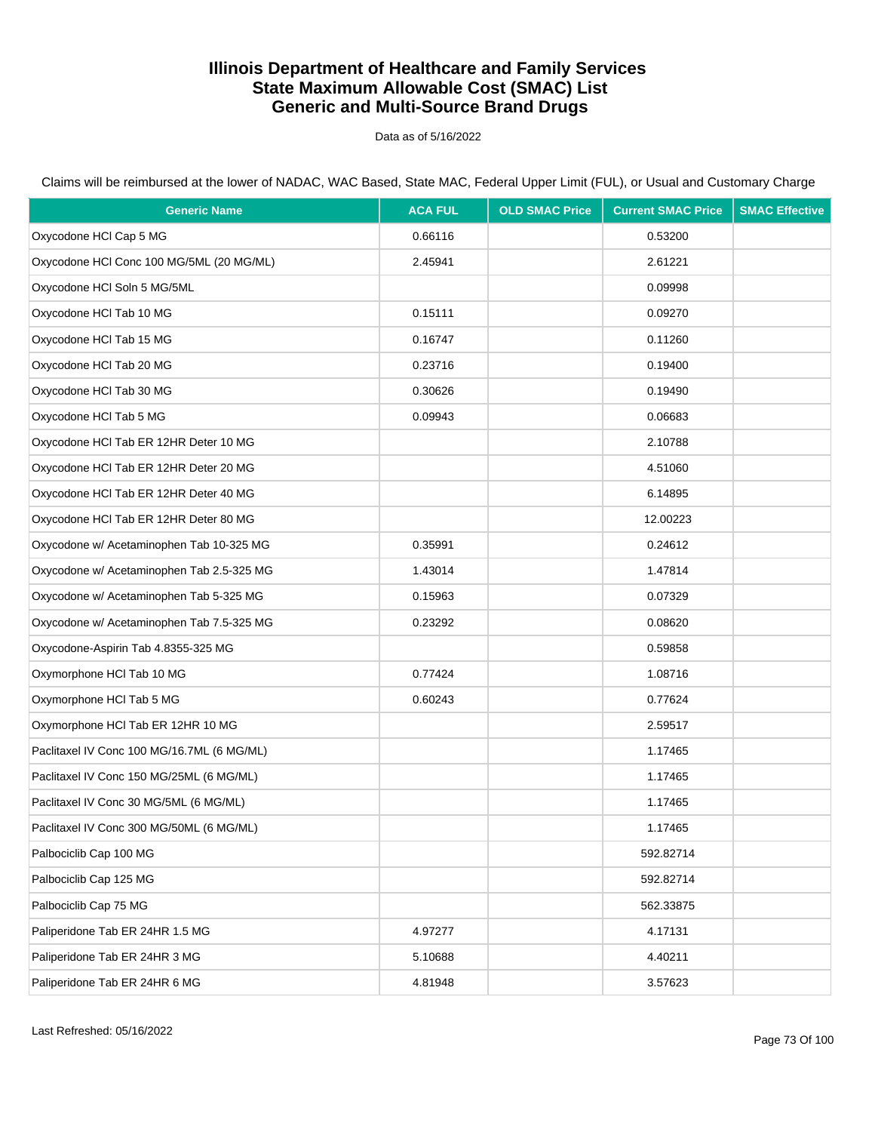Data as of 5/16/2022

| <b>Generic Name</b>                        | <b>ACA FUL</b> | <b>OLD SMAC Price</b> | <b>Current SMAC Price</b> | <b>SMAC Effective</b> |
|--------------------------------------------|----------------|-----------------------|---------------------------|-----------------------|
| Oxycodone HCl Cap 5 MG                     | 0.66116        |                       | 0.53200                   |                       |
| Oxycodone HCl Conc 100 MG/5ML (20 MG/ML)   | 2.45941        |                       | 2.61221                   |                       |
| Oxycodone HCI Soln 5 MG/5ML                |                |                       | 0.09998                   |                       |
| Oxycodone HCI Tab 10 MG                    | 0.15111        |                       | 0.09270                   |                       |
| Oxycodone HCI Tab 15 MG                    | 0.16747        |                       | 0.11260                   |                       |
| Oxycodone HCl Tab 20 MG                    | 0.23716        |                       | 0.19400                   |                       |
| Oxycodone HCI Tab 30 MG                    | 0.30626        |                       | 0.19490                   |                       |
| Oxycodone HCI Tab 5 MG                     | 0.09943        |                       | 0.06683                   |                       |
| Oxycodone HCI Tab ER 12HR Deter 10 MG      |                |                       | 2.10788                   |                       |
| Oxycodone HCl Tab ER 12HR Deter 20 MG      |                |                       | 4.51060                   |                       |
| Oxycodone HCl Tab ER 12HR Deter 40 MG      |                |                       | 6.14895                   |                       |
| Oxycodone HCI Tab ER 12HR Deter 80 MG      |                |                       | 12.00223                  |                       |
| Oxycodone w/ Acetaminophen Tab 10-325 MG   | 0.35991        |                       | 0.24612                   |                       |
| Oxycodone w/ Acetaminophen Tab 2.5-325 MG  | 1.43014        |                       | 1.47814                   |                       |
| Oxycodone w/ Acetaminophen Tab 5-325 MG    | 0.15963        |                       | 0.07329                   |                       |
| Oxycodone w/ Acetaminophen Tab 7.5-325 MG  | 0.23292        |                       | 0.08620                   |                       |
| Oxycodone-Aspirin Tab 4.8355-325 MG        |                |                       | 0.59858                   |                       |
| Oxymorphone HCI Tab 10 MG                  | 0.77424        |                       | 1.08716                   |                       |
| Oxymorphone HCI Tab 5 MG                   | 0.60243        |                       | 0.77624                   |                       |
| Oxymorphone HCI Tab ER 12HR 10 MG          |                |                       | 2.59517                   |                       |
| Paclitaxel IV Conc 100 MG/16.7ML (6 MG/ML) |                |                       | 1.17465                   |                       |
| Paclitaxel IV Conc 150 MG/25ML (6 MG/ML)   |                |                       | 1.17465                   |                       |
| Paclitaxel IV Conc 30 MG/5ML (6 MG/ML)     |                |                       | 1.17465                   |                       |
| Paclitaxel IV Conc 300 MG/50ML (6 MG/ML)   |                |                       | 1.17465                   |                       |
| Palbociclib Cap 100 MG                     |                |                       | 592.82714                 |                       |
| Palbociclib Cap 125 MG                     |                |                       | 592.82714                 |                       |
| Palbociclib Cap 75 MG                      |                |                       | 562.33875                 |                       |
| Paliperidone Tab ER 24HR 1.5 MG            | 4.97277        |                       | 4.17131                   |                       |
| Paliperidone Tab ER 24HR 3 MG              | 5.10688        |                       | 4.40211                   |                       |
| Paliperidone Tab ER 24HR 6 MG              | 4.81948        |                       | 3.57623                   |                       |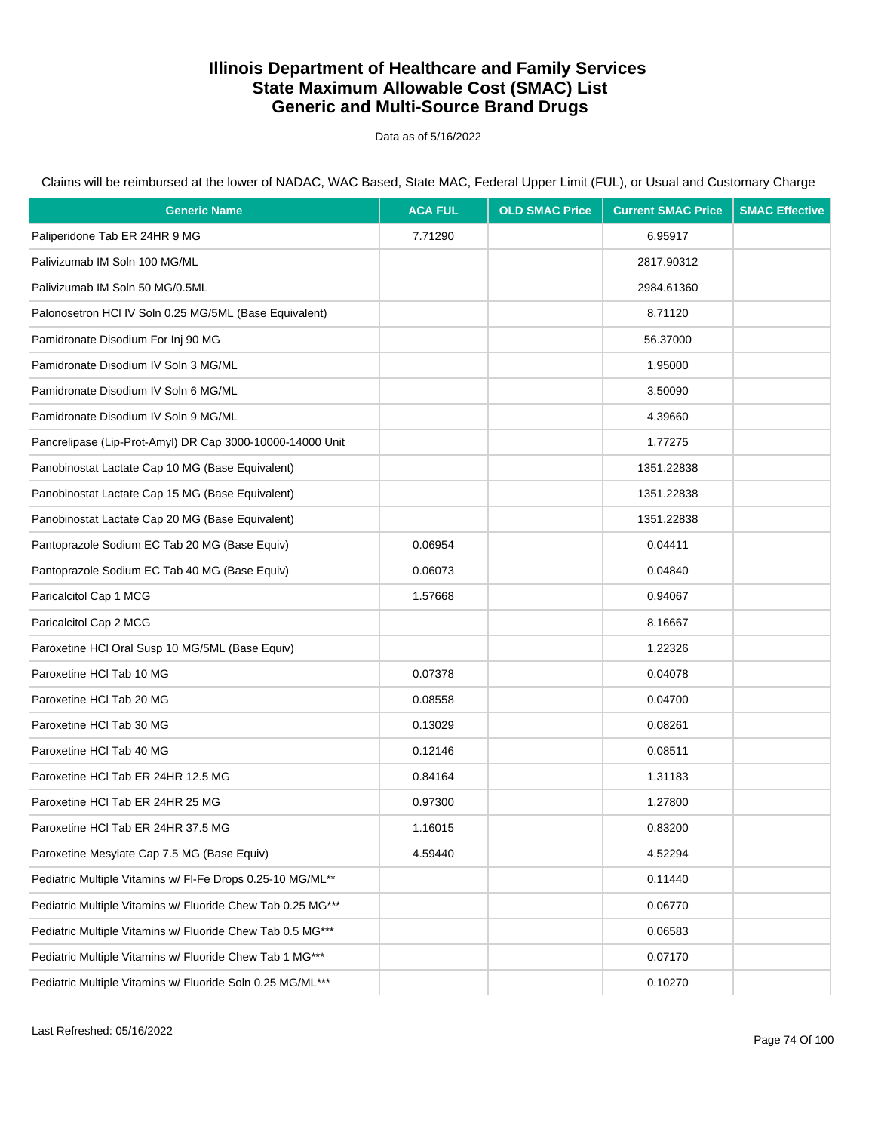Data as of 5/16/2022

Claims will be reimbursed at the lower of NADAC, WAC Based, State MAC, Federal Upper Limit (FUL), or Usual and Customary Charge

| <b>Generic Name</b>                                         | <b>ACA FUL</b> | <b>OLD SMAC Price</b> | <b>Current SMAC Price</b> | <b>SMAC Effective</b> |
|-------------------------------------------------------------|----------------|-----------------------|---------------------------|-----------------------|
| Paliperidone Tab ER 24HR 9 MG                               | 7.71290        |                       | 6.95917                   |                       |
| Palivizumab IM Soln 100 MG/ML                               |                |                       | 2817.90312                |                       |
| Palivizumab IM Soln 50 MG/0.5ML                             |                |                       | 2984.61360                |                       |
| Palonosetron HCI IV Soln 0.25 MG/5ML (Base Equivalent)      |                |                       | 8.71120                   |                       |
| Pamidronate Disodium For Inj 90 MG                          |                |                       | 56.37000                  |                       |
| Pamidronate Disodium IV Soln 3 MG/ML                        |                |                       | 1.95000                   |                       |
| Pamidronate Disodium IV Soln 6 MG/ML                        |                |                       | 3.50090                   |                       |
| Pamidronate Disodium IV Soln 9 MG/ML                        |                |                       | 4.39660                   |                       |
| Pancrelipase (Lip-Prot-Amyl) DR Cap 3000-10000-14000 Unit   |                |                       | 1.77275                   |                       |
| Panobinostat Lactate Cap 10 MG (Base Equivalent)            |                |                       | 1351.22838                |                       |
| Panobinostat Lactate Cap 15 MG (Base Equivalent)            |                |                       | 1351.22838                |                       |
| Panobinostat Lactate Cap 20 MG (Base Equivalent)            |                |                       | 1351.22838                |                       |
| Pantoprazole Sodium EC Tab 20 MG (Base Equiv)               | 0.06954        |                       | 0.04411                   |                       |
| Pantoprazole Sodium EC Tab 40 MG (Base Equiv)               | 0.06073        |                       | 0.04840                   |                       |
| Paricalcitol Cap 1 MCG                                      | 1.57668        |                       | 0.94067                   |                       |
| Paricalcitol Cap 2 MCG                                      |                |                       | 8.16667                   |                       |
| Paroxetine HCI Oral Susp 10 MG/5ML (Base Equiv)             |                |                       | 1.22326                   |                       |
| Paroxetine HCI Tab 10 MG                                    | 0.07378        |                       | 0.04078                   |                       |
| Paroxetine HCI Tab 20 MG                                    | 0.08558        |                       | 0.04700                   |                       |
| Paroxetine HCI Tab 30 MG                                    | 0.13029        |                       | 0.08261                   |                       |
| Paroxetine HCI Tab 40 MG                                    | 0.12146        |                       | 0.08511                   |                       |
| Paroxetine HCI Tab ER 24HR 12.5 MG                          | 0.84164        |                       | 1.31183                   |                       |
| Paroxetine HCI Tab ER 24HR 25 MG                            | 0.97300        |                       | 1.27800                   |                       |
| Paroxetine HCI Tab ER 24HR 37.5 MG                          | 1.16015        |                       | 0.83200                   |                       |
| Paroxetine Mesylate Cap 7.5 MG (Base Equiv)                 | 4.59440        |                       | 4.52294                   |                       |
| Pediatric Multiple Vitamins w/ FI-Fe Drops 0.25-10 MG/ML**  |                |                       | 0.11440                   |                       |
| Pediatric Multiple Vitamins w/ Fluoride Chew Tab 0.25 MG*** |                |                       | 0.06770                   |                       |
| Pediatric Multiple Vitamins w/ Fluoride Chew Tab 0.5 MG***  |                |                       | 0.06583                   |                       |
| Pediatric Multiple Vitamins w/ Fluoride Chew Tab 1 MG***    |                |                       | 0.07170                   |                       |
| Pediatric Multiple Vitamins w/ Fluoride Soln 0.25 MG/ML***  |                |                       | 0.10270                   |                       |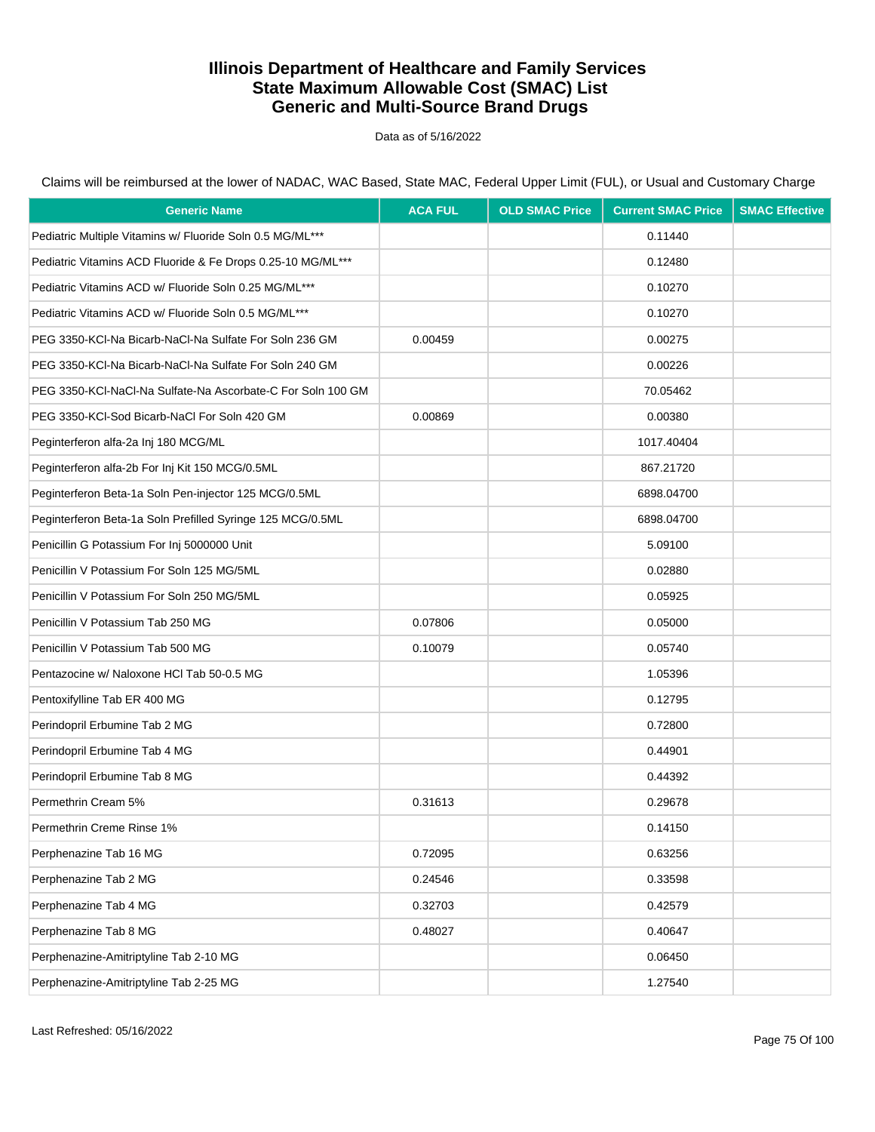Data as of 5/16/2022

| <b>Generic Name</b>                                         | <b>ACA FUL</b> | <b>OLD SMAC Price</b> | <b>Current SMAC Price</b> | <b>SMAC Effective</b> |
|-------------------------------------------------------------|----------------|-----------------------|---------------------------|-----------------------|
| Pediatric Multiple Vitamins w/ Fluoride Soln 0.5 MG/ML***   |                |                       | 0.11440                   |                       |
| Pediatric Vitamins ACD Fluoride & Fe Drops 0.25-10 MG/ML*** |                |                       | 0.12480                   |                       |
| Pediatric Vitamins ACD w/ Fluoride Soln 0.25 MG/ML***       |                |                       | 0.10270                   |                       |
| Pediatric Vitamins ACD w/ Fluoride Soln 0.5 MG/ML***        |                |                       | 0.10270                   |                       |
| PEG 3350-KCI-Na Bicarb-NaCI-Na Sulfate For Soln 236 GM      | 0.00459        |                       | 0.00275                   |                       |
| PEG 3350-KCI-Na Bicarb-NaCI-Na Sulfate For Soln 240 GM      |                |                       | 0.00226                   |                       |
| PEG 3350-KCI-NaCI-Na Sulfate-Na Ascorbate-C For Soln 100 GM |                |                       | 70.05462                  |                       |
| PEG 3350-KCI-Sod Bicarb-NaCl For Soln 420 GM                | 0.00869        |                       | 0.00380                   |                       |
| Peginterferon alfa-2a Inj 180 MCG/ML                        |                |                       | 1017.40404                |                       |
| Peginterferon alfa-2b For Inj Kit 150 MCG/0.5ML             |                |                       | 867.21720                 |                       |
| Peginterferon Beta-1a Soln Pen-injector 125 MCG/0.5ML       |                |                       | 6898.04700                |                       |
| Peginterferon Beta-1a Soln Prefilled Syringe 125 MCG/0.5ML  |                |                       | 6898.04700                |                       |
| Penicillin G Potassium For Inj 5000000 Unit                 |                |                       | 5.09100                   |                       |
| Penicillin V Potassium For Soln 125 MG/5ML                  |                |                       | 0.02880                   |                       |
| Penicillin V Potassium For Soln 250 MG/5ML                  |                |                       | 0.05925                   |                       |
| Penicillin V Potassium Tab 250 MG                           | 0.07806        |                       | 0.05000                   |                       |
| Penicillin V Potassium Tab 500 MG                           | 0.10079        |                       | 0.05740                   |                       |
| Pentazocine w/ Naloxone HCl Tab 50-0.5 MG                   |                |                       | 1.05396                   |                       |
| Pentoxifylline Tab ER 400 MG                                |                |                       | 0.12795                   |                       |
| Perindopril Erbumine Tab 2 MG                               |                |                       | 0.72800                   |                       |
| Perindopril Erbumine Tab 4 MG                               |                |                       | 0.44901                   |                       |
| Perindopril Erbumine Tab 8 MG                               |                |                       | 0.44392                   |                       |
| Permethrin Cream 5%                                         | 0.31613        |                       | 0.29678                   |                       |
| Permethrin Creme Rinse 1%                                   |                |                       | 0.14150                   |                       |
| Perphenazine Tab 16 MG                                      | 0.72095        |                       | 0.63256                   |                       |
| Perphenazine Tab 2 MG                                       | 0.24546        |                       | 0.33598                   |                       |
| Perphenazine Tab 4 MG                                       | 0.32703        |                       | 0.42579                   |                       |
| Perphenazine Tab 8 MG                                       | 0.48027        |                       | 0.40647                   |                       |
| Perphenazine-Amitriptyline Tab 2-10 MG                      |                |                       | 0.06450                   |                       |
| Perphenazine-Amitriptyline Tab 2-25 MG                      |                |                       | 1.27540                   |                       |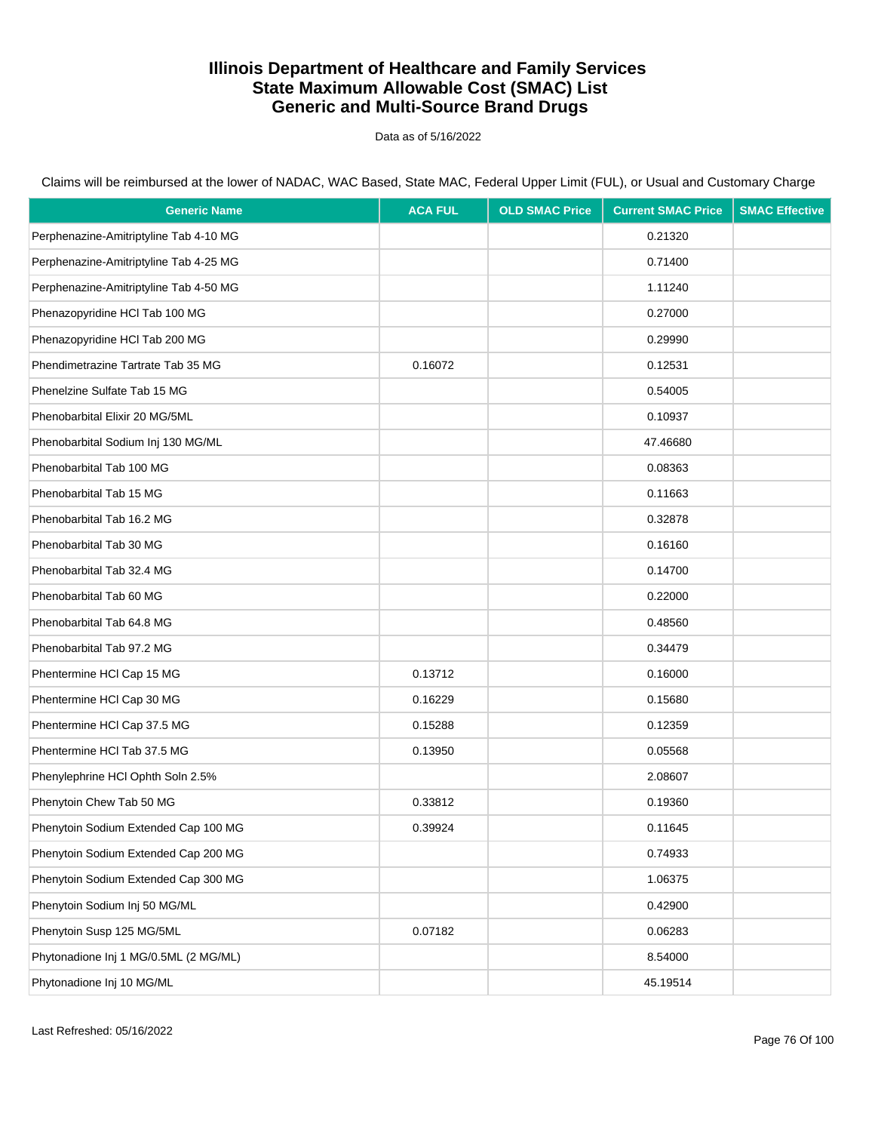Data as of 5/16/2022

| <b>Generic Name</b>                    | <b>ACA FUL</b> | <b>OLD SMAC Price</b> | <b>Current SMAC Price</b> | <b>SMAC Effective</b> |
|----------------------------------------|----------------|-----------------------|---------------------------|-----------------------|
| Perphenazine-Amitriptyline Tab 4-10 MG |                |                       | 0.21320                   |                       |
| Perphenazine-Amitriptyline Tab 4-25 MG |                |                       | 0.71400                   |                       |
| Perphenazine-Amitriptyline Tab 4-50 MG |                |                       | 1.11240                   |                       |
| Phenazopyridine HCl Tab 100 MG         |                |                       | 0.27000                   |                       |
| Phenazopyridine HCl Tab 200 MG         |                |                       | 0.29990                   |                       |
| Phendimetrazine Tartrate Tab 35 MG     | 0.16072        |                       | 0.12531                   |                       |
| Phenelzine Sulfate Tab 15 MG           |                |                       | 0.54005                   |                       |
| Phenobarbital Elixir 20 MG/5ML         |                |                       | 0.10937                   |                       |
| Phenobarbital Sodium Inj 130 MG/ML     |                |                       | 47.46680                  |                       |
| Phenobarbital Tab 100 MG               |                |                       | 0.08363                   |                       |
| Phenobarbital Tab 15 MG                |                |                       | 0.11663                   |                       |
| Phenobarbital Tab 16.2 MG              |                |                       | 0.32878                   |                       |
| Phenobarbital Tab 30 MG                |                |                       | 0.16160                   |                       |
| Phenobarbital Tab 32.4 MG              |                |                       | 0.14700                   |                       |
| Phenobarbital Tab 60 MG                |                |                       | 0.22000                   |                       |
| Phenobarbital Tab 64.8 MG              |                |                       | 0.48560                   |                       |
| Phenobarbital Tab 97.2 MG              |                |                       | 0.34479                   |                       |
| Phentermine HCI Cap 15 MG              | 0.13712        |                       | 0.16000                   |                       |
| Phentermine HCI Cap 30 MG              | 0.16229        |                       | 0.15680                   |                       |
| Phentermine HCl Cap 37.5 MG            | 0.15288        |                       | 0.12359                   |                       |
| Phentermine HCI Tab 37.5 MG            | 0.13950        |                       | 0.05568                   |                       |
| Phenylephrine HCI Ophth Soln 2.5%      |                |                       | 2.08607                   |                       |
| Phenytoin Chew Tab 50 MG               | 0.33812        |                       | 0.19360                   |                       |
| Phenytoin Sodium Extended Cap 100 MG   | 0.39924        |                       | 0.11645                   |                       |
| Phenytoin Sodium Extended Cap 200 MG   |                |                       | 0.74933                   |                       |
| Phenytoin Sodium Extended Cap 300 MG   |                |                       | 1.06375                   |                       |
| Phenytoin Sodium Inj 50 MG/ML          |                |                       | 0.42900                   |                       |
| Phenytoin Susp 125 MG/5ML              | 0.07182        |                       | 0.06283                   |                       |
| Phytonadione Inj 1 MG/0.5ML (2 MG/ML)  |                |                       | 8.54000                   |                       |
| Phytonadione Inj 10 MG/ML              |                |                       | 45.19514                  |                       |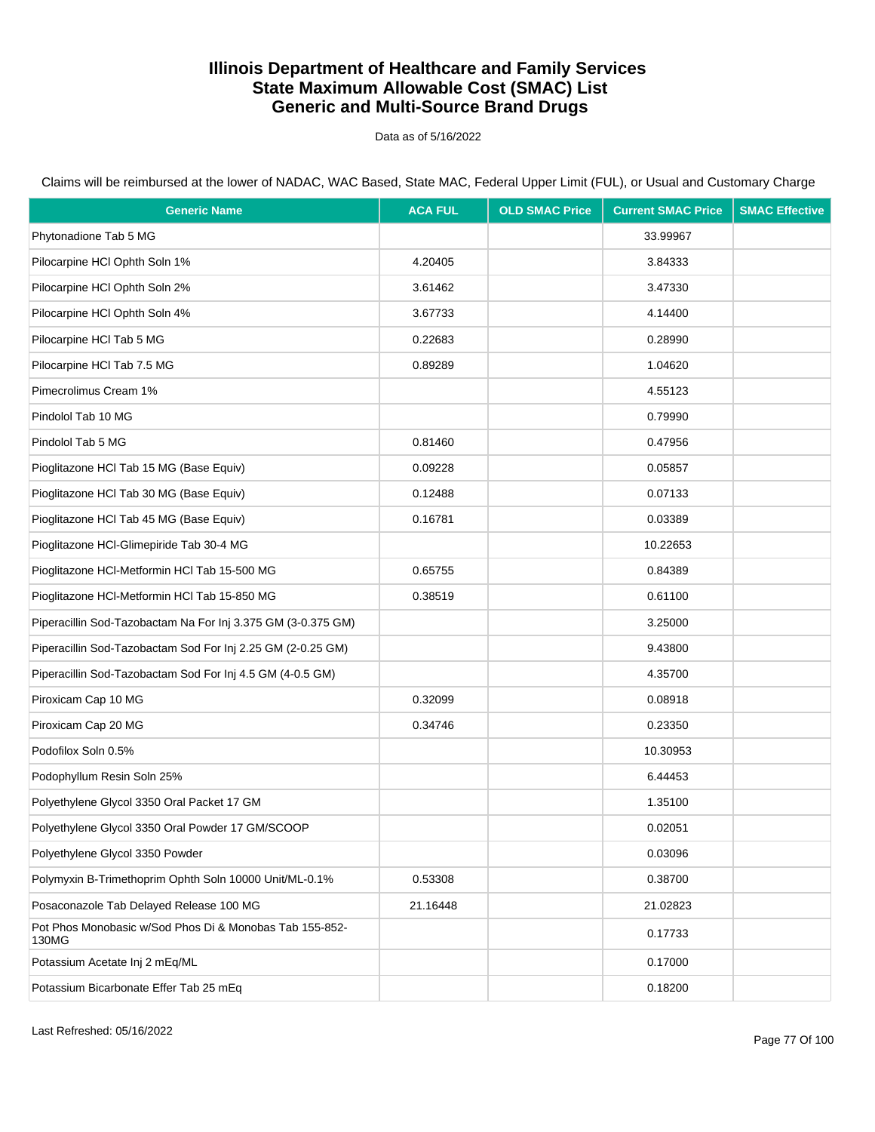Data as of 5/16/2022

Claims will be reimbursed at the lower of NADAC, WAC Based, State MAC, Federal Upper Limit (FUL), or Usual and Customary Charge

| <b>Generic Name</b>                                              | <b>ACA FUL</b> | <b>OLD SMAC Price</b> | <b>Current SMAC Price</b> | <b>SMAC Effective</b> |
|------------------------------------------------------------------|----------------|-----------------------|---------------------------|-----------------------|
| Phytonadione Tab 5 MG                                            |                |                       | 33.99967                  |                       |
| Pilocarpine HCI Ophth Soln 1%                                    | 4.20405        |                       | 3.84333                   |                       |
| Pilocarpine HCI Ophth Soln 2%                                    | 3.61462        |                       | 3.47330                   |                       |
| Pilocarpine HCI Ophth Soln 4%                                    | 3.67733        |                       | 4.14400                   |                       |
| Pilocarpine HCI Tab 5 MG                                         | 0.22683        |                       | 0.28990                   |                       |
| Pilocarpine HCI Tab 7.5 MG                                       | 0.89289        |                       | 1.04620                   |                       |
| Pimecrolimus Cream 1%                                            |                |                       | 4.55123                   |                       |
| Pindolol Tab 10 MG                                               |                |                       | 0.79990                   |                       |
| Pindolol Tab 5 MG                                                | 0.81460        |                       | 0.47956                   |                       |
| Pioglitazone HCl Tab 15 MG (Base Equiv)                          | 0.09228        |                       | 0.05857                   |                       |
| Pioglitazone HCl Tab 30 MG (Base Equiv)                          | 0.12488        |                       | 0.07133                   |                       |
| Pioglitazone HCl Tab 45 MG (Base Equiv)                          | 0.16781        |                       | 0.03389                   |                       |
| Pioglitazone HCl-Glimepiride Tab 30-4 MG                         |                |                       | 10.22653                  |                       |
| Pioglitazone HCl-Metformin HCl Tab 15-500 MG                     | 0.65755        |                       | 0.84389                   |                       |
| Pioglitazone HCI-Metformin HCI Tab 15-850 MG                     | 0.38519        |                       | 0.61100                   |                       |
| Piperacillin Sod-Tazobactam Na For Inj 3.375 GM (3-0.375 GM)     |                |                       | 3.25000                   |                       |
| Piperacillin Sod-Tazobactam Sod For Inj 2.25 GM (2-0.25 GM)      |                |                       | 9.43800                   |                       |
| Piperacillin Sod-Tazobactam Sod For Inj 4.5 GM (4-0.5 GM)        |                |                       | 4.35700                   |                       |
| Piroxicam Cap 10 MG                                              | 0.32099        |                       | 0.08918                   |                       |
| Piroxicam Cap 20 MG                                              | 0.34746        |                       | 0.23350                   |                       |
| Podofilox Soln 0.5%                                              |                |                       | 10.30953                  |                       |
| Podophyllum Resin Soln 25%                                       |                |                       | 6.44453                   |                       |
| Polyethylene Glycol 3350 Oral Packet 17 GM                       |                |                       | 1.35100                   |                       |
| Polyethylene Glycol 3350 Oral Powder 17 GM/SCOOP                 |                |                       | 0.02051                   |                       |
| Polyethylene Glycol 3350 Powder                                  |                |                       | 0.03096                   |                       |
| Polymyxin B-Trimethoprim Ophth Soln 10000 Unit/ML-0.1%           | 0.53308        |                       | 0.38700                   |                       |
| Posaconazole Tab Delayed Release 100 MG                          | 21.16448       |                       | 21.02823                  |                       |
| Pot Phos Monobasic w/Sod Phos Di & Monobas Tab 155-852-<br>130MG |                |                       | 0.17733                   |                       |
| Potassium Acetate Inj 2 mEq/ML                                   |                |                       | 0.17000                   |                       |
| Potassium Bicarbonate Effer Tab 25 mEq                           |                |                       | 0.18200                   |                       |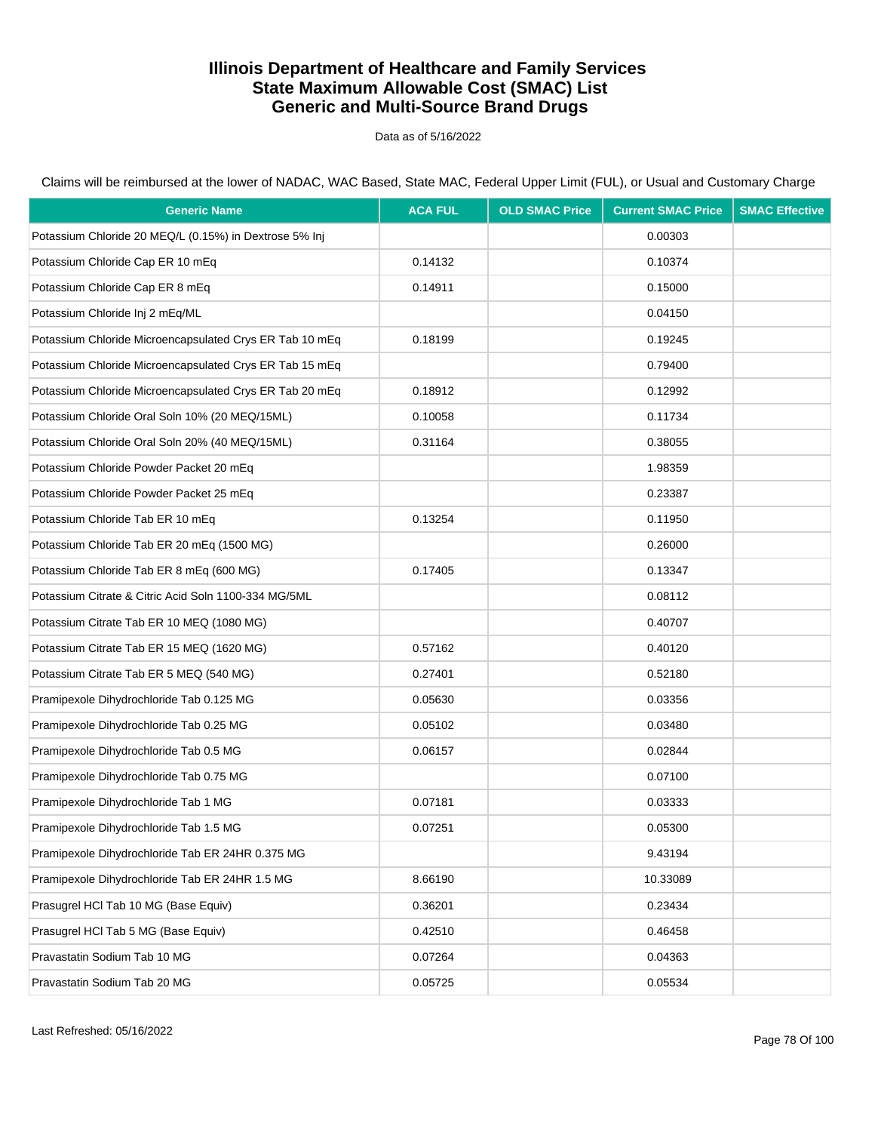Data as of 5/16/2022

Claims will be reimbursed at the lower of NADAC, WAC Based, State MAC, Federal Upper Limit (FUL), or Usual and Customary Charge

| <b>Generic Name</b>                                     | <b>ACA FUL</b> | <b>OLD SMAC Price</b> | <b>Current SMAC Price</b> | <b>SMAC Effective</b> |
|---------------------------------------------------------|----------------|-----------------------|---------------------------|-----------------------|
| Potassium Chloride 20 MEQ/L (0.15%) in Dextrose 5% Inj  |                |                       | 0.00303                   |                       |
| Potassium Chloride Cap ER 10 mEq                        | 0.14132        |                       | 0.10374                   |                       |
| Potassium Chloride Cap ER 8 mEq                         | 0.14911        |                       | 0.15000                   |                       |
| Potassium Chloride Inj 2 mEq/ML                         |                |                       | 0.04150                   |                       |
| Potassium Chloride Microencapsulated Crys ER Tab 10 mEq | 0.18199        |                       | 0.19245                   |                       |
| Potassium Chloride Microencapsulated Crys ER Tab 15 mEq |                |                       | 0.79400                   |                       |
| Potassium Chloride Microencapsulated Crys ER Tab 20 mEq | 0.18912        |                       | 0.12992                   |                       |
| Potassium Chloride Oral Soln 10% (20 MEQ/15ML)          | 0.10058        |                       | 0.11734                   |                       |
| Potassium Chloride Oral Soln 20% (40 MEQ/15ML)          | 0.31164        |                       | 0.38055                   |                       |
| Potassium Chloride Powder Packet 20 mEq                 |                |                       | 1.98359                   |                       |
| Potassium Chloride Powder Packet 25 mEq                 |                |                       | 0.23387                   |                       |
| Potassium Chloride Tab ER 10 mEq                        | 0.13254        |                       | 0.11950                   |                       |
| Potassium Chloride Tab ER 20 mEq (1500 MG)              |                |                       | 0.26000                   |                       |
| Potassium Chloride Tab ER 8 mEq (600 MG)                | 0.17405        |                       | 0.13347                   |                       |
| Potassium Citrate & Citric Acid Soln 1100-334 MG/5ML    |                |                       | 0.08112                   |                       |
| Potassium Citrate Tab ER 10 MEQ (1080 MG)               |                |                       | 0.40707                   |                       |
| Potassium Citrate Tab ER 15 MEQ (1620 MG)               | 0.57162        |                       | 0.40120                   |                       |
| Potassium Citrate Tab ER 5 MEQ (540 MG)                 | 0.27401        |                       | 0.52180                   |                       |
| Pramipexole Dihydrochloride Tab 0.125 MG                | 0.05630        |                       | 0.03356                   |                       |
| Pramipexole Dihydrochloride Tab 0.25 MG                 | 0.05102        |                       | 0.03480                   |                       |
| Pramipexole Dihydrochloride Tab 0.5 MG                  | 0.06157        |                       | 0.02844                   |                       |
| Pramipexole Dihydrochloride Tab 0.75 MG                 |                |                       | 0.07100                   |                       |
| Pramipexole Dihydrochloride Tab 1 MG                    | 0.07181        |                       | 0.03333                   |                       |
| Pramipexole Dihydrochloride Tab 1.5 MG                  | 0.07251        |                       | 0.05300                   |                       |
| Pramipexole Dihydrochloride Tab ER 24HR 0.375 MG        |                |                       | 9.43194                   |                       |
| Pramipexole Dihydrochloride Tab ER 24HR 1.5 MG          | 8.66190        |                       | 10.33089                  |                       |
| Prasugrel HCl Tab 10 MG (Base Equiv)                    | 0.36201        |                       | 0.23434                   |                       |
| Prasugrel HCl Tab 5 MG (Base Equiv)                     | 0.42510        |                       | 0.46458                   |                       |
| Pravastatin Sodium Tab 10 MG                            | 0.07264        |                       | 0.04363                   |                       |
| Pravastatin Sodium Tab 20 MG                            | 0.05725        |                       | 0.05534                   |                       |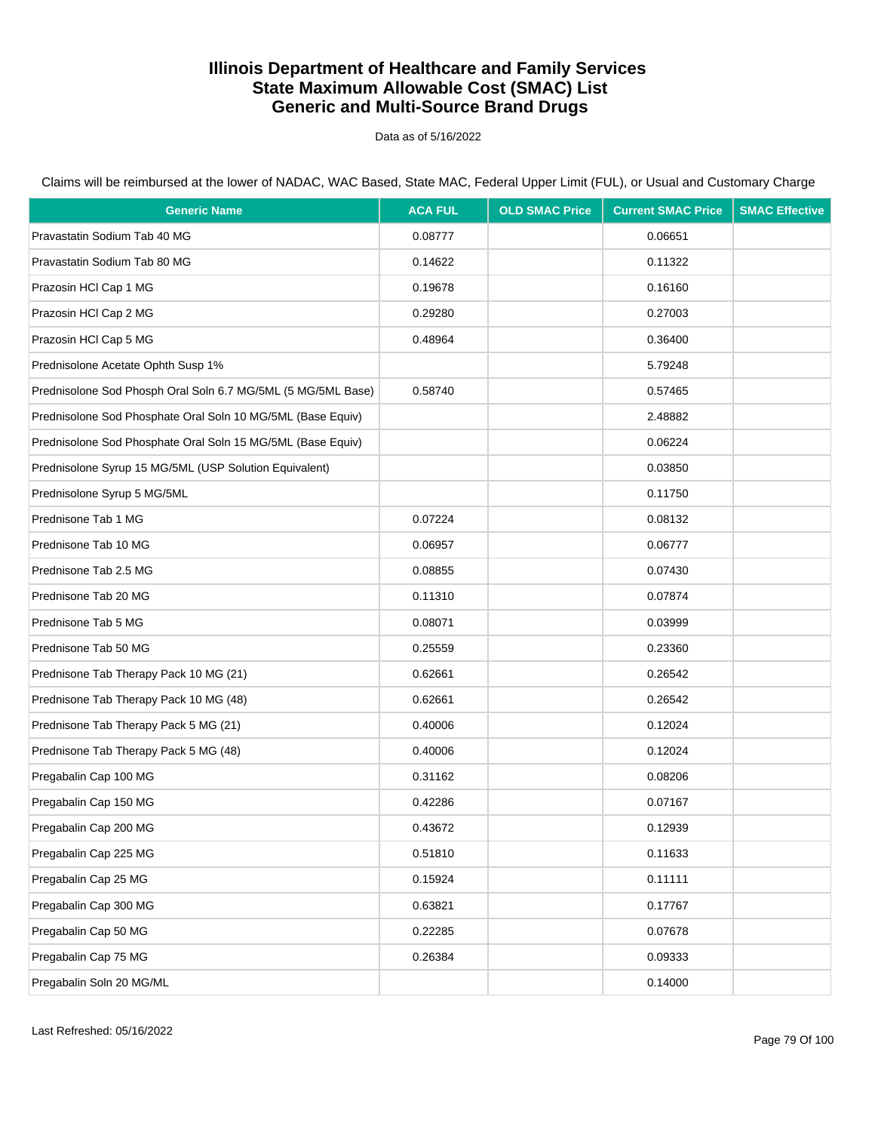Data as of 5/16/2022

| <b>Generic Name</b>                                          | <b>ACA FUL</b> | <b>OLD SMAC Price</b> | <b>Current SMAC Price</b> | <b>SMAC Effective</b> |
|--------------------------------------------------------------|----------------|-----------------------|---------------------------|-----------------------|
| Pravastatin Sodium Tab 40 MG                                 | 0.08777        |                       | 0.06651                   |                       |
| Pravastatin Sodium Tab 80 MG                                 | 0.14622        |                       | 0.11322                   |                       |
| Prazosin HCI Cap 1 MG                                        | 0.19678        |                       | 0.16160                   |                       |
| Prazosin HCI Cap 2 MG                                        | 0.29280        |                       | 0.27003                   |                       |
| Prazosin HCI Cap 5 MG                                        | 0.48964        |                       | 0.36400                   |                       |
| Prednisolone Acetate Ophth Susp 1%                           |                |                       | 5.79248                   |                       |
| Prednisolone Sod Phosph Oral Soln 6.7 MG/5ML (5 MG/5ML Base) | 0.58740        |                       | 0.57465                   |                       |
| Prednisolone Sod Phosphate Oral Soln 10 MG/5ML (Base Equiv)  |                |                       | 2.48882                   |                       |
| Prednisolone Sod Phosphate Oral Soln 15 MG/5ML (Base Equiv)  |                |                       | 0.06224                   |                       |
| Prednisolone Syrup 15 MG/5ML (USP Solution Equivalent)       |                |                       | 0.03850                   |                       |
| Prednisolone Syrup 5 MG/5ML                                  |                |                       | 0.11750                   |                       |
| Prednisone Tab 1 MG                                          | 0.07224        |                       | 0.08132                   |                       |
| Prednisone Tab 10 MG                                         | 0.06957        |                       | 0.06777                   |                       |
| Prednisone Tab 2.5 MG                                        | 0.08855        |                       | 0.07430                   |                       |
| Prednisone Tab 20 MG                                         | 0.11310        |                       | 0.07874                   |                       |
| Prednisone Tab 5 MG                                          | 0.08071        |                       | 0.03999                   |                       |
| Prednisone Tab 50 MG                                         | 0.25559        |                       | 0.23360                   |                       |
| Prednisone Tab Therapy Pack 10 MG (21)                       | 0.62661        |                       | 0.26542                   |                       |
| Prednisone Tab Therapy Pack 10 MG (48)                       | 0.62661        |                       | 0.26542                   |                       |
| Prednisone Tab Therapy Pack 5 MG (21)                        | 0.40006        |                       | 0.12024                   |                       |
| Prednisone Tab Therapy Pack 5 MG (48)                        | 0.40006        |                       | 0.12024                   |                       |
| Pregabalin Cap 100 MG                                        | 0.31162        |                       | 0.08206                   |                       |
| Pregabalin Cap 150 MG                                        | 0.42286        |                       | 0.07167                   |                       |
| Pregabalin Cap 200 MG                                        | 0.43672        |                       | 0.12939                   |                       |
| Pregabalin Cap 225 MG                                        | 0.51810        |                       | 0.11633                   |                       |
| Pregabalin Cap 25 MG                                         | 0.15924        |                       | 0.11111                   |                       |
| Pregabalin Cap 300 MG                                        | 0.63821        |                       | 0.17767                   |                       |
| Pregabalin Cap 50 MG                                         | 0.22285        |                       | 0.07678                   |                       |
| Pregabalin Cap 75 MG                                         | 0.26384        |                       | 0.09333                   |                       |
| Pregabalin Soln 20 MG/ML                                     |                |                       | 0.14000                   |                       |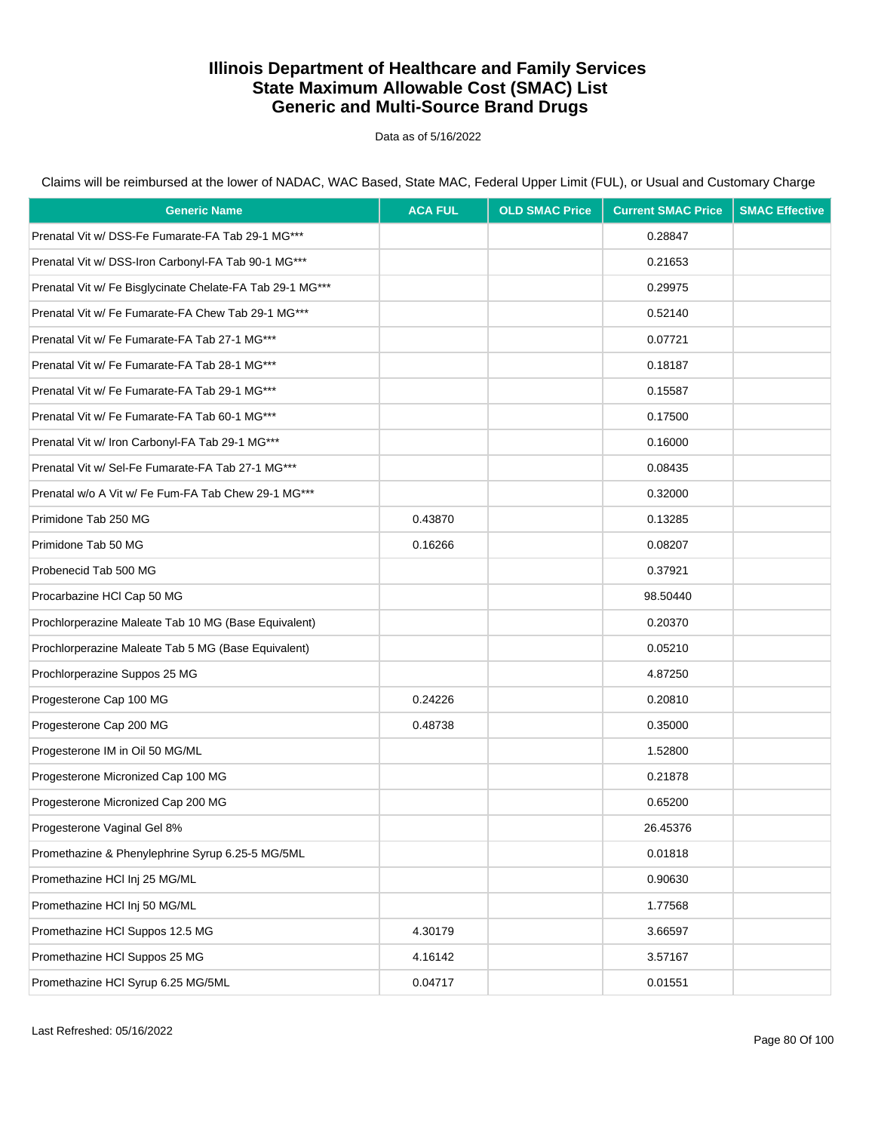Data as of 5/16/2022

| <b>Generic Name</b>                                       | <b>ACA FUL</b> | <b>OLD SMAC Price</b> | <b>Current SMAC Price</b> | <b>SMAC Effective</b> |
|-----------------------------------------------------------|----------------|-----------------------|---------------------------|-----------------------|
| Prenatal Vit w/ DSS-Fe Fumarate-FA Tab 29-1 MG***         |                |                       | 0.28847                   |                       |
| Prenatal Vit w/ DSS-Iron Carbonyl-FA Tab 90-1 MG***       |                |                       | 0.21653                   |                       |
| Prenatal Vit w/ Fe Bisglycinate Chelate-FA Tab 29-1 MG*** |                |                       | 0.29975                   |                       |
| Prenatal Vit w/ Fe Fumarate-FA Chew Tab 29-1 MG***        |                |                       | 0.52140                   |                       |
| Prenatal Vit w/ Fe Fumarate-FA Tab 27-1 MG***             |                |                       | 0.07721                   |                       |
| Prenatal Vit w/ Fe Fumarate-FA Tab 28-1 MG***             |                |                       | 0.18187                   |                       |
| Prenatal Vit w/ Fe Fumarate-FA Tab 29-1 MG***             |                |                       | 0.15587                   |                       |
| Prenatal Vit w/ Fe Fumarate-FA Tab 60-1 MG***             |                |                       | 0.17500                   |                       |
| Prenatal Vit w/ Iron Carbonyl-FA Tab 29-1 MG***           |                |                       | 0.16000                   |                       |
| Prenatal Vit w/ Sel-Fe Fumarate-FA Tab 27-1 MG***         |                |                       | 0.08435                   |                       |
| Prenatal w/o A Vit w/ Fe Fum-FA Tab Chew 29-1 MG***       |                |                       | 0.32000                   |                       |
| Primidone Tab 250 MG                                      | 0.43870        |                       | 0.13285                   |                       |
| Primidone Tab 50 MG                                       | 0.16266        |                       | 0.08207                   |                       |
| Probenecid Tab 500 MG                                     |                |                       | 0.37921                   |                       |
| Procarbazine HCI Cap 50 MG                                |                |                       | 98.50440                  |                       |
| Prochlorperazine Maleate Tab 10 MG (Base Equivalent)      |                |                       | 0.20370                   |                       |
| Prochlorperazine Maleate Tab 5 MG (Base Equivalent)       |                |                       | 0.05210                   |                       |
| Prochlorperazine Suppos 25 MG                             |                |                       | 4.87250                   |                       |
| Progesterone Cap 100 MG                                   | 0.24226        |                       | 0.20810                   |                       |
| Progesterone Cap 200 MG                                   | 0.48738        |                       | 0.35000                   |                       |
| Progesterone IM in Oil 50 MG/ML                           |                |                       | 1.52800                   |                       |
| Progesterone Micronized Cap 100 MG                        |                |                       | 0.21878                   |                       |
| Progesterone Micronized Cap 200 MG                        |                |                       | 0.65200                   |                       |
| Progesterone Vaginal Gel 8%                               |                |                       | 26.45376                  |                       |
| Promethazine & Phenylephrine Syrup 6.25-5 MG/5ML          |                |                       | 0.01818                   |                       |
| Promethazine HCl Inj 25 MG/ML                             |                |                       | 0.90630                   |                       |
| Promethazine HCl Inj 50 MG/ML                             |                |                       | 1.77568                   |                       |
| Promethazine HCl Suppos 12.5 MG                           | 4.30179        |                       | 3.66597                   |                       |
| Promethazine HCI Suppos 25 MG                             | 4.16142        |                       | 3.57167                   |                       |
| Promethazine HCl Syrup 6.25 MG/5ML                        | 0.04717        |                       | 0.01551                   |                       |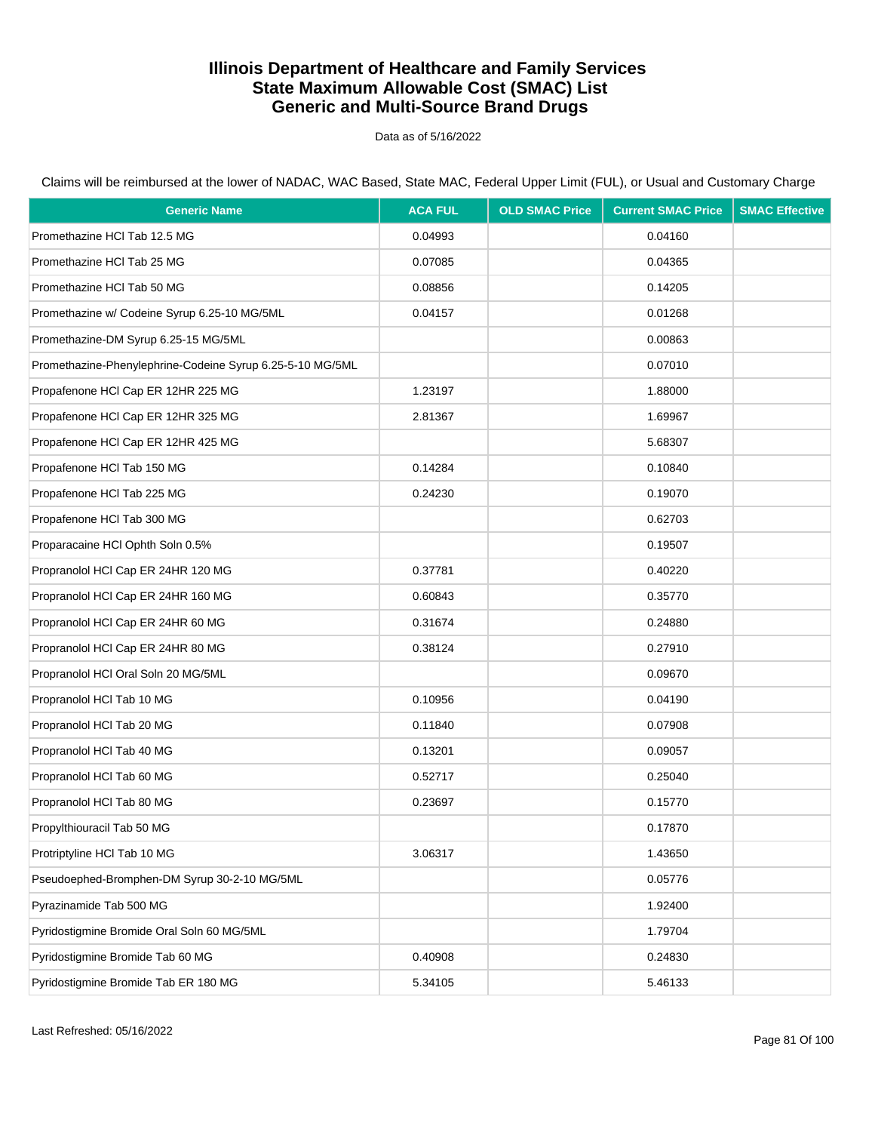Data as of 5/16/2022

Claims will be reimbursed at the lower of NADAC, WAC Based, State MAC, Federal Upper Limit (FUL), or Usual and Customary Charge

| <b>Generic Name</b>                                       | <b>ACA FUL</b> | <b>OLD SMAC Price</b> | <b>Current SMAC Price</b> | <b>SMAC Effective</b> |
|-----------------------------------------------------------|----------------|-----------------------|---------------------------|-----------------------|
| Promethazine HCl Tab 12.5 MG                              | 0.04993        |                       | 0.04160                   |                       |
| Promethazine HCI Tab 25 MG                                | 0.07085        |                       | 0.04365                   |                       |
| Promethazine HCI Tab 50 MG                                | 0.08856        |                       | 0.14205                   |                       |
| Promethazine w/ Codeine Syrup 6.25-10 MG/5ML              | 0.04157        |                       | 0.01268                   |                       |
| Promethazine-DM Syrup 6.25-15 MG/5ML                      |                |                       | 0.00863                   |                       |
| Promethazine-Phenylephrine-Codeine Syrup 6.25-5-10 MG/5ML |                |                       | 0.07010                   |                       |
| Propafenone HCI Cap ER 12HR 225 MG                        | 1.23197        |                       | 1.88000                   |                       |
| Propafenone HCI Cap ER 12HR 325 MG                        | 2.81367        |                       | 1.69967                   |                       |
| Propafenone HCI Cap ER 12HR 425 MG                        |                |                       | 5.68307                   |                       |
| Propafenone HCI Tab 150 MG                                | 0.14284        |                       | 0.10840                   |                       |
| Propafenone HCI Tab 225 MG                                | 0.24230        |                       | 0.19070                   |                       |
| Propafenone HCI Tab 300 MG                                |                |                       | 0.62703                   |                       |
| Proparacaine HCl Ophth Soln 0.5%                          |                |                       | 0.19507                   |                       |
| Propranolol HCl Cap ER 24HR 120 MG                        | 0.37781        |                       | 0.40220                   |                       |
| Propranolol HCl Cap ER 24HR 160 MG                        | 0.60843        |                       | 0.35770                   |                       |
| Propranolol HCl Cap ER 24HR 60 MG                         | 0.31674        |                       | 0.24880                   |                       |
| Propranolol HCI Cap ER 24HR 80 MG                         | 0.38124        |                       | 0.27910                   |                       |
| Propranolol HCI Oral Soln 20 MG/5ML                       |                |                       | 0.09670                   |                       |
| Propranolol HCl Tab 10 MG                                 | 0.10956        |                       | 0.04190                   |                       |
| Propranolol HCl Tab 20 MG                                 | 0.11840        |                       | 0.07908                   |                       |
| Propranolol HCl Tab 40 MG                                 | 0.13201        |                       | 0.09057                   |                       |
| Propranolol HCl Tab 60 MG                                 | 0.52717        |                       | 0.25040                   |                       |
| Propranolol HCI Tab 80 MG                                 | 0.23697        |                       | 0.15770                   |                       |
| Propylthiouracil Tab 50 MG                                |                |                       | 0.17870                   |                       |
| Protriptyline HCl Tab 10 MG                               | 3.06317        |                       | 1.43650                   |                       |
| Pseudoephed-Bromphen-DM Syrup 30-2-10 MG/5ML              |                |                       | 0.05776                   |                       |
| Pyrazinamide Tab 500 MG                                   |                |                       | 1.92400                   |                       |
| Pyridostigmine Bromide Oral Soln 60 MG/5ML                |                |                       | 1.79704                   |                       |
| Pyridostigmine Bromide Tab 60 MG                          | 0.40908        |                       | 0.24830                   |                       |
| Pyridostigmine Bromide Tab ER 180 MG                      | 5.34105        |                       | 5.46133                   |                       |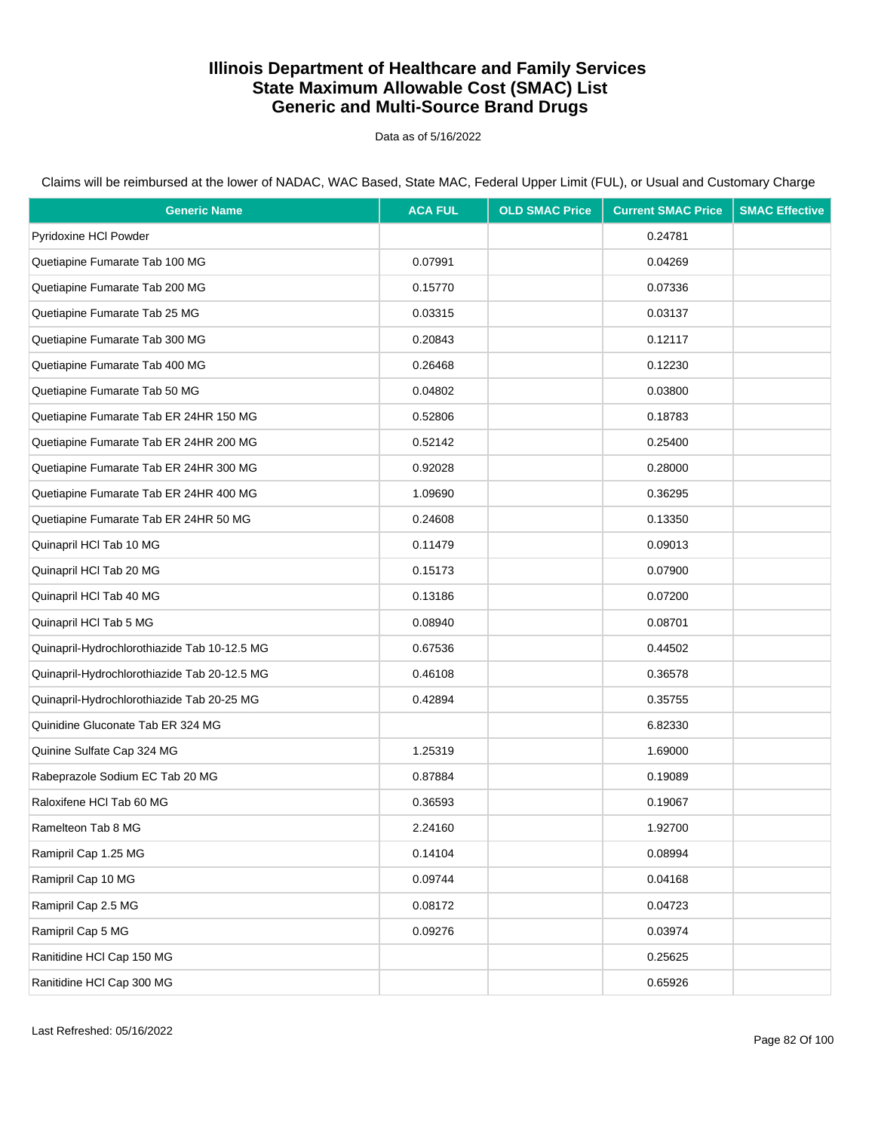Data as of 5/16/2022

Claims will be reimbursed at the lower of NADAC, WAC Based, State MAC, Federal Upper Limit (FUL), or Usual and Customary Charge

| <b>Generic Name</b>                          | <b>ACA FUL</b> | <b>OLD SMAC Price</b> | <b>Current SMAC Price</b> | <b>SMAC Effective</b> |
|----------------------------------------------|----------------|-----------------------|---------------------------|-----------------------|
| Pyridoxine HCl Powder                        |                |                       | 0.24781                   |                       |
| Quetiapine Fumarate Tab 100 MG               | 0.07991        |                       | 0.04269                   |                       |
| Quetiapine Fumarate Tab 200 MG               | 0.15770        |                       | 0.07336                   |                       |
| Quetiapine Fumarate Tab 25 MG                | 0.03315        |                       | 0.03137                   |                       |
| Quetiapine Fumarate Tab 300 MG               | 0.20843        |                       | 0.12117                   |                       |
| Quetiapine Fumarate Tab 400 MG               | 0.26468        |                       | 0.12230                   |                       |
| Quetiapine Fumarate Tab 50 MG                | 0.04802        |                       | 0.03800                   |                       |
| Quetiapine Fumarate Tab ER 24HR 150 MG       | 0.52806        |                       | 0.18783                   |                       |
| Quetiapine Fumarate Tab ER 24HR 200 MG       | 0.52142        |                       | 0.25400                   |                       |
| Quetiapine Fumarate Tab ER 24HR 300 MG       | 0.92028        |                       | 0.28000                   |                       |
| Quetiapine Fumarate Tab ER 24HR 400 MG       | 1.09690        |                       | 0.36295                   |                       |
| Quetiapine Fumarate Tab ER 24HR 50 MG        | 0.24608        |                       | 0.13350                   |                       |
| Quinapril HCl Tab 10 MG                      | 0.11479        |                       | 0.09013                   |                       |
| Quinapril HCl Tab 20 MG                      | 0.15173        |                       | 0.07900                   |                       |
| Quinapril HCl Tab 40 MG                      | 0.13186        |                       | 0.07200                   |                       |
| Quinapril HCl Tab 5 MG                       | 0.08940        |                       | 0.08701                   |                       |
| Quinapril-Hydrochlorothiazide Tab 10-12.5 MG | 0.67536        |                       | 0.44502                   |                       |
| Quinapril-Hydrochlorothiazide Tab 20-12.5 MG | 0.46108        |                       | 0.36578                   |                       |
| Quinapril-Hydrochlorothiazide Tab 20-25 MG   | 0.42894        |                       | 0.35755                   |                       |
| Quinidine Gluconate Tab ER 324 MG            |                |                       | 6.82330                   |                       |
| Quinine Sulfate Cap 324 MG                   | 1.25319        |                       | 1.69000                   |                       |
| Rabeprazole Sodium EC Tab 20 MG              | 0.87884        |                       | 0.19089                   |                       |
| Raloxifene HCl Tab 60 MG                     | 0.36593        |                       | 0.19067                   |                       |
| Ramelteon Tab 8 MG                           | 2.24160        |                       | 1.92700                   |                       |
| Ramipril Cap 1.25 MG                         | 0.14104        |                       | 0.08994                   |                       |
| Ramipril Cap 10 MG                           | 0.09744        |                       | 0.04168                   |                       |
| Ramipril Cap 2.5 MG                          | 0.08172        |                       | 0.04723                   |                       |
| Ramipril Cap 5 MG                            | 0.09276        |                       | 0.03974                   |                       |
| Ranitidine HCl Cap 150 MG                    |                |                       | 0.25625                   |                       |
| Ranitidine HCl Cap 300 MG                    |                |                       | 0.65926                   |                       |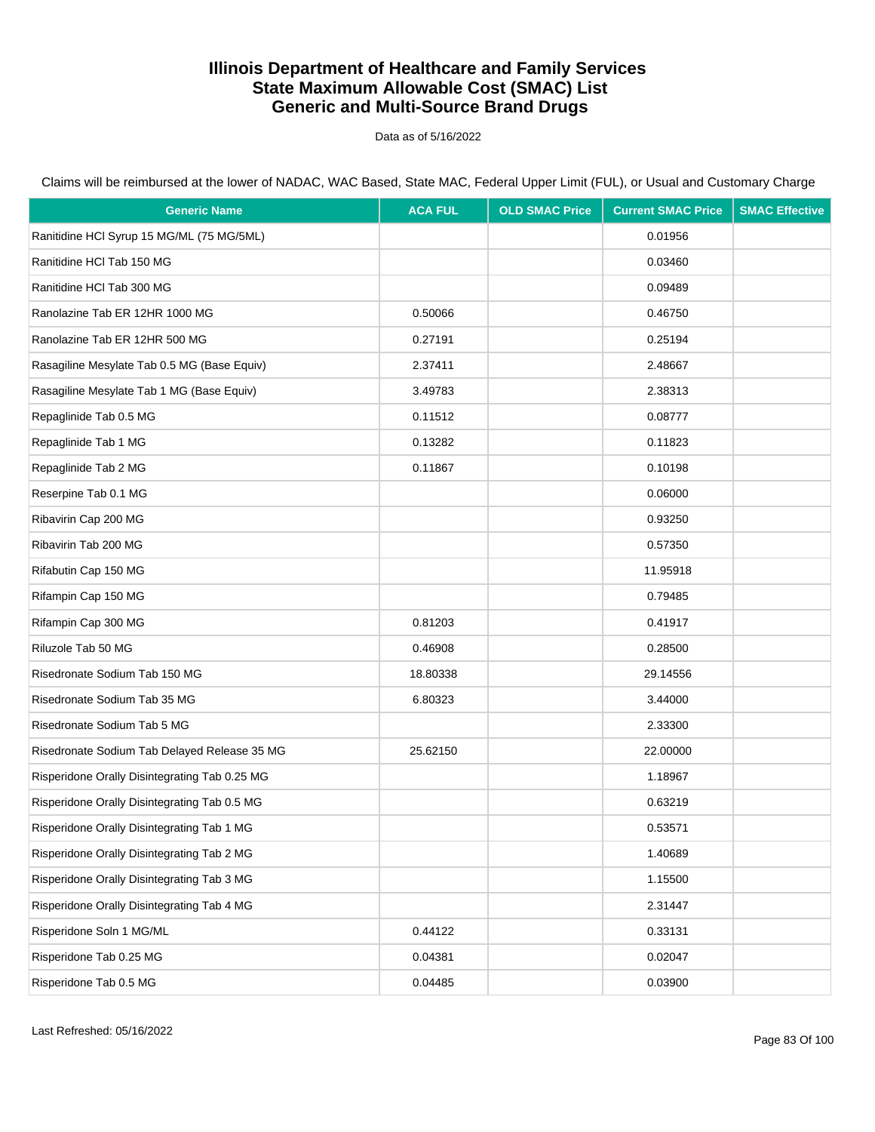Data as of 5/16/2022

| <b>Generic Name</b>                           | <b>ACA FUL</b> | <b>OLD SMAC Price</b> | <b>Current SMAC Price</b> | <b>SMAC Effective</b> |
|-----------------------------------------------|----------------|-----------------------|---------------------------|-----------------------|
| Ranitidine HCl Syrup 15 MG/ML (75 MG/5ML)     |                |                       | 0.01956                   |                       |
| Ranitidine HCI Tab 150 MG                     |                |                       | 0.03460                   |                       |
| Ranitidine HCl Tab 300 MG                     |                |                       | 0.09489                   |                       |
| Ranolazine Tab ER 12HR 1000 MG                | 0.50066        |                       | 0.46750                   |                       |
| Ranolazine Tab ER 12HR 500 MG                 | 0.27191        |                       | 0.25194                   |                       |
| Rasagiline Mesylate Tab 0.5 MG (Base Equiv)   | 2.37411        |                       | 2.48667                   |                       |
| Rasagiline Mesylate Tab 1 MG (Base Equiv)     | 3.49783        |                       | 2.38313                   |                       |
| Repaglinide Tab 0.5 MG                        | 0.11512        |                       | 0.08777                   |                       |
| Repaglinide Tab 1 MG                          | 0.13282        |                       | 0.11823                   |                       |
| Repaglinide Tab 2 MG                          | 0.11867        |                       | 0.10198                   |                       |
| Reserpine Tab 0.1 MG                          |                |                       | 0.06000                   |                       |
| Ribavirin Cap 200 MG                          |                |                       | 0.93250                   |                       |
| Ribavirin Tab 200 MG                          |                |                       | 0.57350                   |                       |
| Rifabutin Cap 150 MG                          |                |                       | 11.95918                  |                       |
| Rifampin Cap 150 MG                           |                |                       | 0.79485                   |                       |
| Rifampin Cap 300 MG                           | 0.81203        |                       | 0.41917                   |                       |
| Riluzole Tab 50 MG                            | 0.46908        |                       | 0.28500                   |                       |
| Risedronate Sodium Tab 150 MG                 | 18.80338       |                       | 29.14556                  |                       |
| Risedronate Sodium Tab 35 MG                  | 6.80323        |                       | 3.44000                   |                       |
| Risedronate Sodium Tab 5 MG                   |                |                       | 2.33300                   |                       |
| Risedronate Sodium Tab Delayed Release 35 MG  | 25.62150       |                       | 22.00000                  |                       |
| Risperidone Orally Disintegrating Tab 0.25 MG |                |                       | 1.18967                   |                       |
| Risperidone Orally Disintegrating Tab 0.5 MG  |                |                       | 0.63219                   |                       |
| Risperidone Orally Disintegrating Tab 1 MG    |                |                       | 0.53571                   |                       |
| Risperidone Orally Disintegrating Tab 2 MG    |                |                       | 1.40689                   |                       |
| Risperidone Orally Disintegrating Tab 3 MG    |                |                       | 1.15500                   |                       |
| Risperidone Orally Disintegrating Tab 4 MG    |                |                       | 2.31447                   |                       |
| Risperidone Soln 1 MG/ML                      | 0.44122        |                       | 0.33131                   |                       |
| Risperidone Tab 0.25 MG                       | 0.04381        |                       | 0.02047                   |                       |
| Risperidone Tab 0.5 MG                        | 0.04485        |                       | 0.03900                   |                       |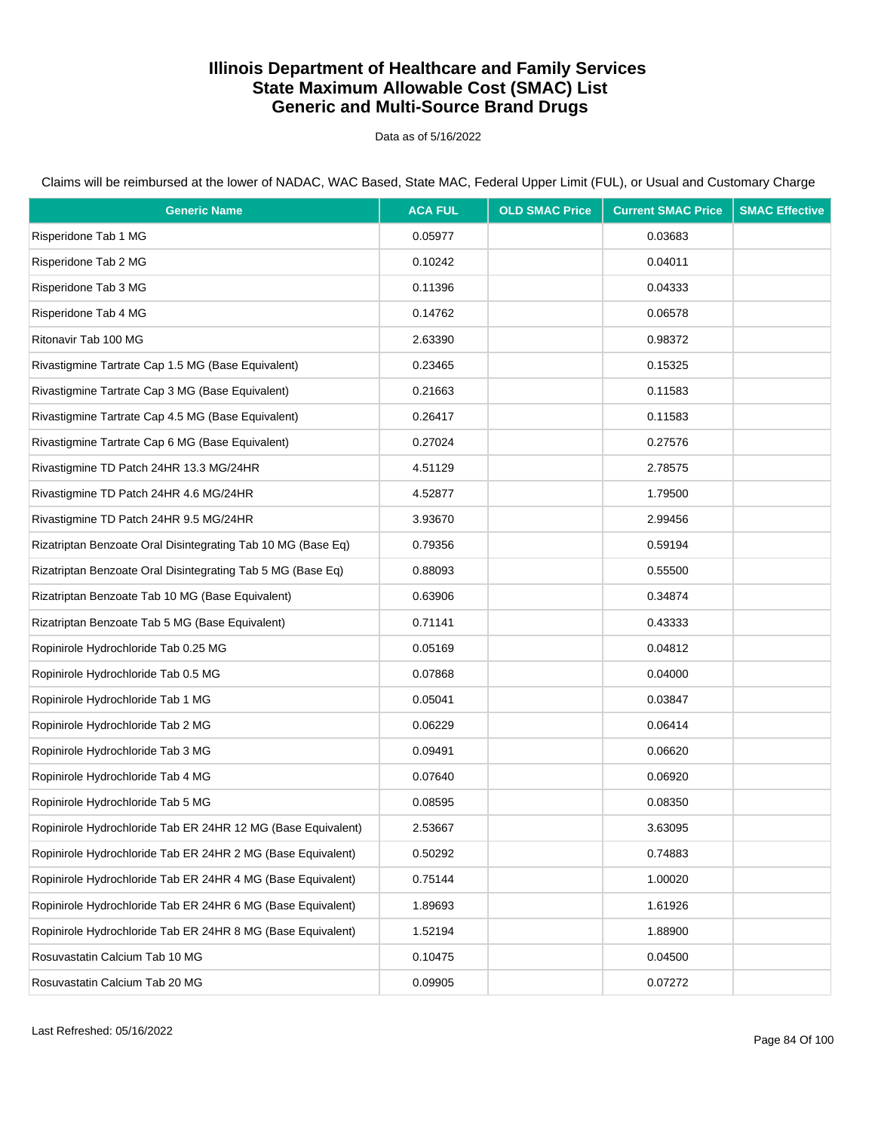Data as of 5/16/2022

Claims will be reimbursed at the lower of NADAC, WAC Based, State MAC, Federal Upper Limit (FUL), or Usual and Customary Charge

| <b>Generic Name</b>                                          | <b>ACA FUL</b> | <b>OLD SMAC Price</b> | <b>Current SMAC Price</b> | <b>SMAC Effective</b> |
|--------------------------------------------------------------|----------------|-----------------------|---------------------------|-----------------------|
| Risperidone Tab 1 MG                                         | 0.05977        |                       | 0.03683                   |                       |
| Risperidone Tab 2 MG                                         | 0.10242        |                       | 0.04011                   |                       |
| Risperidone Tab 3 MG                                         | 0.11396        |                       | 0.04333                   |                       |
| Risperidone Tab 4 MG                                         | 0.14762        |                       | 0.06578                   |                       |
| Ritonavir Tab 100 MG                                         | 2.63390        |                       | 0.98372                   |                       |
| Rivastigmine Tartrate Cap 1.5 MG (Base Equivalent)           | 0.23465        |                       | 0.15325                   |                       |
| Rivastigmine Tartrate Cap 3 MG (Base Equivalent)             | 0.21663        |                       | 0.11583                   |                       |
| Rivastigmine Tartrate Cap 4.5 MG (Base Equivalent)           | 0.26417        |                       | 0.11583                   |                       |
| Rivastigmine Tartrate Cap 6 MG (Base Equivalent)             | 0.27024        |                       | 0.27576                   |                       |
| Rivastigmine TD Patch 24HR 13.3 MG/24HR                      | 4.51129        |                       | 2.78575                   |                       |
| Rivastigmine TD Patch 24HR 4.6 MG/24HR                       | 4.52877        |                       | 1.79500                   |                       |
| Rivastigmine TD Patch 24HR 9.5 MG/24HR                       | 3.93670        |                       | 2.99456                   |                       |
| Rizatriptan Benzoate Oral Disintegrating Tab 10 MG (Base Eq) | 0.79356        |                       | 0.59194                   |                       |
| Rizatriptan Benzoate Oral Disintegrating Tab 5 MG (Base Eq)  | 0.88093        |                       | 0.55500                   |                       |
| Rizatriptan Benzoate Tab 10 MG (Base Equivalent)             | 0.63906        |                       | 0.34874                   |                       |
| Rizatriptan Benzoate Tab 5 MG (Base Equivalent)              | 0.71141        |                       | 0.43333                   |                       |
| Ropinirole Hydrochloride Tab 0.25 MG                         | 0.05169        |                       | 0.04812                   |                       |
| Ropinirole Hydrochloride Tab 0.5 MG                          | 0.07868        |                       | 0.04000                   |                       |
| Ropinirole Hydrochloride Tab 1 MG                            | 0.05041        |                       | 0.03847                   |                       |
| Ropinirole Hydrochloride Tab 2 MG                            | 0.06229        |                       | 0.06414                   |                       |
| Ropinirole Hydrochloride Tab 3 MG                            | 0.09491        |                       | 0.06620                   |                       |
| Ropinirole Hydrochloride Tab 4 MG                            | 0.07640        |                       | 0.06920                   |                       |
| Ropinirole Hydrochloride Tab 5 MG                            | 0.08595        |                       | 0.08350                   |                       |
| Ropinirole Hydrochloride Tab ER 24HR 12 MG (Base Equivalent) | 2.53667        |                       | 3.63095                   |                       |
| Ropinirole Hydrochloride Tab ER 24HR 2 MG (Base Equivalent)  | 0.50292        |                       | 0.74883                   |                       |
| Ropinirole Hydrochloride Tab ER 24HR 4 MG (Base Equivalent)  | 0.75144        |                       | 1.00020                   |                       |
| Ropinirole Hydrochloride Tab ER 24HR 6 MG (Base Equivalent)  | 1.89693        |                       | 1.61926                   |                       |
| Ropinirole Hydrochloride Tab ER 24HR 8 MG (Base Equivalent)  | 1.52194        |                       | 1.88900                   |                       |
| Rosuvastatin Calcium Tab 10 MG                               | 0.10475        |                       | 0.04500                   |                       |
| Rosuvastatin Calcium Tab 20 MG                               | 0.09905        |                       | 0.07272                   |                       |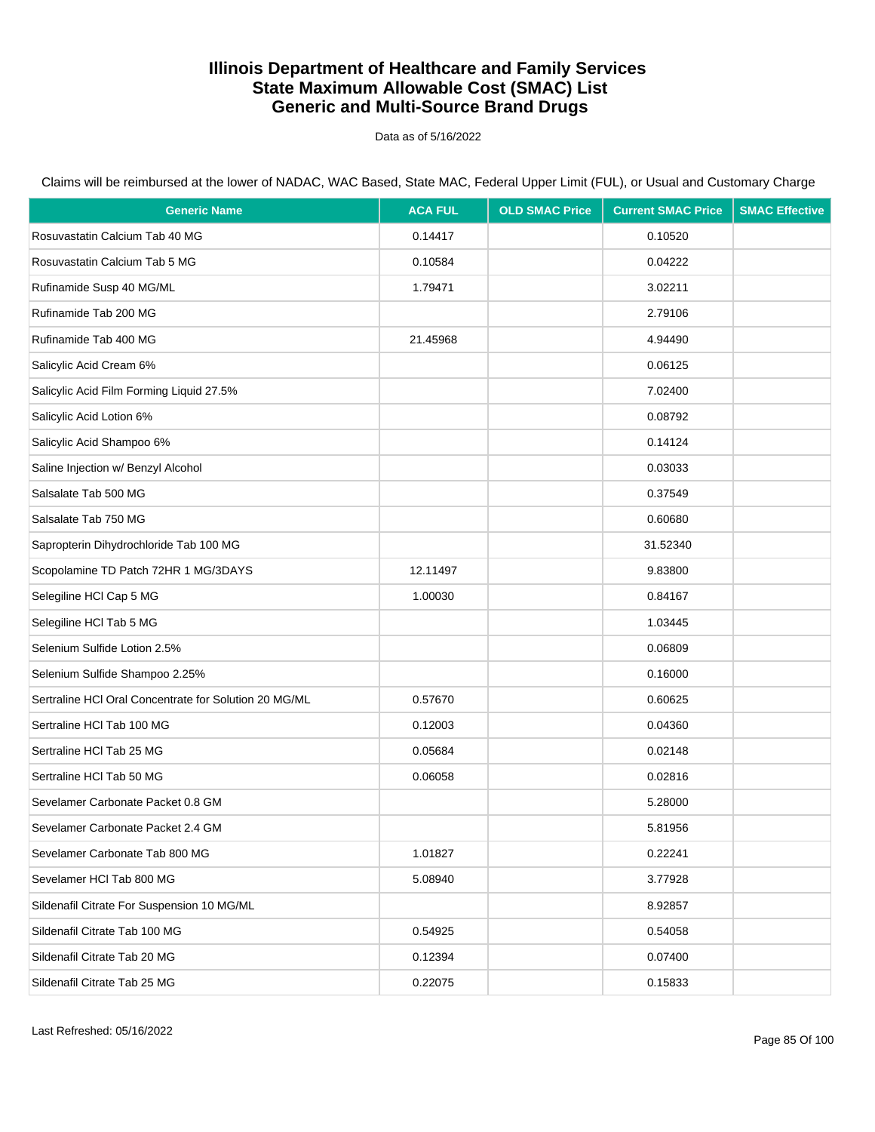Data as of 5/16/2022

| <b>Generic Name</b>                                   | <b>ACA FUL</b> | <b>OLD SMAC Price</b> | <b>Current SMAC Price</b> | <b>SMAC Effective</b> |
|-------------------------------------------------------|----------------|-----------------------|---------------------------|-----------------------|
| Rosuvastatin Calcium Tab 40 MG                        | 0.14417        |                       | 0.10520                   |                       |
| Rosuvastatin Calcium Tab 5 MG                         | 0.10584        |                       | 0.04222                   |                       |
| Rufinamide Susp 40 MG/ML                              | 1.79471        |                       | 3.02211                   |                       |
| Rufinamide Tab 200 MG                                 |                |                       | 2.79106                   |                       |
| Rufinamide Tab 400 MG                                 | 21.45968       |                       | 4.94490                   |                       |
| Salicylic Acid Cream 6%                               |                |                       | 0.06125                   |                       |
| Salicylic Acid Film Forming Liquid 27.5%              |                |                       | 7.02400                   |                       |
| Salicylic Acid Lotion 6%                              |                |                       | 0.08792                   |                       |
| Salicylic Acid Shampoo 6%                             |                |                       | 0.14124                   |                       |
| Saline Injection w/ Benzyl Alcohol                    |                |                       | 0.03033                   |                       |
| Salsalate Tab 500 MG                                  |                |                       | 0.37549                   |                       |
| Salsalate Tab 750 MG                                  |                |                       | 0.60680                   |                       |
| Sapropterin Dihydrochloride Tab 100 MG                |                |                       | 31.52340                  |                       |
| Scopolamine TD Patch 72HR 1 MG/3DAYS                  | 12.11497       |                       | 9.83800                   |                       |
| Selegiline HCl Cap 5 MG                               | 1.00030        |                       | 0.84167                   |                       |
| Selegiline HCI Tab 5 MG                               |                |                       | 1.03445                   |                       |
| Selenium Sulfide Lotion 2.5%                          |                |                       | 0.06809                   |                       |
| Selenium Sulfide Shampoo 2.25%                        |                |                       | 0.16000                   |                       |
| Sertraline HCI Oral Concentrate for Solution 20 MG/ML | 0.57670        |                       | 0.60625                   |                       |
| Sertraline HCI Tab 100 MG                             | 0.12003        |                       | 0.04360                   |                       |
| Sertraline HCI Tab 25 MG                              | 0.05684        |                       | 0.02148                   |                       |
| Sertraline HCI Tab 50 MG                              | 0.06058        |                       | 0.02816                   |                       |
| Sevelamer Carbonate Packet 0.8 GM                     |                |                       | 5.28000                   |                       |
| Sevelamer Carbonate Packet 2.4 GM                     |                |                       | 5.81956                   |                       |
| Sevelamer Carbonate Tab 800 MG                        | 1.01827        |                       | 0.22241                   |                       |
| Sevelamer HCI Tab 800 MG                              | 5.08940        |                       | 3.77928                   |                       |
| Sildenafil Citrate For Suspension 10 MG/ML            |                |                       | 8.92857                   |                       |
| Sildenafil Citrate Tab 100 MG                         | 0.54925        |                       | 0.54058                   |                       |
| Sildenafil Citrate Tab 20 MG                          | 0.12394        |                       | 0.07400                   |                       |
| Sildenafil Citrate Tab 25 MG                          | 0.22075        |                       | 0.15833                   |                       |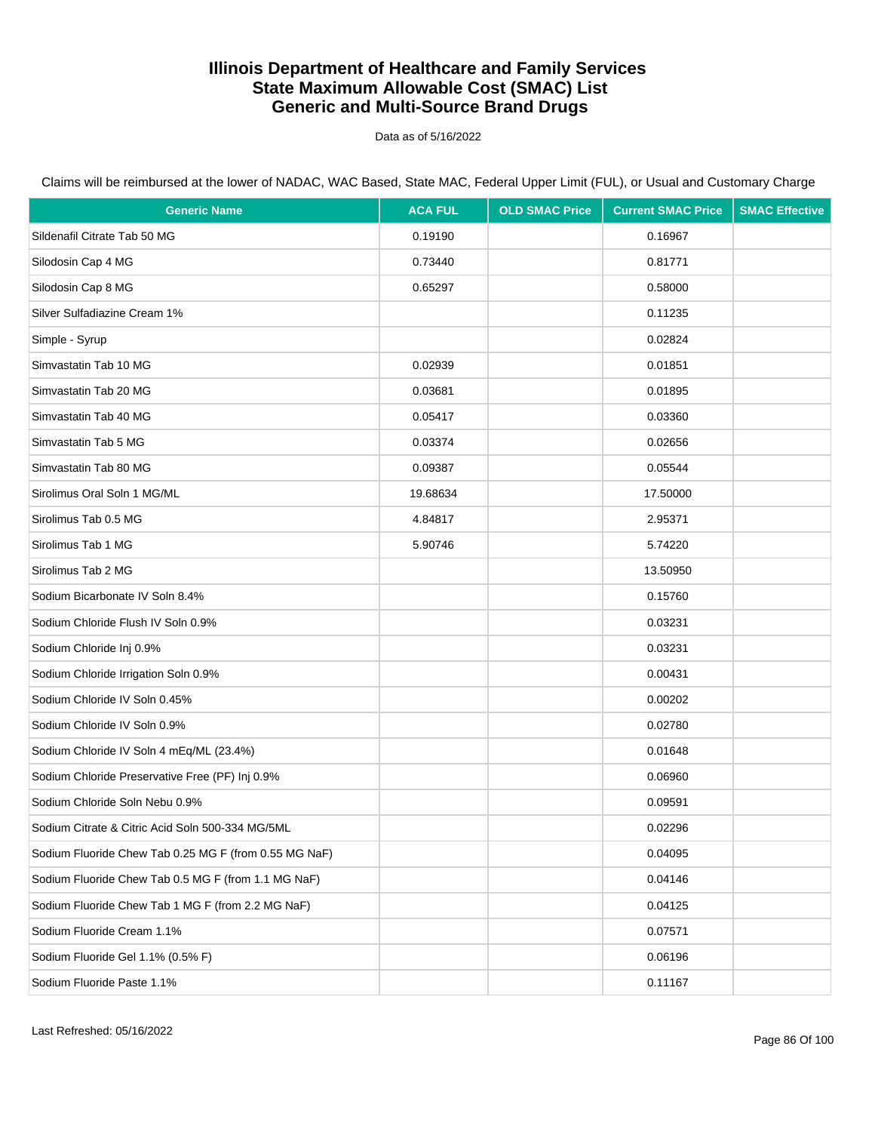Data as of 5/16/2022

Claims will be reimbursed at the lower of NADAC, WAC Based, State MAC, Federal Upper Limit (FUL), or Usual and Customary Charge

| <b>Generic Name</b>                                   | <b>ACA FUL</b> | <b>OLD SMAC Price</b> | <b>Current SMAC Price</b> | <b>SMAC Effective</b> |
|-------------------------------------------------------|----------------|-----------------------|---------------------------|-----------------------|
| Sildenafil Citrate Tab 50 MG                          | 0.19190        |                       | 0.16967                   |                       |
| Silodosin Cap 4 MG                                    | 0.73440        |                       | 0.81771                   |                       |
| Silodosin Cap 8 MG                                    | 0.65297        |                       | 0.58000                   |                       |
| Silver Sulfadiazine Cream 1%                          |                |                       | 0.11235                   |                       |
| Simple - Syrup                                        |                |                       | 0.02824                   |                       |
| Simvastatin Tab 10 MG                                 | 0.02939        |                       | 0.01851                   |                       |
| Simvastatin Tab 20 MG                                 | 0.03681        |                       | 0.01895                   |                       |
| Simvastatin Tab 40 MG                                 | 0.05417        |                       | 0.03360                   |                       |
| Simvastatin Tab 5 MG                                  | 0.03374        |                       | 0.02656                   |                       |
| Simvastatin Tab 80 MG                                 | 0.09387        |                       | 0.05544                   |                       |
| Sirolimus Oral Soln 1 MG/ML                           | 19.68634       |                       | 17.50000                  |                       |
| Sirolimus Tab 0.5 MG                                  | 4.84817        |                       | 2.95371                   |                       |
| Sirolimus Tab 1 MG                                    | 5.90746        |                       | 5.74220                   |                       |
| Sirolimus Tab 2 MG                                    |                |                       | 13.50950                  |                       |
| Sodium Bicarbonate IV Soln 8.4%                       |                |                       | 0.15760                   |                       |
| Sodium Chloride Flush IV Soln 0.9%                    |                |                       | 0.03231                   |                       |
| Sodium Chloride Inj 0.9%                              |                |                       | 0.03231                   |                       |
| Sodium Chloride Irrigation Soln 0.9%                  |                |                       | 0.00431                   |                       |
| Sodium Chloride IV Soln 0.45%                         |                |                       | 0.00202                   |                       |
| Sodium Chloride IV Soln 0.9%                          |                |                       | 0.02780                   |                       |
| Sodium Chloride IV Soln 4 mEq/ML (23.4%)              |                |                       | 0.01648                   |                       |
| Sodium Chloride Preservative Free (PF) Inj 0.9%       |                |                       | 0.06960                   |                       |
| Sodium Chloride Soln Nebu 0.9%                        |                |                       | 0.09591                   |                       |
| Sodium Citrate & Citric Acid Soln 500-334 MG/5ML      |                |                       | 0.02296                   |                       |
| Sodium Fluoride Chew Tab 0.25 MG F (from 0.55 MG NaF) |                |                       | 0.04095                   |                       |
| Sodium Fluoride Chew Tab 0.5 MG F (from 1.1 MG NaF)   |                |                       | 0.04146                   |                       |
| Sodium Fluoride Chew Tab 1 MG F (from 2.2 MG NaF)     |                |                       | 0.04125                   |                       |
| Sodium Fluoride Cream 1.1%                            |                |                       | 0.07571                   |                       |
| Sodium Fluoride Gel 1.1% (0.5% F)                     |                |                       | 0.06196                   |                       |
| Sodium Fluoride Paste 1.1%                            |                |                       | 0.11167                   |                       |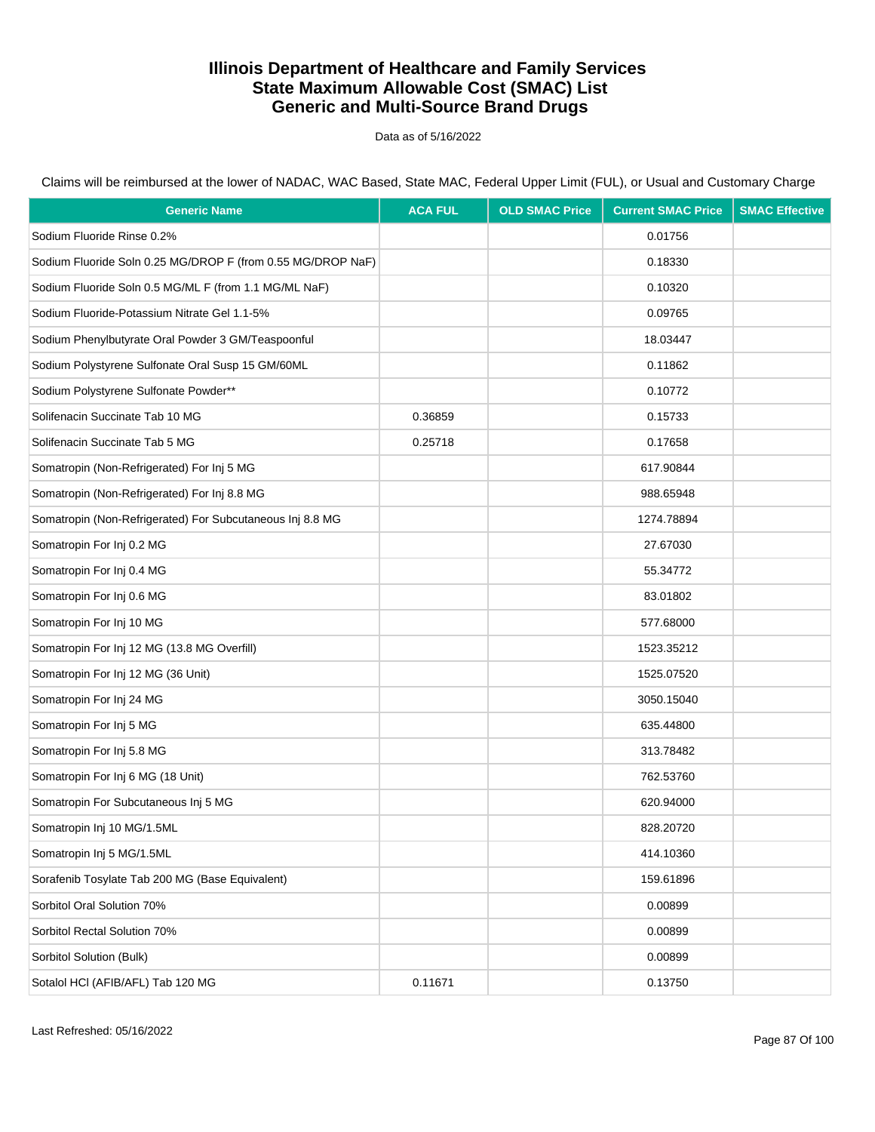Data as of 5/16/2022

Claims will be reimbursed at the lower of NADAC, WAC Based, State MAC, Federal Upper Limit (FUL), or Usual and Customary Charge

| <b>Generic Name</b>                                         | <b>ACA FUL</b> | <b>OLD SMAC Price</b> | <b>Current SMAC Price</b> | <b>SMAC Effective</b> |
|-------------------------------------------------------------|----------------|-----------------------|---------------------------|-----------------------|
| Sodium Fluoride Rinse 0.2%                                  |                |                       | 0.01756                   |                       |
| Sodium Fluoride Soln 0.25 MG/DROP F (from 0.55 MG/DROP NaF) |                |                       | 0.18330                   |                       |
| Sodium Fluoride Soln 0.5 MG/ML F (from 1.1 MG/ML NaF)       |                |                       | 0.10320                   |                       |
| Sodium Fluoride-Potassium Nitrate Gel 1.1-5%                |                |                       | 0.09765                   |                       |
| Sodium Phenylbutyrate Oral Powder 3 GM/Teaspoonful          |                |                       | 18.03447                  |                       |
| Sodium Polystyrene Sulfonate Oral Susp 15 GM/60ML           |                |                       | 0.11862                   |                       |
| Sodium Polystyrene Sulfonate Powder**                       |                |                       | 0.10772                   |                       |
| Solifenacin Succinate Tab 10 MG                             | 0.36859        |                       | 0.15733                   |                       |
| Solifenacin Succinate Tab 5 MG                              | 0.25718        |                       | 0.17658                   |                       |
| Somatropin (Non-Refrigerated) For Inj 5 MG                  |                |                       | 617.90844                 |                       |
| Somatropin (Non-Refrigerated) For Inj 8.8 MG                |                |                       | 988.65948                 |                       |
| Somatropin (Non-Refrigerated) For Subcutaneous Inj 8.8 MG   |                |                       | 1274.78894                |                       |
| Somatropin For Inj 0.2 MG                                   |                |                       | 27.67030                  |                       |
| Somatropin For Inj 0.4 MG                                   |                |                       | 55.34772                  |                       |
| Somatropin For Inj 0.6 MG                                   |                |                       | 83.01802                  |                       |
| Somatropin For Inj 10 MG                                    |                |                       | 577.68000                 |                       |
| Somatropin For Inj 12 MG (13.8 MG Overfill)                 |                |                       | 1523.35212                |                       |
| Somatropin For Inj 12 MG (36 Unit)                          |                |                       | 1525.07520                |                       |
| Somatropin For Inj 24 MG                                    |                |                       | 3050.15040                |                       |
| Somatropin For Inj 5 MG                                     |                |                       | 635.44800                 |                       |
| Somatropin For Inj 5.8 MG                                   |                |                       | 313.78482                 |                       |
| Somatropin For Inj 6 MG (18 Unit)                           |                |                       | 762.53760                 |                       |
| Somatropin For Subcutaneous Inj 5 MG                        |                |                       | 620.94000                 |                       |
| Somatropin Inj 10 MG/1.5ML                                  |                |                       | 828.20720                 |                       |
| Somatropin Inj 5 MG/1.5ML                                   |                |                       | 414.10360                 |                       |
| Sorafenib Tosylate Tab 200 MG (Base Equivalent)             |                |                       | 159.61896                 |                       |
| Sorbitol Oral Solution 70%                                  |                |                       | 0.00899                   |                       |
| Sorbitol Rectal Solution 70%                                |                |                       | 0.00899                   |                       |
| Sorbitol Solution (Bulk)                                    |                |                       | 0.00899                   |                       |
| Sotalol HCI (AFIB/AFL) Tab 120 MG                           | 0.11671        |                       | 0.13750                   |                       |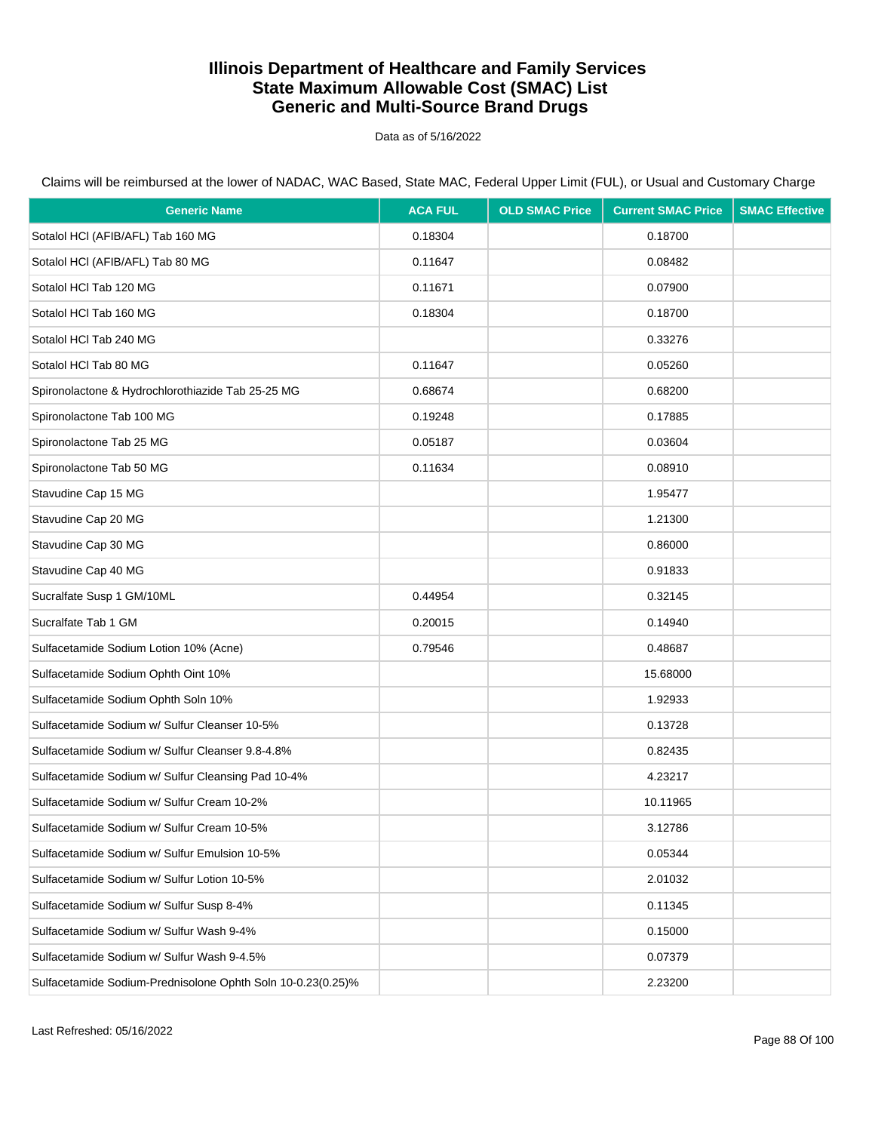Data as of 5/16/2022

| <b>Generic Name</b>                                         | <b>ACA FUL</b> | <b>OLD SMAC Price</b> | <b>Current SMAC Price</b> | <b>SMAC Effective</b> |
|-------------------------------------------------------------|----------------|-----------------------|---------------------------|-----------------------|
| Sotalol HCI (AFIB/AFL) Tab 160 MG                           | 0.18304        |                       | 0.18700                   |                       |
| Sotalol HCI (AFIB/AFL) Tab 80 MG                            | 0.11647        |                       | 0.08482                   |                       |
| Sotalol HCl Tab 120 MG                                      | 0.11671        |                       | 0.07900                   |                       |
| Sotalol HCl Tab 160 MG                                      | 0.18304        |                       | 0.18700                   |                       |
| Sotalol HCl Tab 240 MG                                      |                |                       | 0.33276                   |                       |
| Sotalol HCl Tab 80 MG                                       | 0.11647        |                       | 0.05260                   |                       |
| Spironolactone & Hydrochlorothiazide Tab 25-25 MG           | 0.68674        |                       | 0.68200                   |                       |
| Spironolactone Tab 100 MG                                   | 0.19248        |                       | 0.17885                   |                       |
| Spironolactone Tab 25 MG                                    | 0.05187        |                       | 0.03604                   |                       |
| Spironolactone Tab 50 MG                                    | 0.11634        |                       | 0.08910                   |                       |
| Stavudine Cap 15 MG                                         |                |                       | 1.95477                   |                       |
| Stavudine Cap 20 MG                                         |                |                       | 1.21300                   |                       |
| Stavudine Cap 30 MG                                         |                |                       | 0.86000                   |                       |
| Stavudine Cap 40 MG                                         |                |                       | 0.91833                   |                       |
| Sucralfate Susp 1 GM/10ML                                   | 0.44954        |                       | 0.32145                   |                       |
| Sucralfate Tab 1 GM                                         | 0.20015        |                       | 0.14940                   |                       |
| Sulfacetamide Sodium Lotion 10% (Acne)                      | 0.79546        |                       | 0.48687                   |                       |
| Sulfacetamide Sodium Ophth Oint 10%                         |                |                       | 15.68000                  |                       |
| Sulfacetamide Sodium Ophth Soln 10%                         |                |                       | 1.92933                   |                       |
| Sulfacetamide Sodium w/ Sulfur Cleanser 10-5%               |                |                       | 0.13728                   |                       |
| Sulfacetamide Sodium w/ Sulfur Cleanser 9.8-4.8%            |                |                       | 0.82435                   |                       |
| Sulfacetamide Sodium w/ Sulfur Cleansing Pad 10-4%          |                |                       | 4.23217                   |                       |
| Sulfacetamide Sodium w/ Sulfur Cream 10-2%                  |                |                       | 10.11965                  |                       |
| Sulfacetamide Sodium w/ Sulfur Cream 10-5%                  |                |                       | 3.12786                   |                       |
| Sulfacetamide Sodium w/ Sulfur Emulsion 10-5%               |                |                       | 0.05344                   |                       |
| Sulfacetamide Sodium w/ Sulfur Lotion 10-5%                 |                |                       | 2.01032                   |                       |
| Sulfacetamide Sodium w/ Sulfur Susp 8-4%                    |                |                       | 0.11345                   |                       |
| Sulfacetamide Sodium w/ Sulfur Wash 9-4%                    |                |                       | 0.15000                   |                       |
| Sulfacetamide Sodium w/ Sulfur Wash 9-4.5%                  |                |                       | 0.07379                   |                       |
| Sulfacetamide Sodium-Prednisolone Ophth Soln 10-0.23(0.25)% |                |                       | 2.23200                   |                       |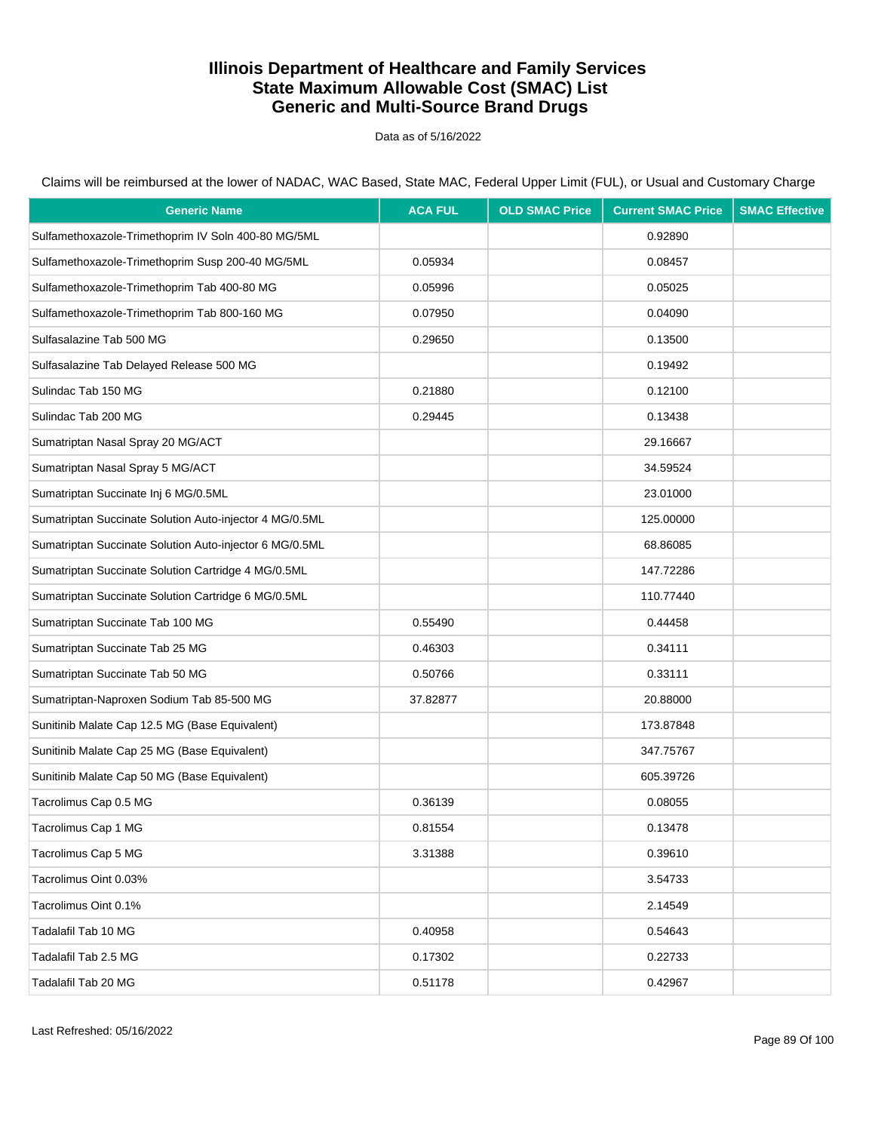Data as of 5/16/2022

| <b>Generic Name</b>                                     | <b>ACA FUL</b> | <b>OLD SMAC Price</b> | <b>Current SMAC Price</b> | <b>SMAC Effective</b> |
|---------------------------------------------------------|----------------|-----------------------|---------------------------|-----------------------|
| Sulfamethoxazole-Trimethoprim IV Soln 400-80 MG/5ML     |                |                       | 0.92890                   |                       |
| Sulfamethoxazole-Trimethoprim Susp 200-40 MG/5ML        | 0.05934        |                       | 0.08457                   |                       |
| Sulfamethoxazole-Trimethoprim Tab 400-80 MG             | 0.05996        |                       | 0.05025                   |                       |
| Sulfamethoxazole-Trimethoprim Tab 800-160 MG            | 0.07950        |                       | 0.04090                   |                       |
| Sulfasalazine Tab 500 MG                                | 0.29650        |                       | 0.13500                   |                       |
| Sulfasalazine Tab Delayed Release 500 MG                |                |                       | 0.19492                   |                       |
| Sulindac Tab 150 MG                                     | 0.21880        |                       | 0.12100                   |                       |
| Sulindac Tab 200 MG                                     | 0.29445        |                       | 0.13438                   |                       |
| Sumatriptan Nasal Spray 20 MG/ACT                       |                |                       | 29.16667                  |                       |
| Sumatriptan Nasal Spray 5 MG/ACT                        |                |                       | 34.59524                  |                       |
| Sumatriptan Succinate Inj 6 MG/0.5ML                    |                |                       | 23.01000                  |                       |
| Sumatriptan Succinate Solution Auto-injector 4 MG/0.5ML |                |                       | 125.00000                 |                       |
| Sumatriptan Succinate Solution Auto-injector 6 MG/0.5ML |                |                       | 68.86085                  |                       |
| Sumatriptan Succinate Solution Cartridge 4 MG/0.5ML     |                |                       | 147.72286                 |                       |
| Sumatriptan Succinate Solution Cartridge 6 MG/0.5ML     |                |                       | 110.77440                 |                       |
| Sumatriptan Succinate Tab 100 MG                        | 0.55490        |                       | 0.44458                   |                       |
| Sumatriptan Succinate Tab 25 MG                         | 0.46303        |                       | 0.34111                   |                       |
| Sumatriptan Succinate Tab 50 MG                         | 0.50766        |                       | 0.33111                   |                       |
| Sumatriptan-Naproxen Sodium Tab 85-500 MG               | 37.82877       |                       | 20.88000                  |                       |
| Sunitinib Malate Cap 12.5 MG (Base Equivalent)          |                |                       | 173.87848                 |                       |
| Sunitinib Malate Cap 25 MG (Base Equivalent)            |                |                       | 347.75767                 |                       |
| Sunitinib Malate Cap 50 MG (Base Equivalent)            |                |                       | 605.39726                 |                       |
| Tacrolimus Cap 0.5 MG                                   | 0.36139        |                       | 0.08055                   |                       |
| Tacrolimus Cap 1 MG                                     | 0.81554        |                       | 0.13478                   |                       |
| Tacrolimus Cap 5 MG                                     | 3.31388        |                       | 0.39610                   |                       |
| Tacrolimus Oint 0.03%                                   |                |                       | 3.54733                   |                       |
| Tacrolimus Oint 0.1%                                    |                |                       | 2.14549                   |                       |
| Tadalafil Tab 10 MG                                     | 0.40958        |                       | 0.54643                   |                       |
| Tadalafil Tab 2.5 MG                                    | 0.17302        |                       | 0.22733                   |                       |
| Tadalafil Tab 20 MG                                     | 0.51178        |                       | 0.42967                   |                       |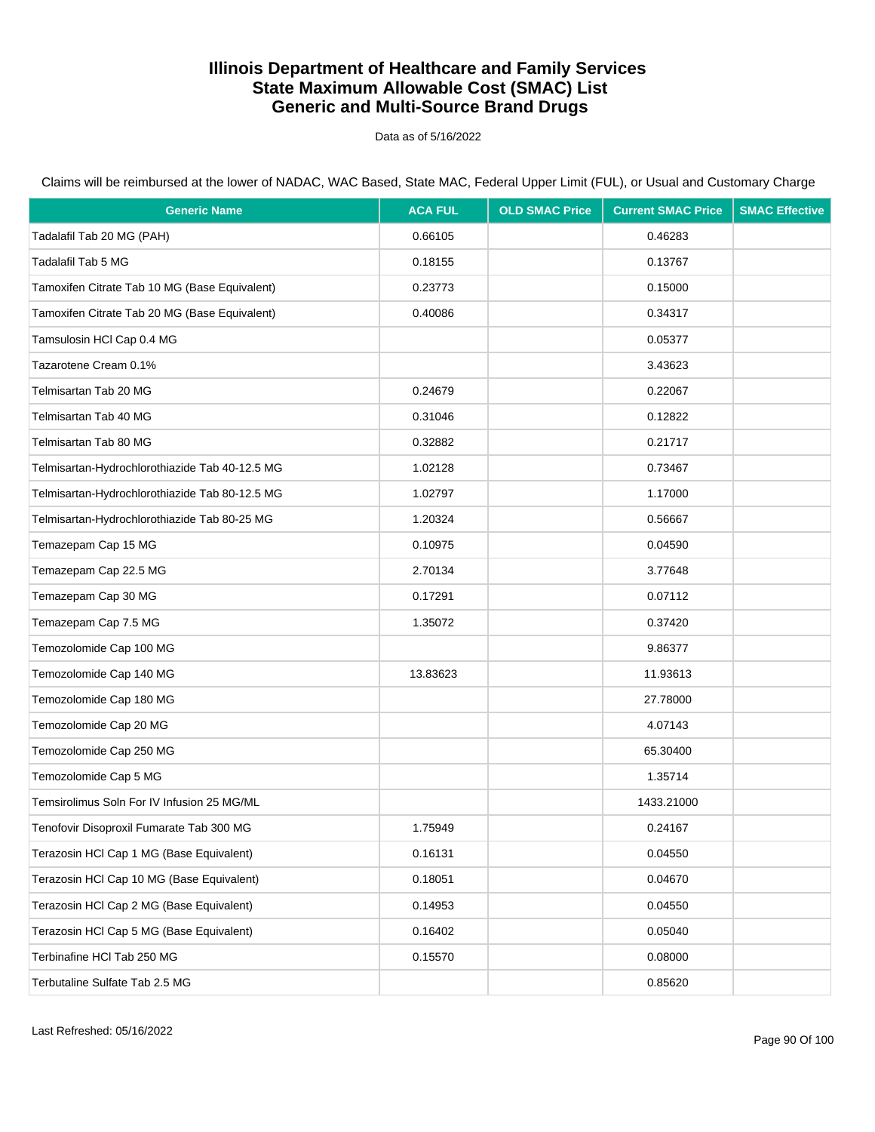Data as of 5/16/2022

| <b>Generic Name</b>                            | <b>ACA FUL</b> | <b>OLD SMAC Price</b> | <b>Current SMAC Price</b> | <b>SMAC Effective</b> |
|------------------------------------------------|----------------|-----------------------|---------------------------|-----------------------|
| Tadalafil Tab 20 MG (PAH)                      | 0.66105        |                       | 0.46283                   |                       |
| Tadalafil Tab 5 MG                             | 0.18155        |                       | 0.13767                   |                       |
| Tamoxifen Citrate Tab 10 MG (Base Equivalent)  | 0.23773        |                       | 0.15000                   |                       |
| Tamoxifen Citrate Tab 20 MG (Base Equivalent)  | 0.40086        |                       | 0.34317                   |                       |
| Tamsulosin HCl Cap 0.4 MG                      |                |                       | 0.05377                   |                       |
| Tazarotene Cream 0.1%                          |                |                       | 3.43623                   |                       |
| Telmisartan Tab 20 MG                          | 0.24679        |                       | 0.22067                   |                       |
| Telmisartan Tab 40 MG                          | 0.31046        |                       | 0.12822                   |                       |
| Telmisartan Tab 80 MG                          | 0.32882        |                       | 0.21717                   |                       |
| Telmisartan-Hydrochlorothiazide Tab 40-12.5 MG | 1.02128        |                       | 0.73467                   |                       |
| Telmisartan-Hydrochlorothiazide Tab 80-12.5 MG | 1.02797        |                       | 1.17000                   |                       |
| Telmisartan-Hydrochlorothiazide Tab 80-25 MG   | 1.20324        |                       | 0.56667                   |                       |
| Temazepam Cap 15 MG                            | 0.10975        |                       | 0.04590                   |                       |
| Temazepam Cap 22.5 MG                          | 2.70134        |                       | 3.77648                   |                       |
| Temazepam Cap 30 MG                            | 0.17291        |                       | 0.07112                   |                       |
| Temazepam Cap 7.5 MG                           | 1.35072        |                       | 0.37420                   |                       |
| Temozolomide Cap 100 MG                        |                |                       | 9.86377                   |                       |
| Temozolomide Cap 140 MG                        | 13.83623       |                       | 11.93613                  |                       |
| Temozolomide Cap 180 MG                        |                |                       | 27.78000                  |                       |
| Temozolomide Cap 20 MG                         |                |                       | 4.07143                   |                       |
| Temozolomide Cap 250 MG                        |                |                       | 65.30400                  |                       |
| Temozolomide Cap 5 MG                          |                |                       | 1.35714                   |                       |
| Temsirolimus Soln For IV Infusion 25 MG/ML     |                |                       | 1433.21000                |                       |
| Tenofovir Disoproxil Fumarate Tab 300 MG       | 1.75949        |                       | 0.24167                   |                       |
| Terazosin HCI Cap 1 MG (Base Equivalent)       | 0.16131        |                       | 0.04550                   |                       |
| Terazosin HCl Cap 10 MG (Base Equivalent)      | 0.18051        |                       | 0.04670                   |                       |
| Terazosin HCI Cap 2 MG (Base Equivalent)       | 0.14953        |                       | 0.04550                   |                       |
| Terazosin HCl Cap 5 MG (Base Equivalent)       | 0.16402        |                       | 0.05040                   |                       |
| Terbinafine HCI Tab 250 MG                     | 0.15570        |                       | 0.08000                   |                       |
| Terbutaline Sulfate Tab 2.5 MG                 |                |                       | 0.85620                   |                       |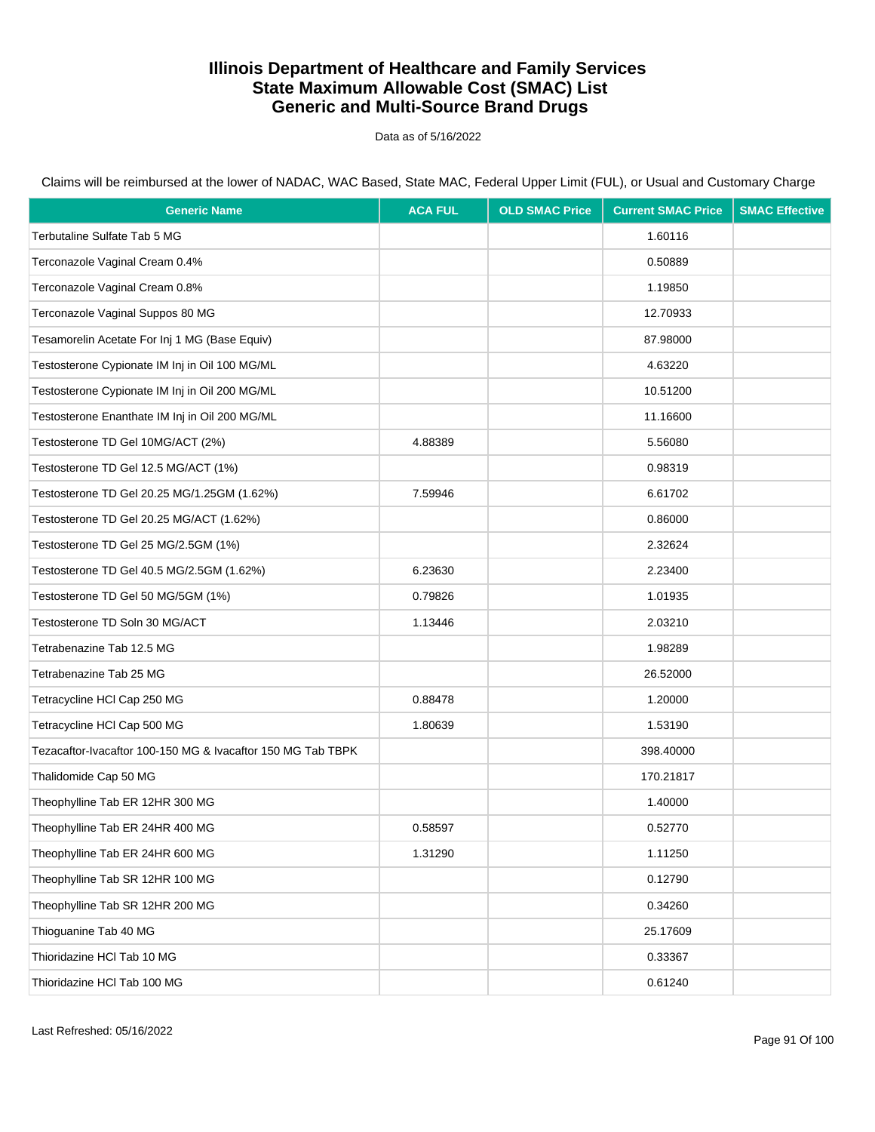Data as of 5/16/2022

| <b>Generic Name</b>                                         | <b>ACA FUL</b> | <b>OLD SMAC Price</b> | <b>Current SMAC Price</b> | <b>SMAC Effective</b> |
|-------------------------------------------------------------|----------------|-----------------------|---------------------------|-----------------------|
| Terbutaline Sulfate Tab 5 MG                                |                |                       | 1.60116                   |                       |
| Terconazole Vaginal Cream 0.4%                              |                |                       | 0.50889                   |                       |
| Terconazole Vaginal Cream 0.8%                              |                |                       | 1.19850                   |                       |
| Terconazole Vaginal Suppos 80 MG                            |                |                       | 12.70933                  |                       |
| Tesamorelin Acetate For Inj 1 MG (Base Equiv)               |                |                       | 87.98000                  |                       |
| Testosterone Cypionate IM Inj in Oil 100 MG/ML              |                |                       | 4.63220                   |                       |
| Testosterone Cypionate IM Inj in Oil 200 MG/ML              |                |                       | 10.51200                  |                       |
| Testosterone Enanthate IM Inj in Oil 200 MG/ML              |                |                       | 11.16600                  |                       |
| Testosterone TD Gel 10MG/ACT (2%)                           | 4.88389        |                       | 5.56080                   |                       |
| Testosterone TD Gel 12.5 MG/ACT (1%)                        |                |                       | 0.98319                   |                       |
| Testosterone TD Gel 20.25 MG/1.25GM (1.62%)                 | 7.59946        |                       | 6.61702                   |                       |
| Testosterone TD Gel 20.25 MG/ACT (1.62%)                    |                |                       | 0.86000                   |                       |
| Testosterone TD Gel 25 MG/2.5GM (1%)                        |                |                       | 2.32624                   |                       |
| Testosterone TD Gel 40.5 MG/2.5GM (1.62%)                   | 6.23630        |                       | 2.23400                   |                       |
| Testosterone TD Gel 50 MG/5GM (1%)                          | 0.79826        |                       | 1.01935                   |                       |
| Testosterone TD Soln 30 MG/ACT                              | 1.13446        |                       | 2.03210                   |                       |
| Tetrabenazine Tab 12.5 MG                                   |                |                       | 1.98289                   |                       |
| Tetrabenazine Tab 25 MG                                     |                |                       | 26.52000                  |                       |
| Tetracycline HCI Cap 250 MG                                 | 0.88478        |                       | 1.20000                   |                       |
| Tetracycline HCI Cap 500 MG                                 | 1.80639        |                       | 1.53190                   |                       |
| Tezacaftor-Ivacaftor 100-150 MG & Ivacaftor 150 MG Tab TBPK |                |                       | 398.40000                 |                       |
| Thalidomide Cap 50 MG                                       |                |                       | 170.21817                 |                       |
| Theophylline Tab ER 12HR 300 MG                             |                |                       | 1.40000                   |                       |
| Theophylline Tab ER 24HR 400 MG                             | 0.58597        |                       | 0.52770                   |                       |
| Theophylline Tab ER 24HR 600 MG                             | 1.31290        |                       | 1.11250                   |                       |
| Theophylline Tab SR 12HR 100 MG                             |                |                       | 0.12790                   |                       |
| Theophylline Tab SR 12HR 200 MG                             |                |                       | 0.34260                   |                       |
| Thioguanine Tab 40 MG                                       |                |                       | 25.17609                  |                       |
| Thioridazine HCI Tab 10 MG                                  |                |                       | 0.33367                   |                       |
| Thioridazine HCI Tab 100 MG                                 |                |                       | 0.61240                   |                       |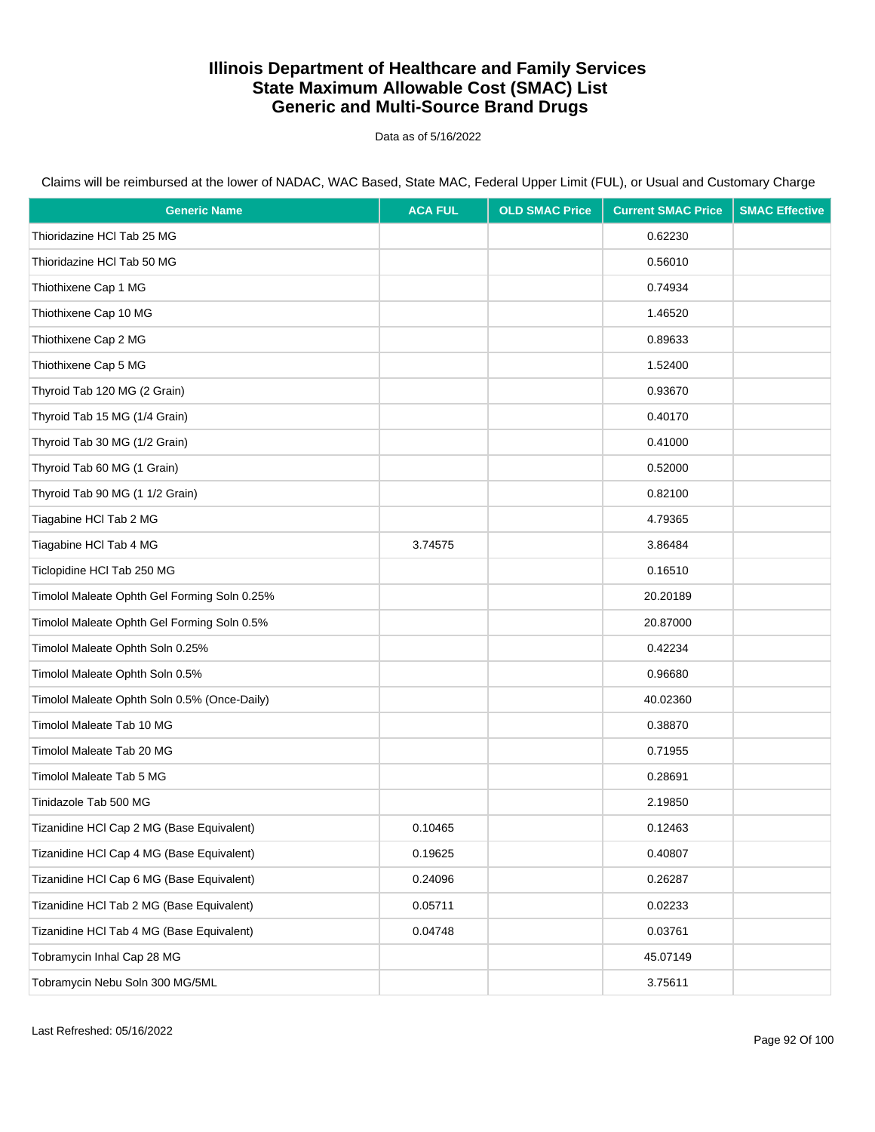Data as of 5/16/2022

| <b>Generic Name</b>                          | <b>ACA FUL</b> | <b>OLD SMAC Price</b> | <b>Current SMAC Price</b> | <b>SMAC Effective</b> |
|----------------------------------------------|----------------|-----------------------|---------------------------|-----------------------|
| Thioridazine HCI Tab 25 MG                   |                |                       | 0.62230                   |                       |
| Thioridazine HCI Tab 50 MG                   |                |                       | 0.56010                   |                       |
| Thiothixene Cap 1 MG                         |                |                       | 0.74934                   |                       |
| Thiothixene Cap 10 MG                        |                |                       | 1.46520                   |                       |
| Thiothixene Cap 2 MG                         |                |                       | 0.89633                   |                       |
| Thiothixene Cap 5 MG                         |                |                       | 1.52400                   |                       |
| Thyroid Tab 120 MG (2 Grain)                 |                |                       | 0.93670                   |                       |
| Thyroid Tab 15 MG (1/4 Grain)                |                |                       | 0.40170                   |                       |
| Thyroid Tab 30 MG (1/2 Grain)                |                |                       | 0.41000                   |                       |
| Thyroid Tab 60 MG (1 Grain)                  |                |                       | 0.52000                   |                       |
| Thyroid Tab 90 MG (1 1/2 Grain)              |                |                       | 0.82100                   |                       |
| Tiagabine HCI Tab 2 MG                       |                |                       | 4.79365                   |                       |
| Tiagabine HCI Tab 4 MG                       | 3.74575        |                       | 3.86484                   |                       |
| Ticlopidine HCI Tab 250 MG                   |                |                       | 0.16510                   |                       |
| Timolol Maleate Ophth Gel Forming Soln 0.25% |                |                       | 20.20189                  |                       |
| Timolol Maleate Ophth Gel Forming Soln 0.5%  |                |                       | 20.87000                  |                       |
| Timolol Maleate Ophth Soln 0.25%             |                |                       | 0.42234                   |                       |
| Timolol Maleate Ophth Soln 0.5%              |                |                       | 0.96680                   |                       |
| Timolol Maleate Ophth Soln 0.5% (Once-Daily) |                |                       | 40.02360                  |                       |
| Timolol Maleate Tab 10 MG                    |                |                       | 0.38870                   |                       |
| Timolol Maleate Tab 20 MG                    |                |                       | 0.71955                   |                       |
| Timolol Maleate Tab 5 MG                     |                |                       | 0.28691                   |                       |
| Tinidazole Tab 500 MG                        |                |                       | 2.19850                   |                       |
| Tizanidine HCI Cap 2 MG (Base Equivalent)    | 0.10465        |                       | 0.12463                   |                       |
| Tizanidine HCI Cap 4 MG (Base Equivalent)    | 0.19625        |                       | 0.40807                   |                       |
| Tizanidine HCl Cap 6 MG (Base Equivalent)    | 0.24096        |                       | 0.26287                   |                       |
| Tizanidine HCl Tab 2 MG (Base Equivalent)    | 0.05711        |                       | 0.02233                   |                       |
| Tizanidine HCl Tab 4 MG (Base Equivalent)    | 0.04748        |                       | 0.03761                   |                       |
| Tobramycin Inhal Cap 28 MG                   |                |                       | 45.07149                  |                       |
| Tobramycin Nebu Soln 300 MG/5ML              |                |                       | 3.75611                   |                       |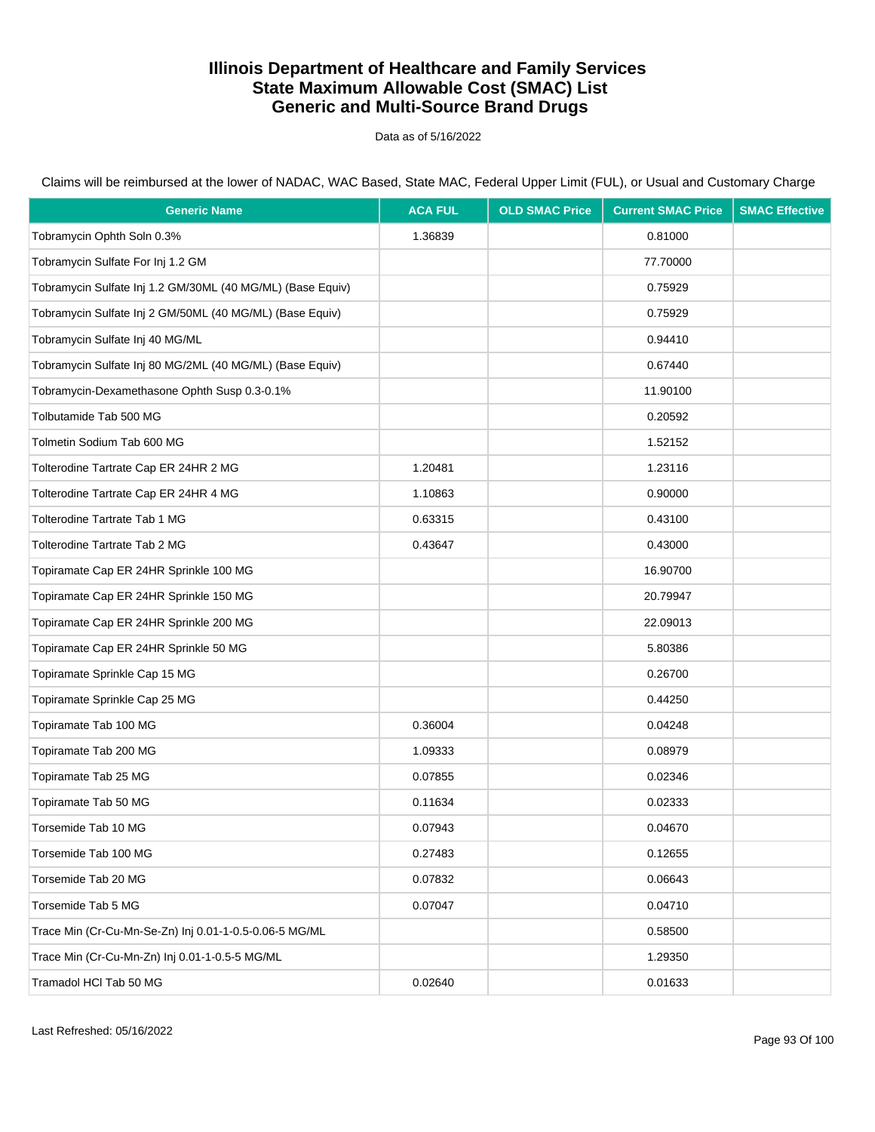Data as of 5/16/2022

| <b>Generic Name</b>                                        | <b>ACA FUL</b> | <b>OLD SMAC Price</b> | <b>Current SMAC Price</b> | <b>SMAC Effective</b> |
|------------------------------------------------------------|----------------|-----------------------|---------------------------|-----------------------|
| Tobramycin Ophth Soln 0.3%                                 | 1.36839        |                       | 0.81000                   |                       |
| Tobramycin Sulfate For Inj 1.2 GM                          |                |                       | 77.70000                  |                       |
| Tobramycin Sulfate Inj 1.2 GM/30ML (40 MG/ML) (Base Equiv) |                |                       | 0.75929                   |                       |
| Tobramycin Sulfate Inj 2 GM/50ML (40 MG/ML) (Base Equiv)   |                |                       | 0.75929                   |                       |
| Tobramycin Sulfate Inj 40 MG/ML                            |                |                       | 0.94410                   |                       |
| Tobramycin Sulfate Inj 80 MG/2ML (40 MG/ML) (Base Equiv)   |                |                       | 0.67440                   |                       |
| Tobramycin-Dexamethasone Ophth Susp 0.3-0.1%               |                |                       | 11.90100                  |                       |
| Tolbutamide Tab 500 MG                                     |                |                       | 0.20592                   |                       |
| Tolmetin Sodium Tab 600 MG                                 |                |                       | 1.52152                   |                       |
| Tolterodine Tartrate Cap ER 24HR 2 MG                      | 1.20481        |                       | 1.23116                   |                       |
| Tolterodine Tartrate Cap ER 24HR 4 MG                      | 1.10863        |                       | 0.90000                   |                       |
| Tolterodine Tartrate Tab 1 MG                              | 0.63315        |                       | 0.43100                   |                       |
| Tolterodine Tartrate Tab 2 MG                              | 0.43647        |                       | 0.43000                   |                       |
| Topiramate Cap ER 24HR Sprinkle 100 MG                     |                |                       | 16.90700                  |                       |
| Topiramate Cap ER 24HR Sprinkle 150 MG                     |                |                       | 20.79947                  |                       |
| Topiramate Cap ER 24HR Sprinkle 200 MG                     |                |                       | 22.09013                  |                       |
| Topiramate Cap ER 24HR Sprinkle 50 MG                      |                |                       | 5.80386                   |                       |
| Topiramate Sprinkle Cap 15 MG                              |                |                       | 0.26700                   |                       |
| Topiramate Sprinkle Cap 25 MG                              |                |                       | 0.44250                   |                       |
| Topiramate Tab 100 MG                                      | 0.36004        |                       | 0.04248                   |                       |
| Topiramate Tab 200 MG                                      | 1.09333        |                       | 0.08979                   |                       |
| Topiramate Tab 25 MG                                       | 0.07855        |                       | 0.02346                   |                       |
| Topiramate Tab 50 MG                                       | 0.11634        |                       | 0.02333                   |                       |
| Torsemide Tab 10 MG                                        | 0.07943        |                       | 0.04670                   |                       |
| Torsemide Tab 100 MG                                       | 0.27483        |                       | 0.12655                   |                       |
| Torsemide Tab 20 MG                                        | 0.07832        |                       | 0.06643                   |                       |
| Torsemide Tab 5 MG                                         | 0.07047        |                       | 0.04710                   |                       |
| Trace Min (Cr-Cu-Mn-Se-Zn) Inj 0.01-1-0.5-0.06-5 MG/ML     |                |                       | 0.58500                   |                       |
| Trace Min (Cr-Cu-Mn-Zn) Inj 0.01-1-0.5-5 MG/ML             |                |                       | 1.29350                   |                       |
| Tramadol HCl Tab 50 MG                                     | 0.02640        |                       | 0.01633                   |                       |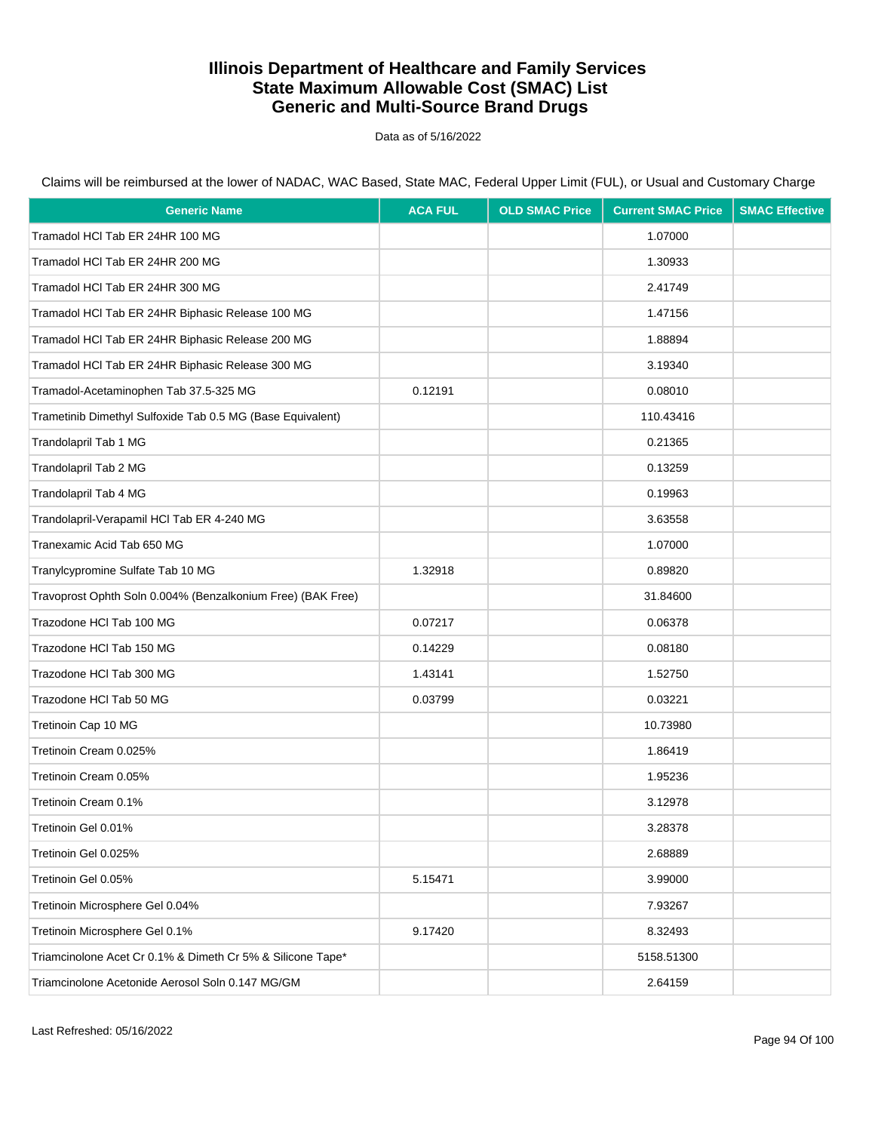Data as of 5/16/2022

| <b>Generic Name</b>                                         | <b>ACA FUL</b> | <b>OLD SMAC Price</b> | <b>Current SMAC Price</b> | <b>SMAC Effective</b> |
|-------------------------------------------------------------|----------------|-----------------------|---------------------------|-----------------------|
| Tramadol HCI Tab ER 24HR 100 MG                             |                |                       | 1.07000                   |                       |
| Tramadol HCI Tab ER 24HR 200 MG                             |                |                       | 1.30933                   |                       |
| Tramadol HCI Tab ER 24HR 300 MG                             |                |                       | 2.41749                   |                       |
| Tramadol HCl Tab ER 24HR Biphasic Release 100 MG            |                |                       | 1.47156                   |                       |
| Tramadol HCI Tab ER 24HR Biphasic Release 200 MG            |                |                       | 1.88894                   |                       |
| Tramadol HCI Tab ER 24HR Biphasic Release 300 MG            |                |                       | 3.19340                   |                       |
| Tramadol-Acetaminophen Tab 37.5-325 MG                      | 0.12191        |                       | 0.08010                   |                       |
| Trametinib Dimethyl Sulfoxide Tab 0.5 MG (Base Equivalent)  |                |                       | 110.43416                 |                       |
| Trandolapril Tab 1 MG                                       |                |                       | 0.21365                   |                       |
| Trandolapril Tab 2 MG                                       |                |                       | 0.13259                   |                       |
| Trandolapril Tab 4 MG                                       |                |                       | 0.19963                   |                       |
| Trandolapril-Verapamil HCl Tab ER 4-240 MG                  |                |                       | 3.63558                   |                       |
| Tranexamic Acid Tab 650 MG                                  |                |                       | 1.07000                   |                       |
| Tranylcypromine Sulfate Tab 10 MG                           | 1.32918        |                       | 0.89820                   |                       |
| Travoprost Ophth Soln 0.004% (Benzalkonium Free) (BAK Free) |                |                       | 31.84600                  |                       |
| Trazodone HCI Tab 100 MG                                    | 0.07217        |                       | 0.06378                   |                       |
| Trazodone HCI Tab 150 MG                                    | 0.14229        |                       | 0.08180                   |                       |
| Trazodone HCI Tab 300 MG                                    | 1.43141        |                       | 1.52750                   |                       |
| Trazodone HCl Tab 50 MG                                     | 0.03799        |                       | 0.03221                   |                       |
| Tretinoin Cap 10 MG                                         |                |                       | 10.73980                  |                       |
| Tretinoin Cream 0.025%                                      |                |                       | 1.86419                   |                       |
| Tretinoin Cream 0.05%                                       |                |                       | 1.95236                   |                       |
| Tretinoin Cream 0.1%                                        |                |                       | 3.12978                   |                       |
| Tretinoin Gel 0.01%                                         |                |                       | 3.28378                   |                       |
| Tretinoin Gel 0.025%                                        |                |                       | 2.68889                   |                       |
| Tretinoin Gel 0.05%                                         | 5.15471        |                       | 3.99000                   |                       |
| Tretinoin Microsphere Gel 0.04%                             |                |                       | 7.93267                   |                       |
| Tretinoin Microsphere Gel 0.1%                              | 9.17420        |                       | 8.32493                   |                       |
| Triamcinolone Acet Cr 0.1% & Dimeth Cr 5% & Silicone Tape*  |                |                       | 5158.51300                |                       |
| Triamcinolone Acetonide Aerosol Soln 0.147 MG/GM            |                |                       | 2.64159                   |                       |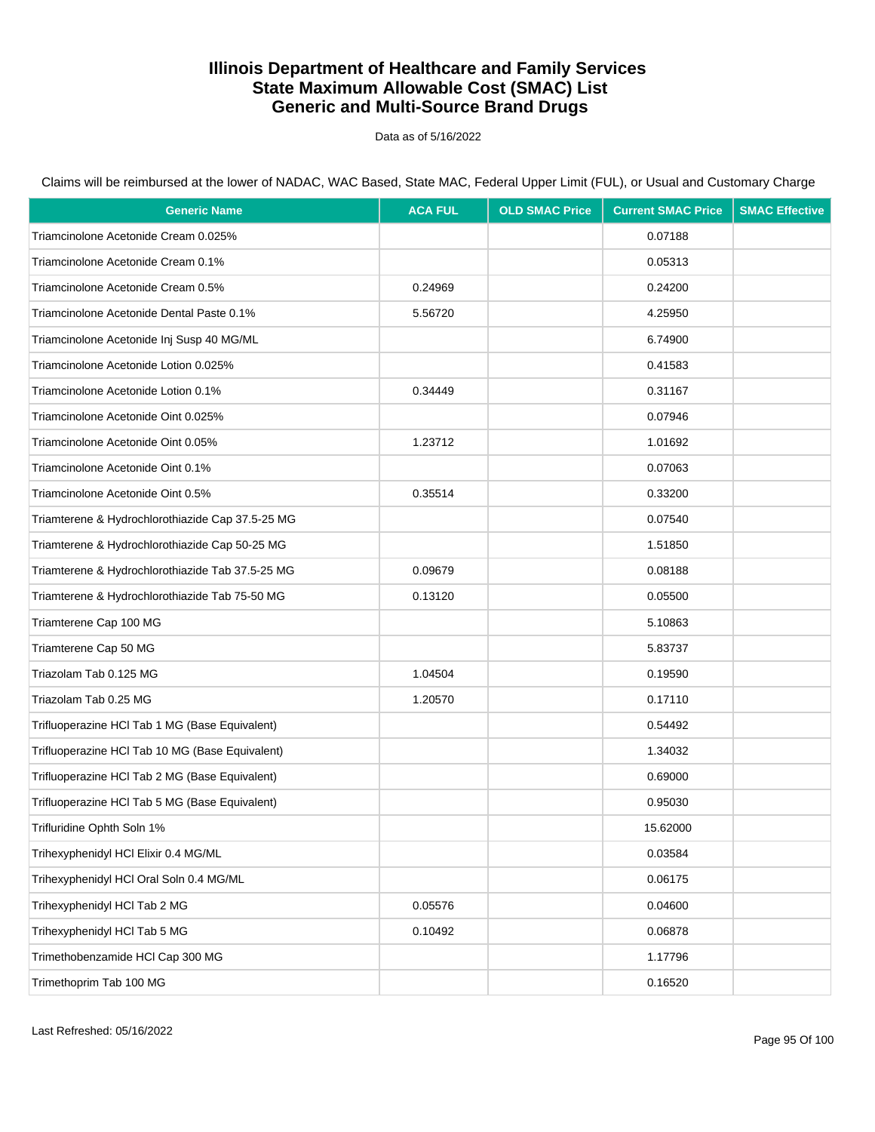Data as of 5/16/2022

| <b>Generic Name</b>                              | <b>ACA FUL</b> | <b>OLD SMAC Price</b> | <b>Current SMAC Price</b> | <b>SMAC Effective</b> |
|--------------------------------------------------|----------------|-----------------------|---------------------------|-----------------------|
| Triamcinolone Acetonide Cream 0.025%             |                |                       | 0.07188                   |                       |
| Triamcinolone Acetonide Cream 0.1%               |                |                       | 0.05313                   |                       |
| Triamcinolone Acetonide Cream 0.5%               | 0.24969        |                       | 0.24200                   |                       |
| Triamcinolone Acetonide Dental Paste 0.1%        | 5.56720        |                       | 4.25950                   |                       |
| Triamcinolone Acetonide Inj Susp 40 MG/ML        |                |                       | 6.74900                   |                       |
| Triamcinolone Acetonide Lotion 0.025%            |                |                       | 0.41583                   |                       |
| Triamcinolone Acetonide Lotion 0.1%              | 0.34449        |                       | 0.31167                   |                       |
| Triamcinolone Acetonide Oint 0.025%              |                |                       | 0.07946                   |                       |
| Triamcinolone Acetonide Oint 0.05%               | 1.23712        |                       | 1.01692                   |                       |
| Triamcinolone Acetonide Oint 0.1%                |                |                       | 0.07063                   |                       |
| Triamcinolone Acetonide Oint 0.5%                | 0.35514        |                       | 0.33200                   |                       |
| Triamterene & Hydrochlorothiazide Cap 37.5-25 MG |                |                       | 0.07540                   |                       |
| Triamterene & Hydrochlorothiazide Cap 50-25 MG   |                |                       | 1.51850                   |                       |
| Triamterene & Hydrochlorothiazide Tab 37.5-25 MG | 0.09679        |                       | 0.08188                   |                       |
| Triamterene & Hydrochlorothiazide Tab 75-50 MG   | 0.13120        |                       | 0.05500                   |                       |
| Triamterene Cap 100 MG                           |                |                       | 5.10863                   |                       |
| Triamterene Cap 50 MG                            |                |                       | 5.83737                   |                       |
| Triazolam Tab 0.125 MG                           | 1.04504        |                       | 0.19590                   |                       |
| Triazolam Tab 0.25 MG                            | 1.20570        |                       | 0.17110                   |                       |
| Trifluoperazine HCl Tab 1 MG (Base Equivalent)   |                |                       | 0.54492                   |                       |
| Trifluoperazine HCl Tab 10 MG (Base Equivalent)  |                |                       | 1.34032                   |                       |
| Trifluoperazine HCl Tab 2 MG (Base Equivalent)   |                |                       | 0.69000                   |                       |
| Trifluoperazine HCl Tab 5 MG (Base Equivalent)   |                |                       | 0.95030                   |                       |
| Trifluridine Ophth Soln 1%                       |                |                       | 15.62000                  |                       |
| Trihexyphenidyl HCI Elixir 0.4 MG/ML             |                |                       | 0.03584                   |                       |
| Trihexyphenidyl HCl Oral Soln 0.4 MG/ML          |                |                       | 0.06175                   |                       |
| Trihexyphenidyl HCl Tab 2 MG                     | 0.05576        |                       | 0.04600                   |                       |
| Trihexyphenidyl HCl Tab 5 MG                     | 0.10492        |                       | 0.06878                   |                       |
| Trimethobenzamide HCl Cap 300 MG                 |                |                       | 1.17796                   |                       |
| Trimethoprim Tab 100 MG                          |                |                       | 0.16520                   |                       |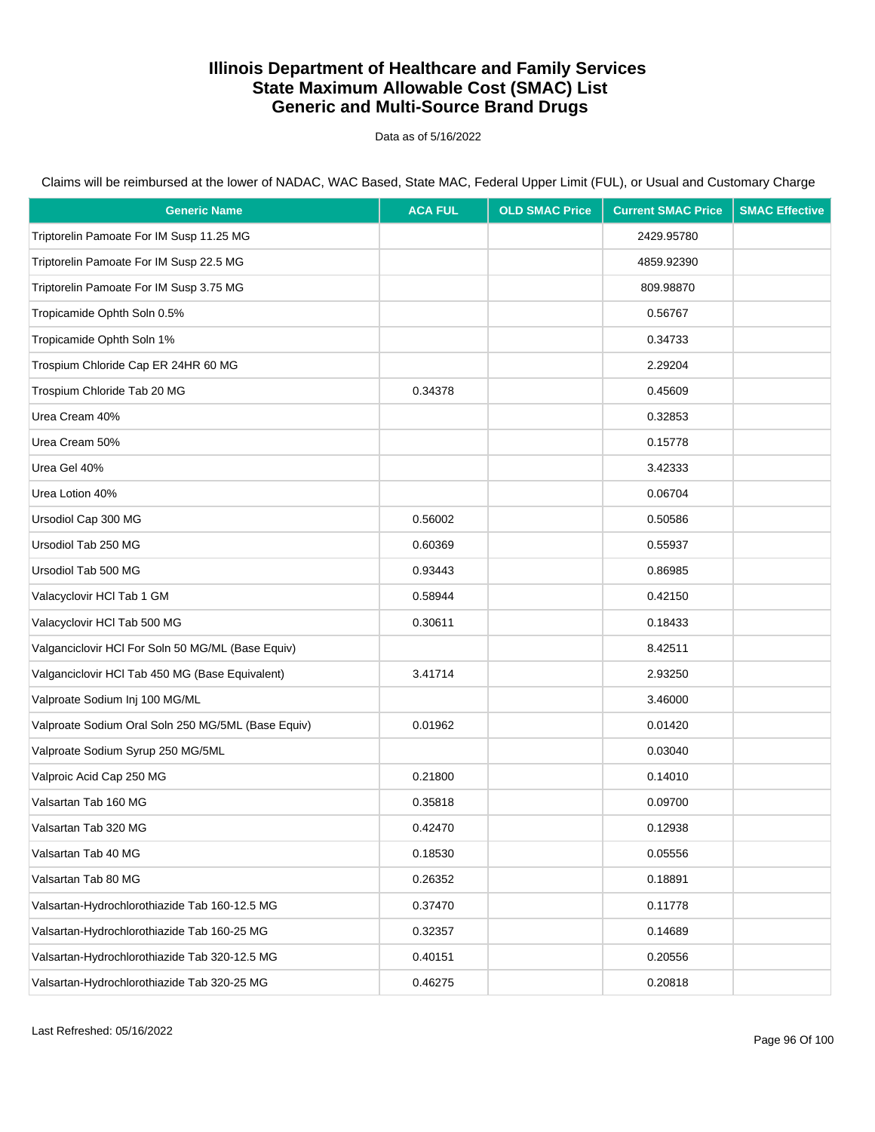Data as of 5/16/2022

| <b>Generic Name</b>                                | <b>ACA FUL</b> | <b>OLD SMAC Price</b> | <b>Current SMAC Price</b> | <b>SMAC Effective</b> |
|----------------------------------------------------|----------------|-----------------------|---------------------------|-----------------------|
| Triptorelin Pamoate For IM Susp 11.25 MG           |                |                       | 2429.95780                |                       |
| Triptorelin Pamoate For IM Susp 22.5 MG            |                |                       | 4859.92390                |                       |
| Triptorelin Pamoate For IM Susp 3.75 MG            |                |                       | 809.98870                 |                       |
| Tropicamide Ophth Soln 0.5%                        |                |                       | 0.56767                   |                       |
| Tropicamide Ophth Soln 1%                          |                |                       | 0.34733                   |                       |
| Trospium Chloride Cap ER 24HR 60 MG                |                |                       | 2.29204                   |                       |
| Trospium Chloride Tab 20 MG                        | 0.34378        |                       | 0.45609                   |                       |
| Urea Cream 40%                                     |                |                       | 0.32853                   |                       |
| Urea Cream 50%                                     |                |                       | 0.15778                   |                       |
| Urea Gel 40%                                       |                |                       | 3.42333                   |                       |
| Urea Lotion 40%                                    |                |                       | 0.06704                   |                       |
| Ursodiol Cap 300 MG                                | 0.56002        |                       | 0.50586                   |                       |
| Ursodiol Tab 250 MG                                | 0.60369        |                       | 0.55937                   |                       |
| Ursodiol Tab 500 MG                                | 0.93443        |                       | 0.86985                   |                       |
| Valacyclovir HCl Tab 1 GM                          | 0.58944        |                       | 0.42150                   |                       |
| Valacyclovir HCl Tab 500 MG                        | 0.30611        |                       | 0.18433                   |                       |
| Valganciclovir HCI For Soln 50 MG/ML (Base Equiv)  |                |                       | 8.42511                   |                       |
| Valganciclovir HCl Tab 450 MG (Base Equivalent)    | 3.41714        |                       | 2.93250                   |                       |
| Valproate Sodium Inj 100 MG/ML                     |                |                       | 3.46000                   |                       |
| Valproate Sodium Oral Soln 250 MG/5ML (Base Equiv) | 0.01962        |                       | 0.01420                   |                       |
| Valproate Sodium Syrup 250 MG/5ML                  |                |                       | 0.03040                   |                       |
| Valproic Acid Cap 250 MG                           | 0.21800        |                       | 0.14010                   |                       |
| Valsartan Tab 160 MG                               | 0.35818        |                       | 0.09700                   |                       |
| Valsartan Tab 320 MG                               | 0.42470        |                       | 0.12938                   |                       |
| Valsartan Tab 40 MG                                | 0.18530        |                       | 0.05556                   |                       |
| Valsartan Tab 80 MG                                | 0.26352        |                       | 0.18891                   |                       |
| Valsartan-Hydrochlorothiazide Tab 160-12.5 MG      | 0.37470        |                       | 0.11778                   |                       |
| Valsartan-Hydrochlorothiazide Tab 160-25 MG        | 0.32357        |                       | 0.14689                   |                       |
| Valsartan-Hydrochlorothiazide Tab 320-12.5 MG      | 0.40151        |                       | 0.20556                   |                       |
| Valsartan-Hydrochlorothiazide Tab 320-25 MG        | 0.46275        |                       | 0.20818                   |                       |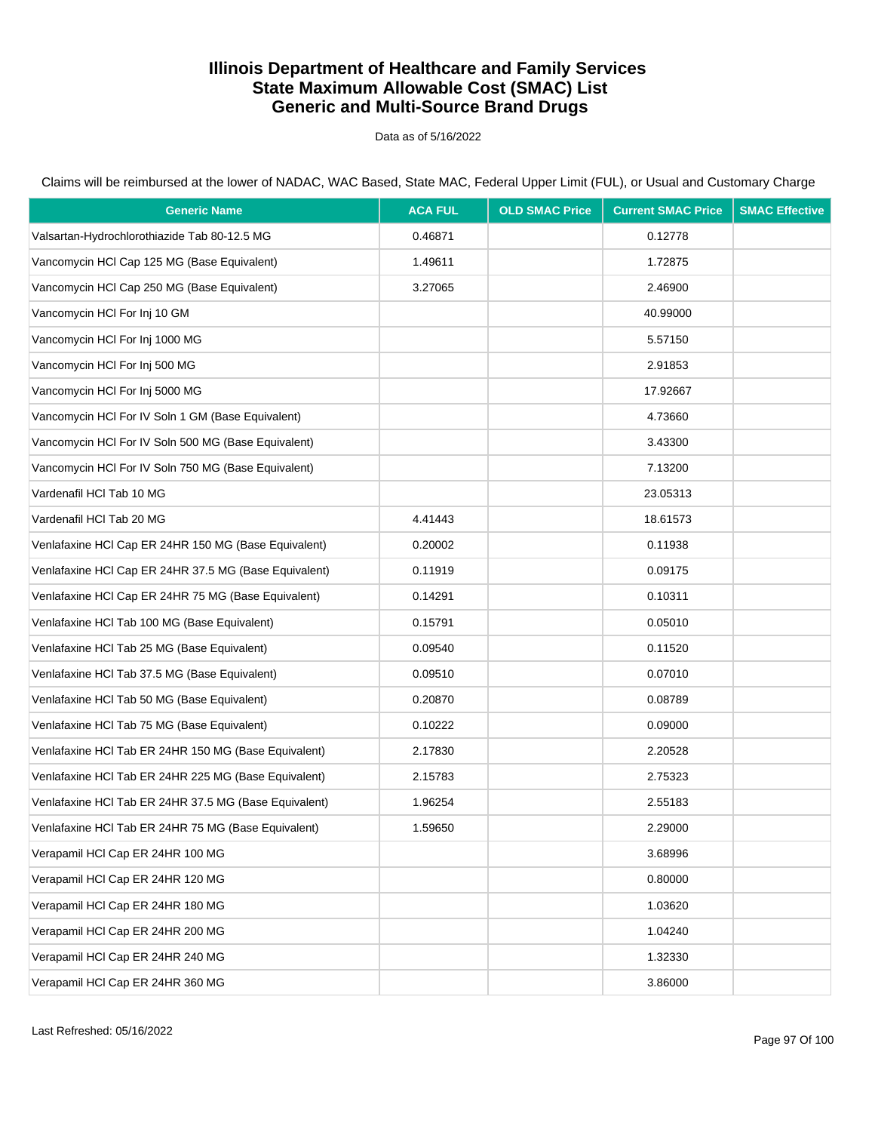Data as of 5/16/2022

| <b>Generic Name</b>                                   | <b>ACA FUL</b> | <b>OLD SMAC Price</b> | <b>Current SMAC Price</b> | <b>SMAC Effective</b> |
|-------------------------------------------------------|----------------|-----------------------|---------------------------|-----------------------|
| Valsartan-Hydrochlorothiazide Tab 80-12.5 MG          | 0.46871        |                       | 0.12778                   |                       |
| Vancomycin HCI Cap 125 MG (Base Equivalent)           | 1.49611        |                       | 1.72875                   |                       |
| Vancomycin HCI Cap 250 MG (Base Equivalent)           | 3.27065        |                       | 2.46900                   |                       |
| Vancomycin HCI For Inj 10 GM                          |                |                       | 40.99000                  |                       |
| Vancomycin HCI For Inj 1000 MG                        |                |                       | 5.57150                   |                       |
| Vancomycin HCI For Inj 500 MG                         |                |                       | 2.91853                   |                       |
| Vancomycin HCI For Inj 5000 MG                        |                |                       | 17.92667                  |                       |
| Vancomycin HCI For IV Soln 1 GM (Base Equivalent)     |                |                       | 4.73660                   |                       |
| Vancomycin HCI For IV Soln 500 MG (Base Equivalent)   |                |                       | 3.43300                   |                       |
| Vancomycin HCI For IV Soln 750 MG (Base Equivalent)   |                |                       | 7.13200                   |                       |
| Vardenafil HCI Tab 10 MG                              |                |                       | 23.05313                  |                       |
| Vardenafil HCI Tab 20 MG                              | 4.41443        |                       | 18.61573                  |                       |
| Venlafaxine HCl Cap ER 24HR 150 MG (Base Equivalent)  | 0.20002        |                       | 0.11938                   |                       |
| Venlafaxine HCI Cap ER 24HR 37.5 MG (Base Equivalent) | 0.11919        |                       | 0.09175                   |                       |
| Venlafaxine HCI Cap ER 24HR 75 MG (Base Equivalent)   | 0.14291        |                       | 0.10311                   |                       |
| Venlafaxine HCl Tab 100 MG (Base Equivalent)          | 0.15791        |                       | 0.05010                   |                       |
| Venlafaxine HCl Tab 25 MG (Base Equivalent)           | 0.09540        |                       | 0.11520                   |                       |
| Venlafaxine HCl Tab 37.5 MG (Base Equivalent)         | 0.09510        |                       | 0.07010                   |                       |
| Venlafaxine HCl Tab 50 MG (Base Equivalent)           | 0.20870        |                       | 0.08789                   |                       |
| Venlafaxine HCl Tab 75 MG (Base Equivalent)           | 0.10222        |                       | 0.09000                   |                       |
| Venlafaxine HCI Tab ER 24HR 150 MG (Base Equivalent)  | 2.17830        |                       | 2.20528                   |                       |
| Venlafaxine HCI Tab ER 24HR 225 MG (Base Equivalent)  | 2.15783        |                       | 2.75323                   |                       |
| Venlafaxine HCI Tab ER 24HR 37.5 MG (Base Equivalent) | 1.96254        |                       | 2.55183                   |                       |
| Venlafaxine HCI Tab ER 24HR 75 MG (Base Equivalent)   | 1.59650        |                       | 2.29000                   |                       |
| Verapamil HCl Cap ER 24HR 100 MG                      |                |                       | 3.68996                   |                       |
| Verapamil HCl Cap ER 24HR 120 MG                      |                |                       | 0.80000                   |                       |
| Verapamil HCl Cap ER 24HR 180 MG                      |                |                       | 1.03620                   |                       |
| Verapamil HCl Cap ER 24HR 200 MG                      |                |                       | 1.04240                   |                       |
| Verapamil HCl Cap ER 24HR 240 MG                      |                |                       | 1.32330                   |                       |
| Verapamil HCl Cap ER 24HR 360 MG                      |                |                       | 3.86000                   |                       |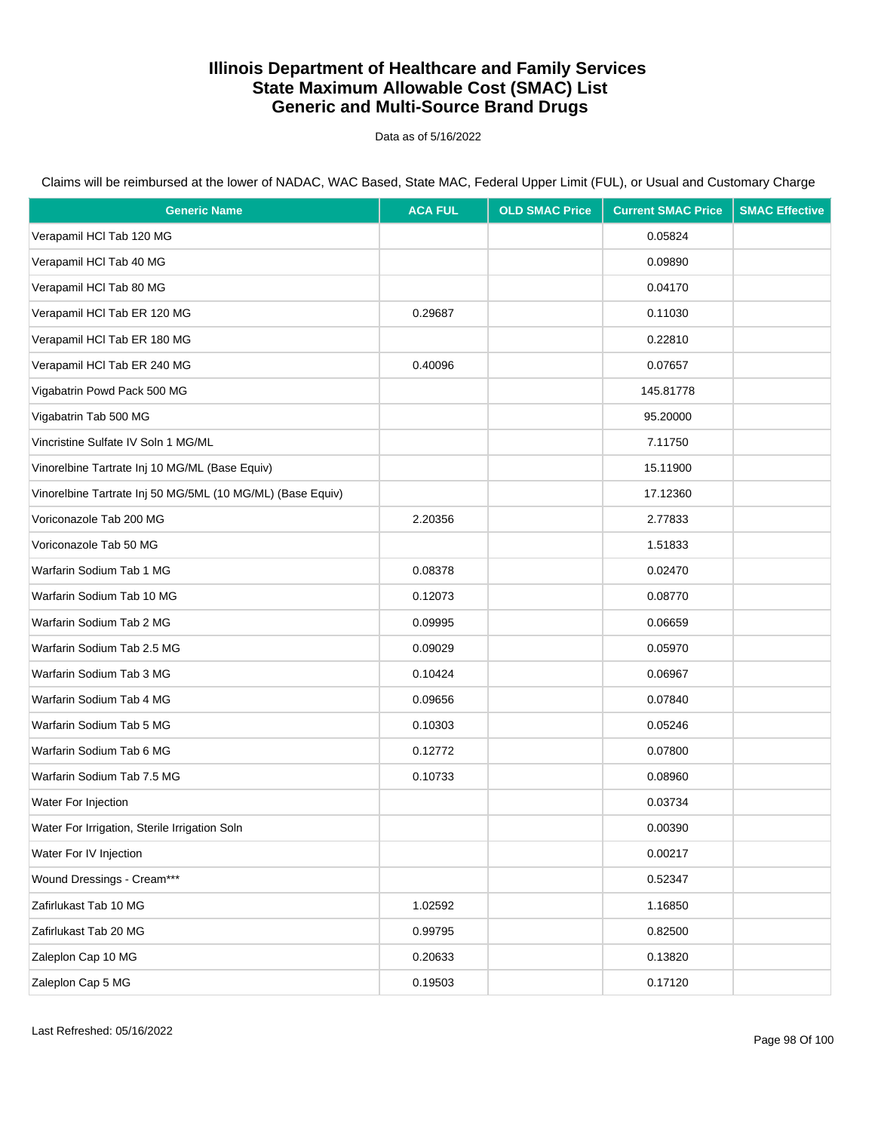Data as of 5/16/2022

| <b>Generic Name</b>                                        | <b>ACA FUL</b> | <b>OLD SMAC Price</b> | <b>Current SMAC Price</b> | <b>SMAC Effective</b> |
|------------------------------------------------------------|----------------|-----------------------|---------------------------|-----------------------|
| Verapamil HCl Tab 120 MG                                   |                |                       | 0.05824                   |                       |
| Verapamil HCl Tab 40 MG                                    |                |                       | 0.09890                   |                       |
| Verapamil HCl Tab 80 MG                                    |                |                       | 0.04170                   |                       |
| Verapamil HCl Tab ER 120 MG                                | 0.29687        |                       | 0.11030                   |                       |
| Verapamil HCl Tab ER 180 MG                                |                |                       | 0.22810                   |                       |
| Verapamil HCl Tab ER 240 MG                                | 0.40096        |                       | 0.07657                   |                       |
| Vigabatrin Powd Pack 500 MG                                |                |                       | 145.81778                 |                       |
| Vigabatrin Tab 500 MG                                      |                |                       | 95.20000                  |                       |
| Vincristine Sulfate IV Soln 1 MG/ML                        |                |                       | 7.11750                   |                       |
| Vinorelbine Tartrate Inj 10 MG/ML (Base Equiv)             |                |                       | 15.11900                  |                       |
| Vinorelbine Tartrate Inj 50 MG/5ML (10 MG/ML) (Base Equiv) |                |                       | 17.12360                  |                       |
| Voriconazole Tab 200 MG                                    | 2.20356        |                       | 2.77833                   |                       |
| Voriconazole Tab 50 MG                                     |                |                       | 1.51833                   |                       |
| Warfarin Sodium Tab 1 MG                                   | 0.08378        |                       | 0.02470                   |                       |
| Warfarin Sodium Tab 10 MG                                  | 0.12073        |                       | 0.08770                   |                       |
| Warfarin Sodium Tab 2 MG                                   | 0.09995        |                       | 0.06659                   |                       |
| Warfarin Sodium Tab 2.5 MG                                 | 0.09029        |                       | 0.05970                   |                       |
| Warfarin Sodium Tab 3 MG                                   | 0.10424        |                       | 0.06967                   |                       |
| Warfarin Sodium Tab 4 MG                                   | 0.09656        |                       | 0.07840                   |                       |
| Warfarin Sodium Tab 5 MG                                   | 0.10303        |                       | 0.05246                   |                       |
| Warfarin Sodium Tab 6 MG                                   | 0.12772        |                       | 0.07800                   |                       |
| Warfarin Sodium Tab 7.5 MG                                 | 0.10733        |                       | 0.08960                   |                       |
| Water For Injection                                        |                |                       | 0.03734                   |                       |
| Water For Irrigation, Sterile Irrigation Soln              |                |                       | 0.00390                   |                       |
| Water For IV Injection                                     |                |                       | 0.00217                   |                       |
| Wound Dressings - Cream***                                 |                |                       | 0.52347                   |                       |
| Zafirlukast Tab 10 MG                                      | 1.02592        |                       | 1.16850                   |                       |
| Zafirlukast Tab 20 MG                                      | 0.99795        |                       | 0.82500                   |                       |
| Zaleplon Cap 10 MG                                         | 0.20633        |                       | 0.13820                   |                       |
| Zaleplon Cap 5 MG                                          | 0.19503        |                       | 0.17120                   |                       |